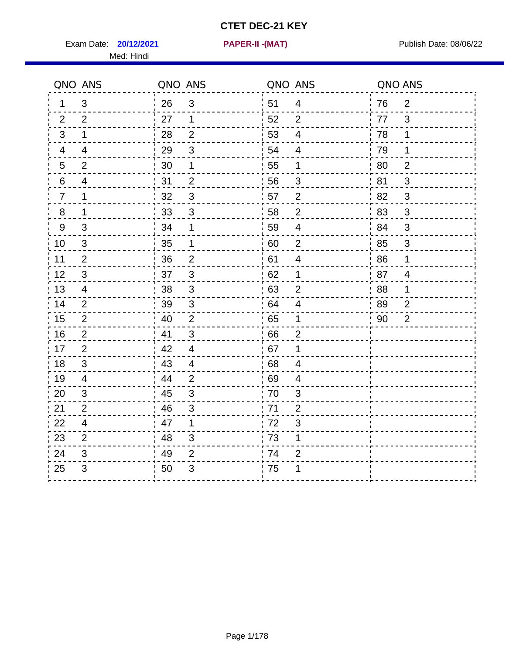Exam Date: **20/12/2021 PAPER-II -(MAT)** Publish Date: 08/06/22 Med: Hindi

**20/12/2021 PAPER-II -(MAT)**

|                | QNO ANS        | QNO ANS |                | QNO ANS |                | QNO ANS |                |
|----------------|----------------|---------|----------------|---------|----------------|---------|----------------|
| 1              | 3              | 26      | $\mathfrak{B}$ | i 51    | $\overline{4}$ | 76      | $\overline{2}$ |
| 2              | $\overline{2}$ | 27      | $\mathbf 1$    | 52      | $\overline{2}$ | 77      | 3              |
| 3              | $\mathbf 1$    | 28      | $\overline{2}$ | 53      | $\overline{4}$ | 78      | $\mathbf 1$    |
| 4              | 4              | 29      | 3              | 54      | 4              | 79      | $\mathbf 1$    |
| $\sqrt{5}$     | $\overline{2}$ | 30      | 1              | 55      | 1              | 80      | $\overline{2}$ |
| 6              | 4              | 31      | $\overline{2}$ | 56      | 3              | 81      | 3              |
| $\overline{7}$ | 1              | 32      | $\mathfrak{S}$ | 57      | $\overline{2}$ | 82      | 3              |
| $\, 8$         | $\mathbf{1}$   | 33      | $\mathsf 3$    | 58      | $\overline{2}$ | 83      | 3              |
| 9              | 3              | 34      | 1              | 59      | 4              | 84      | 3              |
| 10             | $\mathfrak{S}$ | 35      | 1              | 60      | $\overline{c}$ | 85      | 3              |
| 11             | $\mathbf{2}$   | 36      | $\mathbf{2}$   | 61      | 4              | 86      | 1              |
| 12             | $\sqrt{3}$     | 37      | $\mathsf 3$    | 62      | 1              | 87      | $\overline{4}$ |
| 13             | 4              | 38      | 3              | 63      | $\overline{2}$ | 88      | 1              |
| 14             | 2              | 39      | 3              | 64      | 4              | 89      | 2              |
| 15             | $\overline{2}$ | 40      | $\overline{2}$ | 65      | $\mathbf 1$    | 90      | $\overline{2}$ |
| 16             | $\overline{2}$ | 41      | 3              | 66      | $\overline{2}$ |         |                |
| 17             | 2              | 42      | $\overline{4}$ | 67      | 1              |         |                |
| 18             | 3              | 43      | $\overline{4}$ | 68      | 4              |         |                |
| 19             | 4              | 44      | $\overline{2}$ | 69      | 4              |         |                |
| 20             | $\mathfrak{S}$ | 45      | $\mathsf 3$    | 70      | $\mathsf 3$    |         |                |
| 21             | $\overline{2}$ | 46      | 3              | 71      | $\overline{2}$ |         |                |
| 22             | $\overline{4}$ | 47      | $\mathbf 1$    | 72      | 3              |         |                |
| 23             | $\overline{2}$ | 48      | $\mathfrak{S}$ | 73      | 1              |         |                |
| 24             | 3              | 49      | $\overline{2}$ | 74      | $\overline{2}$ |         |                |
| 25             | 3              | 50      | 3              | 75      | 1              |         |                |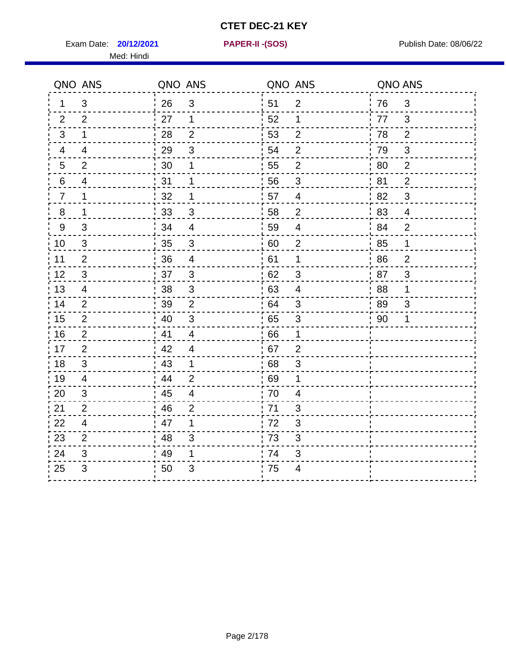Exam Date: **20/12/2021 PAPER-II - (SOS)** Publish Date: 08/06/22 Med: Hindi

**20/12/2021 PAPER-II -(SOS)**

|                | QNO ANS        | QNO ANS |                | QNO ANS |                  | QNO ANS     |                |
|----------------|----------------|---------|----------------|---------|------------------|-------------|----------------|
| 1.             | 3              | 26      | $\mathfrak{S}$ | 51      | $\overline{2}$   | 76          | 3              |
| 2              | 2              | 27      | 1              | 52      | 1                | 77          | 3              |
| 3              | 1              | 28      | $\overline{2}$ | 53      | $\overline{2}$   | 78          | $\overline{2}$ |
| 4              | 4              | 29      | $\mathbf{3}$   | 54      | $\overline{2}$   | 79          | $\mathfrak{S}$ |
| 5              | $\overline{2}$ | 30      | 1              | 55      | $\mathbf{2}$     | 80          | $\overline{2}$ |
| 6              | 4              | 31      | 1              | 56      | 3                | 81          | $\overline{2}$ |
| $\overline{7}$ | 1              | 32      | 1              | 57      | $\overline{4}$   | 82          | 3              |
| 8              | 1              | 33      | $\mathbf{3}$   | 58      | $\overline{2}$   | 83          | $\overline{4}$ |
| 9              | 3              | 34      | $\overline{4}$ | 59      | $\overline{4}$   | 84          | $\overline{2}$ |
| 10             | 3              | 35      | $\sqrt{3}$     | 60      | $\boldsymbol{2}$ | 85          | $\mathbf 1$    |
| 11             | $\overline{2}$ | 36      | $\overline{4}$ | 61      | 1                | 86          | $\overline{2}$ |
| 12             | 3              | 37      | $\sqrt{3}$     | 62      | $\sqrt{3}$       | 87          | $\mathbf{3}$   |
| 13             | 4              | 38      | $\mathbf{3}$   | 63      | $\overline{4}$   | 88          | 1              |
| 14             | 2              | 39      | 2              | 64      | 3                | 89          | 3              |
| 15             | 2              | 40      | $\mathbf{3}$   | 65      | $\sqrt{3}$       | $\sqrt{90}$ | 1              |
| 16             | $\overline{2}$ | 41      | $\overline{4}$ | 66      | 1                |             |                |
| 17             | $\overline{2}$ | 42      | $\overline{4}$ | 67      | $\overline{2}$   |             |                |
| 18             | 3              | 43      | $\mathbf{1}$   | 68      | $\mathfrak{S}$   |             |                |
| 19             | 4              | 44      | $\overline{2}$ | 69      | 1                |             |                |
| 20             | 3              | 45      | $\overline{4}$ | 70      | $\overline{4}$   |             |                |
| 21             | 2              | 46      | $\overline{2}$ | 71      | 3                |             |                |
| 22             | $\overline{4}$ | 47      | 1              | 72      | $\mathfrak{S}$   |             |                |
| 23             | $\overline{2}$ | 48      | 3              | 73      | 3                |             |                |
| 24             | $\mathfrak{B}$ | 49      | 1              | 74      | $\mathfrak{S}$   |             |                |
| 25             | 3              | 50      | 3              | .75     | 4                |             |                |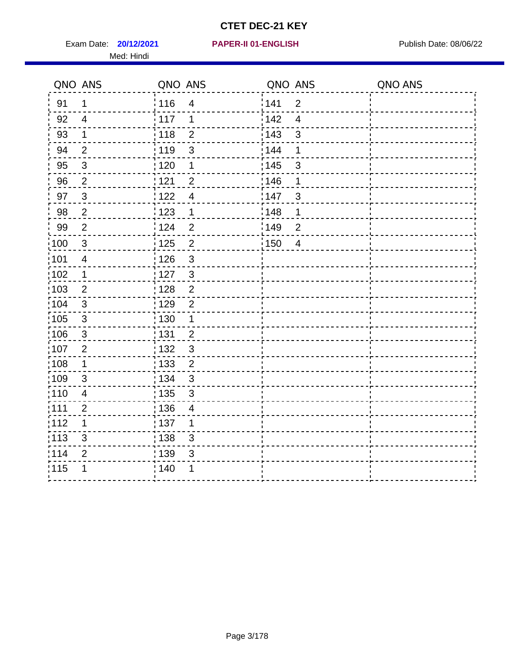Exam Date: **20/12/2021 PAPER-II 01-ENGLISH Proposed Bublish Date: 08/06/22** Med: Hindi

|                   | QNO ANS        | QNO ANS           |                         | QNO ANS           |                         | QNO ANS |
|-------------------|----------------|-------------------|-------------------------|-------------------|-------------------------|---------|
| 91                | $\mathbf{1}$   | 116               | $\overline{\mathbf{4}}$ | 141               | $\overline{2}$          |         |
| 92                | $\overline{4}$ | 117               | 1                       | 142               | $\overline{\mathbf{4}}$ |         |
| 93                | $\mathbf 1$    | 118               | $\overline{2}$          | 143               | 3                       |         |
| 94                | $\overline{2}$ | : 119             | $\mathfrak{S}$          | 144               | 1                       |         |
| 95                | $\mathbf{3}$   | : 120             | $\mathbf 1$             | : 145             | 3                       |         |
| 96                | $\overline{2}$ | 121               | $\overline{2}$          | 146               | 1                       |         |
| 97                | $\mathfrak{B}$ | 122               | $\overline{4}$          | 147               | 3                       |         |
| 98                | $\sqrt{2}$     | $\frac{1}{2}$ 123 | $\mathbf{1}$            | $\frac{1}{2}$ 148 | 1                       |         |
| 99                | $\mathbf{2}$   | 124               | $\overline{2}$          | $\frac{1}{2}$ 149 | $\overline{2}$          |         |
| $\frac{1}{1}$ 100 | $\mathbf{3}$   | 125               | $\overline{2}$          | 150               | $\overline{4}$          |         |
| 101               | $\overline{4}$ | 126               | 3                       |                   |                         |         |
| 102               | 1              | : 127             | $\mathbf{3}$            |                   |                         |         |
| 103               | $\overline{2}$ | 128               | $\overline{2}$          |                   |                         |         |
| 104               | $\sqrt{3}$     | : 129             | $\overline{2}$          |                   |                         |         |
| $\frac{1}{1}$ 105 | $\sqrt{3}$     | : 130             | $\mathbf 1$             |                   |                         |         |
| :106              | $\mathfrak{S}$ | : 131             | $\overline{2}$          |                   |                         |         |
| :107              | $\overline{2}$ | : 132             | $\mathbf{3}$            |                   |                         |         |
| $\frac{1}{1}$ 108 | $\mathbf 1$    | $\frac{1}{1}$ 133 | $\overline{2}$          |                   |                         |         |
| :109              | $\mathfrak{S}$ | : 134             | $\mathbf{3}$            |                   |                         |         |
| :110              | $\overline{4}$ | : 135             | 3                       |                   |                         |         |
| :111              | $\overline{c}$ | : 136             | $\overline{4}$          |                   |                         |         |
| 112               | 1              | 137               | 1                       |                   |                         |         |
| 113               | $\mathbf{3}$   | : 138             | 3                       |                   |                         |         |
| 114               | $\overline{2}$ | : 139             | 3                       |                   |                         |         |
| 115               | 1              | 140               | 1                       |                   |                         |         |
|                   |                |                   |                         |                   |                         |         |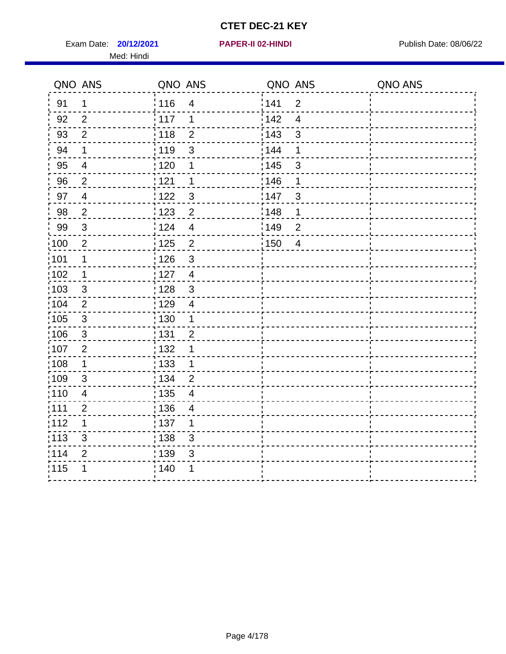Exam Date: **20/12/2021 PAPER-II 02-HINDI Exam Date: 08/06/22** Med: Hindi

**20/12/2021 PAPER-II 02-HINDI**

|                   | QNO ANS                  | QNO ANS           |                         | QNO ANS |                | QNO ANS |
|-------------------|--------------------------|-------------------|-------------------------|---------|----------------|---------|
| 91                | $\mathbf 1$              | 116               | $\overline{\mathbf{4}}$ | 1141    | $\overline{2}$ |         |
| 92                | $\overline{2}$           | $\frac{1}{2}$ 117 | 1                       | 142     | $\overline{4}$ |         |
| 93                | $\overline{2}$           | 118               | $\overline{2}$          | 143     | $\mathfrak{S}$ |         |
| 94                | 1                        | : 119             | $\mathfrak{B}$          | 144     | 1              |         |
| 95                | $\overline{4}$           | : 120             | 1                       | : 145   | 3              |         |
| 96                | $\overline{2}$           | 121               | 1                       | :146    | 1              |         |
| 97                | $\overline{\mathcal{A}}$ | 122               | $\mathbf{3}$            | 147     | 3              |         |
| 98                | $\overline{2}$           | $\frac{1}{2}$ 123 | $\overline{2}$          | 148     | 1              |         |
| 99                | $\sqrt{3}$               | 124               | $\overline{\mathbf{4}}$ | 149     | $\overline{2}$ |         |
| 100               | $\overline{2}$           | $\frac{1}{1}$ 125 | $\overline{2}$          | 150     | $\overline{4}$ |         |
| :101              | 1                        | : 126             | $\mathsf 3$             |         |                |         |
| 102               | $\mathbf{1}$             | : 127             | $\overline{4}$          |         |                |         |
| 103               | $\mathbf{3}$             | : 128             | $\mathbf{3}$            |         |                |         |
| 104               | $\overline{2}$           | : 129             | $\overline{4}$          |         |                |         |
| $\frac{1}{1}$ 105 | $\sqrt{3}$               | 130               | $\mathbf{1}$            |         |                |         |
| :106              | $\mathbf{3}$             | : 131             | $\overline{2}$          |         |                |         |
| 107               | $\overline{2}$           | 132               | 1                       |         |                |         |
| 108               | $\mathbf 1$              | 133               | $\mathbf{1}$            |         |                |         |
| :109              | $\sqrt{3}$               | : 134             | $\overline{2}$          |         |                |         |
| :110              | $\overline{4}$           | : 135             | 4                       |         |                |         |
| :111              | $\overline{2}$           | 136               | 4                       |         |                |         |
| 112               | 1                        | 137               | 1                       |         |                |         |
| 113               | 3                        | $\frac{1}{1}$ 138 | 3                       |         |                |         |
| 114               | $\overline{2}$           | : 139             | 3                       |         |                |         |
| 115               | 1                        | 140               | 1                       |         |                |         |
|                   |                          |                   |                         |         |                |         |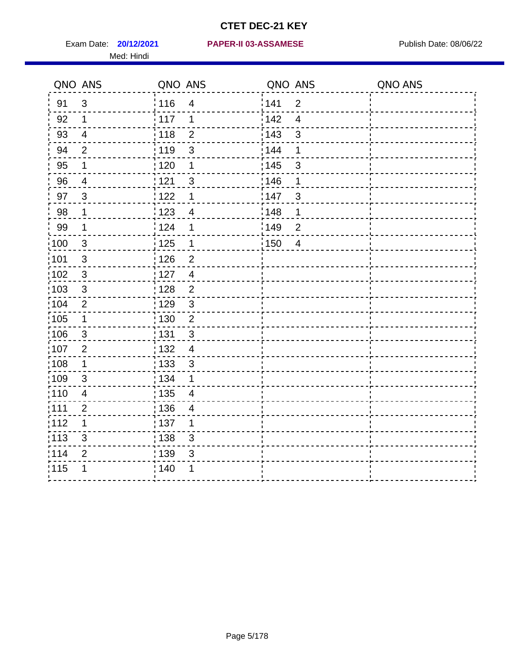Med: Hindi

#### **20/12/2021 PAPER-II 03-ASSAMESE** Exam Date: Publish Date: 08/06/22

|                   | QNO ANS                   | QNO ANS           |                          | QNO ANS |                         | QNO ANS |
|-------------------|---------------------------|-------------------|--------------------------|---------|-------------------------|---------|
| 91                | $\mathbf{3}$              | 116               | $\overline{4}$           | 141     | $\overline{2}$          |         |
| 92                | $\mathbf 1$               | 117               | 1                        | 142     | $\overline{\mathbf{4}}$ |         |
| 93                | $\overline{4}$            | $\frac{1}{2}$ 118 | $\overline{2}$           | 143     | $\mathbf{3}$            |         |
| 94                | $\overline{2}$            | : 119             | $\mathbf{3}$             | : 144   | 1                       |         |
| 95                | 1                         | : 120             | 1                        | : 145   | 3                       |         |
| 96                | 4                         | : 121             | 3                        | 146     | 1                       |         |
| 97                | 3                         | : 122             | 1                        | 147     | $\mathfrak{S}$          |         |
| 98                | $\mathbf 1$               | 123               | $\overline{4}$           | 148     | 1                       |         |
| 99                | $\mathbf 1$               | : 124             | 1                        | :149    | $\boldsymbol{2}$        |         |
| $\frac{1}{1}$ 100 | $\mathbf{3}$              | : 125             | $\mathbf 1$              | 150     | $\overline{4}$          |         |
| :101              | $\ensuremath{\mathsf{3}}$ | : 126             | $\mathbf{2}$             |         |                         |         |
| 102               | $\mathfrak{S}$            | : 127             | $\overline{4}$           |         |                         |         |
| 103               | $\mathbf{3}$              | : 128             | $\overline{2}$           |         |                         |         |
| 104               | $\overline{2}$            | 129               | $\mathfrak{3}$           |         |                         |         |
| 105               | $\mathbf 1$               | : 130             | $\mathbf 2$              |         |                         |         |
| 106               | 3                         | : 131             | $\mathbf{3}$             |         |                         |         |
| 107               | $\overline{2}$            | : 132             | $\overline{4}$           |         |                         |         |
| $\frac{1}{1}$ 108 | $\mathbf{1}$              | 133               | $\mathbf{3}$             |         |                         |         |
| 109               | $\sqrt{3}$                | : 134             | 1                        |         |                         |         |
| : 110             | $\overline{4}$            | : 135             | 4                        |         |                         |         |
| : 111             | $\overline{2}$            | : 136             | $\overline{\mathcal{A}}$ |         |                         |         |
| 112               | 1                         | : 137             | 1                        |         |                         |         |
| : 113             | $\mathsf 3$               | : 138             | $\mathsf 3$              |         |                         |         |
| 114               | $\overline{2}$            | : 139             | 3                        |         |                         |         |
| 115               | 1                         | 140               | 1                        |         |                         |         |
|                   |                           |                   |                          |         |                         |         |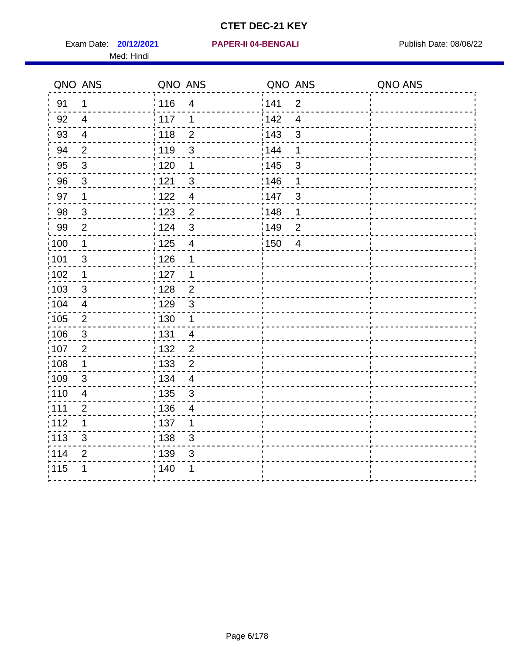Exam Date: **20/12/2021 PAPER-II 04-BENGALI PRACESS** Publish Date: 08/06/22 Med: Hindi

|                   | QNO ANS        | QNO ANS           |                          | QNO ANS |                          | QNO ANS |
|-------------------|----------------|-------------------|--------------------------|---------|--------------------------|---------|
| 91                | $\mathbf 1$    | 116               | $\overline{4}$           | 141     | $\overline{2}$           |         |
| 92                | $\overline{4}$ | 117               | 1                        | 142     | $\overline{\mathcal{A}}$ |         |
| 93                | $\overline{4}$ | 118               | $\overline{2}$           | 143     | $\mathbf{3}$             |         |
| 94                | 2              | : 119             | $\mathfrak{3}$           | : 144   | 1                        |         |
| 95                | $\mathfrak{S}$ | : 120             | 1                        | : 145   | 3                        |         |
| 96                | 3              | 121               | 3                        | 146     | 1                        |         |
| 97                | $\mathbf 1$    | 122               | $\overline{4}$           | 147     | $\mathfrak{B}$           |         |
| 98                | $\mathbf{3}$   | 123               | $\overline{c}$           | 148     | 1                        |         |
| 99                | $\overline{2}$ | ¦ 124             | $\mathsf 3$              | :149    | $\overline{2}$           |         |
| $\frac{1}{1}$ 100 | $\mathbf 1$    | $\frac{1}{1}$ 125 | $\overline{\mathbf{4}}$  | 150     | $\overline{4}$           |         |
| :101              | $\mathsf 3$    | 126               | 1                        |         |                          |         |
| 102               | $\mathbf 1$    | : 127             | $\mathbf 1$              |         |                          |         |
| 103               | $\mathbf{3}$   | 128               | $\overline{2}$           |         |                          |         |
| 104               | $\overline{4}$ | : 129             | $\mathbf{3}$             |         |                          |         |
| $\frac{1}{1}$ 105 | $\sqrt{2}$     | 130               | $\mathbf 1$              |         |                          |         |
| :106              | 3              | : 131             | $\overline{4}$           |         |                          |         |
| 107               | $\overline{2}$ | : 132             | $\overline{2}$           |         |                          |         |
| 108               | $\mathbf{1}$   | $\frac{1}{1}$ 133 | $\overline{2}$           |         |                          |         |
| :109              | $\sqrt{3}$     | : 134             | $\overline{4}$           |         |                          |         |
| :110              | $\overline{4}$ | $\frac{1}{1}$ 135 | 3                        |         |                          |         |
| ;111              | $\overline{2}$ | : 136             | $\overline{\mathcal{A}}$ |         |                          |         |
| 112               | 1              | : 137             | 1                        |         |                          |         |
| :113              | $\sqrt{3}$     | : 138             | $\mathfrak{S}$           |         |                          |         |
| 114               | $\overline{2}$ | : 139             | 3                        |         |                          |         |
| 115               | 1              | 140               | 1                        |         |                          |         |
|                   |                |                   |                          |         |                          |         |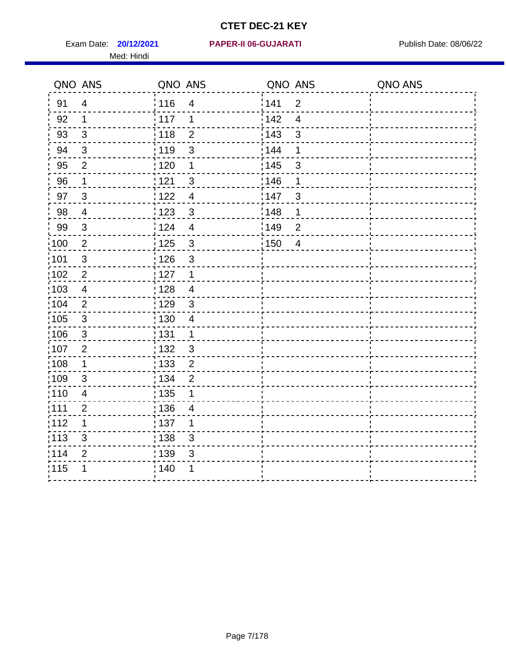Med: Hindi

|                   | QNO ANS                   | QNO ANS           |                         | QNO ANS |                  | QNO ANS |
|-------------------|---------------------------|-------------------|-------------------------|---------|------------------|---------|
| 91                | $\overline{4}$            | 116               | $\overline{\mathbf{4}}$ | 141     | $\overline{2}$   |         |
| 92                | 1                         | 117               | 1                       | 142     | $\overline{4}$   |         |
| 93                | $\sqrt{3}$                | 118               | $\overline{2}$          | 143     | $\mathfrak{S}$   |         |
| 94                | $\mathfrak{B}$            | : 119             | $\mathfrak{B}$          | : 144   | 1                |         |
| 95                | 2                         | :120              | 1                       | : 145   | 3                |         |
| 96                | 1                         | 121               | $\mathbf{3}$            | 146     | 1                |         |
| 97                | $\mathfrak{S}$            | 122               | $\overline{4}$          | :147    | $\sqrt{3}$       |         |
| 98                | $\overline{4}$            | 123               | $\sqrt{3}$              | : 148   | 1                |         |
| 99                | $\ensuremath{\mathsf{3}}$ | : 124             | $\overline{\mathbf{4}}$ | :149    | $\boldsymbol{2}$ |         |
| $\frac{1}{1}$ 100 | $\overline{2}$            | : 125             | $\mathbf{3}$            | 150     | $\overline{4}$   |         |
| :101              | $\ensuremath{\mathsf{3}}$ | : 126             | $\mathfrak{S}$          |         |                  |         |
| 102               | $\overline{2}$            | : 127             | $\mathbf 1$             |         |                  |         |
| :103              | $\overline{4}$            | :128              | $\overline{4}$          |         |                  |         |
| 104               | $\overline{2}$            | : 129             | $\mathbf{3}$            |         |                  |         |
| 105               | $\sqrt{3}$                | $\frac{1}{1}$ 130 | $\overline{4}$          |         |                  |         |
| 106               | 3                         | : 131             | $\mathbf 1$             |         |                  |         |
| :107              | $\overline{2}$            | : 132             | $\mathbf{3}$            |         |                  |         |
| $\frac{1}{1}$ 108 | $\mathbf 1$               | : 133             | $\overline{2}$          |         |                  |         |
| 109               | $\mathfrak{B}$            | : 134             | $\overline{2}$          |         |                  |         |
| :110              | $\overline{4}$            | : 135             | 1                       |         |                  |         |
| :111              | $\overline{2}$            | 136               | $\overline{4}$          |         |                  |         |
| 112               | 1                         | : 137             | 1                       |         |                  |         |
| $\frac{1}{1}$ 113 | 3                         | : 138             | 3                       |         |                  |         |
| 114               | $\overline{2}$            | : 139             | 3                       |         |                  |         |
| 115               | 1                         | 140               | 1                       |         |                  |         |
|                   |                           |                   |                         |         |                  |         |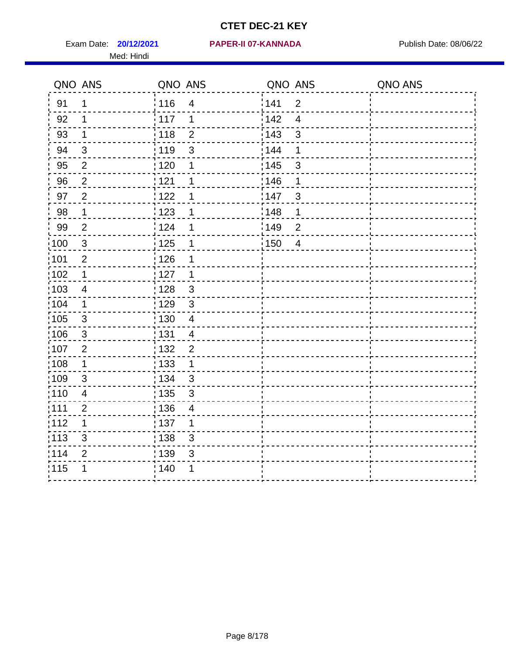Med: Hindi

#### **20/12/2021 PAPER-II 07-KANNADA** Exam Date: Publish Date: 08/06/22

|                   | QNO ANS          | QNO ANS           |                         | QNO ANS |                | QNO ANS |
|-------------------|------------------|-------------------|-------------------------|---------|----------------|---------|
| 91                | 1                | 116               | $\overline{\mathbf{4}}$ | 1141    | $\overline{2}$ |         |
| 92                | 1                | 117               | 1                       | 142     | $\overline{4}$ |         |
| 93                | $\mathbf 1$      | 118               | $\mathbf{2}$            | 143     | $\mathsf 3$    |         |
| 94                | $\mathbf{3}$     | : 119             | 3                       | 144     | 1              |         |
| 95                | $\overline{2}$   | : 120             | 1                       | : 145   | 3              |         |
| 96                | $\overline{2}$   | 121               | 1                       | 146     | 1              |         |
| 97                | $\boldsymbol{2}$ | 1122              | 1                       | 147     | $\mathfrak{S}$ |         |
| 98                | $\mathbf 1$      | 123               | 1                       | 148     | 1              |         |
| 99                | $\overline{2}$   | 124               | 1                       | :149    | $\mathbf 2$    |         |
| $\frac{1}{1}$ 100 | $\mathbf{3}$     | 125               | 1                       | 150     | $\overline{4}$ |         |
| :101              | $\overline{2}$   | : 126             | 1                       |         |                |         |
| 102               | $\mathbf 1$      | : 127             | $\mathbf 1$             |         |                |         |
| :103              | 4                | : 128             | $\mathbf{3}$            |         |                |         |
| :104              | $\mathbf 1$      | : 129             | $\mathfrak{3}$          |         |                |         |
| 105               | $\sqrt{3}$       | : 130             | $\overline{4}$          |         |                |         |
| 106               | 3                | : 131             | 4                       |         |                |         |
| 107               | $\overline{2}$   | :132              | $\overline{2}$          |         |                |         |
| $\frac{1}{1}$ 108 | $\mathbf 1$      | $\frac{1}{1}$ 133 | $\mathbf{1}$            |         |                |         |
| :109              | $\mathbf{3}$     | : 134             | $\mathbf{3}$            |         |                |         |
| :110              | 4                | : 135             | 3                       |         |                |         |
| 111               | $\overline{c}$   | : 136             | $\overline{4}$          |         |                |         |
| 112               | 1                | $\frac{1}{1}$ 137 | 1                       |         |                |         |
| $\frac{1}{1}$ 113 | $\mathfrak{S}$   | : 138             | 3                       |         |                |         |
| 114               | 2                | 139               | 3                       |         |                |         |
| 115               | 1                | : 140             | 1                       |         |                |         |
|                   |                  |                   |                         |         |                |         |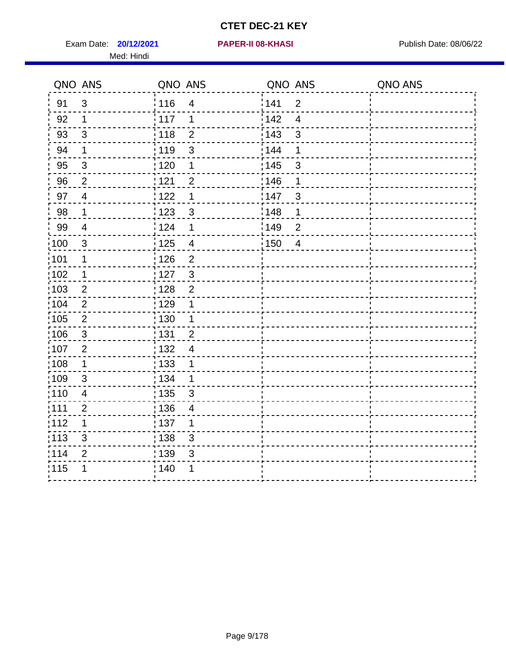Exam Date: **20/12/2021 PAPER-II 08-KHASI PREXALL RESPONSE PUblish Date: 08/06/22** Med: Hindi

**20/12/2021 PAPER-II 08-KHASI**

|                   | QNO ANS                 | QNO ANS |                          | QNO ANS |                | QNO ANS |
|-------------------|-------------------------|---------|--------------------------|---------|----------------|---------|
| 91                | $\mathbf{3}$            | 116     | $\overline{\mathbf{4}}$  | 141     | $\overline{2}$ |         |
| 92                | $\mathbf 1$             | 117     | 1                        | 142     | $\overline{4}$ |         |
| 93                | $\mathfrak{S}$          | 118     | $\overline{2}$           | 143     | $\mathbf{3}$   |         |
| 94                | 1                       | : 119   | 3                        | 144     | 1              |         |
| 95                | 3                       | : 120   | 1                        | : 145   | 3              |         |
| 96                | $\overline{2}$          | 121     | $\overline{2}$           | 146     | 1              |         |
| 97                | $\overline{4}$          | 122     | $\mathbf 1$              | 147     | $\mathbf{3}$   |         |
| $98\,$            | $\mathbf 1$             | 123     | $\mathbf{3}$             | 148     | 1              |         |
| 99                | $\overline{\mathbf{4}}$ | 124     | 1                        | 149     | $\mathbf 2$    |         |
| $\frac{1}{1}$ 100 | $\mathfrak{S}$          | 125     | $\overline{\mathcal{A}}$ | 150     | $\overline{4}$ |         |
| 101               | 1                       | 126     | $\overline{2}$           |         |                |         |
| 102               | 1                       | : 127   | $\mathbf{3}$             |         |                |         |
| 103               | $\overline{2}$          | : 128   | $\overline{2}$           |         |                |         |
| 104               | $\overline{2}$          | : 129   | 1                        |         |                |         |
| 105               | $\sqrt{2}$              | 130     | 1                        |         |                |         |
| ;106              | $\mathfrak{S}$          | : 131   | $\overline{2}$           |         |                |         |
| 107               | $\overline{2}$          | : 132   | $\overline{4}$           |         |                |         |
| 108               | $\mathbf 1$             | : 133   | $\mathbf 1$              |         |                |         |
| :109              | $\mathfrak{S}$          | : 134   | $\mathbf 1$              |         |                |         |
| 110               | $\overline{4}$          | : 135   | 3                        |         |                |         |
| : 111             | $\mathbf{2}$            | : 136   | $\overline{4}$           |         |                |         |
| 112               | 1                       | 137     | 1                        |         |                |         |
| 113               | 3                       | : 138   | 3                        |         |                |         |
| 114               | $\overline{2}$          | : 139   | 3                        |         |                |         |
| 115               | 1                       | 140     | 1                        |         |                |         |
|                   |                         |         |                          |         |                |         |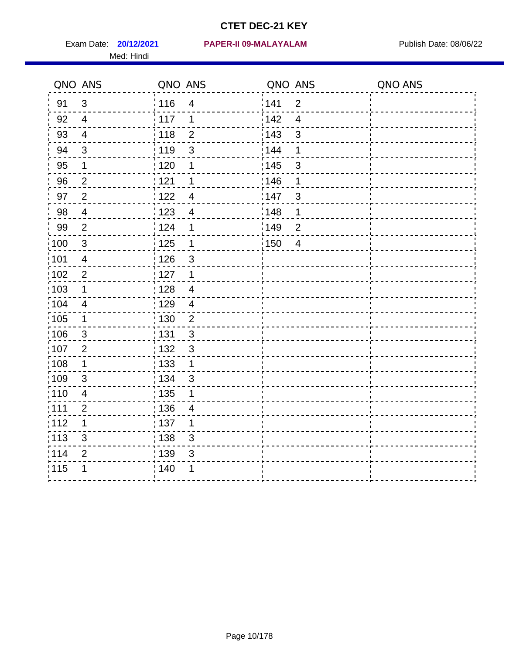Med: Hindi

#### **20/12/2021 PAPER-II 09-MALAYALAM** Exam Date: Publish Date: 08/06/22

|                   | QNO ANS                  | QNO ANS                             | QNO ANS                             | QNO ANS |
|-------------------|--------------------------|-------------------------------------|-------------------------------------|---------|
| 91                | $\mathfrak{S}$           | :116<br>$\overline{\mathbf{4}}$     | 141<br>$\overline{2}$               |         |
| 92                | $\overline{4}$           | 117<br>1                            | 142<br>$\overline{4}$               |         |
| 93                | $\overline{4}$           | 118<br>$\mathbf{2}$                 | 143<br>3                            |         |
| 94                | $\mathfrak{S}$           | : 119<br>3                          | 144<br>1                            |         |
| 95                | 1                        | : 120<br>1                          | : 145<br>$\mathfrak{B}$             |         |
| 96                | $\overline{2}$           | 121<br>1                            | 146<br>1                            |         |
| 97                | $\overline{2}$           | 122<br>$\overline{4}$               | 147<br>$\mathfrak{B}$               |         |
| 98                | $\overline{4}$           | $\frac{1}{2}$ 123<br>$\overline{4}$ | 148<br>1                            |         |
| 99                | $\overline{2}$           | 124<br>1                            | :149<br>$\overline{2}$              |         |
| $\frac{1}{1}$ 100 | $\mathbf{3}$             | $\frac{1}{2}$ 125<br>$\mathbf 1$    | $\frac{1}{2}$ 150<br>$\overline{4}$ |         |
| :101              | $\overline{4}$           | : 126<br>3                          |                                     |         |
| 102               | $\overline{2}$           | : 127<br>1                          |                                     |         |
| 103               | 1                        | : 128<br>$\overline{4}$             |                                     |         |
| 104               | $\overline{\mathcal{A}}$ | : 129<br>$\overline{4}$             |                                     |         |
| 105               | $\mathbf 1$              | : 130<br>$\overline{2}$             |                                     |         |
| 106               | 3                        | : 131<br>$\mathfrak{B}$             |                                     |         |
| :107              | $\overline{2}$           | : 132<br>$\mathfrak{3}$             |                                     |         |
| $\frac{1}{1}$ 108 | $\mathbf 1$              | : 133<br>$\mathbf{1}$               |                                     |         |
| :109              | $\mathfrak{B}$           | : 134<br>3                          |                                     |         |
| :110              | 4                        | : 135<br>1                          |                                     |         |
| :111              | 2                        | : 136<br>$\overline{4}$             |                                     |         |
| 112               | $\mathbf 1$              | $\frac{1}{1}$ 137<br>1              |                                     |         |
| : 113             | $\mathbf{3}$             | 138<br>3                            |                                     |         |
| 114               | $\overline{2}$           | 139<br>3                            |                                     |         |
| 115               | 1                        | 140<br>1                            |                                     |         |
|                   |                          |                                     |                                     |         |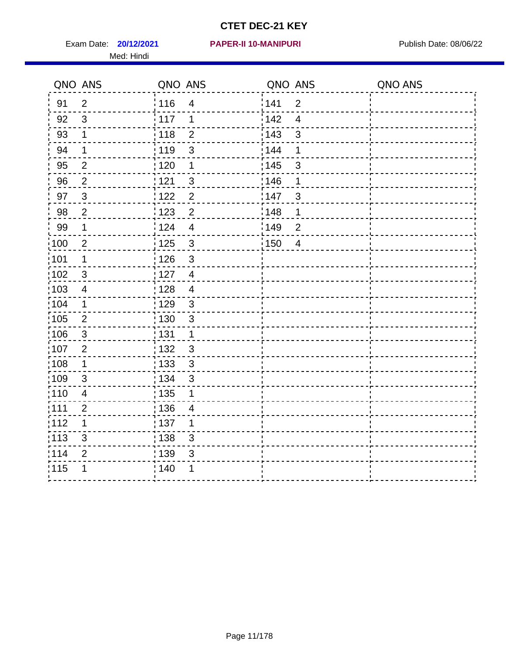Med: Hindi

|                   | QNO ANS        | QNO ANS           |                         | QNO ANS |                | QNO ANS |
|-------------------|----------------|-------------------|-------------------------|---------|----------------|---------|
| 91                | $\overline{2}$ | : 116             | $\overline{\mathbf{4}}$ | 1141    | $\overline{2}$ |         |
| 92                | 3              | $\frac{1}{2}$ 117 | 1                       | 142     | $\overline{4}$ |         |
| 93                | $\mathbf 1$    | 118               | $\overline{2}$          | 143     | $\mathsf 3$    |         |
| 94                | 1              | : 119             | 3                       | : 144   | 1              |         |
| 95                | $\overline{2}$ | : 120             | 1                       | : 145   | 3              |         |
| 96                | $\overline{2}$ | : 121             | 3                       | 146     | 1              |         |
| 97                | $\sqrt{3}$     | 1122              | $\overline{c}$          | 147     | $\mathbf{3}$   |         |
| 98                | $\overline{2}$ | 1123              | $\overline{2}$          | 148     | 1              |         |
| 99                | $\mathbf 1$    | 124               | $\overline{4}$          | :149    | $\mathbf 2$    |         |
| $\frac{1}{1}$ 100 | $\overline{2}$ | 125               | $\mathbf{3}$            | 150     | $\overline{4}$ |         |
| $\frac{1}{1}$ 101 | 1              | : 126             | $\mathfrak{S}$          |         |                |         |
| 102               | $\mathbf{3}$   | : 127             | $\overline{4}$          |         |                |         |
| :103              | $\overline{4}$ | : 128             | $\overline{4}$          |         |                |         |
| :104              | $\mathbf 1$    | : 129             | $\mathbf{3}$            |         |                |         |
| 105               | $\mathbf 2$    | $\frac{1}{1}$ 130 | $\mathsf 3$             |         |                |         |
| 106               | 3              | : 131             | 1                       |         |                |         |
| 107               | $\overline{2}$ | :132              | $\mathbf{3}$            |         |                |         |
| $\frac{1}{1}$ 108 | $\mathbf 1$    | : 133             | $\sqrt{3}$              |         |                |         |
| :109              | $\mathbf{3}$   | : 134             | $\mathfrak{S}$          |         |                |         |
| :110              | 4              | : 135             | 1                       |         |                |         |
| 111               | $\overline{c}$ | : 136             | $\overline{4}$          |         |                |         |
| 112               | 1              | : 137             | 1                       |         |                |         |
| : 113             | $\mathfrak{S}$ | : 138             | 3                       |         |                |         |
| 114               | 2              | 139               | 3                       |         |                |         |
| 115               | 1              | : 140             | 1                       |         |                |         |
|                   |                |                   |                         |         |                |         |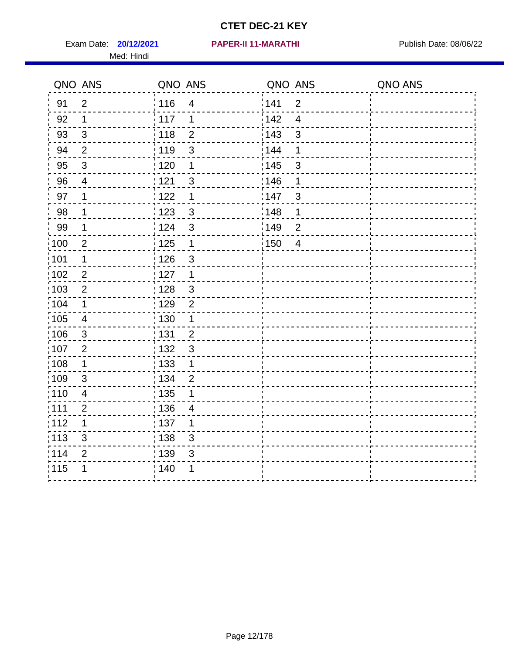Exam Date: **20/12/2021 PAPER-II 11-MARATHI Exam Date: 08/06/22** Med: Hindi

|                   | QNO ANS                 | QNO ANS           |                         | QNO ANS |                | QNO ANS |
|-------------------|-------------------------|-------------------|-------------------------|---------|----------------|---------|
| 91                | $\overline{2}$          | 116               | $\overline{\mathbf{4}}$ | 1141    | $\overline{2}$ |         |
| 92                | $\mathbf 1$             | 117               | 1                       | 142     | $\overline{4}$ |         |
| 93                | $\sqrt{3}$              | 118               | $\overline{2}$          | 143     | $\mathsf 3$    |         |
| 94                | $\overline{2}$          | : 119             | 3                       | 144     | 1              |         |
| 95                | $\mathfrak{B}$          | : 120             | 1                       | : 145   | 3              |         |
| 96                | 4                       | : 121             | 3                       | 146     | 1              |         |
| 97                | $\mathbf 1$             | 1122              | 1                       | 147     | $\mathbf{3}$   |         |
| 98                | 1                       | 123               | $\mathfrak{3}$          | 148     | 1              |         |
| 99                | $\mathbf 1$             | 124               | $\mathbf{3}$            | :149    | $\mathbf 2$    |         |
| $\frac{1}{1}$ 100 | $\overline{2}$          | 125               | $\mathbf 1$             | 150     | $\overline{4}$ |         |
| $\frac{1}{1}$ 101 | 1                       | : 126             | $\mathfrak{S}$          |         |                |         |
| 102               | $\overline{2}$          | : 127             | $\mathbf 1$             |         |                |         |
| :103              | $\overline{2}$          | : 128             | $\mathbf{3}$            |         |                |         |
| :104              | $\mathbf 1$             | : 129             | $\overline{2}$          |         |                |         |
| 105               | $\overline{\mathbf{4}}$ | 130               | $\mathbf 1$             |         |                |         |
| 106               | 3                       | : 131             | $\overline{2}$          |         |                |         |
| 107               | $\overline{2}$          | :132              | $\mathbf{3}$            |         |                |         |
| :108              | $\mathbf 1$             | : 133             | $\mathbf 1$             |         |                |         |
| :109              | $\mathbf{3}$            | : 134             | $\overline{2}$          |         |                |         |
| :110              | 4                       | : 135             | 1                       |         |                |         |
| 111               | $\overline{c}$          | : 136             | $\overline{4}$          |         |                |         |
| 112               | 1                       | $\frac{1}{1}$ 137 | 1                       |         |                |         |
| : 113             | 3                       | : 138             | 3                       |         |                |         |
| 114               | 2                       | 139               | 3                       |         |                |         |
| 115               | 1                       | : 140             | 1                       |         |                |         |
|                   |                         |                   |                         |         |                |         |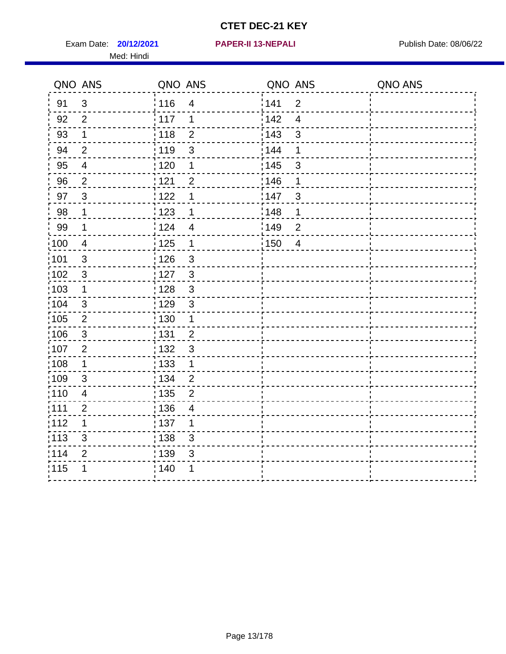Exam Date: **20/12/2021 PAPER-II 13-NEPALI Exam Date: 08/06/22** Med: Hindi

**20/12/2021 PAPER-II 13-NEPALI**

|                   | QNO ANS                 | QNO ANS           |                         | QNO ANS           |                         | QNO ANS |
|-------------------|-------------------------|-------------------|-------------------------|-------------------|-------------------------|---------|
| 91                | $\mathbf{3}$            | : 116             | $\overline{4}$          | 141               | $\overline{2}$          |         |
| 92                | $\overline{2}$          | 117               | 1                       | 142               | $\overline{\mathbf{4}}$ |         |
| 93                | $\mathbf 1$             | 118               | $\overline{2}$          | 143               | $\mathfrak{S}$          |         |
| 94                | $\overline{2}$          | : 119             | $\mathfrak{S}$          | 144               | 1                       |         |
| 95                | $\overline{\mathbf{4}}$ | : 120             | 1                       | : 145             | $\mathfrak{S}$          |         |
| 96                | $\overline{2}$          | 121               | $\overline{2}$          | 146               | 1                       |         |
| 97                | $\mathbf{3}$            | 122               | 1                       | 147               | $\sqrt{3}$              |         |
| 98                | $\mathbf 1$             | 123               | 1                       | :148              | 1                       |         |
| 99                | $\mathbf 1$             | 124               | $\overline{\mathbf{4}}$ | 149               | $\overline{2}$          |         |
| $\frac{1}{1}$ 100 | $\overline{4}$          | $\frac{1}{1}$ 125 | $\mathbf 1$             | $\frac{1}{2}$ 150 | $\overline{4}$          |         |
| :101              | $\sqrt{3}$              | : 126             | $\sqrt{3}$              |                   |                         |         |
| 102               | $\mathbf{3}$            | 127               | $\mathbf{3}$            |                   |                         |         |
| :103              | $\mathbf 1$             | : 128             | 3                       |                   |                         |         |
| 104               | 3                       | : 129             | $\mathbf{3}$            |                   |                         |         |
| 105               | $\sqrt{2}$              | $\frac{1}{1}$ 130 | $\mathbf{1}$            |                   |                         |         |
| :106              | 3                       | : 131             | $\overline{2}$          |                   |                         |         |
| 107               | $\overline{2}$          | : 132             | $\mathbf{3}$            |                   |                         |         |
| 108               | $\mathbf 1$             | 133               | $\mathbf{1}$            |                   |                         |         |
| :109              | $\mathfrak{S}$          | : 134             | $\overline{2}$          |                   |                         |         |
| :110              | $\overline{4}$          | : 135             | $\overline{2}$          |                   |                         |         |
| :111              | $\overline{2}$          | 136               | 4                       |                   |                         |         |
| 112               | 1                       | 137               | 1                       |                   |                         |         |
| 113               | 3                       | : 138             | 3                       |                   |                         |         |
| 114               | $\overline{2}$          | :139              | 3                       |                   |                         |         |
| 115               | 1                       | 140               | 1                       |                   |                         |         |
|                   |                         |                   |                         |                   |                         |         |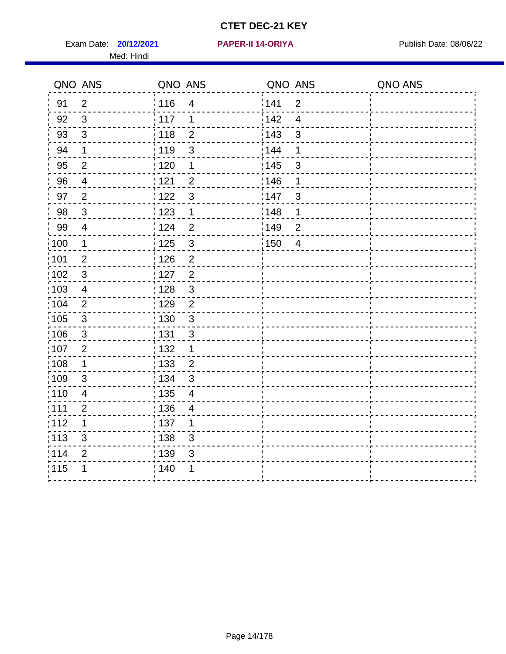Exam Date: **20/12/2021 PAPER-II 14-ORIYA Property Accord Publish Date: 08/06/22** Med: Hindi

**20/12/2021 PAPER-II 14-ORIYA**

|      | QNO ANS        | QNO ANS |                          | QNO ANS |                | QNO ANS |
|------|----------------|---------|--------------------------|---------|----------------|---------|
| 91   | $\overline{2}$ | 116     | $\overline{\mathbf{4}}$  | 141     | $\overline{2}$ |         |
| 92   | 3              | 117     | 1                        | 142     | $\overline{4}$ |         |
| 93   | $\sqrt{3}$     | 118     | $\overline{2}$           | 143     | $\mathbf{3}$   |         |
| 94   | $\mathbf 1$    | : 119   | $\mathfrak{S}$           | 144     | 1              |         |
| 95   | $\overline{2}$ | :120    | 1                        | : 145   | 3              |         |
| 96   | $\overline{4}$ | 121     | $\overline{2}$           | 146     | 1              |         |
| 97   | $\overline{2}$ | 122     | $\mathbf{3}$             | :147    | $\mathbf{3}$   |         |
| 98   | $\mathbf{3}$   | 123     | $\mathbf{1}$             | 148     | 1              |         |
| 99   | $\overline{4}$ | 124     | $\overline{2}$           | 149     | $\overline{2}$ |         |
| :100 | $\mathbf{1}$   | 125     | $\mathbf{3}$             | 150     | $\overline{4}$ |         |
| :101 | $\overline{2}$ | : 126   | $\mathbf{2}$             |         |                |         |
| 102  | $\mathfrak{S}$ | : 127   | $\overline{2}$           |         |                |         |
| 103  | 4              | : 128   | $\mathbf{3}$             |         |                |         |
| 104  | $\overline{2}$ | : 129   | $\overline{2}$           |         |                |         |
| 105  | $\sqrt{3}$     | 130     | $\mathbf{3}$             |         |                |         |
| :106 | $\mathbf{3}$   | : 131   | $\mathbf{3}$             |         |                |         |
| ;107 | $\overline{2}$ | : 132   | $\mathbf 1$              |         |                |         |
| 108  | $\mathbf 1$    | : 133   | $\overline{2}$           |         |                |         |
| :109 | $\mathfrak{S}$ | : 134   | $\mathfrak{3}$           |         |                |         |
| :110 | $\overline{4}$ | : 135   | $\overline{\mathcal{A}}$ |         |                |         |
| :111 | $\overline{2}$ | : 136   | $\overline{\mathcal{A}}$ |         |                |         |
| 112  | 1              | : 137   | 1                        |         |                |         |
| 113  | 3              | : 138   | 3                        |         |                |         |
| 114  | $\overline{2}$ | : 139   | 3                        |         |                |         |
| 115  | 1              | 140     | 1                        |         |                |         |
|      |                |         |                          |         |                |         |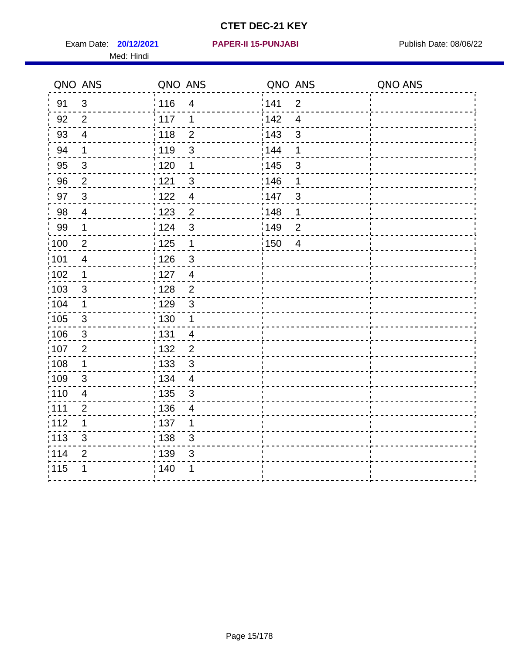Exam Date: **20/12/2021 PAPER-II 15-PUNJABI** Publish Date: 08/06/22 Med: Hindi

|                   | QNO ANS                 | QNO ANS           |                | QNO ANS           |                          | QNO ANS |
|-------------------|-------------------------|-------------------|----------------|-------------------|--------------------------|---------|
| 91                | $\mathfrak{S}$          | 116               | $\overline{4}$ | 141               | $\overline{2}$           |         |
| 92                | $\overline{2}$          | 117               | 1              | 142               | $\overline{\mathcal{A}}$ |         |
| 93                | $\overline{\mathbf{4}}$ | 118               | $\overline{2}$ | 143               | 3                        |         |
| 94                | 1                       | : 119             | $\mathfrak{S}$ | 144               | 1                        |         |
| 95                | 3                       | : 120             | 1              | : 145             | 3                        |         |
| 96                | $\overline{2}$          | 121               | 3              | 146               | 1                        |         |
| 97                | $\mathbf{3}$            | 122               | $\overline{4}$ | 147               | 3                        |         |
| $98\,$            | $\overline{4}$          | 123               | $\overline{2}$ | ¦148              | 1                        |         |
| 99                | $\mathbf 1$             | 124               | $\mathbf{3}$   | $\frac{1}{2}$ 149 | $\overline{c}$           |         |
| $\frac{1}{1}$ 100 | $\overline{2}$          | 125               | $\mathbf{1}$   | 150               | $\overline{4}$           |         |
| :101              | $\overline{\mathbf{4}}$ | : 126             | $\mathfrak{S}$ |                   |                          |         |
| 102               | 1                       | : 127             | $\overline{4}$ |                   |                          |         |
| 103               | 3                       | :128              | $\overline{2}$ |                   |                          |         |
| 104               | $\mathbf 1$             | : 129             | $\mathfrak{3}$ |                   |                          |         |
| 105               | $\sqrt{3}$              | 130               | $\mathbf 1$    |                   |                          |         |
| 106               | $\mathfrak{S}$          | : 131             | $\overline{4}$ |                   |                          |         |
| ;107              | $\overline{2}$          | 132               | $\overline{2}$ |                   |                          |         |
| 108               | $\mathbf 1$             | : 133             | $\mathbf{3}$   |                   |                          |         |
| :109              | $\sqrt{3}$              | : 134             | $\overline{4}$ |                   |                          |         |
| :110              | $\overline{4}$          | : 135             | 3              |                   |                          |         |
| : 111             | $\overline{2}$          | : 136             | $\overline{4}$ |                   |                          |         |
| 112               | 1                       | $\frac{1}{1}$ 137 | 1              |                   |                          |         |
| 113               | 3                       | : 138             | 3              |                   |                          |         |
| 114               | $\overline{2}$          | : 139             | 3              |                   |                          |         |
| 115               | 1                       | 140               | 1              |                   |                          |         |
|                   |                         |                   |                |                   |                          |         |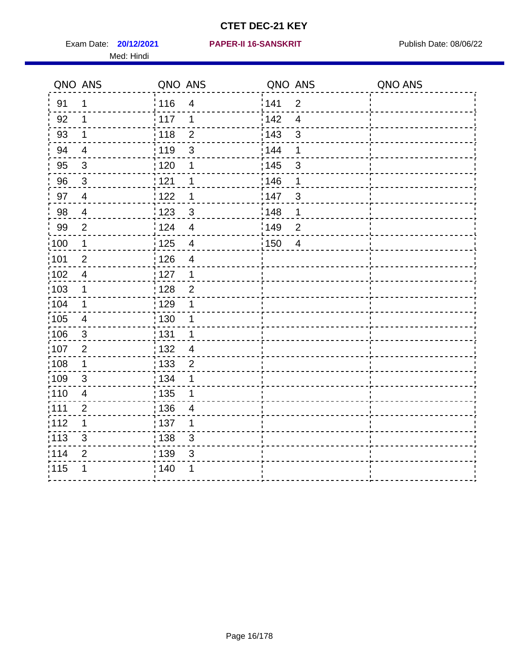Med: Hindi

#### **20/12/2021 PAPER-II 16-SANSKRIT** Exam Date: Publish Date: 08/06/22

|                   | QNO ANS                  | QNO ANS           |                         | QNO ANS |                | QNO ANS |
|-------------------|--------------------------|-------------------|-------------------------|---------|----------------|---------|
| 91                | $\mathbf 1$              | 116               | $\overline{\mathbf{4}}$ | 141     | $\overline{2}$ |         |
| 92                | 1                        | 117               | 1                       | 142     | $\overline{4}$ |         |
| 93                | $\mathbf 1$              | 118               | $\overline{2}$          | 143     | $\mathsf 3$    |         |
| 94                | $\overline{\mathcal{A}}$ | : 119             | 3                       | 144     | 1              |         |
| 95                | $\mathfrak{B}$           | : 120             | 1                       | : 145   | 3              |         |
| 96                | $\mathfrak{S}$           | : 121             | 1                       | 146     | 1              |         |
| 97                | $\overline{4}$           | 1122              | 1                       | 147     | $\mathbf{3}$   |         |
| 98                | $\overline{\mathcal{A}}$ | 123               | $\mathfrak{3}$          | 148     | 1              |         |
| 99                | $\mathbf{2}$             | 124               | $\overline{4}$          | :149    | $\mathbf 2$    |         |
| :100              | $\mathbf 1$              | 125               | $\overline{\mathbf{4}}$ | 150     | $\overline{4}$ |         |
| $\frac{1}{1}$ 101 | $\overline{2}$           | : 126             | $\overline{\mathbf{4}}$ |         |                |         |
| 102               | $\overline{4}$           | : 127             | 1                       |         |                |         |
| :103              | $\mathbf 1$              | :128              | $\overline{2}$          |         |                |         |
| :104              | $\mathbf 1$              | : 129             | 1                       |         |                |         |
| :105              | $\overline{\mathbf{4}}$  | 130               | 1                       |         |                |         |
| 106               | $\mathfrak{S}$           | : 131             | 1                       |         |                |         |
| 107               | $\overline{2}$           | :132              | $\overline{4}$          |         |                |         |
| :108              | $\mathbf 1$              | : 133             | $\boldsymbol{2}$        |         |                |         |
| :109              | $\mathbf{3}$             | : 134             | 1                       |         |                |         |
| :110              | 4                        | : 135             | 1                       |         |                |         |
| 111               | $\overline{c}$           | : 136             | $\overline{4}$          |         |                |         |
| 112               | 1                        | $\frac{1}{1}$ 137 | 1                       |         |                |         |
| $\frac{1}{1}$ 113 | $\mathbf{3}$             | : 138             | 3                       |         |                |         |
| 114               | 2                        | 139               | 3                       |         |                |         |
| 115               | 1                        | : 140             | 1                       |         |                |         |
|                   |                          |                   |                         |         |                |         |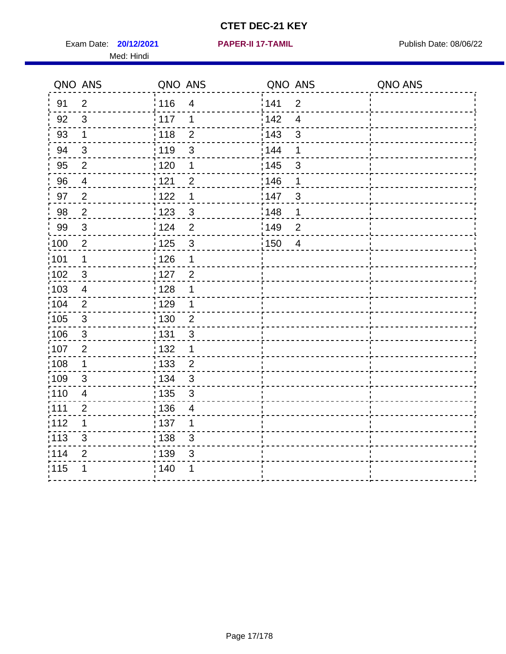Exam Date: **20/12/2021 PAPER-II 17-TAMIL Exam Date: 08/06/22** Med: Hindi

**20/12/2021 PAPER-II 17-TAMIL**

|                   | QNO ANS                   | QNO ANS           |                | QNO ANS           |                | QNO ANS |
|-------------------|---------------------------|-------------------|----------------|-------------------|----------------|---------|
| 91                | $\overline{2}$            | 116               | $\overline{4}$ | 1141              | $\overline{2}$ |         |
| 92                | 3                         | $\frac{1}{117}$   | 1              | 142               | $\overline{4}$ |         |
| 93                | $\mathbf 1$               | : 118             | $\overline{2}$ | 143               | 3              |         |
| 94                | 3                         | :119              | 3              | 144               | 1              |         |
| 95                | 2                         | : 120             | 1              | : 145             | 3              |         |
| 96                | 4                         | 121               | $\overline{2}$ | 146               | 1              |         |
| 97                | $\overline{2}$            | 122               | 1              | 147               | 3              |         |
| 98                | $\overline{2}$            | 123               | $\mathfrak{S}$ | 148               | 1              |         |
| 99                | $\ensuremath{\mathsf{3}}$ | 124               | $\overline{2}$ | $\frac{1}{2}$ 149 | $\overline{2}$ |         |
| 100               | $\sqrt{2}$                | $\frac{1}{1}$ 125 | $\mathbf{3}$   | $\frac{1}{2}$ 150 | $\overline{4}$ |         |
| :101              | $\mathbf 1$               | : 126             | 1              |                   |                |         |
| 102               | 3                         | : 127             | $\overline{2}$ |                   |                |         |
| 103               | $\overline{\mathcal{A}}$  | : 128             | 1              |                   |                |         |
| 104               | $\overline{2}$            | : 129             | 1              |                   |                |         |
| :105              | $\mathsf 3$               | : 130             | $\overline{2}$ |                   |                |         |
| 106               | 3                         | : 131             | 3              |                   |                |         |
| :107              | $\overline{2}$            | : 132             | $\mathbf 1$    |                   |                |         |
| $\frac{1}{1}$ 108 | $\mathbf 1$               | $\frac{1}{1}$ 133 | $\overline{2}$ |                   |                |         |
| :109              | $\sqrt{3}$                | : 134             | $\mathbf{3}$   |                   |                |         |
| :110              | $\overline{4}$            | : 135             | $\mathbf{3}$   |                   |                |         |
| 111               | $\overline{2}$            | : 136             | $\overline{4}$ |                   |                |         |
| 112               | 1                         | : 137             | 1              |                   |                |         |
| : 113             | 3                         | : 138             | 3              |                   |                |         |
| 114               | $\overline{2}$            | 139               | 3              |                   |                |         |
| 115               | 1                         | 140               | 1              |                   |                |         |
|                   |                           |                   |                |                   |                |         |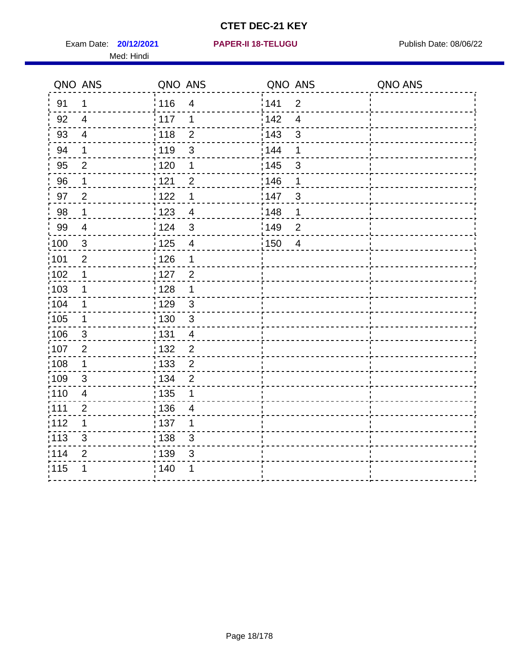Exam Date: **20/12/2021 PAPER-II 18-TELUGU PUBLISH Date: 08/06/22** Med: Hindi

|                   | QNO ANS        | QNO ANS           |                          | QNO ANS           |                | QNO ANS |
|-------------------|----------------|-------------------|--------------------------|-------------------|----------------|---------|
| 91                | $\mathbf 1$    | 116               | $\overline{4}$           | 141               | $\mathbf{2}$   |         |
| 92                | $\overline{4}$ | 117               | 1                        | 142               | $\overline{4}$ |         |
| 93                | $\overline{4}$ | 118               | $\overline{2}$           | 143               | 3              |         |
| 94                | 1              | : 119             | 3                        | : 144             | 1              |         |
| 95                | 2              | :120              | 1                        | : 145             | 3              |         |
| 96                | $\mathbf 1$    | 121               | $\overline{2}$           | 146               | 1              |         |
| 97                | $\overline{2}$ | 122               | 1                        | 147               | 3              |         |
| 98                | $\mathbf{1}$   | 123               | $\overline{4}$           | ¦148              | 1              |         |
| 99                | $\overline{4}$ | 124               | $\sqrt{3}$               | :149              | $\overline{2}$ |         |
| $\frac{1}{1}$ 100 | $\mathbf{3}$   | 125               | $\overline{\mathbf{4}}$  | $\frac{1}{2}$ 150 | $\overline{4}$ |         |
| :101              | $\overline{2}$ | 126               | 1                        |                   |                |         |
| 102               | 1              | $\frac{1}{2}$ 127 | $\overline{2}$           |                   |                |         |
| ;103              | $\mathbf 1$    | : 128             | $\mathbf 1$              |                   |                |         |
| 104               | $\mathbf 1$    | : 129             | $\mathfrak{S}$           |                   |                |         |
| :105              | $\mathbf 1$    | 130               | $\mathbf{3}$             |                   |                |         |
| :106              | $\mathfrak{S}$ | : 131             | $\overline{4}$           |                   |                |         |
| 107               | $\overline{2}$ | 132               | $\overline{2}$           |                   |                |         |
| 108               | $\mathbf 1$    | 133               | $\mathbf 2$              |                   |                |         |
| :109              | $\sqrt{3}$     | : 134             | $\overline{2}$           |                   |                |         |
| :110              | $\overline{4}$ | 135               | 1                        |                   |                |         |
| ;111              | $\overline{2}$ | : 136             | $\overline{\mathcal{A}}$ |                   |                |         |
| 112               | 1              | : 137             | 1                        |                   |                |         |
| $\frac{1}{1}$ 113 | $\sqrt{3}$     | : 138             | 3                        |                   |                |         |
| 114               | $\overline{2}$ | : 139             | 3                        |                   |                |         |
| 115               | 1              | 140               | 1                        |                   |                |         |
|                   |                |                   |                          |                   |                |         |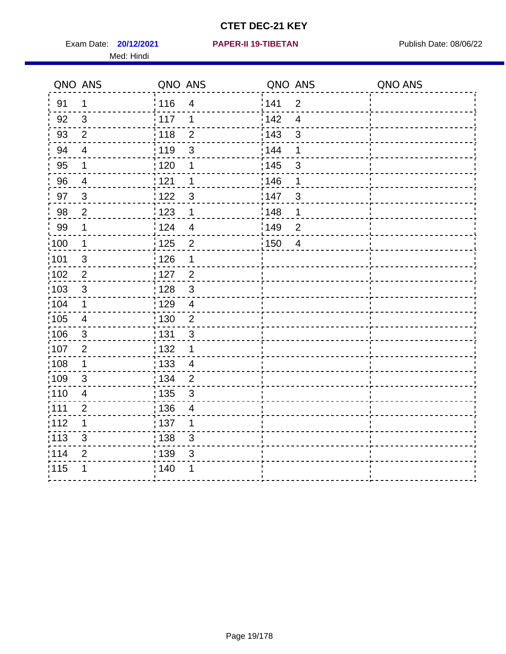Exam Date: **20/12/2021 PAPER-II 19-TIBETAN** Publish Date: 08/06/22 Med: Hindi

|      | QNO ANS                 | QNO ANS           |                          | QNO ANS           |                  | QNO ANS |
|------|-------------------------|-------------------|--------------------------|-------------------|------------------|---------|
| 91   | $\mathbf 1$             | 116               | $\overline{4}$           | 141               | $\overline{2}$   |         |
| 92   | $\mathfrak{S}$          | 117               | 1                        | 142               | $\overline{4}$   |         |
| 93   | $\overline{2}$          | 118               | $\overline{2}$           | 143               | 3                |         |
| 94   | $\overline{4}$          | : 119             | $\mathbf{3}$             | : 144             | 1                |         |
| 95   | 1                       | : 120             | 1                        | , 145             | 3                |         |
| 96   | 4                       | 121               | 1                        | 146               | 1                |         |
| 97   | $\mathfrak{S}$          | 122               | 3                        | 147               | 3                |         |
| 98   | $\mathbf 2$             | 123               | $\mathbf 1$              | $\frac{1}{2}$ 148 | 1                |         |
| 99   | $\mathbf 1$             | 124               | $\overline{4}$           | $\frac{1}{2}$ 149 | $\boldsymbol{2}$ |         |
| :100 | $\overline{1}$          | 125               | $\overline{2}$           | 150               | $\overline{4}$   |         |
| :101 | $\sqrt{3}$              | : 126             | 1                        |                   |                  |         |
| 102  | $\overline{2}$          | : 127             | $\overline{2}$           |                   |                  |         |
| 103  | 3                       | :128              | $\mathbf{3}$             |                   |                  |         |
| 104  | $\mathbf{1}$            | : 129             | $\overline{4}$           |                   |                  |         |
| 105  | $\overline{\mathbf{4}}$ | 130               | $\mathbf 2$              |                   |                  |         |
| :106 | 3                       | : 131             | 3                        |                   |                  |         |
| 107  | $\overline{2}$          | 132               | $\mathbf 1$              |                   |                  |         |
| 108  | $\mathbf 1$             | $\frac{1}{1}$ 133 | $\overline{4}$           |                   |                  |         |
| :109 | $\sqrt{3}$              | : 134             | $\overline{2}$           |                   |                  |         |
| :110 | $\overline{4}$          | 135               | 3                        |                   |                  |         |
| ;111 | $\overline{2}$          | 136               | $\overline{\mathcal{A}}$ |                   |                  |         |
| 112  | 1                       | : 137             | 1                        |                   |                  |         |
| 113  | $\sqrt{3}$              | : 138             | $\mathfrak{S}$           |                   |                  |         |
| 114  | $\overline{2}$          | : 139             | 3                        |                   |                  |         |
| 115  | 1                       | 140               | 1                        |                   |                  |         |
|      |                         |                   |                          |                   |                  |         |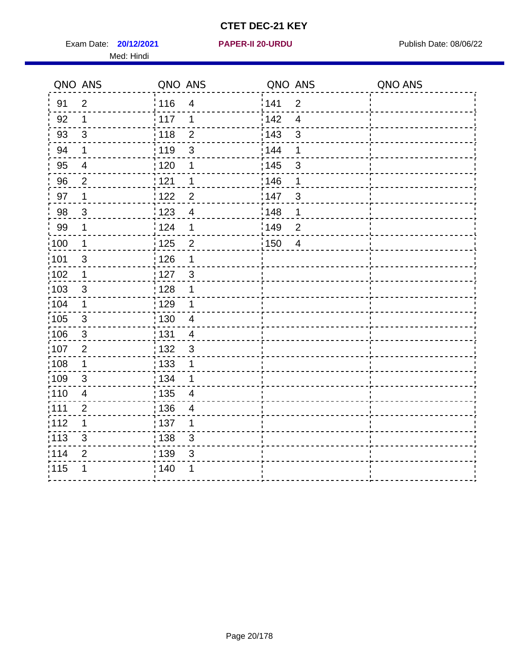Exam Date: **20/12/2021 PAPER-II 20-URDU Exam Date: 08/06/22** Med: Hindi

**20/12/2021 PAPER-II 20-URDU**

|                   | QNO ANS        | QNO ANS           |                | QNO ANS           |                | QNO ANS |
|-------------------|----------------|-------------------|----------------|-------------------|----------------|---------|
| 91                | $\overline{2}$ | : 116             | $\overline{4}$ | 141               | $\overline{2}$ |         |
| 92                | $\mathbf 1$    | 117               | 1              | 142               | $\overline{4}$ |         |
| 93                | $\sqrt{3}$     | 118               | $\overline{2}$ | 143               | 3              |         |
| 94                | $\mathbf 1$    | : 119             | 3              | : 144             | 1              |         |
| 95                | $\overline{4}$ | $\frac{1}{1}$ 120 | 1              | : 145             | 3              |         |
| 96                | $\overline{2}$ | 121               | 1              | 146               | 1              |         |
| 97                | 1              | 122               | $\overline{2}$ | 147               | $\mathfrak{S}$ |         |
| 98                | $\mathbf{3}$   | 123               | $\overline{4}$ | 148               | 1              |         |
| 99                | $\mathbf 1$    | 124               | 1              | :149              | $\overline{2}$ |         |
| $\frac{1}{1}$ 100 | $\mathbf 1$    | $\frac{1}{2}$ 125 | $\overline{2}$ | $\frac{1}{1}$ 150 | $\overline{4}$ |         |
| :101              | $\mathsf 3$    | 126               | 1              |                   |                |         |
| 102               | $\mathbf 1$    | 127               | $\mathbf{3}$   |                   |                |         |
| 103               | 3              | : 128             | 1              |                   |                |         |
| 104               | $\mathbf{1}$   | : 129             | 1              |                   |                |         |
| $\frac{1}{1}$ 105 | $\mathbf{3}$   | : 130             | $\overline{4}$ |                   |                |         |
| :106              | 3              | : 131             | $\overline{4}$ |                   |                |         |
| 107               | 2              | : 132             | $\mathbf{3}$   |                   |                |         |
| 108               | $\mathbf 1$    | : 133             | 1              |                   |                |         |
| :109              | $\sqrt{3}$     | : 134             | 1              |                   |                |         |
| :110              | $\overline{4}$ | 135               | $\overline{4}$ |                   |                |         |
| :111              | $\overline{2}$ | : 136             | 4              |                   |                |         |
| 112               | 1              | 137               | 1              |                   |                |         |
| 113               | $\mathbf{3}$   | $\frac{1}{1}$ 138 | 3              |                   |                |         |
| 114               | $\overline{2}$ | : 139             | 3              |                   |                |         |
| 115               | 1              | 140               | 1              |                   |                |         |
|                   |                |                   |                |                   |                |         |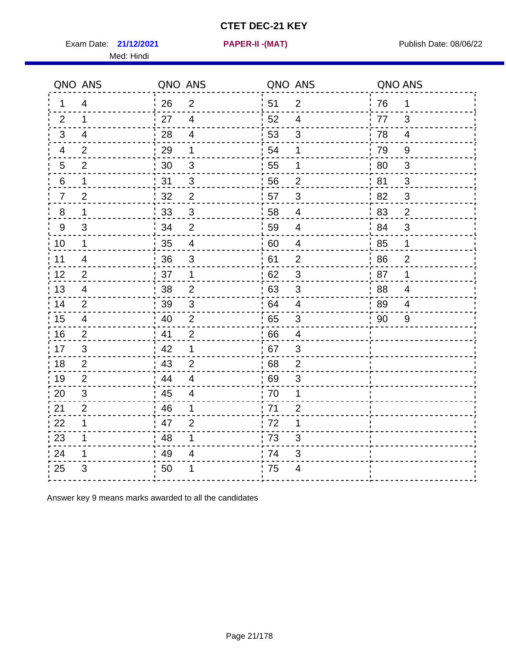Exam Date: **21/12/2021 PAPER-II -(MAT)** PUBLISH Date: 08/06/22

Med: Hindi

**21/12/2021 PAPER-II -(MAT)**

|    | QNO ANS        | QNO ANS |                         |      | QNO ANS                  | QNO ANS |                |
|----|----------------|---------|-------------------------|------|--------------------------|---------|----------------|
| 1  | $\overline{4}$ | 26      | $\overline{2}$          | ່ 51 | $\overline{2}$           | 76      | $\mathbf 1$    |
| 2  | $\mathbf 1$    | 27      | $\overline{4}$          | 52   | $\overline{4}$           | 77      | 3              |
| 3  | $\overline{4}$ | 28      | $\overline{4}$          | 53   | $\mathfrak{S}$           | 78      | $\overline{4}$ |
| 4  | $\overline{2}$ | 29      | $\mathbf 1$             | 54   | 1                        | 79      | $9\,$          |
| 5  | $\overline{2}$ | 30      | $\sqrt{3}$              | 55   | 1                        | 80      | $\sqrt{3}$     |
| 6  | $\mathbf 1$    | 31      | $\mathfrak{B}$          | 56   | $\overline{2}$           | 81      | 3              |
| 7  | $\overline{2}$ | 32      | $\overline{2}$          | 57   | 3                        | 82      | $\mathfrak{S}$ |
| 8  | 1              | 33      | $\sqrt{3}$              | 58   | $\overline{4}$           | 83      | $\overline{2}$ |
| 9  | 3              | 34      | $\overline{2}$          | 59   | $\overline{\mathcal{A}}$ | 84      | 3              |
| 10 | $\mathbf{1}$   | 35      | $\overline{4}$          | 60   | $\overline{4}$           | 85      | $\mathbf 1$    |
| 11 | 4              | 36      | $\mathsf 3$             | 61   | $\overline{2}$           | 86      | $\overline{2}$ |
| 12 | $\overline{2}$ | 37      | $\mathbf{1}$            | 62   | $\sqrt{3}$               | 87      | 1              |
| 13 | 4              | 38      | 2                       | .63  | 3                        | 88      | 4              |
| 14 | $\overline{2}$ | 39      | 3                       | 64   | 4                        | 89      | 4              |
| 15 | $\overline{4}$ | 40      | $\overline{2}$          | 65   | $\sqrt{3}$               | 90      | 9              |
| 16 | 2              | 41      | $\overline{2}$          | 66   | $\overline{4}$           |         |                |
| 17 | 3              | 42      | 1                       | 67   | 3                        |         |                |
| 18 | 2              | 43      | $\overline{2}$          | 68   | $\overline{2}$           |         |                |
| 19 | $\overline{2}$ | 44      | $\overline{\mathbf{4}}$ | .69  | 3                        |         |                |
| 20 | 3              | 45      | $\overline{4}$          | 70   | 1                        |         |                |
| 21 | $\overline{2}$ | 46      | 1                       | 71   | $\overline{2}$           |         |                |
| 22 | $\mathbf{1}$   | 47      | $\overline{2}$          | 72   | $\mathbf 1$              |         |                |
| 23 | 1              | 48      | 1                       | 73   | 3                        |         |                |
| 24 | 1              | 49      | 4                       | 74   | 3                        |         |                |
| 25 | 3              | 50      | 1                       | 75   | 4                        |         |                |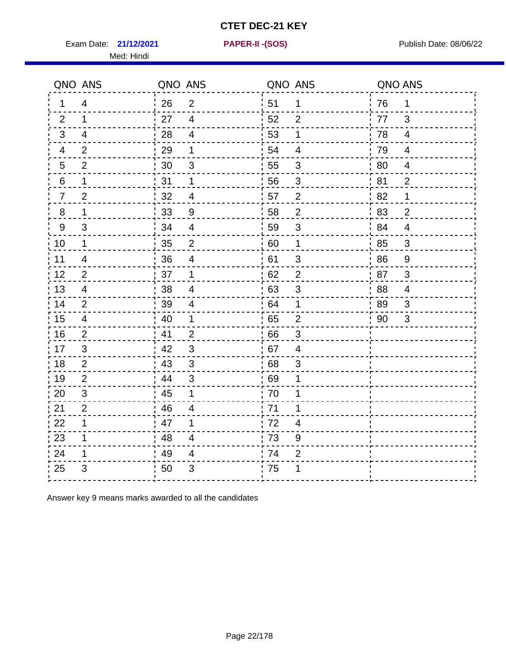Exam Date: **21/12/2021 PAPER-II - (SOS)** Publish Date: 08/06/22

Med: Hindi

**21/12/2021 PAPER-II -(SOS)**

|    | QNO ANS        | QNO ANS |                         | QNO ANS |                | QNO ANS |                |
|----|----------------|---------|-------------------------|---------|----------------|---------|----------------|
| 1  | 4              | 26      | $\overline{2}$          | 51      | $\mathbf 1$    | 76      | $\mathbf 1$    |
| 2  | 1              | 27      | 4                       | 52      | $\overline{2}$ | 77      | 3              |
| 3  | 4              | 28      | $\overline{4}$          | 53      | $\mathbf 1$    | 78      | $\overline{4}$ |
| 4  | $\overline{2}$ | 29      | 1                       | 54      | $\overline{4}$ | 79      | $\overline{4}$ |
| 5  | $\overline{2}$ | 30      | $\mathsf 3$             | 55      | $\sqrt{3}$     | 80      | $\overline{4}$ |
| 6  | 1              | 31      | 1                       | 56      | 3              | 81      | $\overline{2}$ |
| 7  | $\overline{2}$ | 32      | $\overline{4}$          | 57      | $\overline{2}$ | 82      | 1              |
| 8  | 1              | 33      | $9\,$                   | 58      | $\overline{2}$ | 83      | $\overline{2}$ |
| 9  | 3              | 34      | $\overline{4}$          | 59      | $\mathfrak{S}$ | 84      | $\overline{4}$ |
| 10 | $\mathbf 1$    | 35      | $\overline{2}$          | 60      | $\mathbf 1$    | 85      | $\mathfrak{S}$ |
| 11 | $\overline{4}$ | 36      | $\overline{\mathbf{4}}$ | 61      | $\mathfrak{S}$ | 86      | 9              |
| 12 | $\overline{2}$ | 37      | 1                       | 62      | $\overline{c}$ | 87      | $\mathbf{3}$   |
| 13 | 4              | 38      | $\overline{4}$          | 63      | 3              | 88      | 4              |
| 14 | $\overline{2}$ | 39      | 4                       | 64      | 1              | 89      | 3              |
| 15 | 4              | 40      | $\mathbf 1$             | 65      | $\mathbf{2}$   | 90      | 3              |
| 16 | $\overline{2}$ | 41      | $\overline{2}$          | .66     | $\mathfrak{B}$ |         |                |
| 17 | 3              | 42      | 3                       | .67     | 4              |         |                |
| 18 | $\overline{2}$ | 43      | 3                       | 68      | 3              |         |                |
| 19 | 2              | 44      | $\mathfrak{S}$          | 69      | 1              |         |                |
| 20 | $\mathfrak{S}$ | 45      | 1                       | 70      | 1              |         |                |
| 21 | 2              | 46      | 4                       | .71     | 1              |         |                |
| 22 | 1              | 47      | 1                       | 72      | 4              |         |                |
| 23 | $\mathbf 1$    | 48      | 4                       | 73      | 9              |         |                |
| 24 | 1              | 49      | 4                       | 74      | $\mathbf{2}$   |         |                |
| 25 | 3              | 50      | 3                       | 75      | 1              |         |                |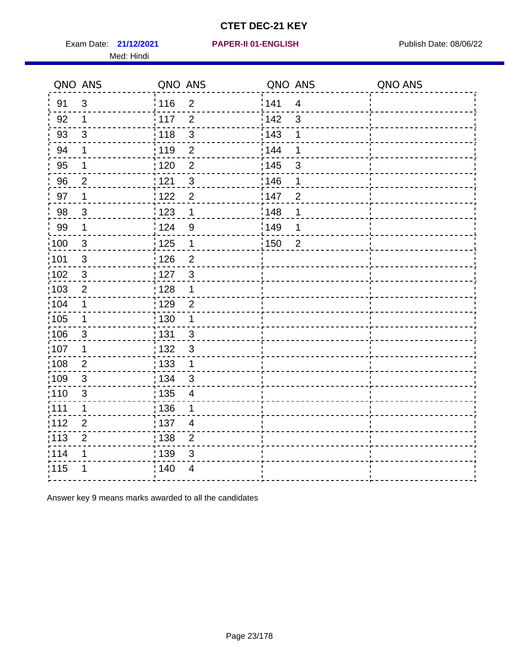Exam Date: 21/12/2021 PAPER-II 01-ENGLISH PREERENT Publish Date: 08/06/22 Med: Hindi

|                   | QNO ANS        | QNO ANS           |                | QNO ANS |                | QNO ANS |
|-------------------|----------------|-------------------|----------------|---------|----------------|---------|
| 91                | 3              | 116               | $\overline{2}$ | 141     | $\overline{4}$ |         |
| 92                | 1              | 117               | $\overline{2}$ | 142     | 3              |         |
| 93                | $\sqrt{3}$     | $\frac{1}{2}$ 118 | 3              | 143     | 1              |         |
| 94                | 1              | : 119             | $\overline{2}$ | 144     | 1              |         |
| 95                | 1              | : 120             | $\overline{2}$ | : 145   | 3              |         |
| 96                | $\overline{2}$ | 121               | $\sqrt{3}$     | 146     | 1              |         |
| 97                | 1              | 122               | $\overline{2}$ | 147     | $\overline{2}$ |         |
| 98                | $\mathbf{3}$   | : 123             | $\mathbf 1$    | 148     | 1              |         |
| 99                | $\mathbf 1$    | 124               | $\overline{9}$ | 149     | 1              |         |
| 100               | $\mathbf{3}$   | $\frac{1}{1}$ 125 | $\mathbf 1$    | 150     | $\overline{2}$ |         |
| 101               | $\sqrt{3}$     | $\frac{1}{2}$ 126 | $\overline{2}$ |         |                |         |
| 102               | $\mathbf{3}$   | :127              | $\mathbf{3}$   |         |                |         |
| 103               | $\overline{2}$ | : 128             | 1              |         |                |         |
| 104               | 1              | : 129             | $\overline{2}$ |         |                |         |
| $\frac{1}{1}$ 105 | $\mathbf 1$    | : 130             | $\mathbf 1$    |         |                |         |
| $\frac{1}{1}$ 106 | $\mathbf{3}$   | : 131             | 3              |         |                |         |
| 107               | 1              | :132              | $\mathbf{3}$   |         |                |         |
| :108              | $\overline{2}$ | $\frac{1}{1}$ 133 | $\mathbf 1$    |         |                |         |
| :109              | $\sqrt{3}$     | : 134             | $\mathfrak{S}$ |         |                |         |
| : 110             | $\sqrt{3}$     | : 135             | $\overline{4}$ |         |                |         |
| 111               | 1              | 136               | 1              |         |                |         |
| 112               | $\overline{2}$ | : 137             | $\overline{4}$ |         |                |         |
| : 113             | $\mathbf 2$    | : 138             | $\mathbf 2$    |         |                |         |
| 114               | 1              | : 139             | 3              |         |                |         |
| 115               |                | ; 140             | 4              |         |                |         |
|                   |                |                   |                |         |                |         |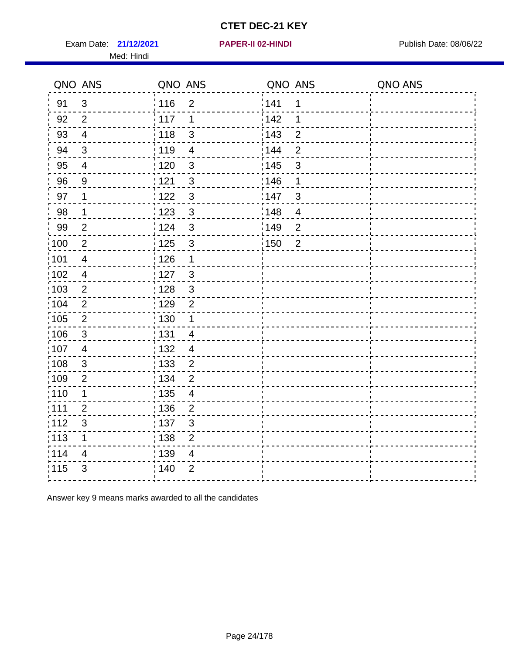Exam Date: 21/12/2021 **PAPER-II 02-HINDI Exam Date: 08/06/22** Med: Hindi

**21/12/2021 PAPER-II 02-HINDI**

|                   | QNO ANS                  | QNO ANS           |                | QNO ANS |                | QNO ANS |
|-------------------|--------------------------|-------------------|----------------|---------|----------------|---------|
| 91                | 3                        | 116               | $\overline{2}$ | 141     | 1              |         |
| 92                | $\overline{2}$           | $\frac{1}{2}$ 117 | 1              | 142     | 1              |         |
| 93                | $\overline{4}$           | $\frac{1}{2}$ 118 | $\mathfrak{S}$ | 143     | $\overline{2}$ |         |
| 94                | 3                        | : 119             | $\overline{4}$ | : 144   | $\overline{2}$ |         |
| 95                | $\overline{\mathbf{4}}$  | : 120             | $\mathbf{3}$   | : 145   | 3              |         |
| 96                | 9                        | 121               | $\mathfrak{S}$ | :146    | 1              |         |
| 97                | 1                        | 122               | $\mathfrak{S}$ | 147     | 3              |         |
| 98                | $\mathbf{1}$             | 123               | $\mathbf{3}$   | 148     | $\overline{4}$ |         |
| 99                | $\overline{2}$           | 124               | 3              | 149     | $\overline{2}$ |         |
| 100               | $\sqrt{2}$               | $\frac{1}{1}$ 125 | $\mathfrak{S}$ | 150     | $\overline{2}$ |         |
| 101               | $\overline{\mathbf{4}}$  | 126               | $\mathbf 1$    |         |                |         |
| 102               | $\overline{\mathcal{A}}$ | : 127             | $\mathbf{3}$   |         |                |         |
| 103               | 2                        | : 128             | $\mathbf{3}$   |         |                |         |
| 104               | $\overline{2}$           | :129              | $\overline{2}$ |         |                |         |
| :105              | $\sqrt{2}$               | $\frac{1}{1}$ 130 | $\mathbf 1$    |         |                |         |
| $\frac{1}{1}$ 106 | $\mathbf{3}$             | : 131             | $\overline{4}$ |         |                |         |
| 107               | $\overline{4}$           | : 132             | $\overline{4}$ |         |                |         |
| 108               | $\mathbf{3}$             | 133               | $\overline{2}$ |         |                |         |
| :109              | $\overline{2}$           | : 134             | $\overline{2}$ |         |                |         |
| 110               | 1                        | : 135             | $\overline{4}$ |         |                |         |
| :111              | $\overline{2}$           | : 136             | $\overline{2}$ |         |                |         |
| 112               | 3                        | : 137             | 3              |         |                |         |
| $\frac{1}{1}$ 113 | $\mathbf 1$              | : 138             | $\mathbf 2$    |         |                |         |
| 114               | 4                        | 139               | $\overline{4}$ |         |                |         |
| 115               | $\mathfrak{B}$           | ; 140             | $\overline{2}$ |         |                |         |
|                   |                          |                   |                |         |                |         |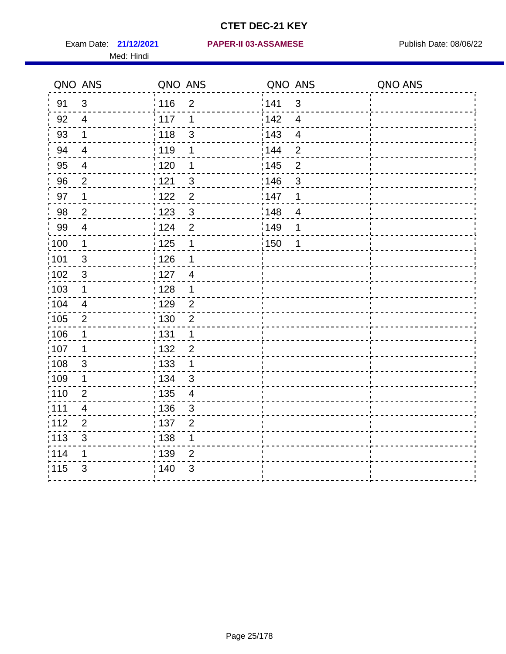Med: Hindi

#### **21/12/2021 PAPER-II 03-ASSAMESE** Exam Date: Publish Date: 08/06/22

|                   | QNO ANS                   | QNO ANS           |                | QNO ANS           |                         | QNO ANS |
|-------------------|---------------------------|-------------------|----------------|-------------------|-------------------------|---------|
| 91                | $\mathfrak{S}$            | : 116             | $\overline{2}$ | 141               | $\mathfrak{3}$          |         |
| 92                | $\overline{4}$            | 117               | 1              | 142               | $\overline{\mathbf{4}}$ |         |
| 93                | $\mathbf 1$               | 118               | $\mathfrak{S}$ | 143               | $\overline{4}$          |         |
| 94                | $\overline{\mathbf{4}}$   | : 119             | 1              | 144               | $\overline{2}$          |         |
| 95                | $\overline{4}$            | :120              | 1              | : 145             | $\overline{2}$          |         |
| 96                | $\overline{2}$            | 121               | 3              | 146               | 3                       |         |
| 97                | 1                         | $122$             | $\overline{2}$ | 147               | 1                       |         |
| 98                | $\overline{c}$            | 123               | $\mathbf{3}$   | 148               | $\overline{\mathbf{4}}$ |         |
| 99                | $\overline{4}$            | ¦ 124             | $\overline{2}$ | $\frac{1}{2}$ 149 | 1                       |         |
| $\frac{1}{1}$ 100 | $\mathbf 1$               | $\frac{1}{1}$ 125 | $\mathbf 1$    | $\frac{1}{1}$ 150 | $\mathbf 1$             |         |
| :101              | $\sqrt{3}$                | 126               | 1              |                   |                         |         |
| 102               | $\mathbf{3}$              | : 127             | $\overline{4}$ |                   |                         |         |
| 103               | $\mathbf 1$               | :128              | $\mathbf 1$    |                   |                         |         |
| 104               | $\overline{\mathcal{A}}$  | : 129             | $\overline{2}$ |                   |                         |         |
| 105               | $\overline{2}$            | : 130             | $\overline{2}$ |                   |                         |         |
| ;106              | 1                         | : 131             | $\mathbf 1$    |                   |                         |         |
| :107              | 1                         | 132               | $\overline{2}$ |                   |                         |         |
| 108               | $\ensuremath{\mathsf{3}}$ | 133               | $\mathbf{1}$   |                   |                         |         |
| :109              | $\mathbf 1$               | : 134             | 3              |                   |                         |         |
| :110              | $\overline{2}$            | 135               | $\overline{4}$ |                   |                         |         |
| :111              | $\overline{\mathcal{A}}$  | : 136             | $\mathfrak{S}$ |                   |                         |         |
| 112               | $\overline{2}$            | 137               | $\overline{2}$ |                   |                         |         |
| 113               | $\sqrt{3}$                | 138               | 1              |                   |                         |         |
| 114               | 1                         | : 139             | 2              |                   |                         |         |
| 115               | 3                         | 140               | 3              |                   |                         |         |
|                   |                           |                   |                |                   |                         |         |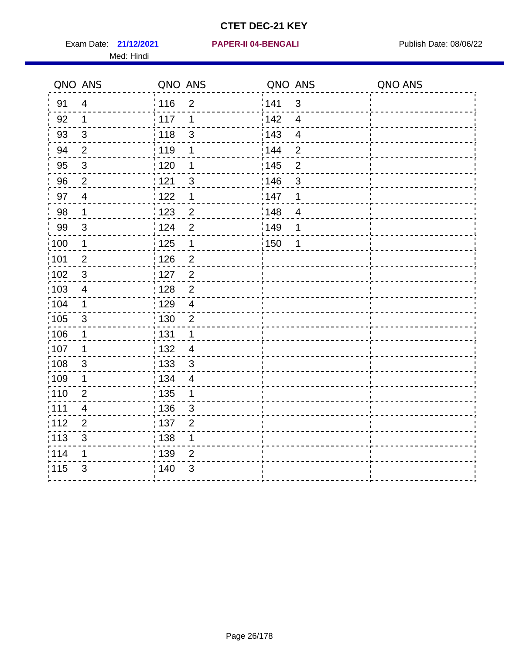Exam Date: 21/12/2021 **PAPER-II 04-BENGALI Exam Date: 08/06/22** Med: Hindi

|                   | QNO ANS                   | QNO ANS           |                | QNO ANS           |                | QNO ANS |
|-------------------|---------------------------|-------------------|----------------|-------------------|----------------|---------|
| 91                | $\overline{4}$            | 116               | $\overline{2}$ | 141               | $\mathfrak{S}$ |         |
| 92                | $\mathbf 1$               | 117               | 1              | 142               | $\overline{4}$ |         |
| 93                | $\mathbf{3}$              | 118               | $\mathfrak{S}$ | 143               | $\overline{4}$ |         |
| 94                | $\overline{2}$            | : 119             | 1              | 144               | $\overline{2}$ |         |
| 95                | $\mathfrak{B}$            | :120              | 1              | : 145             | $\overline{2}$ |         |
| 96                | $\overline{2}$            | : 121             | 3              | 146               | 3              |         |
| 97                | $\overline{4}$            | 122               | 1              | 147               | 1              |         |
| 98                | $\mathbf{1}$              | $\frac{1}{2}$ 123 | $\overline{c}$ | $\frac{1}{2}$ 148 | $\overline{4}$ |         |
| 99                | $\sqrt{3}$                | 124               | $\overline{2}$ | $\frac{1}{2}$ 149 | 1              |         |
| $\frac{1}{1}$ 100 | $\overline{1}$            | $\frac{1}{1}$ 125 | $\mathbf{1}$   | $\frac{1}{1}$ 150 | 1              |         |
| :101              | $\mathbf 2$               | : 126             | $\overline{2}$ |                   |                |         |
| 102               | $\mathbf{3}$              | 127               | $\overline{2}$ |                   |                |         |
| :103              | 4                         | : 128             | $\overline{2}$ |                   |                |         |
| 104               | $\mathbf 1$               | : 129             | $\overline{4}$ |                   |                |         |
| :105              | $\sqrt{3}$                | $\frac{1}{1}$ 130 | $\mathbf 2$    |                   |                |         |
| :106              | $\mathbf 1$               | : 131             | $\mathbf{1}$   |                   |                |         |
| 107               | $\mathbf{1}$              | : 132             | $\overline{4}$ |                   |                |         |
| 108               | $\sqrt{3}$                | : 133             | $\mathfrak{3}$ |                   |                |         |
| :109              | $\mathbf 1$               | : 134             | $\overline{4}$ |                   |                |         |
| :110              | $\overline{2}$            | 135               | 1              |                   |                |         |
| :111              | $\overline{\mathcal{A}}$  | : 136             | $\sqrt{3}$     |                   |                |         |
| 112               | $\overline{2}$            | : 137             | $\overline{2}$ |                   |                |         |
| 113               | $\ensuremath{\mathsf{3}}$ | : 138             | 1              |                   |                |         |
| 114               | 1                         | : 139             | $\overline{2}$ |                   |                |         |
| 115               | $\mathfrak{S}$            | 140               | $\mathfrak{S}$ |                   |                |         |
|                   |                           |                   |                |                   |                |         |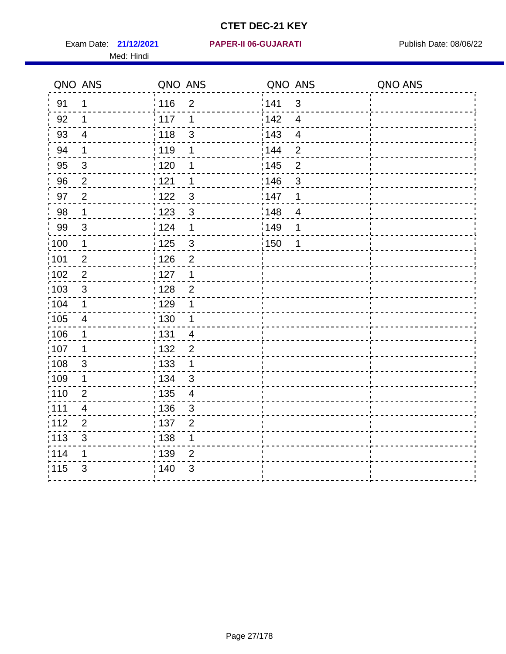Med: Hindi

|                   | QNO ANS                   | QNO ANS |                | QNO ANS           |                         | QNO ANS |
|-------------------|---------------------------|---------|----------------|-------------------|-------------------------|---------|
| 91                | $\mathbf 1$               | 116     | $\overline{2}$ | 141               | $\sqrt{3}$              |         |
| 92                | 1                         | 117     | 1              | 142               | $\overline{4}$          |         |
| 93                | $\overline{4}$            | 118     | $\mathsf 3$    | 143               | $\overline{\mathbf{4}}$ |         |
| 94                | 1                         | :119    | 1              | 144               | $\overline{2}$          |         |
| 95                | 3                         | :120    | 1              | : 145             | $\overline{2}$          |         |
| 96                | $\overline{2}$            | 121     | 1              | 146               | $\sqrt{3}$              |         |
| 97                | $\overline{2}$            | : 122   | 3              | 147               | 1                       |         |
| 98                | $\mathbf 1$               | 123     | $\mathbf{3}$   | $\frac{1}{2}$ 148 | $\overline{4}$          |         |
| 99                | $\sqrt{3}$                | : 124   | 1              | :149              | 1                       |         |
| $\frac{1}{1}$ 100 | $\mathbf 1$               | 125     | $\mathfrak{S}$ | 150               | 1                       |         |
| :101              | $\mathbf{2}$              | 126     | $\overline{2}$ |                   |                         |         |
| 102               | $\overline{2}$            | : 127   | 1              |                   |                         |         |
| 103               | $\mathfrak{S}$            | 128     | $\overline{2}$ |                   |                         |         |
| 104               | $\mathbf 1$               | : 129   | 1              |                   |                         |         |
| 105               | $\overline{4}$            | : 130   | 1              |                   |                         |         |
| 106               | 1                         | : 131   | $\overline{4}$ |                   |                         |         |
| 107               | 1                         | : 132   | $\overline{2}$ |                   |                         |         |
| $\frac{1}{1}$ 108 | $\ensuremath{\mathsf{3}}$ | 133     | $\mathbf{1}$   |                   |                         |         |
| :109              | 1                         | : 134   | $\mathbf{3}$   |                   |                         |         |
| :110              | $\overline{2}$            | : 135   | $\overline{4}$ |                   |                         |         |
| 111               | $\overline{\mathbf{4}}$   | : 136   | $\mathfrak{S}$ |                   |                         |         |
| 112               | $\overline{2}$            | : 137   | $\overline{c}$ |                   |                         |         |
| : 113             | $\sqrt{3}$                | : 138   | 1              |                   |                         |         |
| 114               | 1                         | 139     | 2              |                   |                         |         |
| 115               | 3                         | : 140   | $\sqrt{3}$     |                   |                         |         |
|                   |                           |         |                |                   |                         |         |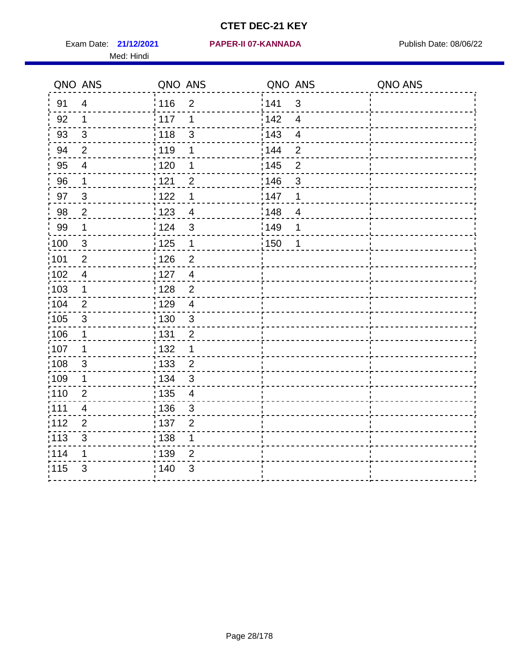Med: Hindi

|                   | QNO ANS                   | QNO ANS                             | QNO ANS                             | QNO ANS |
|-------------------|---------------------------|-------------------------------------|-------------------------------------|---------|
| 91                | $\overline{4}$            | 116<br>$\overline{2}$               | 141<br>$\mathfrak{S}$               |         |
| 92                | $\mathbf 1$               | 117<br>1                            | 142<br>$\overline{\mathbf{4}}$      |         |
| 93                | $\sqrt{3}$                | $\frac{1}{2}$ 118<br>$\mathfrak{S}$ | 143<br>$\overline{\mathbf{4}}$      |         |
| 94                | 2                         | : 119<br>1                          | : 144<br>$\overline{2}$             |         |
| 95                | $\overline{4}$            | : 120<br>1                          | : 145<br>$\overline{2}$             |         |
| 96                | $\mathbf 1$               | : 121<br>$\overline{2}$             | 146<br>$\mathfrak{S}$               |         |
| 97                | $\mathfrak{S}$            | : 122<br>1                          | 147<br>1                            |         |
| 98                | $\mathbf 2$               | 123<br>$\overline{4}$               | $\frac{1}{2}$ 148<br>$\overline{4}$ |         |
| 99                | $\mathbf 1$               | : 124<br>$\mathfrak{S}$             | :149<br>1                           |         |
| $\frac{1}{1}$ 100 | $\mathbf{3}$              | : 125<br>$\mathbf 1$                | 150<br>1                            |         |
| :101              | $\mathbf 2$               | : 126<br>$\overline{2}$             |                                     |         |
| 102               | $\overline{4}$            | : 127<br>$\overline{4}$             |                                     |         |
| :103              | $\mathbf 1$               | $\overline{2}$<br>: 128             |                                     |         |
| 104               | $\overline{2}$            | : 129<br>$\overline{4}$             |                                     |         |
| 105               | $\sqrt{3}$                | 130<br>$\mathbf{3}$                 |                                     |         |
| 106               | 1                         | : 131<br>$\overline{2}$             |                                     |         |
| :107              | $\mathbf 1$               | $\mathbf 1$<br>: 132                |                                     |         |
| $\frac{1}{1}$ 108 | $\ensuremath{\mathsf{3}}$ | : 133<br>$\overline{2}$             |                                     |         |
| 109               | 1                         | : 134<br>$\mathbf{3}$               |                                     |         |
| :110              | $\overline{2}$            | : 135<br>$\overline{\mathcal{A}}$   |                                     |         |
| : 111             | 4                         | : 136<br>$\mathfrak{S}$             |                                     |         |
| 112               | $\overline{2}$            | : 137<br>$\overline{2}$             |                                     |         |
| : 113             | $\sqrt{3}$                | : 138<br>$\mathbf 1$                |                                     |         |
| 114               | 1                         | : 139<br>$\overline{2}$             |                                     |         |
| 115               | 3                         | 140<br>3                            |                                     |         |
|                   |                           |                                     |                                     |         |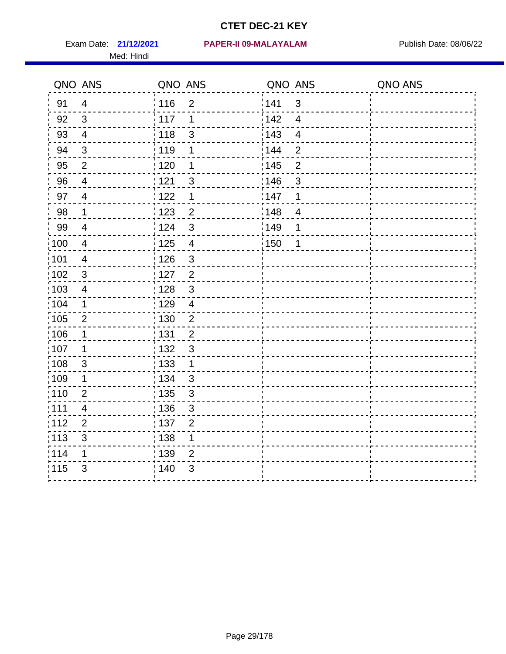Med: Hindi

#### **21/12/2021 PAPER-II 09-MALAYALAM** Exam Date: Publish Date: 08/06/22

|                   | QNO ANS                  | QNO ANS |                         | QNO ANS |                         | QNO ANS |
|-------------------|--------------------------|---------|-------------------------|---------|-------------------------|---------|
| 91                | $\overline{4}$           | 116     | $\overline{2}$          | 141     | $\mathbf{3}$            |         |
| 92                | 3                        | 117     | 1                       | 142     | $\overline{\mathbf{4}}$ |         |
| 93                | $\overline{4}$           | 118     | $\mathsf 3$             | 143     | $\overline{\mathbf{4}}$ |         |
| 94                | $\mathbf{3}$             | 119     | 1                       | 144     | $\overline{2}$          |         |
| 95                | $\overline{2}$           | : 120   | 1                       | : 145   | $\overline{2}$          |         |
| 96                | $\overline{4}$           | 121     | $\mathfrak{S}$          | 146     | 3                       |         |
| 97                | $\overline{4}$           | 1122    | 1                       | 147     | 1                       |         |
| 98                | $\mathbf{1}$             | 123     | $\overline{c}$          | 148     | $\overline{4}$          |         |
| 99                | $\overline{4}$           | 124     | $\mathfrak{S}$          | 149     | 1                       |         |
| 100               | $\overline{4}$           | 125     | $\overline{\mathbf{4}}$ | 150     | 1                       |         |
| 101               | $\overline{\mathcal{A}}$ | 126     | $\mathfrak{S}$          |         |                         |         |
| $102$             | 3                        | 127     | $\overline{2}$          |         |                         |         |
| 103               | 4                        | 128     | $\mathfrak{3}$          |         |                         |         |
| 104               | $\mathbf 1$              | : 129   | $\overline{4}$          |         |                         |         |
| $\frac{1}{1}$ 105 | $\mathbf{2}$             | : 130   | $\boldsymbol{2}$        |         |                         |         |
| :106              | $\mathbf 1$              | : 131   | $\overline{2}$          |         |                         |         |
| 107               | $\mathbf 1$              | : 132   | $\mathbf{3}$            |         |                         |         |
| 108               | $\mathbf{3}$             | : 133   | $\mathbf{1}$            |         |                         |         |
| :109              | 1                        | : 134   | $\mathfrak{3}$          |         |                         |         |
| :110              | $\overline{2}$           | : 135   | $\mathfrak{S}$          |         |                         |         |
| : 111             | 4                        | 136     | $\sqrt{3}$              |         |                         |         |
| 112               | $\overline{2}$           | : 137   | $\overline{2}$          |         |                         |         |
| $\frac{1}{1}$ 113 | $\mathfrak{S}$           | : 138   | $\mathbf 1$             |         |                         |         |
| 114               | 1                        | : 139   | $\overline{2}$          |         |                         |         |
| 115               | 3                        | 140     | 3                       |         |                         |         |
|                   |                          |         |                         |         |                         |         |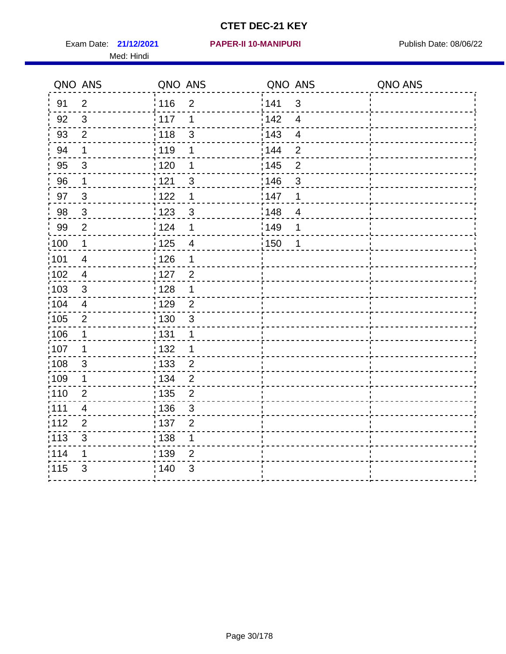Med: Hindi

|                   | QNO ANS                   | QNO ANS           |                | QNO ANS           |                          | QNO ANS |
|-------------------|---------------------------|-------------------|----------------|-------------------|--------------------------|---------|
| 91                | $\overline{2}$            | 116               | $\overline{2}$ | 141               | $\mathfrak{S}$           |         |
| 92                | $\mathfrak{S}$            | 117               | 1              | 142               | $\overline{\mathcal{A}}$ |         |
| 93                | $\overline{2}$            | 118               | $\mathfrak{S}$ | 143               | $\overline{\mathcal{A}}$ |         |
| 94                | 1                         | : 119             | 1              | 144               | $\overline{2}$           |         |
| 95                | 3                         | : 120             | 1              | : 145             | $\overline{2}$           |         |
| 96                | $\mathbf 1$               | 121               | 3              | 146               | $\mathfrak{B}$           |         |
| 97                | $\mathfrak{S}$            | 122               | 1              | 147               | 1                        |         |
| 98                | $\mathbf{3}$              | $\frac{1}{2}$ 123 | $\mathbf{3}$   | $\frac{1}{2}$ 148 | $\overline{4}$           |         |
| 99                | $\mathbf{2}$              | 124               | 1              | ¦149              | 1                        |         |
| $\frac{1}{1}$ 100 | $\mathbf{1}$              | 125               | $\overline{4}$ | 150               | $\mathbf 1$              |         |
| 101               | $\overline{\mathcal{A}}$  | 126               | 1              |                   |                          |         |
| 102               | $\overline{4}$            | : 127             | $\overline{2}$ |                   |                          |         |
| 103               | $\mathfrak{S}$            | 128               | 1              |                   |                          |         |
| 104               | $\overline{4}$            | : 129             | $\overline{2}$ |                   |                          |         |
| 105               | $\mathbf 2$               | : 130             | $\mathbf{3}$   |                   |                          |         |
| :106              | 1                         | : 131             | 1              |                   |                          |         |
| :107              | 1                         | : 132             | 1              |                   |                          |         |
| 108               | $\ensuremath{\mathsf{3}}$ | $\frac{1}{1}$ 133 | $\overline{2}$ |                   |                          |         |
| :109              | 1                         | : 134             | $\overline{2}$ |                   |                          |         |
| :110              | $\overline{2}$            | : 135             | $\overline{2}$ |                   |                          |         |
| 111               | $\overline{\mathcal{A}}$  | : 136             | $\mathbf{3}$   |                   |                          |         |
| 112               | $\mathbf 2$               | 137               | $\overline{2}$ |                   |                          |         |
| 113               | $\mathbf{3}$              | : 138             | 1              |                   |                          |         |
| 114               | 1                         | : 139             | $\overline{2}$ |                   |                          |         |
| 115               | 3                         | 140               | $\sqrt{3}$     |                   |                          |         |
|                   |                           |                   |                |                   |                          |         |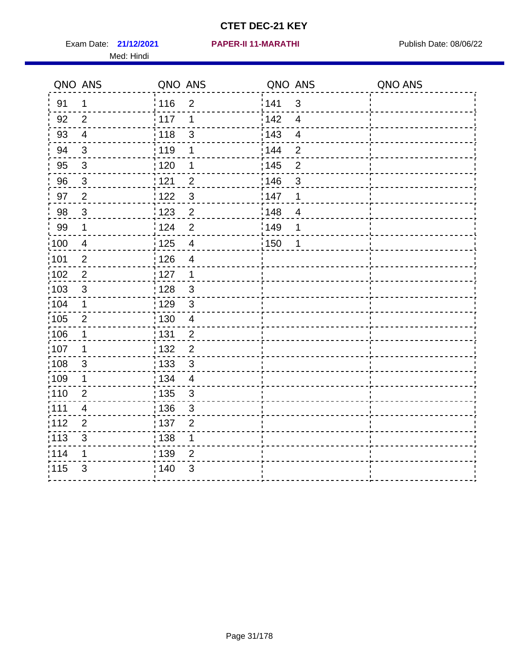Exam Date: 21/12/2021 PAPER-II 11-MARATHI PRESERIES Publish Date: 08/06/22 Med: Hindi

**21/12/2021 PAPER-II 11-MARATHI**

|      | QNO ANS                 | QNO ANS           |                         | QNO ANS |                         | QNO ANS |
|------|-------------------------|-------------------|-------------------------|---------|-------------------------|---------|
| 91   | $\mathbf 1$             | 116               | $\overline{2}$          | 1141    | $\mathbf{3}$            |         |
| 92   | $\overline{2}$          | 117               | 1                       | 142     | $\overline{4}$          |         |
| 93   | $\overline{4}$          | 118               | $\mathsf 3$             | 143     | $\overline{\mathbf{4}}$ |         |
| 94   | 3                       | : 119             | 1                       | : 144   | $\overline{2}$          |         |
| 95   | $\mathfrak{B}$          | : 120             | 1                       | : 145   | $\overline{2}$          |         |
| 96   | $\mathbf{3}$            | 121               | $\overline{2}$          | :146    | $\mathfrak{S}$          |         |
| 97   | $\overline{2}$          | 122               | $\mathfrak{S}$          | 147     | 1                       |         |
| 98   | $\mathbf{3}$            | 1123              | $\overline{2}$          | 148     | $\overline{4}$          |         |
| 99   | $\mathbf 1$             | 124               | $\overline{2}$          | :149    | 1                       |         |
| :100 | $\overline{4}$          | 125               | $\overline{\mathbf{4}}$ | 150     | 1                       |         |
| :101 | $\overline{2}$          | : 126             | $\overline{4}$          |         |                         |         |
| 102  | $\overline{2}$          | : 127             | $\mathbf 1$             |         |                         |         |
| 103  | 3                       | :128              | $\mathbf{3}$            |         |                         |         |
| 104  | $\mathbf 1$             | : 129             | 3                       |         |                         |         |
| 105  | $\mathbf 2$             | $\frac{1}{1}$ 130 | $\overline{4}$          |         |                         |         |
| :106 | 1                       | : 131             | $\overline{2}$          |         |                         |         |
| 107  | 1                       | :132              | $\overline{2}$          |         |                         |         |
| 108  | $\sqrt{3}$              | : 133             | $\mathbf{3}$            |         |                         |         |
| :109 | $\mathbf 1$             | : 134             | $\overline{4}$          |         |                         |         |
| :110 | $\overline{2}$          | : 135             | 3                       |         |                         |         |
| 111  | $\overline{\mathbf{4}}$ | : 136             | $\sqrt{3}$              |         |                         |         |
| 112  | $\mathbf 2$             | 137               | $\overline{2}$          |         |                         |         |
| 113  | $\mathbf{3}$            | : 138             | 1                       |         |                         |         |
| 114  | 1                       | :139              | 2                       |         |                         |         |
| 115  | 3                       | 140               | $\mathfrak{B}$          |         |                         |         |
|      |                         |                   |                         |         |                         |         |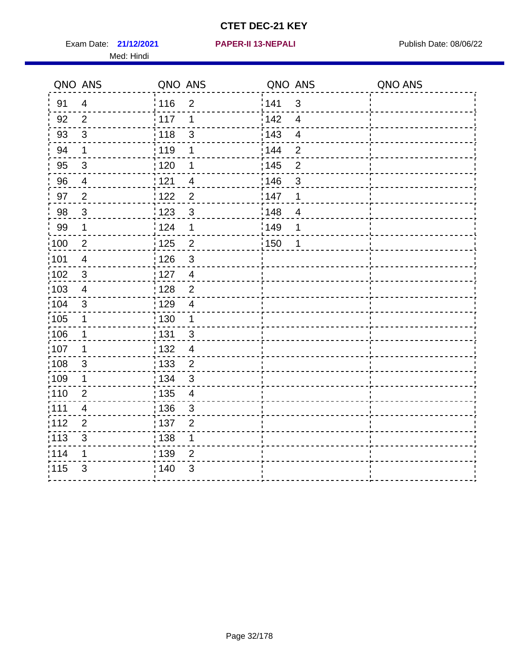Exam Date: 21/12/2021 **PAPER-II 13-NEPALI Exam Date: 08/06/22** Med: Hindi

**21/12/2021 PAPER-II 13-NEPALI**

|                   | QNO ANS          | QNO ANS           |                | QNO ANS |                         | QNO ANS |
|-------------------|------------------|-------------------|----------------|---------|-------------------------|---------|
| 91                | $\overline{4}$   | 116               | $\overline{2}$ | 141     | $\mathbf{3}$            |         |
| 92                | $\overline{2}$   | 117               | 1              | 142     | $\overline{\mathbf{4}}$ |         |
| 93                | $\mathfrak{Z}$   | 118               | $\mathsf 3$    | 143     | $\overline{4}$          |         |
| 94                | $\mathbf{1}$     | : 119             | 1              | : 144   | $\overline{2}$          |         |
| 95                | $\mathfrak{S}$   | : 120             | 1              | : 145   | $\overline{2}$          |         |
| 96                | $\overline{4}$   | 121               | 4              | 146     | 3                       |         |
| 97                | $\overline{2}$   | 122               | $\overline{2}$ | 147     | 1                       |         |
| 98                | $\mathbf{3}$     | $\frac{1}{2}$ 123 | $\mathfrak{S}$ | : 148   | $\overline{4}$          |         |
| 99                | $\mathbf 1$      | 124               | 1              | :149    | 1                       |         |
| $\frac{1}{1}$ 100 | $\boldsymbol{2}$ | $\frac{1}{1}$ 125 | $\mathbf 2$    | 150     | 1                       |         |
| :101              | $\overline{4}$   | : 126             | $\mathfrak{S}$ |         |                         |         |
| 102               | $\mathbf{3}$     | : 127             | $\overline{4}$ |         |                         |         |
| 103               | $\overline{4}$   | : 128             | $\overline{2}$ |         |                         |         |
| 104               | $\mathbf{3}$     | $\frac{1}{1}$ 129 | $\overline{4}$ |         |                         |         |
| 105               | $\mathbf 1$      | 130               | $\mathbf{1}$   |         |                         |         |
| :106              | $\mathbf 1$      | : 131             | $\mathbf{3}$   |         |                         |         |
| ;107              | 1                | : 132             | $\overline{4}$ |         |                         |         |
| 108               | $\sqrt{3}$       | $\frac{1}{1}$ 133 | $\overline{2}$ |         |                         |         |
| :109              | 1                | : 134             | $\mathbf{3}$   |         |                         |         |
| :110              | $\overline{2}$   | : 135             | $\overline{4}$ |         |                         |         |
| :111              | $\overline{4}$   | : 136             | $\mathfrak{S}$ |         |                         |         |
| 112               | $\overline{2}$   | : 137             | $\overline{2}$ |         |                         |         |
| 113               | 3                | : 138             | 1              |         |                         |         |
| 114               | 1                | 139               | 2              |         |                         |         |
| 115               | 3                | 140               | $\mathfrak{B}$ |         |                         |         |
|                   |                  |                   |                |         |                         |         |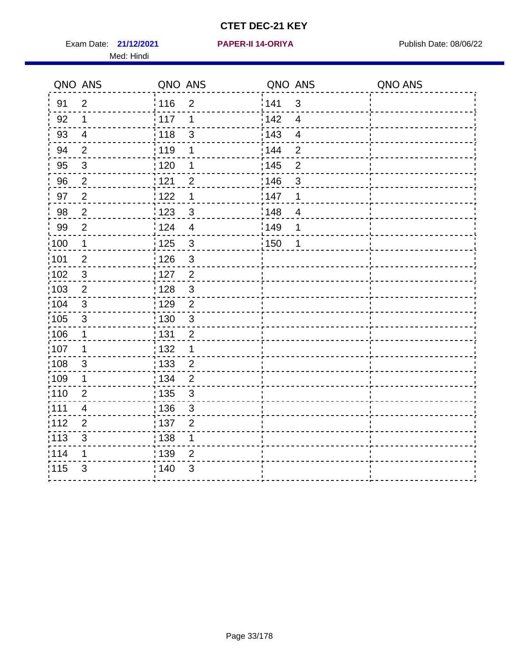Exam Date: 21/12/2021 PAPER-II 14-ORIYA Publish Date: 08/06/22 Med: Hindi

**21/12/2021 PAPER-II 14-ORIYA**

|       | QNO ANS                   | QNO ANS           |                | QNO ANS |                         | QNO ANS |
|-------|---------------------------|-------------------|----------------|---------|-------------------------|---------|
| 91    | $\overline{2}$            | 116               | $\overline{2}$ | 1141    | $\mathfrak{S}$          |         |
| 92    | 1                         | $\frac{1}{2}$ 117 | 1              | 142     | $\overline{4}$          |         |
| 93    | $\overline{4}$            | : 118             | 3              | 143     | $\overline{\mathbf{4}}$ |         |
| 94    | $\overline{2}$            | :119              | 1              | 144     | $\overline{2}$          |         |
| 95    | $\mathbf{3}$              | : 120             | 1              | : 145   | $\overline{2}$          |         |
| 96    | $\overline{2}$            | 121               | $\overline{2}$ | 146     | 3                       |         |
| 97    | $\overline{c}$            | 122               | 1              | 147     | 1                       |         |
| 98    | $\overline{2}$            | 123               | $\mathbf{3}$   | 148     | $\overline{4}$          |         |
| 99    | $\overline{2}$            | 124               | $\overline{4}$ | :149    | 1                       |         |
| 100   | $\mathbf 1$               | $\frac{1}{1}$ 125 | $\mathbf{3}$   | 150     | 1                       |         |
| :101  | $\mathbf{2}$              | : 126             | 3              |         |                         |         |
| 102   | 3                         | : 127             | $\overline{2}$ |         |                         |         |
| 103   | $\overline{2}$            | : 128             | 3              |         |                         |         |
| 104   | $\mathbf{3}$              | : 129             | $\overline{2}$ |         |                         |         |
| :105  | $\ensuremath{\mathsf{3}}$ | : 130             | 3              |         |                         |         |
| 106   | 1                         | : 131             | $\overline{2}$ |         |                         |         |
| :107  | 1                         | : 132             | 1              |         |                         |         |
| :108  | $\sqrt{3}$                | $\frac{1}{1}$ 133 | $\overline{2}$ |         |                         |         |
| :109  | 1                         | : 134             | $\overline{2}$ |         |                         |         |
| :110  | $\overline{2}$            | : 135             | $\mathfrak{S}$ |         |                         |         |
| 111   | 4                         | 136               | $\sqrt{3}$     |         |                         |         |
| 112   | $\overline{2}$            | $\frac{1}{1}$ 137 | $\overline{c}$ |         |                         |         |
| : 113 | $\mathsf 3$               | : 138             | 1              |         |                         |         |
| 114   | 1                         | 139               | $\overline{2}$ |         |                         |         |
| 115   | $\mathfrak{S}$            | 140               | $\mathfrak{S}$ |         |                         |         |
|       |                           |                   |                |         |                         |         |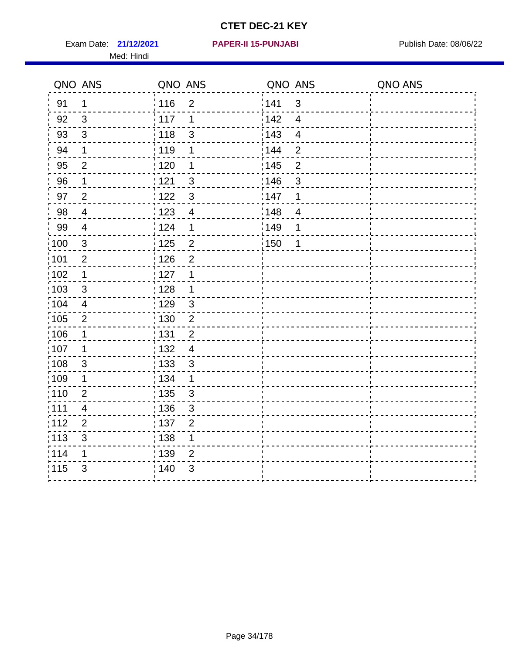Exam Date: 21/12/2021 **PAPER-II 15-PUNJABI** Publish Date: 08/06/22 Med: Hindi

|                   | QNO ANS                 | QNO ANS           |                | QNO ANS           |                         | QNO ANS |
|-------------------|-------------------------|-------------------|----------------|-------------------|-------------------------|---------|
| 91                | 1                       | 116               | $\overline{2}$ | 141               | $\mathfrak{S}$          |         |
| 92                | 3                       | 117               | 1              | 142               | $\overline{4}$          |         |
| 93                | $\sqrt{3}$              | 118               | $\mathfrak{S}$ | 143               | $\overline{\mathbf{4}}$ |         |
| 94                | 1                       | : 119             | 1              | 144               | $\overline{2}$          |         |
| 95                | $\overline{2}$          | : 120             | 1              | : 145             | $\overline{2}$          |         |
| 96                | 1                       | 121               | 3              | 146               | 3                       |         |
| 97                | $\overline{2}$          | : 122             | $\mathbf{3}$   | 147               | 1                       |         |
| 98                | $\overline{4}$          | 123               | $\overline{4}$ | 148               | $\overline{4}$          |         |
| 99                | $\overline{4}$          | ¦ 124             | 1              | $\frac{1}{2}$ 149 | 1                       |         |
| $\frac{1}{1}$ 100 | $\sqrt{3}$              | $\frac{1}{1}$ 125 | $\overline{2}$ | $\frac{1}{2}$ 150 | 1                       |         |
| :101              | $\mathbf 2$             | : 126             | $\overline{2}$ |                   |                         |         |
| 102               | $\mathbf 1$             | : 127             | 1              |                   |                         |         |
| 103               | 3                       | : 128             | $\mathbf 1$    |                   |                         |         |
| 104               | $\overline{4}$          | : 129             | $\mathfrak{3}$ |                   |                         |         |
| 105               | $\overline{2}$          | 130               | $\overline{2}$ |                   |                         |         |
| :106              | 1                       | : 131             | $\overline{2}$ |                   |                         |         |
| 107               | 1                       | :132              | $\overline{4}$ |                   |                         |         |
| 108               | $\sqrt{3}$              | : 133             | $\mathfrak{S}$ |                   |                         |         |
| :109              | $\mathbf 1$             | : 134             | $\mathbf 1$    |                   |                         |         |
| : 110             | $\overline{2}$          | : 135             | 3              |                   |                         |         |
| 111               | $\overline{\mathbf{4}}$ | : 136             | $\mathbf{3}$   |                   |                         |         |
| 112               | $\mathbf 2$             | 137               | $\overline{2}$ |                   |                         |         |
| 113               | $\mathbf{3}$            | 138               | 1              |                   |                         |         |
| 114               | 1                       | 139               | 2              |                   |                         |         |
| 115               | 3                       | 140               | $\mathfrak{S}$ |                   |                         |         |
|                   |                         |                   |                |                   |                         |         |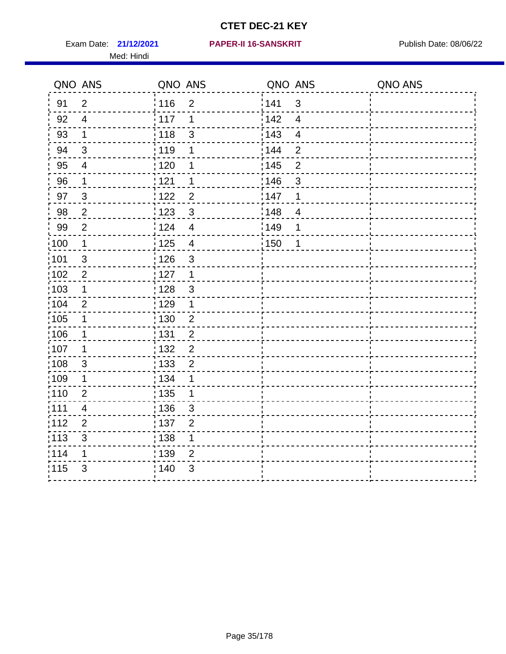Med: Hindi

|                   | QNO ANS          | QNO ANS           |                | QNO ANS |                          | QNO ANS |
|-------------------|------------------|-------------------|----------------|---------|--------------------------|---------|
| 91                | $\overline{2}$   | 116               | $\overline{2}$ | 141     | $\sqrt{3}$               |         |
| 92                | $\overline{4}$   | 117               | 1              | 142     | $\overline{4}$           |         |
| 93                | $\mathbf 1$      | 118               | $\mathfrak{S}$ | 143     | $\overline{\mathbf{4}}$  |         |
| 94                | $\mathfrak{S}$   | :119              | 1              | : 144   | $\overline{2}$           |         |
| 95                | 4                | :120              | 1              | : 145   | $\overline{2}$           |         |
| 96                | 1                | 121               | 1              | 146     | $\sqrt{3}$               |         |
| 97                | $\sqrt{3}$       | 122               | $\overline{c}$ | :147    | 1                        |         |
| 98                | $\boldsymbol{2}$ | 123               | $\mathbf{3}$   | 148     | $\overline{\mathcal{A}}$ |         |
| 99                | $\mathbf{2}$     | : 124             | $\overline{4}$ | :149    | 1                        |         |
| :100              | $\mathbf 1$      | 125               | $\overline{4}$ | 150     | 1                        |         |
| :101              | $\mathfrak{S}$   | : 126             | $\mathfrak{S}$ |         |                          |         |
| 102               | $\overline{2}$   | : 127             | $\mathbf 1$    |         |                          |         |
| :103              | $\mathbf 1$      | : 128             | $\mathbf{3}$   |         |                          |         |
| 104               | $\overline{2}$   | : 129             | 1              |         |                          |         |
| 105               | $\mathbf 1$      | 130               | $\overline{c}$ |         |                          |         |
| 106               | 1                | : 131             | $\overline{2}$ |         |                          |         |
| :107              | 1                | : 132             | $\overline{2}$ |         |                          |         |
| :108              | $\sqrt{3}$       | : 133             | $\mathbf 2$    |         |                          |         |
| 109               | 1                | : 134             | 1              |         |                          |         |
| :110              | $\overline{2}$   | : 135             | 1              |         |                          |         |
| 111               | 4                | 136               | $\mathfrak{S}$ |         |                          |         |
| 112               | $\overline{2}$   | : 137             | $\mathbf 2$    |         |                          |         |
| $\frac{1}{1}$ 113 | $\mathfrak{S}$   | $\frac{1}{1}$ 138 | 1              |         |                          |         |
| 114               | 1                | : 139             | $\overline{2}$ |         |                          |         |
| 115               | $\mathfrak{S}$   | 140               | $\sqrt{3}$     |         |                          |         |
|                   |                  |                   |                |         |                          |         |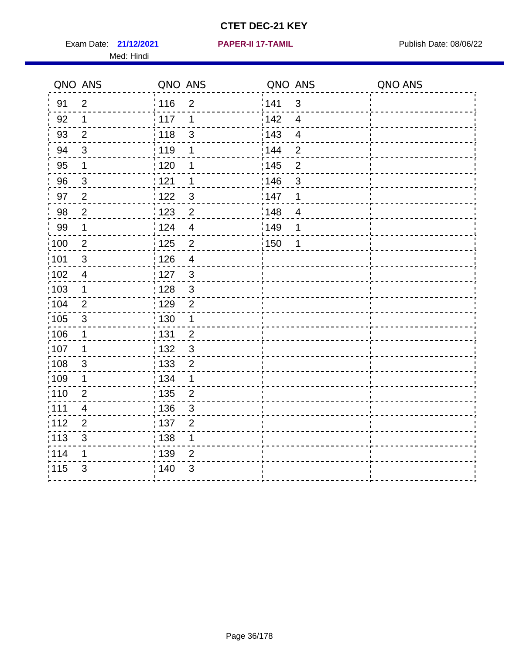Exam Date: 21/12/2021 **PAPER-II 17-TAMIL Exam Date: 08/06/22** Med: Hindi

**21/12/2021 PAPER-II 17-TAMIL**

|                   | QNO ANS                 | QNO ANS           |                  | QNO ANS           |                         | QNO ANS |
|-------------------|-------------------------|-------------------|------------------|-------------------|-------------------------|---------|
| 91                | $\overline{2}$          | : 116             | $\overline{2}$   | 1141              | $\mathfrak{S}$          |         |
| 92                | 1                       | $\frac{1}{2}$ 117 | 1                | 142               | $\overline{4}$          |         |
| 93                | $\overline{2}$          | : 118             | 3                | 143               | $\overline{\mathbf{4}}$ |         |
| 94                | 3                       | : 119             | 1                | 144               | $\overline{2}$          |         |
| 95                | 1                       | : 120             | 1                | 145               | $\overline{2}$          |         |
| 96                | $\mathfrak{S}$          | : 121             | 1                | 146               | 3                       |         |
| 97                | $\overline{2}$          | 122               | 3                | 147               | 1                       |         |
| 98                | $\overline{c}$          | 1123              | $\overline{2}$   | 148               | $\overline{4}$          |         |
| 99                | $\mathbf 1$             | 124               | $\overline{4}$   | ¦ 149             | 1                       |         |
| :100              | $\overline{2}$          | 125               | $\overline{2}$   | $\frac{1}{1}$ 150 | 1                       |         |
| :101              | $\mathfrak{S}$          | : 126             | $\overline{4}$   |                   |                         |         |
| 102               | $\overline{4}$          | : 127             | $\mathbf{3}$     |                   |                         |         |
| :103              | $\mathbf 1$             | :128              | $\mathbf{3}$     |                   |                         |         |
| 104               | $\overline{2}$          | : 129             | $\overline{2}$   |                   |                         |         |
| 105               | $\sqrt{3}$              | $\frac{1}{1}$ 130 | $\mathbf 1$      |                   |                         |         |
| 106               | 1                       | : 131             | $\overline{2}$   |                   |                         |         |
| 107               | 1                       | :132              | $\mathbf{3}$     |                   |                         |         |
| $\frac{1}{1}$ 108 | $\sqrt{3}$              | 133               | $\boldsymbol{2}$ |                   |                         |         |
| 109               | $\mathbf 1$             | : 134             | $\mathbf 1$      |                   |                         |         |
| :110              | $\overline{2}$          | : 135             | $\overline{2}$   |                   |                         |         |
| 111               | $\overline{\mathbf{4}}$ | 136               | 3                |                   |                         |         |
| 112               | $\mathbf{2}$            | 137               | $\overline{2}$   |                   |                         |         |
| : 113             | $\mathfrak{S}$          | : 138             | 1                |                   |                         |         |
| 114               | 1                       | 139               | $\overline{2}$   |                   |                         |         |
| 115               | 3                       | 140               | 3                |                   |                         |         |
|                   |                         |                   |                  |                   |                         |         |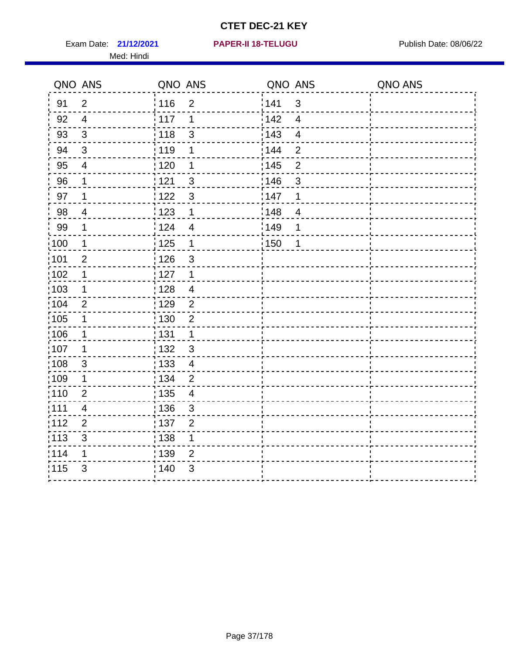Exam Date: 21/12/2021 **PAPER-II 18-TELUGU** PUBLISH Date: 08/06/22 Med: Hindi

|                   | QNO ANS                   | QNO ANS                                      | QNO ANS                                       | QNO ANS |
|-------------------|---------------------------|----------------------------------------------|-----------------------------------------------|---------|
| 91                | $\overline{2}$            | 116<br>$\overline{2}$                        | 141<br>$\mathbf{3}$                           |         |
| 92                | $\overline{4}$            | 117<br>1                                     | 142<br>$\overline{4}$                         |         |
| 93                | $\mathbf{3}$              | 118<br>3                                     | 143<br>$\overline{\mathbf{4}}$                |         |
| 94                | 3                         | : 119<br>1                                   | 144<br>$\overline{2}$                         |         |
| 95                | $\overline{4}$            | ;120<br>1                                    | : 145<br>$\overline{2}$                       |         |
| 96                | 1                         | 121<br>3                                     | 146<br>3                                      |         |
| 97                | $\mathbf 1$               | 122<br>3                                     | 147<br>1                                      |         |
| $98\,$            | $\overline{\mathbf{4}}$   | 123<br>$\mathbf 1$                           | $\frac{1}{2}$ 148<br>$\overline{\mathcal{A}}$ |         |
| 99                | 1                         | 124<br>$\overline{4}$                        | $\frac{1}{2}$ 149<br>1                        |         |
| :100              | $\mathbf{1}$              | 125<br>$\mathbf{1}$                          | $\frac{1}{1}$ 150<br>1                        |         |
| :101              | $\overline{2}$            | 126<br>3                                     |                                               |         |
| $\frac{1}{1}$ 102 | 1                         | : 127<br>1                                   |                                               |         |
| ;103              | $\mathbf 1$               | :128<br>$\overline{4}$                       |                                               |         |
| 104               | 2                         | : 129<br>$\overline{2}$                      |                                               |         |
| 105               | $\mathbf 1$               | 130<br>$\overline{2}$                        |                                               |         |
| :106              | $\mathbf 1$               | : 131<br>$\mathbf 1$                         |                                               |         |
| ;107              | $\mathbf{1}$              | $\mathbf{3}$<br>132                          |                                               |         |
| 108               | $\sqrt{3}$                | $\frac{1}{1}$ 133<br>$\overline{\mathbf{4}}$ |                                               |         |
| :109              | 1                         | : 134<br>$\overline{2}$                      |                                               |         |
| :110              | $\overline{2}$            | 135<br>$\overline{4}$                        |                                               |         |
| 1111              | 4                         | : 136<br>$\mathbf{3}$                        |                                               |         |
| 112               | $\mathbf{2}$              | : 137<br>$\overline{2}$                      |                                               |         |
| $\frac{1}{1}$ 113 | $\ensuremath{\mathsf{3}}$ | : 138<br>1                                   |                                               |         |
| 114               | 1                         | : 139<br>$\overline{2}$                      |                                               |         |
| 115               | $\mathfrak{S}$            | 140<br>$\mathfrak{S}$                        |                                               |         |
|                   |                           |                                              |                                               |         |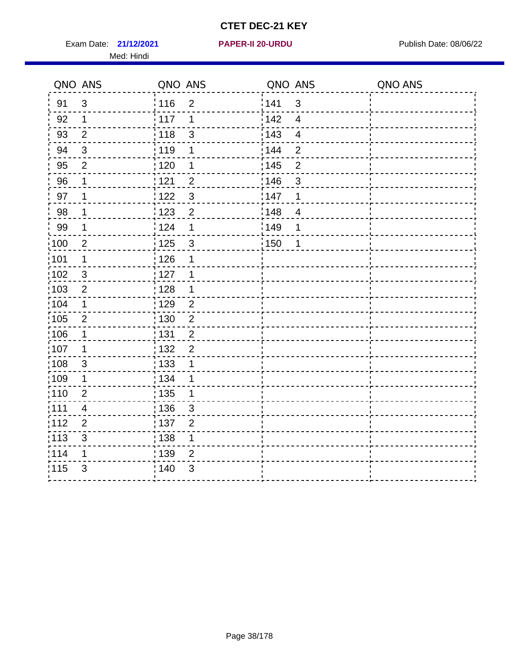Exam Date: 21/12/2021 **PAPER-II 20-URDU Exam Date: 08/06/22** Med: Hindi

**21/12/2021 PAPER-II 20-URDU**

|                   | QNO ANS                 | QNO ANS           |                | QNO ANS           |                          | QNO ANS |
|-------------------|-------------------------|-------------------|----------------|-------------------|--------------------------|---------|
| 91                | 3                       | : 116             | $\overline{2}$ | 141               | $\mathbf{3}$             |         |
| 92                | $\mathbf 1$             | 117               | 1              | 142               | $\overline{4}$           |         |
| 93                | $\overline{2}$          | 118               | $\mathfrak{S}$ | 143               | $\overline{\mathbf{4}}$  |         |
| 94                | $\mathbf{3}$            | : 119             | 1              | : 144             | $\overline{2}$           |         |
| 95                | $\overline{2}$          | : 120             | 1              | : 145             | $\overline{2}$           |         |
| 96                | 1                       | 121               | $\overline{2}$ | 146               | 3                        |         |
| 97                | 1                       | 122               | $\mathbf{3}$   | 147               | 1                        |         |
| 98                | $\mathbf{1}$            | 123               | $\overline{2}$ | 148               | $\overline{\mathcal{A}}$ |         |
| 99                | $\mathbf 1$             | 124               | 1              | $\frac{1}{2}$ 149 | 1                        |         |
| $\frac{1}{1}$ 100 | $\overline{2}$          | $\frac{1}{1}$ 125 | $\mathbf{3}$   | $\frac{1}{1}$ 150 | 1                        |         |
| :101              | 1                       | : 126             | 1              |                   |                          |         |
| 102               | 3                       | : 127             | 1              |                   |                          |         |
| 103               | $\overline{2}$          | 128               | $\mathbf 1$    |                   |                          |         |
| 104               | $\mathbf{1}$            | $\frac{1}{1}$ 129 | $\overline{2}$ |                   |                          |         |
| 105               | $\overline{2}$          | : 130             | $\overline{2}$ |                   |                          |         |
| :106              | 1                       | 131               | $\overline{2}$ |                   |                          |         |
| ;107              | 1                       | 132               | $\overline{2}$ |                   |                          |         |
| 108               | $\sqrt{3}$              | $\frac{1}{1}$ 133 | 1              |                   |                          |         |
| :109              | $\mathbf 1$             | : 134             | 1              |                   |                          |         |
| :110              | $\overline{2}$          | : 135             | 1              |                   |                          |         |
| :111              | $\overline{\mathbf{4}}$ | 136               | 3              |                   |                          |         |
| 112               | $\overline{2}$          | 137               | $\overline{2}$ |                   |                          |         |
| 113               | $\mathbf{3}$            | : 138             | 1              |                   |                          |         |
| 114               | 1                       | 139               | 2              |                   |                          |         |
| 115               | 3                       | 140               | $\mathfrak{S}$ |                   |                          |         |
|                   |                         |                   |                |                   |                          |         |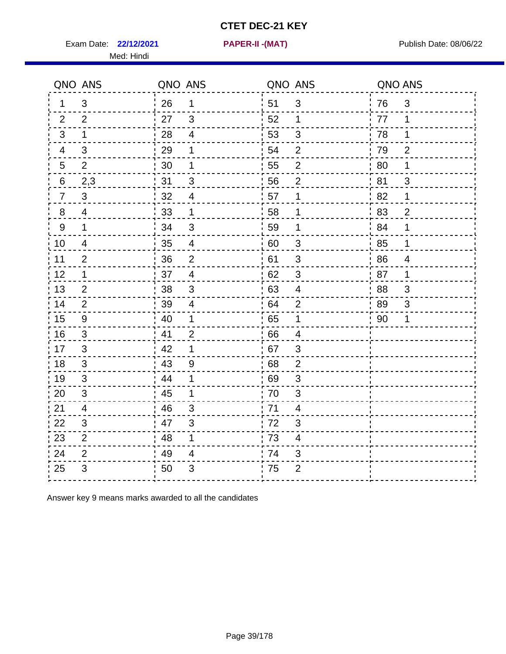Exam Date: 22/12/2021 **PAPER-II - (MAT)** PARE Exam Date: 08/06/22

Med: Hindi

**22/12/2021 PAPER-II -(MAT)**

|                  | QNO ANS        | QNO ANS          |                          | QNO ANS |                           | QNO ANS |                          |
|------------------|----------------|------------------|--------------------------|---------|---------------------------|---------|--------------------------|
| 1                | 3              | 26               | $\mathbf{1}$             | 51      | $\mathfrak{B}$            | 76      | $\mathfrak{B}$           |
| 2                | 2              | 27               | $\mathbf{3}$             | 52      | $\mathbf{1}$              | 77      | $\mathbf 1$              |
| 3                | $\mathbf 1$    | 28               | $\overline{4}$           | 53      | $\sqrt{3}$                | 78      | $\mathbf 1$              |
| 4                | 3              | 29               | 1                        | 54      | $\overline{2}$            | 79      | $\overline{2}$           |
| $\overline{5}$   | $\overline{2}$ | $30\,$           | 1                        | 55      | $\mathbf{2}$              | 80      | 1                        |
| 6                | 2,3            | 31               | 3                        | 56      | $\overline{2}$            | 81      | 3                        |
| $\overline{7}$   | 3              | 32               | $\overline{4}$           | 57      | 1                         | 82      | 1                        |
| 8                | $\overline{4}$ | 33               | 1                        | 58      | $\mathbf 1$               | 83      | $\overline{2}$           |
| $\boldsymbol{9}$ | $\mathbf 1$    | 34               | $\mathsf 3$              | 59      | $\mathbf 1$               | 84      | $\mathbf 1$              |
| 10               | 4              | 35               | $\overline{4}$           | 60      | $\sqrt{3}$                | 85      | $\mathbf 1$              |
| 11               | $\overline{2}$ | 36               | $\overline{2}$           | 61      | $\ensuremath{\mathsf{3}}$ | 86      | $\overline{\mathcal{A}}$ |
| 12               | $\mathbf 1$    | 37               | $\overline{4}$           | 62      | $\sqrt{3}$                | 87      | $\mathbf 1$              |
| 13               | 2              | 38               | 3                        | 63      | $\overline{4}$            | 88      | 3                        |
| 14               | 2              | 39               | $\overline{\mathcal{A}}$ | 64      | $\overline{2}$            | 89      | 3                        |
| 15               | $9\,$          | $\frac{1}{2}$ 40 | $\mathbf 1$              | 65      | $\mathbf 1$               | 90      | 1                        |
| 16               | 3              | 41               | $\overline{2}$           | 66      | $\overline{4}$            |         |                          |
| 17               | 3              | 42               | 1                        | 67      | 3                         |         |                          |
| 18               | 3              | 43               | 9                        | 68      | $\overline{2}$            |         |                          |
| 19               | 3              | 44               | 1                        | 69      | 3                         |         |                          |
| 20               | 3              | 45               | 1                        | 70      | 3                         |         |                          |
| 21               | 4              | 46               | 3                        | 71      | 4                         |         |                          |
| 22               | 3              | 47               | $\mathfrak{B}$           | 72      | $\mathfrak{S}$            |         |                          |
| 23               | $\overline{2}$ | 48               | 1                        | 73      | 4                         |         |                          |
| 24               | $\overline{2}$ | 49               | $\overline{\mathbf{4}}$  | 74      | 3                         |         |                          |
| 25               | 3              | 50               | 3                        | 75      | $\overline{2}$            |         |                          |

Answer key 9 means marks awarded to all the candidates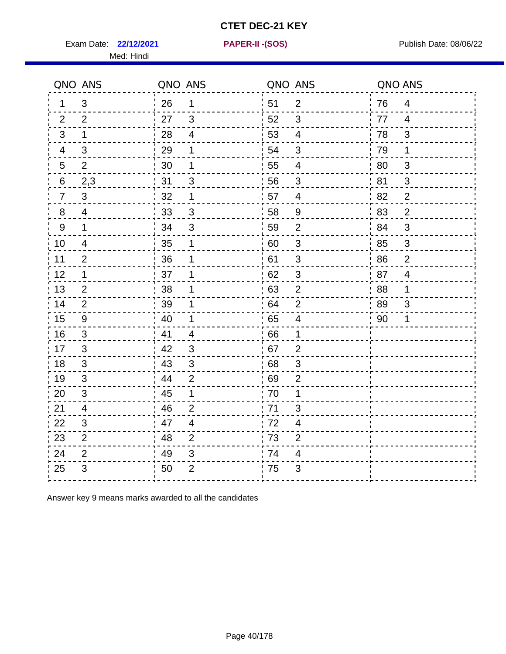Exam Date: 22/12/2021 **PAPER-II - (SOS)** Publish Date: 08/06/22

Med: Hindi

**22/12/2021 PAPER-II -(SOS)**

|                | QNO ANS        | QNO ANS |                | QNO ANS |                          | QNO ANS |                |
|----------------|----------------|---------|----------------|---------|--------------------------|---------|----------------|
| 1              | 3              | 26      | 1              | i 51    | $\overline{2}$           | 76      | $\overline{4}$ |
| 2              | 2              | 27      | 3              | 52      | 3                        | 77      | 4              |
| 3              | $\mathbf 1$    | 28      | $\overline{4}$ | 53      | $\overline{4}$           | 78      | 3              |
| 4              | 3              | 29      | 1              | 54      | $\mathfrak{B}$           | 79      | 1              |
| 5              | $\overline{2}$ | 30      | 1              | 55      | $\overline{\mathcal{A}}$ | 80      | $\mathfrak{S}$ |
| 6              | 2,3            | 31      | 3              | 56      | 3                        | 81      | 3              |
| $\overline{7}$ | 3              | 32      | 1              | 57      | $\overline{4}$           | .82     | 2              |
| 8              | 4              | 33      | 3              | 58      | 9                        | 83      | $\overline{2}$ |
| 9              | $\mathbf{1}$   | 34      | 3              | 59      | $\overline{2}$           | ' 84    | $\mathfrak{B}$ |
| 10             | 4              | 35      | 1              | 60      | $\sqrt{3}$               | 85      | $\mathfrak{S}$ |
| 11             | $\overline{2}$ | 36      | 1              | 61      | $\mathfrak{S}$           | 86      | $\overline{2}$ |
| 12             | 1              | 37      | 1              | 62      | $\sqrt{3}$               | 87      | $\overline{4}$ |
| 13             | $\overline{2}$ | 38      | 1              | 63      | $\overline{2}$           | 88      | 1              |
| 14             | 2              | 39      | 1              | 64      | $\overline{2}$           | 89      | 3              |
| 15             | 9              | 40      | 1              | 65      | $\overline{4}$           | 90      | 1              |
| 16             | 3              | 41      | $\overline{4}$ | .66     | 1                        |         |                |
| 17             | 3              | 42      | 3              | 67      | $\overline{2}$           |         |                |
| 18             | 3              | 43      | 3              | 68      | 3                        |         |                |
| 19             | 3              | 44      | $\overline{2}$ | 69      | $\overline{2}$           |         |                |
| 20             | $\mathfrak{S}$ | 45      | 1              | 70      | 1                        |         |                |
| 21             | 4              | 46      | $\overline{2}$ | .71     | 3                        |         |                |
| 22             | 3              | 47      | $\overline{4}$ | 72      | 4                        |         |                |
| 23             | $\overline{2}$ | 48      | $\overline{2}$ | 73      | $\overline{2}$           |         |                |
| 24             | $\overline{2}$ | 49      | $\mathfrak{S}$ | 74      | 4                        |         |                |
| 25             | 3              | 50      | $\overline{2}$ | 75      | 3                        |         |                |

Answer key 9 means marks awarded to all the candidates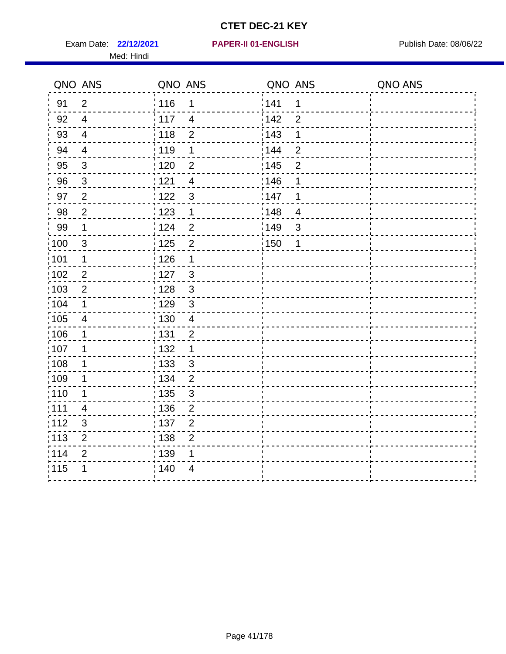Exam Date: 22/12/2021 **PAPER-II 01-ENGLISH Propriet Access 12/12/2021** Publish Date: 08/06/22 Med: Hindi

|                   | QNO ANS                   | QNO ANS           |                | QNO ANS           |                | QNO ANS |
|-------------------|---------------------------|-------------------|----------------|-------------------|----------------|---------|
| 91                | $\overline{2}$            | 116               | 1              | 141               | $\mathbf 1$    |         |
| 92                | $\overline{4}$            | 117               | $\overline{4}$ | 142               | $\overline{2}$ |         |
| 93                | $\overline{\mathbf{4}}$   | 118               | $\overline{2}$ | 143               | 1              |         |
| 94                | $\overline{4}$            | : 119             | 1              | 144               | $\overline{2}$ |         |
| 95                | 3                         | : 120             | 2              | : 145             | $\overline{2}$ |         |
| 96                | $\mathfrak{S}$            | 121               | $\overline{4}$ | 146               | 1              |         |
| 97                | $\overline{2}$            | 122               | 3              | 147               | 1              |         |
| 98                | $\overline{c}$            | $\frac{1}{2}$ 123 | $\mathbf{1}$   | $\frac{1}{2}$ 148 | $\overline{4}$ |         |
| 99                | $\mathbf 1$               | 124               | $\overline{2}$ | ¦149              | $\mathfrak{S}$ |         |
| $\frac{1}{1}$ 100 | $\mathbf{3}$              | 125               | $\overline{2}$ | $\frac{1}{2}$ 150 | 1              |         |
| :101              | 1                         | 126               | 1              |                   |                |         |
| 102               | $\overline{2}$            | : 127             | 3              |                   |                |         |
| 103               | $\overline{2}$            | 128               | $\mathfrak{3}$ |                   |                |         |
| 104               | $\mathbf 1$               | 129               | $\mathfrak{S}$ |                   |                |         |
| $\frac{1}{1}$ 105 | $\overline{4}$            | : 130             | $\overline{4}$ |                   |                |         |
| 106               | 1                         | : 131             | $\overline{2}$ |                   |                |         |
| :107              | 1                         | : 132             | 1              |                   |                |         |
| 108               | $\mathbf 1$               | : 133             | $\mathbf{3}$   |                   |                |         |
| :109              | 1                         | : 134             | $\overline{2}$ |                   |                |         |
| :110              | 1                         | : 135             | 3              |                   |                |         |
| 111               | $\overline{\mathcal{A}}$  | : 136             | $\overline{c}$ |                   |                |         |
| 112               | $\ensuremath{\mathsf{3}}$ | 137               | $\overline{c}$ |                   |                |         |
| 113               | $\mathbf 2$               | : 138             | $\overline{2}$ |                   |                |         |
| 114               | $\overline{2}$            | 139               | 1              |                   |                |         |
| 115               | 1                         | 140               | 4              |                   |                |         |
|                   |                           |                   |                |                   |                |         |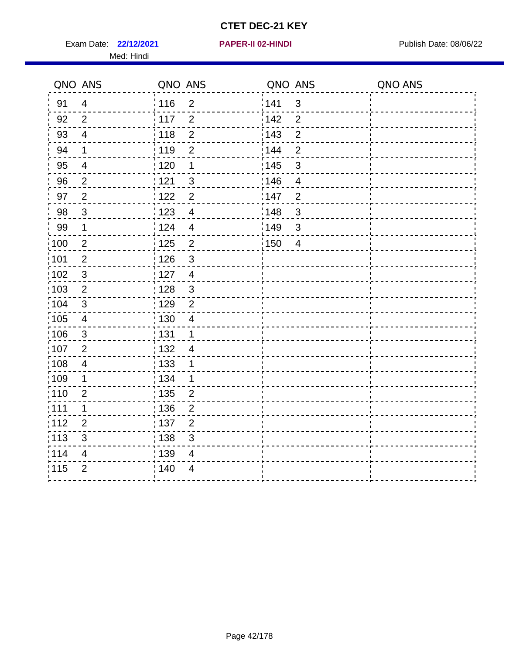Exam Date: 22/12/2021 **PAPER-II 02-HINDI Exam Date: 08/06/22** Med: Hindi

**22/12/2021 PAPER-II 02-HINDI**

|                   | QNO ANS                 | QNO ANS                        | QNO ANS                | QNO ANS |
|-------------------|-------------------------|--------------------------------|------------------------|---------|
| 91                | $\overline{4}$          | 116<br>$\overline{2}$          | 141<br>$\sqrt{3}$      |         |
| 92                | $\overline{2}$          | 117<br>$\overline{2}$          | 142<br>$\overline{2}$  |         |
| 93                | $\overline{4}$          | $\overline{2}$<br>118          | 143<br>$\overline{2}$  |         |
| 94                | 1                       | : 119<br>$\overline{2}$        | 144<br>$\overline{2}$  |         |
| 95                | 4                       | : 120<br>1                     | : 145<br>$\mathbf{3}$  |         |
| 96                | $\overline{2}$          | 121<br>3                       | 146<br>$\overline{4}$  |         |
| 97                | $\overline{2}$          | 122<br>$\overline{2}$          | :147<br>$\overline{2}$ |         |
| 98                | $\mathbf{3}$            | 123<br>$\overline{4}$          | 148<br>$\sqrt{3}$      |         |
| 99                | $\mathbf 1$             | 124<br>$\overline{\mathbf{4}}$ | 149<br>$\mathsf 3$     |         |
| $\frac{1}{1}$ 100 | $\mathbf 2$             | $\overline{2}$<br>125          | 150<br>$\overline{4}$  |         |
| :101              | $\overline{2}$          | : 126<br>$\sqrt{3}$            |                        |         |
| 102               | 3                       | : 127<br>$\overline{4}$        |                        |         |
| 103               | $\overline{2}$          | $\mathbf{3}$<br>: 128          |                        |         |
| 104               | $\mathbf{3}$            | : 129<br>$\overline{2}$        |                        |         |
| 105               | $\overline{\mathbf{4}}$ | : 130<br>$\overline{4}$        |                        |         |
| :106              | $\mathbf{3}$            | : 131<br>$\mathbf 1$           |                        |         |
| 107               | $\overline{2}$          | : 132<br>$\overline{4}$        |                        |         |
| 108               | $\overline{4}$          | 133<br>1                       |                        |         |
| :109              | $\mathbf{1}$            | : 134<br>$\mathbf 1$           |                        |         |
| :110              | $\overline{2}$          | : 135<br>$\overline{2}$        |                        |         |
| ;111              | 1                       | : 136<br>$\overline{2}$        |                        |         |
| 112               | $\overline{2}$          | :137<br>$\mathbf{2}$           |                        |         |
| 113               | $\sqrt{3}$              | : 138<br>$\sqrt{3}$            |                        |         |
| 114               | $\overline{4}$          | : 139<br>$\overline{4}$        |                        |         |
| 115               | $\overline{2}$          | 140<br>$\overline{4}$          |                        |         |
|                   |                         |                                |                        |         |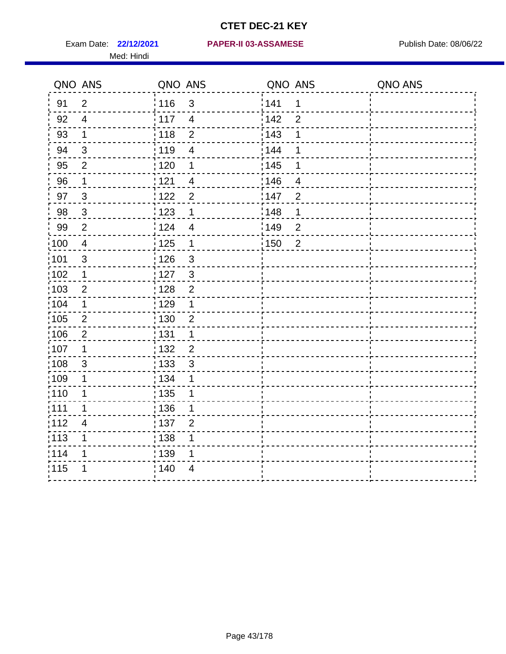Med: Hindi

#### **22/12/2021 PAPER-II 03-ASSAMESE** Exam Date: Publish Date: 08/06/22

|                   | QNO ANS                   | QNO ANS                          | QNO ANS                  | QNO ANS |
|-------------------|---------------------------|----------------------------------|--------------------------|---------|
| 91                | $\overline{2}$            | 116<br>$\mathbf{3}$              | 141<br>1                 |         |
| 92                | $\overline{4}$            | 117<br>$\overline{4}$            | 142<br>$\overline{2}$    |         |
| 93                | $\mathbf 1$               | : 118<br>$\overline{2}$          | 143<br>1                 |         |
| 94                | 3                         | : 119<br>$\overline{\mathbf{4}}$ | : 144<br>1               |         |
| 95                | 2                         | : 120<br>1                       | : 145<br>1               |         |
| 96                | $\mathbf 1$               | : 121<br>4                       | 146<br>4                 |         |
| 97                | $\mathfrak{B}$            | : 122<br>$\overline{2}$          | : 147<br>$\overline{2}$  |         |
| 98                | $\mathbf 3$               | 123<br>1                         | 148<br>1                 |         |
| 99                | $\mathbf{2}$              | : 124<br>$\overline{4}$          | :149<br>$\boldsymbol{2}$ |         |
| $\frac{1}{1}$ 100 | $\overline{4}$            | : 125<br>$\mathbf 1$             | 150<br>$\overline{2}$    |         |
| :101              | $\sqrt{3}$                | : 126<br>$\mathfrak{S}$          |                          |         |
| 102               | 1                         | : 127<br>$\mathbf{3}$            |                          |         |
| 103               | $\overline{2}$            | $\overline{2}$<br>: 128          |                          |         |
| 104               | $\mathbf 1$               | 129<br>1                         |                          |         |
| 105               | $\overline{2}$            | 130<br>$\overline{2}$            |                          |         |
| 106               | $\overline{2}$            | : 131<br>1                       |                          |         |
| :107              | $\mathbf 1$               | : 132<br>$\overline{2}$          |                          |         |
| 108               | $\ensuremath{\mathsf{3}}$ | : 133<br>$\sqrt{3}$              |                          |         |
| 109               | 1                         | : 134<br>1                       |                          |         |
| : 110             | 1                         | : 135<br>1                       |                          |         |
| : 111             | 1                         | 136<br>1                         |                          |         |
| 112               | $\overline{\mathbf{4}}$   | : 137<br>$\overline{2}$          |                          |         |
| : 113             | 1                         | : 138<br>1                       |                          |         |
| 114               | 1                         | : 139<br>1                       |                          |         |
| 115               | 1                         | 140<br>$\overline{4}$            |                          |         |
|                   |                           |                                  |                          |         |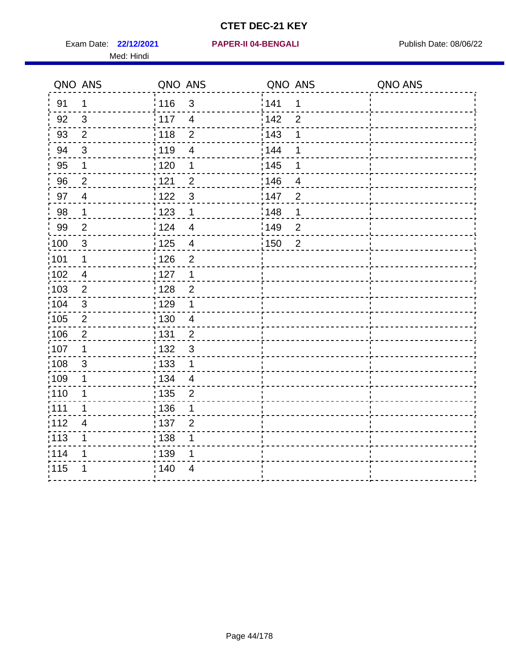Exam Date: 22/12/2021 **PAPER-II 04-BENGALI** PUBLISH Date: 08/06/22 Med: Hindi

|                   | QNO ANS        | QNO ANS                           | QNO ANS                             | QNO ANS |
|-------------------|----------------|-----------------------------------|-------------------------------------|---------|
| 91                | 1              | 116<br>$\mathfrak{S}$             | 141<br>$\mathbf 1$                  |         |
| 92                | $\mathfrak{B}$ | 117<br>$\overline{4}$             | 142<br>$\overline{2}$               |         |
| 93                | $\overline{2}$ | 118<br>$\overline{2}$             | 143<br>1                            |         |
| 94                | 3              | : 119<br>$\overline{\mathcal{A}}$ | 144<br>1                            |         |
| 95                | 1              | : 120<br>1                        | : 145<br>1                          |         |
| 96                | $\overline{2}$ | 121<br>$\overline{2}$             | 146<br>$\overline{4}$               |         |
| 97                | $\overline{4}$ | $\mathbf{3}$<br>122               | 147<br>$\overline{2}$               |         |
| $98\,$            | $\mathbf{1}$   | $\frac{1}{2}$ 123<br>$\mathbf 1$  | $\frac{1}{2}$ 148<br>1              |         |
| 99                | $\overline{2}$ | 124<br>$\overline{4}$             | $\frac{1}{2}$ 149<br>$\overline{c}$ |         |
| $\frac{1}{1}$ 100 | $\mathbf{3}$   | 125<br>$\overline{\mathbf{4}}$    | $\frac{1}{1}$ 150<br>$\overline{2}$ |         |
| 101               | 1              | 126<br>$\overline{2}$             |                                     |         |
| 102               | $\overline{4}$ | : 127<br>1                        |                                     |         |
| 103               | $\overline{2}$ | $\overline{2}$<br>128             |                                     |         |
| 104               | $\sqrt{3}$     | i 129<br>1                        |                                     |         |
| 105               | $\sqrt{2}$     | : 130<br>$\overline{4}$           |                                     |         |
| :106              | $\overline{2}$ | : 131<br>$\overline{2}$           |                                     |         |
| :107              | 1              | $\mathbf{3}$<br>: 132             |                                     |         |
| 108               | $\mathsf 3$    | : 133<br>$\mathbf{1}$             |                                     |         |
| :109              | 1              | : 134<br>$\overline{4}$           |                                     |         |
| :110              | 1              | : 135<br>$\overline{2}$           |                                     |         |
| :111              | 1              | : 136<br>1                        |                                     |         |
| 112               | $\overline{4}$ | 137<br>$\overline{2}$             |                                     |         |
| 113               | 1              | : 138<br>1                        |                                     |         |
| 114               | 1              | :139<br>1                         |                                     |         |
| 115               | 1              | 140<br>4                          |                                     |         |
|                   |                |                                   |                                     |         |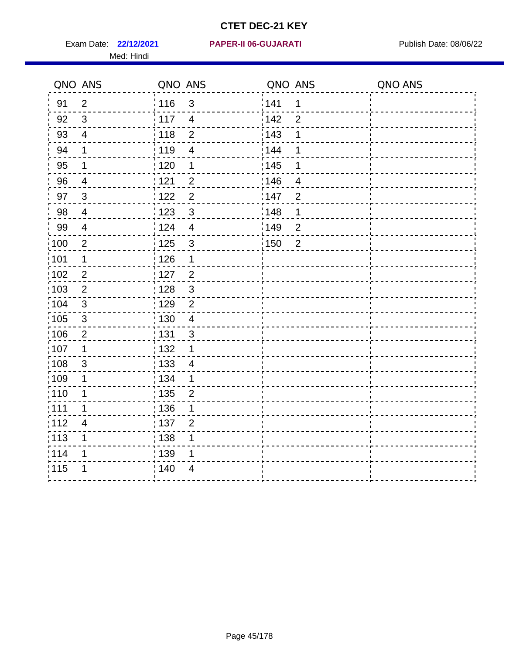Med: Hindi

|                   | QNO ANS        | QNO ANS           |                          | QNO ANS |                  | QNO ANS |
|-------------------|----------------|-------------------|--------------------------|---------|------------------|---------|
| 91                | $\overline{2}$ | : 116             | $\mathfrak{S}$           | 141     | $\mathbf 1$      |         |
| 92                | 3              | 117               | $\overline{4}$           | 142     | $\overline{2}$   |         |
| 93                | $\overline{4}$ | 118               | $\overline{2}$           | 143     | 1                |         |
| 94                | 1              | : 119             | $\overline{\mathbf{4}}$  | 144     | 1                |         |
| 95                | 1              | :120              | 1                        | : 145   | 1                |         |
| 96                | $\overline{4}$ | 121               | $\overline{2}$           | 146     | $\overline{4}$   |         |
| 97                | $\mathbf{3}$   | 122               | $\overline{2}$           | 147     | $\overline{2}$   |         |
| 98                | $\overline{4}$ | 123               | $\sqrt{3}$               | : 148   | 1                |         |
| 99                | $\overline{4}$ | : 124             | $\overline{\mathbf{4}}$  | :149    | $\boldsymbol{2}$ |         |
| :100              | $\mathbf{2}$   | 125               | $\mathfrak{S}$           | 150     | $\overline{2}$   |         |
| :101              | $\mathbf 1$    | : 126             | 1                        |         |                  |         |
| 102               | $\overline{2}$ | : 127             | $\overline{2}$           |         |                  |         |
| 103               | $\overline{2}$ | :128              | $\mathbf{3}$             |         |                  |         |
| 104               | $\mathbf{3}$   | : 129             | $\overline{2}$           |         |                  |         |
| 105               | $\sqrt{3}$     | 130               | $\overline{\mathcal{A}}$ |         |                  |         |
| 106               | $\overline{2}$ | : 131             | $\mathfrak{S}$           |         |                  |         |
| :107              | $\mathbf 1$    | : 132             | 1                        |         |                  |         |
| :108              | $\sqrt{3}$     | $\frac{1}{1}$ 133 | $\overline{4}$           |         |                  |         |
| 109               | 1              | : 134             | $\mathbf{1}$             |         |                  |         |
| :110              | 1              | : 135             | $\overline{2}$           |         |                  |         |
| 111               | 1              | 136               | 1                        |         |                  |         |
| 112               | 4              | : 137             | $\overline{2}$           |         |                  |         |
| $\frac{1}{1}$ 113 | 1              | : 138             | 1                        |         |                  |         |
| 114               | 1              | 139               | 1                        |         |                  |         |
| 115               | 1              | 140               | $\overline{4}$           |         |                  |         |
|                   |                |                   |                          |         |                  |         |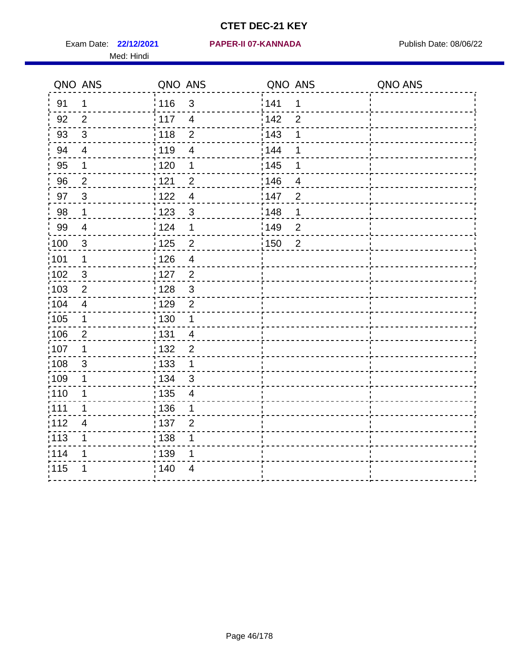Med: Hindi

|                   | QNO ANS                 | QNO ANS           |                          | QNO ANS |                | QNO ANS |
|-------------------|-------------------------|-------------------|--------------------------|---------|----------------|---------|
| 91                | $\mathbf 1$             | : 116             | $\mathfrak{3}$           | 1141    | $\mathbf 1$    |         |
| 92                | 2                       | 117               | $\overline{4}$           | 142     | $\overline{2}$ |         |
| 93                | $\sqrt{3}$              | $\frac{1}{118}$   | $\mathbf 2$              | 143     | 1              |         |
| 94                | $\overline{\mathbf{4}}$ | 119               | $\overline{\mathbf{4}}$  | 144     | 1              |         |
| 95                | 1                       | : 120             | 1                        | : 145   | 1              |         |
| 96                | $\overline{2}$          | 121               | $\overline{2}$           | 146     | 4              |         |
| 97                | $\mathbf{3}$            | 1122              | $\overline{4}$           | 147     | $\overline{2}$ |         |
| 98                | $\mathbf 1$             | 123               | $\mathbf{3}$             | 148     | $\mathbf 1$    |         |
| 99                | $\overline{4}$          | 124               | 1                        | 149     | $\mathbf 2$    |         |
| $\frac{1}{1}$ 100 | $\sqrt{3}$              | $\frac{1}{1}$ 125 | $\overline{2}$           | 150     | $\overline{2}$ |         |
| :101              | 1                       | : 126             | $\overline{4}$           |         |                |         |
| 102               | 3                       | : 127             | $\overline{2}$           |         |                |         |
| 103               | $\overline{2}$          | : 128             | $\mathfrak{3}$           |         |                |         |
| 104               | $\overline{4}$          | : 129             | $\overline{2}$           |         |                |         |
| :105              | $\mathbf 1$             | 130               | $\mathbf 1$              |         |                |         |
| 106               | $\overline{2}$          | : 131             | $\overline{4}$           |         |                |         |
| :107              | $\mathbf 1$             | : 132             | $\overline{2}$           |         |                |         |
| $\frac{1}{1}$ 108 | $\sqrt{3}$              | : 133             | $\mathbf 1$              |         |                |         |
| :109              | 1                       | : 134             | $\mathbf{3}$             |         |                |         |
| :110              | 1                       | : 135             | $\overline{\mathcal{A}}$ |         |                |         |
| : 111             | 1                       | 136               | 1                        |         |                |         |
| 112               | 4                       | : 137             | $\overline{2}$           |         |                |         |
| $\frac{1}{1}$ 113 | 1                       | : 138             | 1                        |         |                |         |
| 114               | 1                       | 139               | 1                        |         |                |         |
| 115               | 1                       | 140               | $\overline{4}$           |         |                |         |
|                   |                         |                   |                          |         |                |         |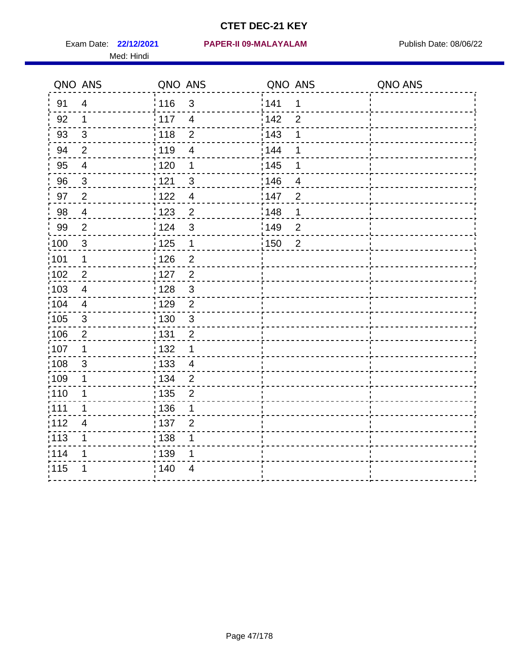Med: Hindi

#### **22/12/2021 PAPER-II 09-MALAYALAM** Exam Date: Publish Date: 08/06/22

|                   | QNO ANS                 | QNO ANS           |                | QNO ANS           |                | QNO ANS |
|-------------------|-------------------------|-------------------|----------------|-------------------|----------------|---------|
| 91                | $\overline{4}$          | : 116             | $\mathfrak{S}$ | 141               | 1              |         |
| 92                | $\mathbf 1$             | 117               | $\overline{4}$ | 142               | $\overline{2}$ |         |
| 93                | $\sqrt{3}$              | 118               | $\mathbf 2$    | 143               | 1              |         |
| 94                | 2                       | 119               | $\overline{4}$ | 144               | 1              |         |
| 95                | $\overline{\mathbf{4}}$ | : 120             | 1              | : 145             | 1              |         |
| 96                | 3                       | 121               | $\mathfrak{S}$ | :146              | 4              |         |
| 97                | $\overline{2}$          | 1122              | $\overline{4}$ | 147               | $\overline{2}$ |         |
| 98                | $\overline{\mathbf{4}}$ | $\frac{1}{2}$ 123 | $\overline{2}$ | 148               | 1              |         |
| 99                | $\mathbf{2}$            | 124               | $\mathfrak{S}$ | 149               | $\overline{2}$ |         |
| 100               | $\mathbf{3}$            | 125               | $\mathbf 1$    | $\frac{1}{1}$ 150 | $\overline{2}$ |         |
| 101               | 1                       | 126               | $\overline{2}$ |                   |                |         |
| 102               | $\overline{2}$          | : 127             | $\overline{c}$ |                   |                |         |
| 103               | 4                       | 128               | $\mathbf{3}$   |                   |                |         |
| $\frac{1}{1}$ 104 | 4                       | : 129             | $\overline{2}$ |                   |                |         |
| $\frac{1}{1}$ 105 | $\sqrt{3}$              | : 130             | $\sqrt{3}$     |                   |                |         |
| 106               | $\overline{2}$          | : 131             | $\overline{2}$ |                   |                |         |
| :107              | $\mathbf 1$             | : 132             | $\mathbf 1$    |                   |                |         |
| 108               | $\sqrt{3}$              | : 133             | $\overline{4}$ |                   |                |         |
| :109              | 1                       | : 134             | $\overline{2}$ |                   |                |         |
| :110              | 1                       | : 135             | $\overline{2}$ |                   |                |         |
| : 111             | 1                       | 136               | 1              |                   |                |         |
| 112               | $\overline{4}$          | : 137             | $\overline{2}$ |                   |                |         |
| $\frac{1}{1}$ 113 | 1                       | : 138             | 1              |                   |                |         |
| 114               | 1                       | 139               | 1              |                   |                |         |
| 115               | 1                       | 140               | $\overline{4}$ |                   |                |         |
|                   |                         |                   |                |                   |                |         |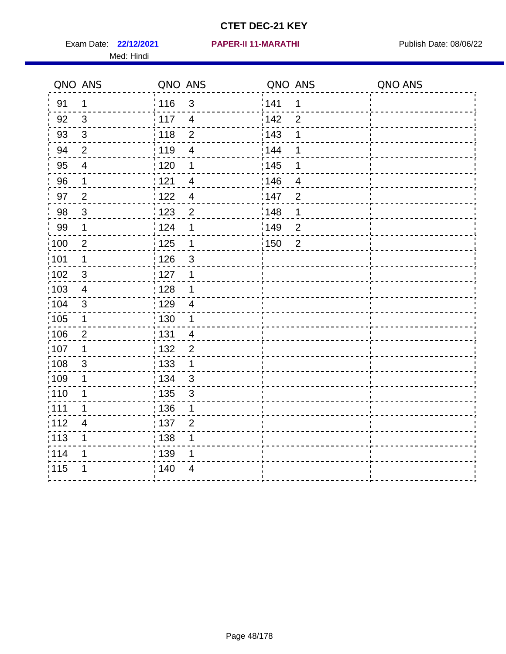Exam Date: 22/12/2021 **PAPER-II 11-MARATHI** Publish Date: 08/06/22 Med: Hindi

|                   | QNO ANS                   | QNO ANS           |                | QNO ANS |                  | QNO ANS |
|-------------------|---------------------------|-------------------|----------------|---------|------------------|---------|
| 91                | $\mathbf 1$               | : 116             | $\mathfrak{S}$ | 1141    | $\mathbf 1$      |         |
| 92                | 3                         | 117               | $\overline{4}$ | 142     | $\overline{2}$   |         |
| 93                | $\sqrt{3}$                | 118               | $\overline{2}$ | 143     | 1                |         |
| 94                | 2                         | : 119             | $\overline{4}$ | : 144   | 1                |         |
| 95                | 4                         | : 120             | 1              | : 145   | 1                |         |
| 96                | 1                         | 121               | 4              | 146     | 4                |         |
| 97                | $\overline{2}$            | 122               | $\overline{4}$ | 147     | $\overline{2}$   |         |
| 98                | $\mathbf{3}$              | 1123              | $\overline{c}$ | 148     | 1                |         |
| 99                | $\mathbf 1$               | 124               | 1              | :149    | $\boldsymbol{2}$ |         |
| $\frac{1}{1}$ 100 | $\mathbf 2$               | 125               | $\mathbf 1$    | 150     | $\overline{2}$   |         |
| :101              | 1                         | : 126             | $\mathsf 3$    |         |                  |         |
| 102               | 3                         | : 127             | 1              |         |                  |         |
| 103               | $\overline{4}$            | : 128             | $\mathbf 1$    |         |                  |         |
| $\frac{1}{104}$   | $\mathbf{3}$              | : 129             | $\overline{4}$ |         |                  |         |
| 105               | $\mathbf 1$               | $\frac{1}{1}$ 130 | $\mathbf 1$    |         |                  |         |
| 106               | $\overline{2}$            | : 131             | $\overline{4}$ |         |                  |         |
| :107              | $\mathbf 1$               | : 132             | $\overline{2}$ |         |                  |         |
| 108               | $\ensuremath{\mathsf{3}}$ | : 133             | $\mathbf 1$    |         |                  |         |
| 109               | 1                         | : 134             | $\mathfrak{3}$ |         |                  |         |
| : 110             | 1                         | : 135             | $\sqrt{3}$     |         |                  |         |
| : 111             | 1                         | : 136             | 1              |         |                  |         |
| 112               | $\overline{\mathbf{4}}$   | : 137             | $\overline{2}$ |         |                  |         |
| : 113             | 1                         | : 138             | 1              |         |                  |         |
| 114               | 1                         | : 139             | 1              |         |                  |         |
| 115               | 1                         | 140               | $\overline{4}$ |         |                  |         |
|                   |                           |                   |                |         |                  |         |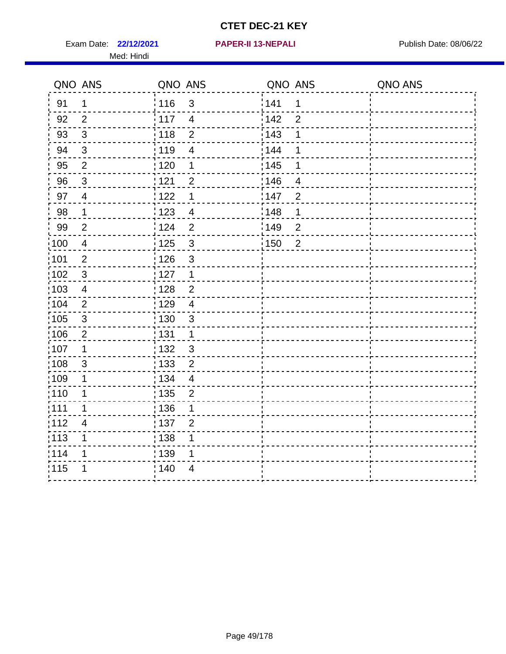Exam Date: 22/12/2021 **PAPER-II 13-NEPALI Exam Date: 08/06/22** Med: Hindi

**22/12/2021 PAPER-II 13-NEPALI**

|                   | QNO ANS        | QNO ANS           |                | QNO ANS |                | QNO ANS |
|-------------------|----------------|-------------------|----------------|---------|----------------|---------|
| 91                | $\mathbf 1$    | 116               | $\mathfrak{3}$ | 1141    | $\mathbf 1$    |         |
| 92                | $\overline{2}$ | $\frac{1}{2}$ 117 | $\overline{4}$ | 142     | $\overline{2}$ |         |
| 93                | $\mathfrak{S}$ | 118               | $\overline{2}$ | 143     | 1              |         |
| 94                | 3              | : 119             | $\overline{4}$ | : 144   | 1              |         |
| 95                | 2              | : 120             | 1              | : 145   | 1              |         |
| 96                | $\mathbf{3}$   | 121               | $\overline{2}$ | 146     | 4              |         |
| 97                | $\overline{4}$ | 122               | 1              | 147     | $\overline{2}$ |         |
| 98                | $\mathbf{1}$   | 123               | $\overline{4}$ | 148     | 1              |         |
| 99                | $\overline{2}$ | 124               | $\overline{2}$ | 149     | $\overline{2}$ |         |
| $\frac{1}{1}$ 100 | $\overline{4}$ | $\frac{1}{1}$ 125 | $\mathbf{3}$   | 150     | $\overline{2}$ |         |
| :101              | $\overline{2}$ | : 126             | $\mathsf 3$    |         |                |         |
| 102               | 3              | : 127             | $\mathbf{1}$   |         |                |         |
| 103               | $\overline{4}$ | : 128             | $\overline{2}$ |         |                |         |
| :104              | $\overline{2}$ | $\frac{1}{1}$ 129 | $\overline{4}$ |         |                |         |
| $\frac{1}{1}$ 105 | $\sqrt{3}$     | 130               | $\mathfrak{S}$ |         |                |         |
| :106              | $\overline{2}$ | : 131             | $\mathbf 1$    |         |                |         |
| ;107              | $\mathbf{1}$   | 132               | $\sqrt{3}$     |         |                |         |
| 108               | $\sqrt{3}$     | 133               | $\overline{2}$ |         |                |         |
| :109              | 1              | : 134             | $\overline{4}$ |         |                |         |
| :110              | 1              | : 135             | $\overline{2}$ |         |                |         |
| :111              | $\mathbf 1$    | : 136             | 1              |         |                |         |
| 112               | $\overline{4}$ | : 137             | $\mathbf{2}$   |         |                |         |
| 113               | 1              | : 138             | 1              |         |                |         |
| 114               | 1              | :139              | 1              |         |                |         |
| 115               | 1              | 140               | $\overline{4}$ |         |                |         |
|                   |                |                   |                |         |                |         |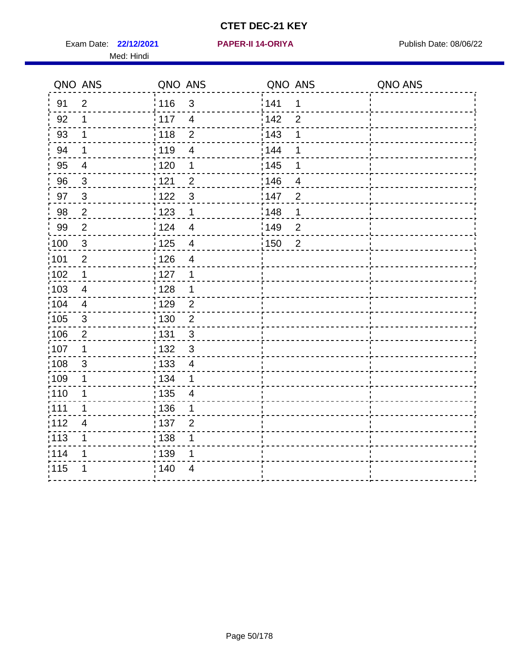Exam Date: 22/12/2021 **PAPER-II 14-ORIYA** Publish Date: 08/06/22 Med: Hindi

**22/12/2021 PAPER-II 14-ORIYA**

|                   | QNO ANS                 | QNO ANS           |                          | QNO ANS           |                | QNO ANS |
|-------------------|-------------------------|-------------------|--------------------------|-------------------|----------------|---------|
| 91                | $\overline{2}$          | : 116             | 3                        | 1141              | 1              |         |
| 92                | 1                       | $\frac{1}{117}$   | $\overline{4}$           | 142               | $\overline{2}$ |         |
| 93                | $\mathbf 1$             | : 118             | $\overline{2}$           | 143               | 1              |         |
| 94                | 1                       | : 119             | $\overline{4}$           | 144               |                |         |
| 95                | $\overline{4}$          | : 120             | 1                        | : 145             |                |         |
| 96                | $\mathfrak{S}$          | 121               | $\overline{2}$           | :146              | 4              |         |
| 97                | $\mathfrak{S}$          | 1122              | $\mathfrak{B}$           | 147               | $\overline{2}$ |         |
| 98                | $\overline{2}$          | 123               | $\mathbf 1$              | 148               | 1              |         |
| 99                | $\overline{2}$          | 124               | $\overline{4}$           | $\frac{1}{2}$ 149 | $\overline{2}$ |         |
| 100               | $\mathbf{3}$            | $\frac{1}{1}$ 125 | $\overline{4}$           | $\frac{1}{1}$ 150 | $\overline{2}$ |         |
| :101              | $\overline{2}$          | : 126             | $\overline{4}$           |                   |                |         |
| 102               | $\mathbf 1$             | : 127             | 1                        |                   |                |         |
| 103               | $\overline{4}$          | : 128             | $\mathbf 1$              |                   |                |         |
| :104              | $\overline{\mathbf{4}}$ | : 129             | $\overline{2}$           |                   |                |         |
| :105              | $\mathsf 3$             | : 130             | $\overline{2}$           |                   |                |         |
| 106               | $\overline{2}$          | : 131             | 3                        |                   |                |         |
| :107              | 1                       | : 132             | $\mathfrak{3}$           |                   |                |         |
| $\frac{1}{1}$ 108 | $\sqrt{3}$              | : 133             | $\overline{\mathcal{A}}$ |                   |                |         |
| :109              | 1                       | : 134             | $\mathbf 1$              |                   |                |         |
| :110              | 1                       | : 135             | $\overline{4}$           |                   |                |         |
| : 111             | 1                       | 136               | 1                        |                   |                |         |
| 112               | 4                       | : 137             | $\overline{2}$           |                   |                |         |
| $\frac{1}{1}$ 113 | 1                       | : 138             | 1                        |                   |                |         |
| 114               | 1                       | 139               | 1                        |                   |                |         |
| 115               | 1                       | 140               | $\overline{4}$           |                   |                |         |
|                   |                         |                   |                          |                   |                |         |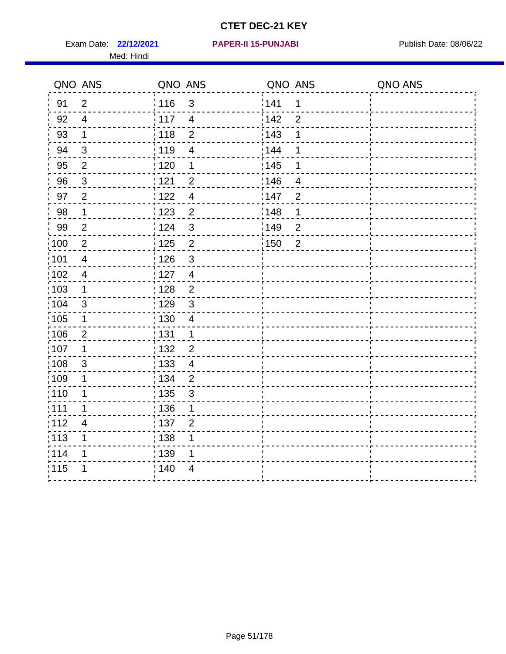Exam Date: 22/12/2021 **PAPER-II 15-PUNJABI** Publish Date: 08/06/22 Med: Hindi

|                   | QNO ANS                  | QNO ANS                             | QNO ANS           |                | QNO ANS |
|-------------------|--------------------------|-------------------------------------|-------------------|----------------|---------|
| 91                | $\overline{2}$           | 116<br>$\mathfrak{S}$               | 141               | $\mathbf 1$    |         |
| 92                | $\overline{4}$           | 117<br>$\overline{4}$               | 142               | $\overline{2}$ |         |
| 93                | $\mathbf 1$              | 118<br>$\overline{2}$               | 143               | 1              |         |
| 94                | 3                        | : 119<br>$\overline{\mathcal{A}}$   | 144               | 1              |         |
| 95                | $\overline{2}$           | : 120<br>1                          | : 145             | 1              |         |
| 96                | $\mathfrak{S}$           | 121<br>$\overline{2}$               | 146               | $\overline{4}$ |         |
| 97                | $\overline{2}$           | 122<br>$\overline{4}$               | 147               | $\overline{2}$ |         |
| $98\,$            | $\mathbf{1}$             | $\frac{1}{2}$ 123<br>$\overline{c}$ | $\frac{1}{2}$ 148 | 1              |         |
| 99                | $\overline{2}$           | 124<br>$\mathfrak{S}$               | $\frac{1}{2}$ 149 | $\overline{c}$ |         |
| $\frac{1}{1}$ 100 | $\sqrt{2}$               | $\overline{2}$<br>125               | $\frac{1}{1}$ 150 | $\overline{2}$ |         |
| 101               | $\overline{\mathcal{A}}$ | 126<br>3                            |                   |                |         |
| 102               | $\overline{4}$           | : 127<br>$\overline{4}$             |                   |                |         |
| 103               | $\mathbf 1$              | $\overline{2}$<br>128               |                   |                |         |
| 104               | $\sqrt{3}$               | $\mathfrak{S}$<br>: 129             |                   |                |         |
| 105               | 1                        | : 130<br>$\overline{4}$             |                   |                |         |
| ;106              | $\overline{2}$           | : 131<br>$\mathbf 1$                |                   |                |         |
| :107              | 1                        | : 132<br>$\overline{2}$             |                   |                |         |
| 108               | $\sqrt{3}$               | : 133<br>$\overline{\mathbf{4}}$    |                   |                |         |
| :109              | 1                        | : 134<br>$\overline{2}$             |                   |                |         |
| :110              | 1                        | : 135<br>3                          |                   |                |         |
| 111               | 1                        | : 136<br>1                          |                   |                |         |
| 112               | $\overline{\mathcal{A}}$ | 137<br>$\overline{2}$               |                   |                |         |
| 113               | 1                        | 138<br>1                            |                   |                |         |
| 114               | 1                        | :139<br>1                           |                   |                |         |
| 115               | 1                        | 140<br>4                            |                   |                |         |
|                   |                          |                                     |                   |                |         |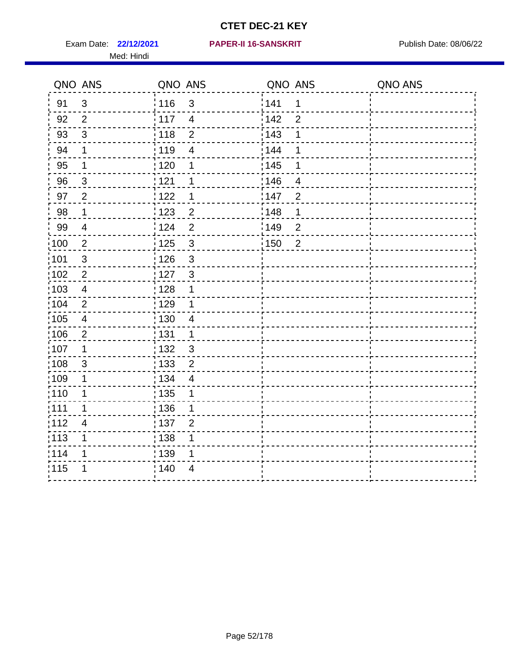Med: Hindi

|                   | QNO ANS                 | QNO ANS                           | QNO ANS                             | QNO ANS |
|-------------------|-------------------------|-----------------------------------|-------------------------------------|---------|
| 91                | $\mathbf{3}$            | 116<br>$\mathfrak{S}$             | 141<br>$\mathbf 1$                  |         |
| 92                | $\overline{2}$          | 117<br>$\overline{4}$             | 142<br>$\overline{2}$               |         |
| 93                | $\sqrt{3}$              | 118<br>$\overline{2}$             | 143<br>1                            |         |
| 94                | 1                       | : 119<br>$\overline{\mathbf{4}}$  | 144<br>1                            |         |
| 95                | 1                       | : 120<br>1                        | : 145<br>1                          |         |
| 96                | $\mathbf{3}$            | 121<br>1                          | 146<br>$\overline{4}$               |         |
| 97                | $\overline{2}$          | 122<br>1                          | 147<br>$\overline{2}$               |         |
| 98                | $\mathbf{1}$            | 123<br>$\overline{c}$             | ¦148<br>1                           |         |
| 99                | $\overline{\mathbf{4}}$ | 124<br>$\overline{2}$             | $\frac{1}{2}$ 149<br>$\overline{c}$ |         |
| $\frac{1}{1}$ 100 | $\overline{2}$          | $\mathbf{3}$<br>$\frac{1}{1}$ 125 | $\frac{1}{1}$ 150<br>$\overline{2}$ |         |
| :101              | $\sqrt{3}$              | : 126<br>$\mathfrak{S}$           |                                     |         |
| 102               | $\overline{2}$          | : 127<br>$\mathbf{3}$             |                                     |         |
| ;103              | $\overline{4}$          | : 128<br>1                        |                                     |         |
| 104               | $\overline{2}$          | : 129<br>1                        |                                     |         |
| 105               | $\overline{\mathbf{4}}$ | 130<br>$\overline{4}$             |                                     |         |
| :106              | $\overline{2}$          | : 131<br>1                        |                                     |         |
| ;107              | 1                       | $\mathfrak{S}$<br>132             |                                     |         |
| 108               | $\sqrt{3}$              | : 133<br>$\mathbf 2$              |                                     |         |
| :109              | 1                       | : 134<br>$\overline{4}$           |                                     |         |
| :110              | 1                       | : 135<br>1                        |                                     |         |
| : 111             | 1                       | : 136<br>1                        |                                     |         |
| 112               | 4                       | : 137<br>$\overline{2}$           |                                     |         |
| : 113             | 1                       | : 138<br>1                        |                                     |         |
| 114               | 1                       | 139 <br>1                         |                                     |         |
| 115               | 1                       | 140<br>4                          |                                     |         |
|                   |                         |                                   |                                     |         |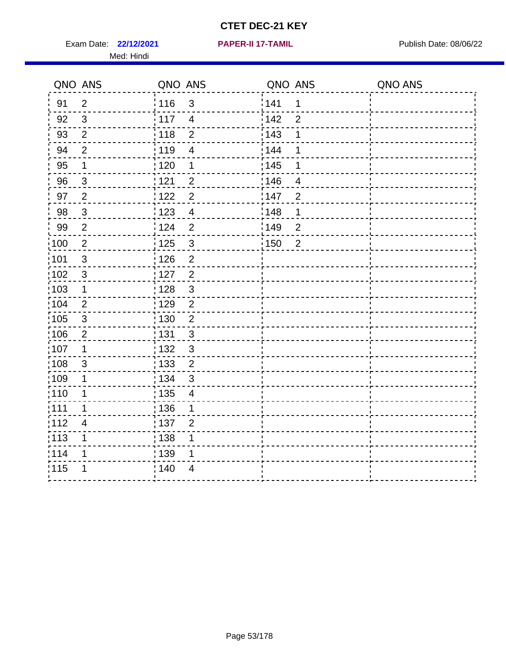Exam Date: 22/12/2021 **PAPER-II 17-TAMIL Exam Date: 08/06/22** Med: Hindi

**22/12/2021 PAPER-II 17-TAMIL**

|                   | QNO ANS        | QNO ANS                             | QNO ANS                             | QNO ANS |
|-------------------|----------------|-------------------------------------|-------------------------------------|---------|
| 91                | $\overline{2}$ | : 116<br>3                          | 141<br>1                            |         |
| 92                | $\mathfrak{S}$ | 117<br>$\overline{4}$               | 142<br>$\overline{2}$               |         |
| 93                | $\overline{2}$ | 118<br>$\overline{2}$               | 143                                 |         |
| 94                | $\overline{2}$ | : 119<br>$\overline{4}$             | 144<br>1                            |         |
| 95                | 1              | :120<br>1                           | : 145<br>1                          |         |
| 96                | $\mathfrak{S}$ | 121<br>$\overline{2}$               | 146<br>$\overline{4}$               |         |
| 97                | $\overline{2}$ | $\overline{c}$<br>122               | 147<br>$\overline{2}$               |         |
| 98                | $\mathbf{3}$   | 1123<br>$\overline{4}$              | ¦148<br>1                           |         |
| 99                | $\mathbf{2}$   | 124<br>$\overline{2}$               | $\frac{1}{2}$ 149<br>$\overline{c}$ |         |
| $\frac{1}{1}$ 100 | $\overline{2}$ | 125<br>$\mathbf{3}$                 | $\frac{1}{2}$ 150<br>$\overline{2}$ |         |
| :101              | $\mathfrak{S}$ | : 126<br>$\overline{2}$             |                                     |         |
| 102               | $\mathfrak{S}$ | : 127<br>$\overline{2}$             |                                     |         |
| :103              | $\mathbf 1$    | 3<br>:128                           |                                     |         |
| 104               | $\overline{2}$ | : 129<br>$\overline{2}$             |                                     |         |
| 105               | $\sqrt{3}$     | $\overline{c}$<br>$\frac{1}{1}$ 130 |                                     |         |
| 106               | $\overline{2}$ | : 131<br>3                          |                                     |         |
| :107              | $\mathbf 1$    | $\mathfrak{3}$<br>: 132             |                                     |         |
| :108              | $\sqrt{3}$     | : 133<br>$\overline{2}$             |                                     |         |
| 109               | 1              | : 134<br>$\mathfrak{S}$             |                                     |         |
| :110              | 1              | : 135<br>$\overline{4}$             |                                     |         |
| 111               | 1              | : 136<br>1                          |                                     |         |
| 112               | 4              | : 137<br>$\overline{2}$             |                                     |         |
| $\frac{1}{1}$ 113 | 1              | : 138<br>1                          |                                     |         |
| 114               | 1              | 139<br>1                            |                                     |         |
| 115               | 1              | 140<br>$\overline{4}$               |                                     |         |
|                   |                |                                     |                                     |         |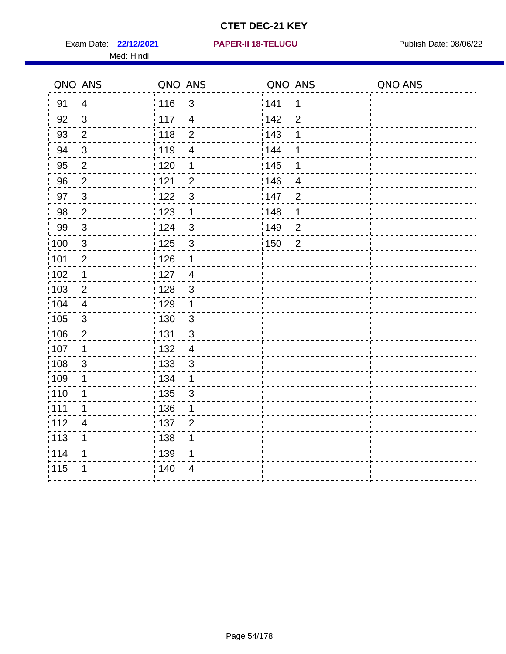Exam Date: 22/12/2021 **PAPER-II 18-TELUGU** PUBlish Date: 08/06/22 Med: Hindi

|                   | QNO ANS                   | QNO ANS           |                | QNO ANS           |                | QNO ANS |
|-------------------|---------------------------|-------------------|----------------|-------------------|----------------|---------|
| 91                | $\overline{4}$            | 116               | $\mathfrak{S}$ | 141               | $\mathbf 1$    |         |
| 92                | $\mathfrak{S}$            | $\frac{1}{2}$ 117 | $\overline{4}$ | 142               | $\overline{2}$ |         |
| 93                | $\overline{2}$            | 118               | $\mathbf 2$    | 143               | 1              |         |
| 94                | 3                         | : 119             | $\overline{4}$ | 144               | 1              |         |
| 95                | $\overline{2}$            | : 120             | 1              | : 145             | 1              |         |
| 96                | $\overline{2}$            | 121               | $\overline{2}$ | 146               | 4              |         |
| 97                | $\sqrt{3}$                | 122               | $\mathbf{3}$   | 147               | $\overline{2}$ |         |
| 98                | $\sqrt{2}$                | 123               | $\mathbf{1}$   | 148               | 1              |         |
| 99                | $\ensuremath{\mathsf{3}}$ | 124               | $\mathfrak{S}$ | $\frac{1}{2}$ 149 | $\overline{2}$ |         |
| $\frac{1}{1}$ 100 | $\sqrt{3}$                | $\frac{1}{1}$ 125 | $\mathfrak{S}$ | $\frac{1}{1}$ 150 | $\overline{2}$ |         |
| :101              | $\mathbf 2$               | 126               | 1              |                   |                |         |
| 102               | $\mathbf 1$               | :127              | $\overline{4}$ |                   |                |         |
| ;103              | 2                         | :128              | $\mathbf{3}$   |                   |                |         |
| 104               | $\overline{4}$            | : 129             | $\mathbf 1$    |                   |                |         |
| 105               | $\sqrt{3}$                | 130               | $\mathfrak{S}$ |                   |                |         |
| :106              | $\overline{2}$            | : 131             | $\mathbf{3}$   |                   |                |         |
| 107               | 1                         | :132              | $\overline{4}$ |                   |                |         |
| 108               | $\sqrt{3}$                | : 133             | $\mathfrak{S}$ |                   |                |         |
| :109              | 1                         | : 134             | $\mathbf 1$    |                   |                |         |
| : 110             | 1                         | : 135             | 3              |                   |                |         |
| 111               | 1                         | : 136             | 1              |                   |                |         |
| 112               | $\overline{4}$            | 137               | $\overline{2}$ |                   |                |         |
| 113               | 1                         | : 138             | 1              |                   |                |         |
| 114               | 1                         | : 139             | 1              |                   |                |         |
| 115               | 1                         | 140               | 4              |                   |                |         |
|                   |                           |                   |                |                   |                |         |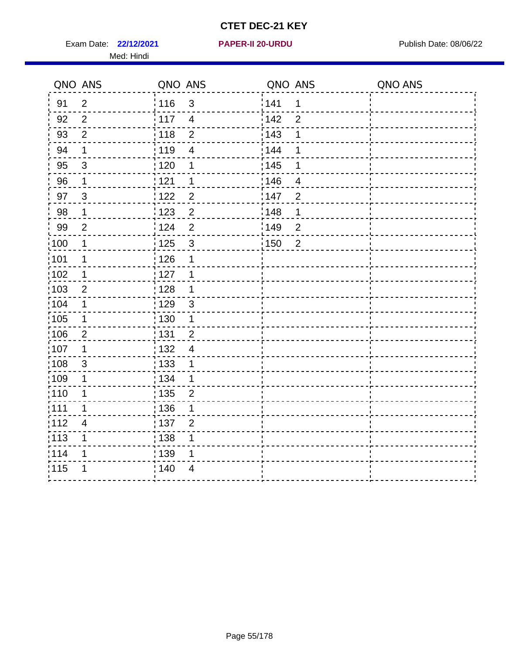Exam Date: 22/12/2021 **PAPER-II 20-URDU** PAPER Publish Date: 08/06/22 Med: Hindi

**22/12/2021 PAPER-II 20-URDU**

|                   | QNO ANS        | QNO ANS                             | QNO ANS           |                | QNO ANS |
|-------------------|----------------|-------------------------------------|-------------------|----------------|---------|
| 91                | $\overline{2}$ | 116<br>$\mathfrak{S}$               | 141               | $\mathbf 1$    |         |
| 92                | $\overline{2}$ | 117<br>$\overline{4}$               | 142               | $\overline{2}$ |         |
| 93                | $\overline{2}$ | 118<br>$\mathbf 2$                  | 143               | 1              |         |
| 94                | 1              | 119<br>$\overline{4}$               | 144               | 1              |         |
| 95                | $\mathfrak{S}$ | : 120<br>1                          | : 145             | 1              |         |
| 96                | $\mathbf 1$    | 121<br>1                            | 146               | 4              |         |
| 97                | $\mathfrak{B}$ | $\overline{c}$<br>122               | 147               | $\overline{2}$ |         |
| 98                | $\mathbf{1}$   | 123<br>$\overline{c}$               | 148               | 1              |         |
| 99                | $\overline{2}$ | ¦ 124<br>$\overline{2}$             | $\frac{1}{2}$ 149 | $\overline{2}$ |         |
| $\frac{1}{1}$ 100 | $\overline{1}$ | $\mathfrak{S}$<br>$\frac{1}{1}$ 125 | $\frac{1}{1}$ 150 | $\overline{2}$ |         |
| :101              | 1              | : 126<br>1                          |                   |                |         |
| 102               | 1              | :127<br>1                           |                   |                |         |
| ;103              | $\overline{2}$ | : 128<br>$\mathbf 1$                |                   |                |         |
| 104               | $\mathbf 1$    | : 129<br>$\mathfrak{S}$             |                   |                |         |
| 105               | 1              | 130<br>1                            |                   |                |         |
| :106              | $\overline{2}$ | : 131<br>$\overline{2}$             |                   |                |         |
| 107               | 1              | :132<br>$\overline{4}$              |                   |                |         |
| 108               | $\sqrt{3}$     | 133<br>1                            |                   |                |         |
| :109              | 1              | : 134<br>$\mathbf 1$                |                   |                |         |
| : 110             | 1              | : 135<br>$\overline{2}$             |                   |                |         |
| 111               | 1              | : 136<br>1                          |                   |                |         |
| 112               | $\overline{4}$ | 137<br>$\overline{2}$               |                   |                |         |
| 113               | 1              | : 138<br>1                          |                   |                |         |
| 114               | 1              | : 139<br>1                          |                   |                |         |
| 115               | 1              | 140<br>4                            |                   |                |         |
|                   |                |                                     |                   |                |         |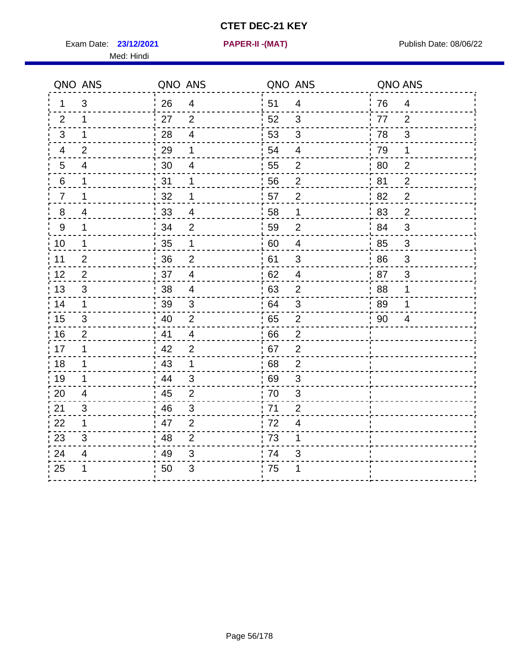Exam Date: **23/12/2021 PAPER-II -(MAT)** Publish Date: 08/06/22 Med: Hindi

**23/12/2021 PAPER-II -(MAT)**

| ່ 51<br>3<br>26<br>76<br>$\overline{4}$<br>$\overline{4}$<br>$\overline{4}$<br>1<br>52<br>27<br>$\overline{2}$<br>3<br>$\mathbf 1$<br>77<br>2<br>2<br>28<br>$\overline{4}$<br>53<br>$\mathfrak{S}$<br>78<br>$\mathfrak{S}$<br>3<br>1<br>29<br>54<br>79<br>$\overline{2}$<br>1<br>$\overline{4}$<br>4<br>1<br>$\overline{2}$<br>$5\phantom{.0}$<br>30<br>$\overline{\mathbf{4}}$<br>55<br>$\overline{2}$<br>80<br>4<br>31<br>56<br>81<br>2<br>6<br>1<br>1<br>2<br>$\overline{2}$<br>57<br>$\overline{2}$<br>1<br>32<br>1<br>82<br>$\overline{7}$<br>33<br>$\overline{2}$<br>8<br>4<br>58<br>$\mathbf 1$<br>83<br>4<br>$9\,$<br>34<br>59<br>1<br>$\overline{2}$<br>$\overline{2}$<br>84<br>3<br>35<br>10<br>60<br>$\overline{\mathcal{A}}$<br>$\mathfrak{S}$<br>$\mathbf{1}$<br>1<br>85<br>36<br>$\overline{2}$<br>61<br>86<br>11<br>$\overline{2}$<br>$\mathfrak{B}$<br>$\sqrt{3}$<br>$\overline{\mathbf{4}}$<br>12<br>$\overline{2}$<br>37<br>62<br>$\overline{4}$<br>87<br>$\mathbf{3}$<br>13<br>38<br>63<br>88<br>3<br>4<br>2<br>1<br>39<br>64<br>3<br>89<br>3<br>1<br>1<br>$\sqrt{2}$<br>40<br>$\overline{2}$<br>65<br>3<br>90<br>4<br>16<br>41<br>$\overline{2}$<br>$\overline{4}$<br>66<br>$\overline{2}$<br>42<br>67<br>$\overline{2}$<br>1<br>2<br>43<br>68<br>$\overline{2}$<br>$\mathbf 1$<br>$\mathbf 1$<br>19<br>44<br>$\mathfrak{S}$<br>69<br>3<br>1<br>45<br>$\mathbf 2$<br>70<br>$\ensuremath{\mathsf{3}}$<br>$\overline{4}$<br>46<br>71<br>3<br>3<br>$\overline{2}$<br>47<br>72<br>$\mathbf 1$<br>2<br>$\overline{\mathbf{4}}$<br>48<br>$\overline{2}$<br>73<br>3<br>1<br>49<br>24<br>$\mathfrak{S}$<br>74<br>4<br>3<br>50<br>3<br>' 75<br>1<br>1 |    | QNO ANS | QNO ANS | QNO ANS | QNO ANS |  |
|------------------------------------------------------------------------------------------------------------------------------------------------------------------------------------------------------------------------------------------------------------------------------------------------------------------------------------------------------------------------------------------------------------------------------------------------------------------------------------------------------------------------------------------------------------------------------------------------------------------------------------------------------------------------------------------------------------------------------------------------------------------------------------------------------------------------------------------------------------------------------------------------------------------------------------------------------------------------------------------------------------------------------------------------------------------------------------------------------------------------------------------------------------------------------------------------------------------------------------------------------------------------------------------------------------------------------------------------------------------------------------------------------------------------------------------------------------------------------------------------------------------------------------------------------------------------------------------------------------------------------------------------------------------|----|---------|---------|---------|---------|--|
|                                                                                                                                                                                                                                                                                                                                                                                                                                                                                                                                                                                                                                                                                                                                                                                                                                                                                                                                                                                                                                                                                                                                                                                                                                                                                                                                                                                                                                                                                                                                                                                                                                                                  |    |         |         |         |         |  |
|                                                                                                                                                                                                                                                                                                                                                                                                                                                                                                                                                                                                                                                                                                                                                                                                                                                                                                                                                                                                                                                                                                                                                                                                                                                                                                                                                                                                                                                                                                                                                                                                                                                                  |    |         |         |         |         |  |
|                                                                                                                                                                                                                                                                                                                                                                                                                                                                                                                                                                                                                                                                                                                                                                                                                                                                                                                                                                                                                                                                                                                                                                                                                                                                                                                                                                                                                                                                                                                                                                                                                                                                  |    |         |         |         |         |  |
|                                                                                                                                                                                                                                                                                                                                                                                                                                                                                                                                                                                                                                                                                                                                                                                                                                                                                                                                                                                                                                                                                                                                                                                                                                                                                                                                                                                                                                                                                                                                                                                                                                                                  |    |         |         |         |         |  |
|                                                                                                                                                                                                                                                                                                                                                                                                                                                                                                                                                                                                                                                                                                                                                                                                                                                                                                                                                                                                                                                                                                                                                                                                                                                                                                                                                                                                                                                                                                                                                                                                                                                                  |    |         |         |         |         |  |
|                                                                                                                                                                                                                                                                                                                                                                                                                                                                                                                                                                                                                                                                                                                                                                                                                                                                                                                                                                                                                                                                                                                                                                                                                                                                                                                                                                                                                                                                                                                                                                                                                                                                  |    |         |         |         |         |  |
|                                                                                                                                                                                                                                                                                                                                                                                                                                                                                                                                                                                                                                                                                                                                                                                                                                                                                                                                                                                                                                                                                                                                                                                                                                                                                                                                                                                                                                                                                                                                                                                                                                                                  |    |         |         |         |         |  |
|                                                                                                                                                                                                                                                                                                                                                                                                                                                                                                                                                                                                                                                                                                                                                                                                                                                                                                                                                                                                                                                                                                                                                                                                                                                                                                                                                                                                                                                                                                                                                                                                                                                                  |    |         |         |         |         |  |
|                                                                                                                                                                                                                                                                                                                                                                                                                                                                                                                                                                                                                                                                                                                                                                                                                                                                                                                                                                                                                                                                                                                                                                                                                                                                                                                                                                                                                                                                                                                                                                                                                                                                  |    |         |         |         |         |  |
|                                                                                                                                                                                                                                                                                                                                                                                                                                                                                                                                                                                                                                                                                                                                                                                                                                                                                                                                                                                                                                                                                                                                                                                                                                                                                                                                                                                                                                                                                                                                                                                                                                                                  |    |         |         |         |         |  |
|                                                                                                                                                                                                                                                                                                                                                                                                                                                                                                                                                                                                                                                                                                                                                                                                                                                                                                                                                                                                                                                                                                                                                                                                                                                                                                                                                                                                                                                                                                                                                                                                                                                                  |    |         |         |         |         |  |
|                                                                                                                                                                                                                                                                                                                                                                                                                                                                                                                                                                                                                                                                                                                                                                                                                                                                                                                                                                                                                                                                                                                                                                                                                                                                                                                                                                                                                                                                                                                                                                                                                                                                  |    |         |         |         |         |  |
|                                                                                                                                                                                                                                                                                                                                                                                                                                                                                                                                                                                                                                                                                                                                                                                                                                                                                                                                                                                                                                                                                                                                                                                                                                                                                                                                                                                                                                                                                                                                                                                                                                                                  |    |         |         |         |         |  |
|                                                                                                                                                                                                                                                                                                                                                                                                                                                                                                                                                                                                                                                                                                                                                                                                                                                                                                                                                                                                                                                                                                                                                                                                                                                                                                                                                                                                                                                                                                                                                                                                                                                                  | 14 |         |         |         |         |  |
|                                                                                                                                                                                                                                                                                                                                                                                                                                                                                                                                                                                                                                                                                                                                                                                                                                                                                                                                                                                                                                                                                                                                                                                                                                                                                                                                                                                                                                                                                                                                                                                                                                                                  | 15 |         |         |         |         |  |
|                                                                                                                                                                                                                                                                                                                                                                                                                                                                                                                                                                                                                                                                                                                                                                                                                                                                                                                                                                                                                                                                                                                                                                                                                                                                                                                                                                                                                                                                                                                                                                                                                                                                  |    |         |         |         |         |  |
|                                                                                                                                                                                                                                                                                                                                                                                                                                                                                                                                                                                                                                                                                                                                                                                                                                                                                                                                                                                                                                                                                                                                                                                                                                                                                                                                                                                                                                                                                                                                                                                                                                                                  | 17 |         |         |         |         |  |
|                                                                                                                                                                                                                                                                                                                                                                                                                                                                                                                                                                                                                                                                                                                                                                                                                                                                                                                                                                                                                                                                                                                                                                                                                                                                                                                                                                                                                                                                                                                                                                                                                                                                  | 18 |         |         |         |         |  |
|                                                                                                                                                                                                                                                                                                                                                                                                                                                                                                                                                                                                                                                                                                                                                                                                                                                                                                                                                                                                                                                                                                                                                                                                                                                                                                                                                                                                                                                                                                                                                                                                                                                                  |    |         |         |         |         |  |
|                                                                                                                                                                                                                                                                                                                                                                                                                                                                                                                                                                                                                                                                                                                                                                                                                                                                                                                                                                                                                                                                                                                                                                                                                                                                                                                                                                                                                                                                                                                                                                                                                                                                  | 20 |         |         |         |         |  |
|                                                                                                                                                                                                                                                                                                                                                                                                                                                                                                                                                                                                                                                                                                                                                                                                                                                                                                                                                                                                                                                                                                                                                                                                                                                                                                                                                                                                                                                                                                                                                                                                                                                                  | 21 |         |         |         |         |  |
|                                                                                                                                                                                                                                                                                                                                                                                                                                                                                                                                                                                                                                                                                                                                                                                                                                                                                                                                                                                                                                                                                                                                                                                                                                                                                                                                                                                                                                                                                                                                                                                                                                                                  | 22 |         |         |         |         |  |
|                                                                                                                                                                                                                                                                                                                                                                                                                                                                                                                                                                                                                                                                                                                                                                                                                                                                                                                                                                                                                                                                                                                                                                                                                                                                                                                                                                                                                                                                                                                                                                                                                                                                  | 23 |         |         |         |         |  |
|                                                                                                                                                                                                                                                                                                                                                                                                                                                                                                                                                                                                                                                                                                                                                                                                                                                                                                                                                                                                                                                                                                                                                                                                                                                                                                                                                                                                                                                                                                                                                                                                                                                                  |    |         |         |         |         |  |
|                                                                                                                                                                                                                                                                                                                                                                                                                                                                                                                                                                                                                                                                                                                                                                                                                                                                                                                                                                                                                                                                                                                                                                                                                                                                                                                                                                                                                                                                                                                                                                                                                                                                  | 25 |         |         |         |         |  |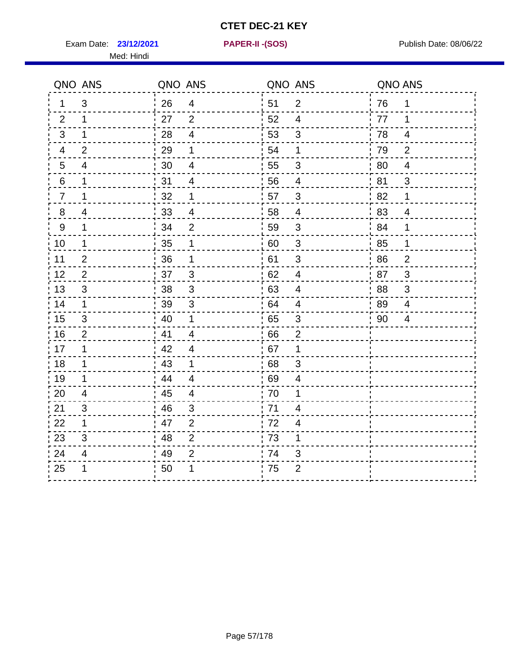Exam Date: **23/12/2021 PAPER-II - (SOS)** Publish Date: 08/06/22 Med: Hindi

**23/12/2021 PAPER-II -(SOS)**

|                | QNO ANS        | QNO ANS |                          | QNO ANS |                           | QNO ANS |                |
|----------------|----------------|---------|--------------------------|---------|---------------------------|---------|----------------|
| 1              | 3              | 26      | 4                        | 51      | 2                         | 76      | 1              |
| 2              | 1              | 27      | 2                        | 52      | 4                         | 77      | 1              |
| 3              | $\mathbf 1$    | 28      | $\overline{4}$           | 53      | $\mathfrak{S}$            | 78      | $\overline{4}$ |
| 4              | 2              | 29      | 1                        | 54      | 1                         | 79      | $\overline{2}$ |
| $\overline{5}$ | 4              | 30      | $\overline{\mathcal{A}}$ | 55      | 3                         | 80      | $\overline{4}$ |
| $\,6$          | $\mathbf 1$    | 31      | 4                        | 56      | $\overline{4}$            | 81      | 3              |
| $\overline{7}$ | 1              | 32      | 1                        | 57      | $\mathfrak{S}$            | 82      | 1              |
| 8              | $\overline{4}$ | 33      | $\overline{4}$           | 58      | $\overline{4}$            | 83      | $\overline{4}$ |
| $9\,$          | $\mathbf 1$    | 34      | $\overline{2}$           | 59      | 3                         | 84      | $\mathbf 1$    |
| 10             | $\mathbf{1}$   | 35      | 1                        | 60      | $\mathbf{3}$              | 85      | $\mathbf 1$    |
| 11             | $\mathbf{2}$   | 36      | 1                        | 61      | $\ensuremath{\mathsf{3}}$ | 86      | $\overline{2}$ |
| 12             | $\overline{2}$ | 37      | $\mathfrak{3}$           | 62      | $\overline{\mathbf{4}}$   | 87      | 3              |
| 13             | 3              | 38      | 3                        | 63      | 4                         | 88      | 3              |
| 14             | $\mathbf 1$    | 39      | 3                        | 64      | 4                         | 89      | $\overline{4}$ |
| 15             | 3              | 40      | $\mathbf 1$              | 65      | $\ensuremath{\mathsf{3}}$ | 90      | $\overline{4}$ |
| 16             | $\overline{2}$ | 41      | $\overline{4}$           | 66      | $\overline{2}$            |         |                |
| 17             | $\mathbf{1}$   | 42      | $\overline{4}$           | 67      | 1                         |         |                |
| 18             | $\mathbf 1$    | 43      | $\mathbf 1$              | 68      | $\sqrt{3}$                |         |                |
| 19             | 1              | 44      | $\overline{4}$           | 69      | 4                         |         |                |
| 20             | $\overline{4}$ | 45      | $\overline{4}$           | 70      | 1                         |         |                |
| 21             | 3              | 46      | 3                        | 71      | 4                         |         |                |
| 22             | $\mathbf 1$    | 47      | $\overline{2}$           | .72     | 4                         |         |                |
| 23             | 3              | 48      | $\overline{2}$           | 73      | 1                         |         |                |
| 24             | $\overline{4}$ | 49      | 2                        | 74      | 3                         |         |                |
| 25             | 1              | 50      | 1                        | 75      | $\overline{2}$            |         |                |
|                |                |         |                          |         |                           |         |                |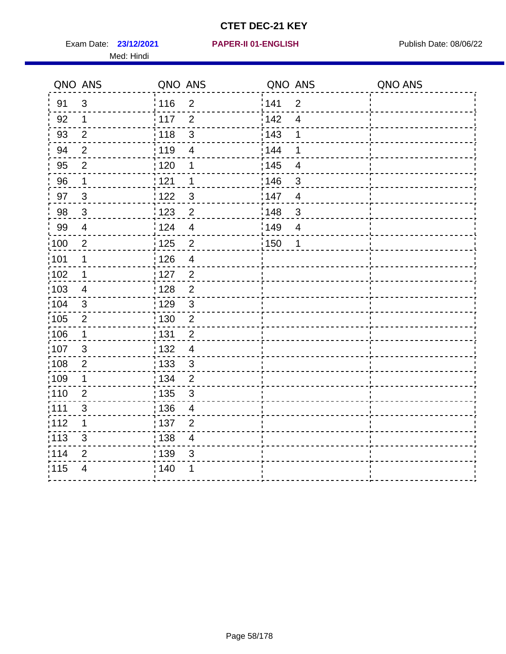Exam Date: 23/12/2021 PAPER-II 01-ENGLISH PREERENT Publish Date: 08/06/22 Med: Hindi

|                   | QNO ANS        | QNO ANS           |                         | QNO ANS           |                          | QNO ANS |
|-------------------|----------------|-------------------|-------------------------|-------------------|--------------------------|---------|
| 91                | $\mathbf{3}$   | : 116             | $\overline{2}$          | 141               | $\overline{2}$           |         |
| 92                | $\mathbf 1$    | 117               | $\overline{2}$          | 142               | $\overline{\mathcal{A}}$ |         |
| 93                | $\overline{2}$ | 118               | $\mathbf{3}$            | 143               | 1                        |         |
| 94                | $\overline{2}$ | : 119             | $\overline{4}$          | : 144             | 1                        |         |
| 95                | $\overline{2}$ | : 120             | 1                       | : 145             | $\overline{4}$           |         |
| 96                | $\mathbf 1$    | 121               | 1                       | 146               | 3                        |         |
| 97                | $\mathfrak{B}$ | : 122             | $\mathbf{3}$            | 147               | $\overline{4}$           |         |
| 98                | $\mathbf{3}$   | 123               | $\overline{2}$          | 148               | $\mathbf{3}$             |         |
| 99                | $\overline{4}$ | 124               | $\overline{4}$          | $\frac{1}{2}$ 149 | $\overline{4}$           |         |
| $\frac{1}{1}$ 100 | $\overline{2}$ | $\frac{1}{1}$ 125 | $\overline{2}$          | 150               | 1                        |         |
| :101              | 1              | : 126             | $\overline{\mathbf{4}}$ |                   |                          |         |
| 102               | $\mathbf 1$    | : 127             | $\overline{2}$          |                   |                          |         |
| ;103              | 4              | : 128             | $\overline{2}$          |                   |                          |         |
| 104               | $\mathbf{3}$   | : 129             | $\mathfrak{3}$          |                   |                          |         |
| 105               | $\sqrt{2}$     | $\frac{1}{1}$ 130 | $\mathbf 2$             |                   |                          |         |
| :106              | $\mathbf{1}$   | : 131             | $\overline{2}$          |                   |                          |         |
| 107               | 3              | :132              | $\overline{\mathbf{4}}$ |                   |                          |         |
| 108               | $\sqrt{2}$     | : 133             | $\mathfrak{S}$          |                   |                          |         |
| :109              | $\mathbf 1$    | : 134             | $\overline{2}$          |                   |                          |         |
| :110              | $\overline{2}$ | : 135             | 3                       |                   |                          |         |
| :111              | $\sqrt{3}$     | : 136             | $\overline{4}$          |                   |                          |         |
| 112               | 1              | 137               | $\overline{2}$          |                   |                          |         |
| 113               | $\mathfrak{S}$ | : 138             | $\overline{\mathbf{4}}$ |                   |                          |         |
| 114               | 2              | 139               | 3                       |                   |                          |         |
| 115               | $\overline{4}$ | 140               | 1                       |                   |                          |         |
|                   |                |                   |                         |                   |                          |         |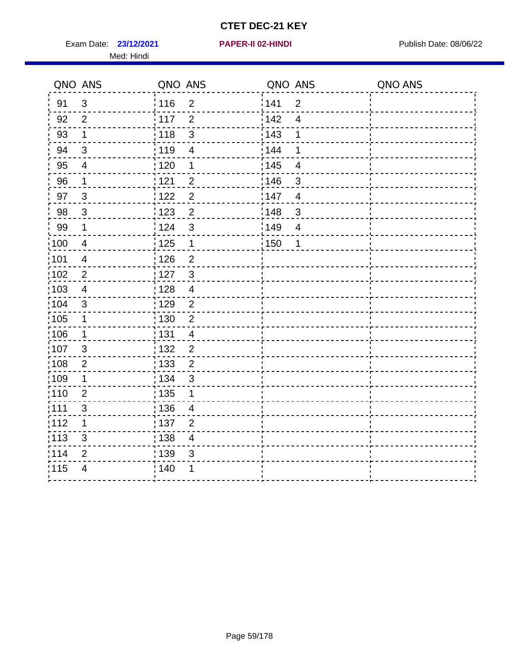Exam Date: 23/12/2021 **PAPER-II 02-HINDI Exam Date: 08/06/22** Med: Hindi

**23/12/2021 PAPER-II 02-HINDI**

|                   | QNO ANS                  | QNO ANS           |                         | QNO ANS |                          | QNO ANS |
|-------------------|--------------------------|-------------------|-------------------------|---------|--------------------------|---------|
| 91                | 3                        | 116               | $\mathbf 2$             | 141     | $\overline{2}$           |         |
| 92                | $\overline{2}$           | 117               | $\overline{2}$          | 142     | $\overline{\mathcal{A}}$ |         |
| 93                | $\mathbf{1}$             | 118               | $\mathbf{3}$            | 143     | 1                        |         |
| 94                | 3                        | : 119             | $\overline{4}$          | : 144   | 1                        |         |
| 95                | 4                        | : 120             | 1                       | : 145   | 4                        |         |
| 96                | $\mathbf 1$              | 121               | $\overline{2}$          | 146     | 3                        |         |
| 97                | $\mathfrak{B}$           | : 122             | $\overline{2}$          | 147     | $\overline{4}$           |         |
| 98                | $\mathbf{3}$             | 123               | $\overline{2}$          | 148     | $\mathbf{3}$             |         |
| 99                | $\mathbf 1$              | 124               | $\mathfrak{S}$          | 149     | $\overline{4}$           |         |
| $\frac{1}{1}$ 100 | $\overline{4}$           | $\frac{1}{1}$ 125 | $\mathbf{1}$            | 150     | 1                        |         |
| :101              | $\overline{\mathcal{A}}$ | : 126             | $\overline{c}$          |         |                          |         |
| 102               | $\overline{2}$           | : 127             | $\mathbf{3}$            |         |                          |         |
| 103               | $\overline{4}$           | : 128             | $\overline{4}$          |         |                          |         |
| :104              | $\mathbf{3}$             | : 129             | $\overline{2}$          |         |                          |         |
| $\frac{1}{1}$ 105 | $\mathbf 1$              | $\frac{1}{1}$ 130 | $\overline{2}$          |         |                          |         |
| :106              | $\mathbf 1$              | : 131             | $\overline{4}$          |         |                          |         |
| 107               | $\mathbf{3}$             | : 132             | $\overline{2}$          |         |                          |         |
| 108               | $\sqrt{2}$               | $\frac{1}{1}$ 133 | $\overline{2}$          |         |                          |         |
| :109              | $\mathbf 1$              | : 134             | $\mathfrak{S}$          |         |                          |         |
| :110              | $\overline{2}$           | 135               | 1                       |         |                          |         |
| ;111              | $\mathfrak{S}$           | : 136             | $\overline{4}$          |         |                          |         |
| 112               | 1                        | : 137             | $\overline{2}$          |         |                          |         |
| :113              | $\sqrt{3}$               | : 138             | $\overline{\mathbf{4}}$ |         |                          |         |
| 114               | $\overline{2}$           | : 139             | 3                       |         |                          |         |
| 115               | $\overline{4}$           | 140               | 1                       |         |                          |         |
|                   |                          |                   |                         |         |                          |         |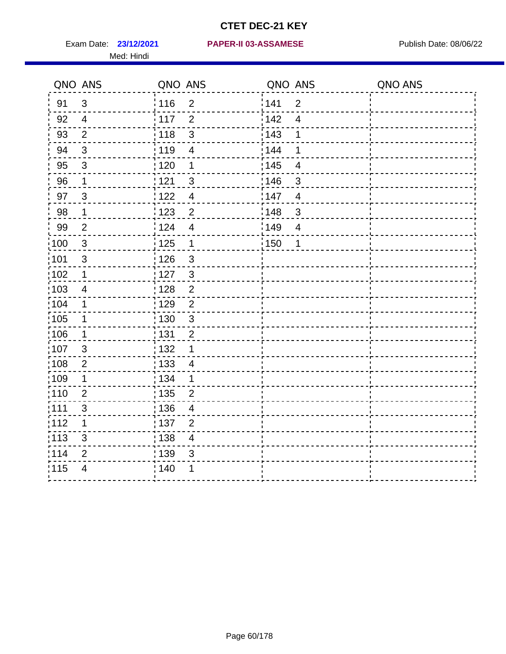Med: Hindi

#### **23/12/2021 PAPER-II 03-ASSAMESE** Exam Date: Publish Date: 08/06/22

|       | QNO ANS          | QNO ANS           |                          | QNO ANS           |                         | QNO ANS |
|-------|------------------|-------------------|--------------------------|-------------------|-------------------------|---------|
| 91    | $\mathfrak{S}$   | 116               | $\mathbf 2$              | 141               | $\overline{2}$          |         |
| 92    | $\overline{4}$   | 117               | $\overline{2}$           | 142               | $\overline{\mathbf{4}}$ |         |
| 93    | $\overline{2}$   | 118               | $\mathbf{3}$             | 143               | 1                       |         |
| 94    | 3                | : 119             | $\overline{\mathcal{A}}$ | 144               | 1                       |         |
| 95    | 3                | :120              | 1                        | : 145             | $\overline{4}$          |         |
| 96    | $\mathbf 1$      | : 121             | $\mathsf 3$              | 146               | $\sqrt{3}$              |         |
| 97    | $\mathfrak{B}$   | : 122             | $\overline{4}$           | 147               | $\overline{4}$          |         |
| 98    | $\mathbf 1$      | 123               | $\overline{c}$           | $\frac{1}{2}$ 148 | $\mathbf{3}$            |         |
| 99    | $\overline{2}$   | : 124             | $\overline{4}$           | ¦149              | $\overline{4}$          |         |
| :100  | $\mathbf{3}$     | : 125             | $\mathbf{1}$             | 150               | $\mathbf 1$             |         |
| :101  | $\mathsf 3$      | : 126             | $\mathfrak{S}$           |                   |                         |         |
| 102   | $\mathbf 1$      | : 127             | $\mathbf{3}$             |                   |                         |         |
| 103   | $\overline{4}$   | :128              | $\overline{2}$           |                   |                         |         |
| 104   | $\mathbf 1$      | : 129             | $\overline{2}$           |                   |                         |         |
| 105   | $\mathbf 1$      | : 130             | $\mathfrak{S}$           |                   |                         |         |
| 106   | 1                | : 131             | $\overline{2}$           |                   |                         |         |
| ,107  | 3                | : 132             | $\mathbf 1$              |                   |                         |         |
| :108  | $\boldsymbol{2}$ | $\frac{1}{1}$ 133 | $\overline{4}$           |                   |                         |         |
| :109  | 1                | : 134             | 1                        |                   |                         |         |
| :110  | $\overline{2}$   | : 135             | $\overline{2}$           |                   |                         |         |
| 111   | $\sqrt{3}$       | : 136             | $\overline{\mathcal{A}}$ |                   |                         |         |
| 112   | 1                | : 137             | $\overline{c}$           |                   |                         |         |
| : 113 | $\mathfrak{S}$   | : 138             | $\overline{4}$           |                   |                         |         |
| 114   | 2                | 139               | 3                        |                   |                         |         |
| 115   | $\overline{4}$   | : 140             | 1                        |                   |                         |         |
|       |                  |                   |                          |                   |                         |         |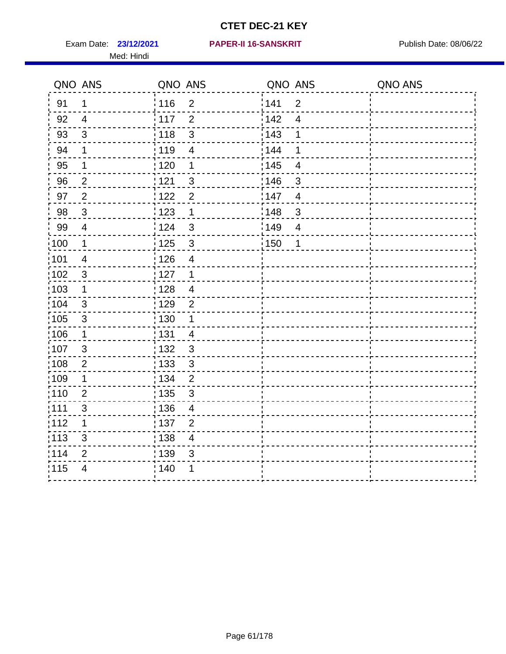Med: Hindi

|       | QNO ANS        | QNO ANS           |                          | QNO ANS           |                         | QNO ANS |
|-------|----------------|-------------------|--------------------------|-------------------|-------------------------|---------|
| 91    | $\mathbf{1}$   | 116               | $\mathbf 2$              | 141               | $\overline{2}$          |         |
| 92    | $\overline{4}$ | 117               | $\overline{2}$           | 142               | $\overline{\mathbf{4}}$ |         |
| 93    | $\sqrt{3}$     | 118               | $\mathbf{3}$             | 143               | 1                       |         |
| 94    | 1              | : 119             | $\overline{\mathbf{4}}$  | : 144             | 1                       |         |
| 95    | 1              | : 120             | 1                        | : 145             | 4                       |         |
| 96    | $\overline{2}$ | 121               | 3                        | 146               | 3                       |         |
| 97    | $\overline{2}$ | 122               | $\overline{2}$           | 147               | $\overline{4}$          |         |
| 98    | $\mathbf{3}$   | 123               | $\mathbf{1}$             | ¦148              | $\mathbf{3}$            |         |
| 99    | $\overline{4}$ | 124               | $\mathbf{3}$             | $\frac{1}{2}$ 149 | $\overline{4}$          |         |
| :100  | $\mathbf{1}$   | 125               | $\mathbf{3}$             | $\frac{1}{1}$ 150 | 1                       |         |
| :101  | $\overline{4}$ | : 126             | $\overline{\mathbf{4}}$  |                   |                         |         |
| 102   | $\mathfrak{S}$ | : 127             | $\mathbf{1}$             |                   |                         |         |
| ;103  | $\mathbf 1$    | :128              | $\overline{4}$           |                   |                         |         |
| 104   | $\mathbf{3}$   | : 129             | $\overline{2}$           |                   |                         |         |
| 105   | $\mathbf{3}$   | 130               | $\mathbf 1$              |                   |                         |         |
| 106   | $\mathbf{1}$   | : 131             | $\overline{4}$           |                   |                         |         |
| 107   | $\mathfrak{B}$ | 132               | $\mathbf{3}$             |                   |                         |         |
| 108   | $\sqrt{2}$     | : 133             | $\mathfrak{3}$           |                   |                         |         |
| :109  | $\mathbf 1$    | : 134             | $\overline{2}$           |                   |                         |         |
| 110   | $\overline{2}$ | : 135             | 3                        |                   |                         |         |
| : 111 | $\sqrt{3}$     | : 136             | $\overline{4}$           |                   |                         |         |
| 112   | 1              | $\frac{1}{1}$ 137 | $\overline{2}$           |                   |                         |         |
| 113   | $\mathfrak{S}$ | : 138             | $\overline{\mathcal{A}}$ |                   |                         |         |
| 114   | $\overline{2}$ | : 139             | 3                        |                   |                         |         |
| 115   | $\overline{4}$ | 140               | 1                        |                   |                         |         |
|       |                |                   |                          |                   |                         |         |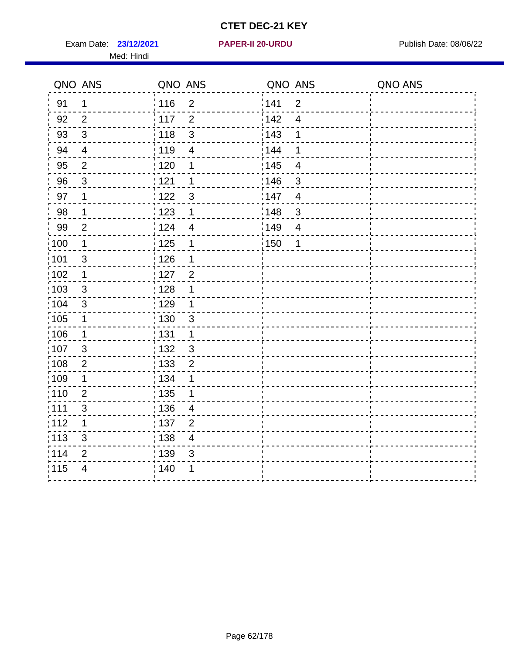Exam Date: 23/12/2021 **PAPER-II 20-URDU** PAPER Publish Date: 08/06/22 Med: Hindi

**23/12/2021 PAPER-II 20-URDU**

|                   | QNO ANS        | QNO ANS           |                          | QNO ANS           |                         | QNO ANS |
|-------------------|----------------|-------------------|--------------------------|-------------------|-------------------------|---------|
| 91                | 1              | : 116             | $\overline{2}$           | 141               | $\overline{2}$          |         |
| 92                | $\overline{2}$ | 117               | $\overline{2}$           | 142               | $\overline{4}$          |         |
| 93                | $\mathfrak{Z}$ | 118               | $\mathfrak{S}$           | 143               | 1                       |         |
| 94                | $\overline{4}$ | : 119             | $\overline{4}$           | : 144             | 1                       |         |
| 95                | $\overline{2}$ | : 120             | 1                        | : 145             | 4                       |         |
| 96                | $\mathfrak{S}$ | 121               | 1                        | :146              | 3                       |         |
| 97                | $\mathbf{1}$   | 122               | $\mathbf{3}$             | 147               | $\overline{4}$          |         |
| 98                | $\mathbf 1$    | $\frac{1}{2}$ 123 | 1                        | $\frac{1}{2}$ 148 | $\sqrt{3}$              |         |
| 99                | $\overline{2}$ | 124               | $\overline{\mathcal{A}}$ | :149              | $\overline{\mathbf{4}}$ |         |
| $\frac{1}{1}$ 100 | $\mathbf{1}$   | $\frac{1}{1}$ 125 | $\mathbf 1$              | 150               | 1                       |         |
| :101              | $\mathsf 3$    | 126               | 1                        |                   |                         |         |
| 102               | $\mathbf{1}$   | : 127             | $\overline{2}$           |                   |                         |         |
| 103               | $\mathbf{3}$   | : 128             | $\mathbf 1$              |                   |                         |         |
| 104               | 3              | $\frac{1}{1}$ 129 | $\mathbf 1$              |                   |                         |         |
| 105               | $\mathbf 1$    | 130               | $\mathbf{3}$             |                   |                         |         |
| 106               | $\mathbf{1}$   | : 131             | $\mathbf 1$              |                   |                         |         |
| 107               | $\mathfrak{B}$ | 132               | $\mathbf{3}$             |                   |                         |         |
| 108               | $\mathbf{2}$   | $\frac{1}{1}$ 133 | $\overline{2}$           |                   |                         |         |
| :109              | $\mathbf 1$    | : 134             | 1                        |                   |                         |         |
| :110              | $\overline{2}$ | : 135             | 1                        |                   |                         |         |
| 111               | $\mathfrak{S}$ | 136               | $\overline{4}$           |                   |                         |         |
| 112               | 1              | : 137             | $\overline{2}$           |                   |                         |         |
| 113               | 3              | : 138             | $\overline{\mathcal{A}}$ |                   |                         |         |
| 114               | 2              | 139               | 3                        |                   |                         |         |
| 115               | $\overline{4}$ | 140               | 1                        |                   |                         |         |
|                   |                |                   |                          |                   |                         |         |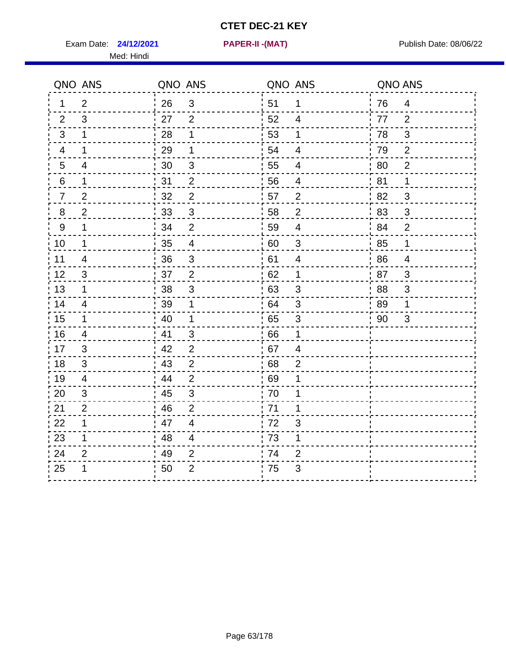Exam Date: **24/12/2021 PAPER-II -(MAT)** Publish Date: 08/06/22 Med: Hindi

**24/12/2021 PAPER-II -(MAT)**

|                | QNO ANS                   | QNO ANS |                          | QNO ANS |                          | QNO ANS |                          |
|----------------|---------------------------|---------|--------------------------|---------|--------------------------|---------|--------------------------|
| 1              | $\overline{2}$            | 26      | $\mathfrak{3}$           | 51      | $\mathbf{1}$             | 76      | $\overline{4}$           |
| 2              | 3                         | 27      | $\overline{2}$           | 52      | $\overline{4}$           | 77      | $\overline{2}$           |
| 3              | 1                         | 28      | 1                        | 53      | 1                        | 78      | 3                        |
| 4              | 1                         | 29      | 1                        | 54      | 4                        | 79      | $\overline{2}$           |
| 5              | 4                         | 30      | $\mathfrak{B}$           | 55      | $\overline{\mathcal{A}}$ | 80      | $\overline{2}$           |
| 6              | 1                         | 31      | $\overline{2}$           | 56      | 4                        | 81      | $\mathbf 1$              |
| $\overline{7}$ | $\overline{2}$            | 32      | $\overline{2}$           | 57      | $\overline{2}$           | 82      | 3                        |
| 8              | $\overline{2}$            | 33      | $\sqrt{3}$               | 58      | $\mathbf{2}$             | 83      | $\mathfrak{S}$           |
| $9\,$          | 1                         | 34      | $\mathbf 2$              | 59      | $\overline{4}$           | 84      | $\overline{2}$           |
| 10             | $\mathbf 1$               | 35      | $\overline{\mathcal{A}}$ | 60      | $\mathfrak{S}$           | 85      | $\mathbf{1}$             |
| 11             | $\overline{\mathbf{4}}$   | 36      | $\sqrt{3}$               | 61      | $\overline{\mathcal{A}}$ | 86      | $\overline{\mathcal{A}}$ |
| 12             | $\ensuremath{\mathsf{3}}$ | 37      | $\overline{2}$           | 62      | $\mathbf 1$              | 87      | $\mathbf{3}$             |
| 13             | 1                         | 38      | 3                        | 63      | 3                        | 88      | 3                        |
| 14             | 4                         | 39      | 1                        | 64      | 3                        | 89      | 1                        |
| 15             | $\mathbf 1$               | 40      | $\mathbf 1$              | 65      | $\sqrt{3}$               | 90      | 3                        |
| 16             | $\overline{\mathbf{4}}$   | 41      | $\mathfrak{3}$           | 66      | 1                        |         |                          |
| 17             | 3                         | 42      | $\overline{2}$           | 67      | 4                        |         |                          |
| 18             | 3                         | 43      | $\overline{2}$           | 68      | $\overline{2}$           |         |                          |
| 19             | 4                         | 44      | $\overline{2}$           | 69      | 1                        |         |                          |
| 20             | 3                         | 45      | $\sqrt{3}$               | 70      | 1                        |         |                          |
| 21             | $\overline{2}$            | 46      | $\overline{2}$           | 71      | 1                        |         |                          |
| 22             | $\mathbf 1$               | 47      | $\overline{4}$           | 72      | 3                        |         |                          |
| 23             | $\mathbf 1$               | 48      | $\overline{4}$           | 73      | 1                        |         |                          |
| 24             | $\overline{2}$            | 49      | $\overline{2}$           | 74      | $\overline{2}$           |         |                          |
| 25             |                           | 50      | $\overline{2}$           | 75      | 3                        |         |                          |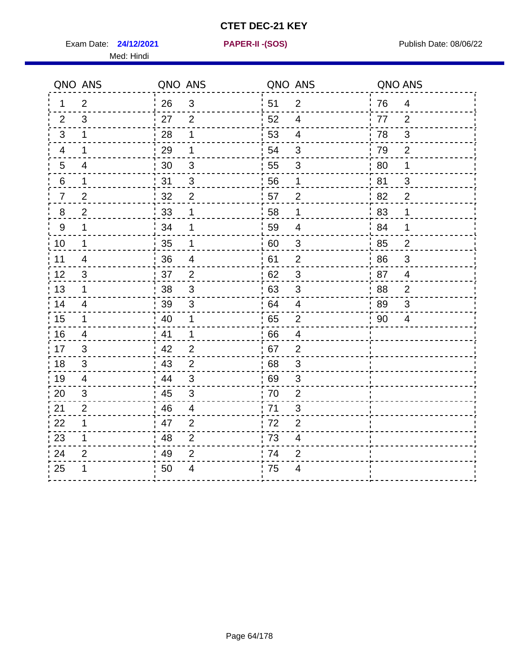Exam Date: **24/12/2021 PAPER-II - (SOS)** Publish Date: 08/06/22

Med: Hindi

**24/12/2021 PAPER-II -(SOS)**

|         | QNO ANS                  | QNO ANS |                |      | QNO ANS                 | QNO ANS |                           |
|---------|--------------------------|---------|----------------|------|-------------------------|---------|---------------------------|
| 1.      | $\overline{2}$           | 26      | $\mathbf{3}$   | ່ 51 | 2                       | 76      | $\overline{4}$            |
| 2       | 3                        | 27      | $\overline{2}$ | 52   | $\overline{4}$          | 77      | 2                         |
| 3       | $\mathbf 1$              | 28      | 1              | 53   | $\overline{4}$          | 78      | $\mathbf{3}$              |
| 4       | 1                        | 29      | 1              | 54   | $\mathfrak{B}$          | 79      | $\mathbf{2}$              |
| 5       | $\overline{\mathcal{A}}$ | 30      | $\mathfrak{B}$ | 55   | 3                       | 80      | 1                         |
| 6       | 1                        | 31      | $\mathfrak{B}$ | 56   | 1                       | 81      | 3                         |
| 7       | $\overline{2}$           | 32      | $\overline{2}$ | 57   | $\overline{2}$          | 82      | $\overline{2}$            |
| $\bf 8$ | $\overline{2}$           | 33      | 1              | 58   | 1                       | 83      | 1                         |
| 9       | 1                        | 34      | 1              | 59   | $\overline{\mathbf{4}}$ | 84      | 1                         |
| 10      | $\mathbf{1}$             | 35      | 1              | 60   | $\mathbf{3}$            | 85      | $\overline{2}$            |
| 11      | $\overline{4}$           | 36      | $\overline{4}$ | 61   | $\mathbf{2}$            | 86      | $\ensuremath{\mathsf{3}}$ |
| 12      | $\mathfrak{B}$           | 37      | $\overline{2}$ | 62   | $\sqrt{3}$              | 87      | $\overline{4}$            |
| 13      | 1                        | 38      | 3              | 63   | 3                       | 88      | $\overline{2}$            |
| 14      | 4                        | 39      | $\mathbf{3}$   | 64   | $\overline{4}$          | 89      | 3                         |
| 15      | 1                        | 40      | 1              | 65   | $\overline{2}$          | 90      | 4                         |
| 16      | $\overline{4}$           | 41      | 1              | 66   | $\overline{4}$          |         |                           |
| 17      | 3                        | 42      | 2              | 67   | $\overline{2}$          |         |                           |
| 18      | 3                        | 43      | $\overline{2}$ | 68   | $\sqrt{3}$              |         |                           |
| 19      | $\overline{4}$           | 44      | $\mathbf{3}$   | 69   | $\mathfrak{B}$          |         |                           |
| 20      | 3                        | 45      | 3              | 70   | $\overline{2}$          |         |                           |
| 21      | $\overline{2}$           | 46      | 4              | 71   | 3                       |         |                           |
| 22      | 1                        | 47      | $\overline{2}$ | 72   | $\overline{2}$          |         |                           |
| 23      | 1                        | 48      | $\overline{2}$ | 73   | $\overline{\mathbf{4}}$ |         |                           |
| 24      | $\overline{2}$           | 49      | $\overline{2}$ | .74  | $\overline{2}$          |         |                           |
| 25      | 1                        | 50      | 4              | 75   | $\overline{4}$          |         |                           |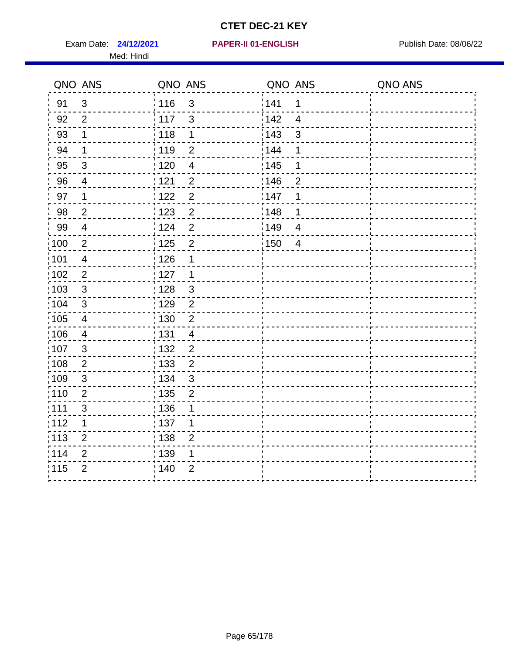Exam Date: **24/12/2021 PAPER-II 01-ENGLISH Proposed by Publish Date: 08/06/22** Med: Hindi

|                   | QNO ANS                 | QNO ANS           |                          | QNO ANS |                         | QNO ANS |
|-------------------|-------------------------|-------------------|--------------------------|---------|-------------------------|---------|
| 91                | $\mathbf{3}$            | 116               | 3                        | 141     | $\mathbf 1$             |         |
| 92                | $\overline{2}$          | 117               | 3                        | 142     | $\overline{\mathbf{4}}$ |         |
| 93                | 1                       | 118               | 1                        | 143     | 3                       |         |
| 94                | 1                       | : 119             | $\overline{2}$           | : 144   | 1                       |         |
| 95                | 3                       | : 120             | $\overline{\mathcal{A}}$ | : 145   | 1                       |         |
| 96                | 4                       | 121               | $\overline{2}$           | 146     | $\overline{2}$          |         |
| 97                | $\mathbf 1$             | $122$             | $\overline{2}$           | 147     | 1                       |         |
| 98                | $\mathbf 2$             | $\frac{1}{2}$ 123 | $\overline{c}$           | 148     | 1                       |         |
| 99                | $\overline{4}$          | 124               | $\overline{2}$           | ¦149    | $\overline{4}$          |         |
| $\frac{1}{1}$ 100 | $\sqrt{2}$              | 125               | $\overline{2}$           | 150     | $\overline{4}$          |         |
| :101              | $\overline{4}$          | 126               | 1                        |         |                         |         |
| 102               | $\overline{2}$          | : 127             | 1                        |         |                         |         |
| 103               | $\mathbf{3}$            | 128               | $\mathbf{3}$             |         |                         |         |
| 104               | $\sqrt{3}$              | : 129             | $\overline{2}$           |         |                         |         |
| 105               | $\overline{\mathbf{4}}$ | : 130             | $\overline{2}$           |         |                         |         |
| :106              | 4                       | : 131             | $\overline{4}$           |         |                         |         |
| :107              | 3                       | : 132             | $\overline{2}$           |         |                         |         |
| 108               | $\sqrt{2}$              | $\frac{1}{1}$ 133 | $\overline{2}$           |         |                         |         |
| :109              | $\sqrt{3}$              | : 134             | $\mathbf{3}$             |         |                         |         |
| :110              | 2                       | : 135             | $\overline{2}$           |         |                         |         |
| :111              | $\sqrt{3}$              | : 136             | 1                        |         |                         |         |
| 112               | 1                       | : 137             | 1                        |         |                         |         |
| 113               | $\overline{2}$          | : 138             | $\overline{2}$           |         |                         |         |
| 114               | 2                       | : 139             | 1                        |         |                         |         |
| 115               | $\overline{2}$          | 140               | $\overline{2}$           |         |                         |         |
|                   |                         |                   |                          |         |                         |         |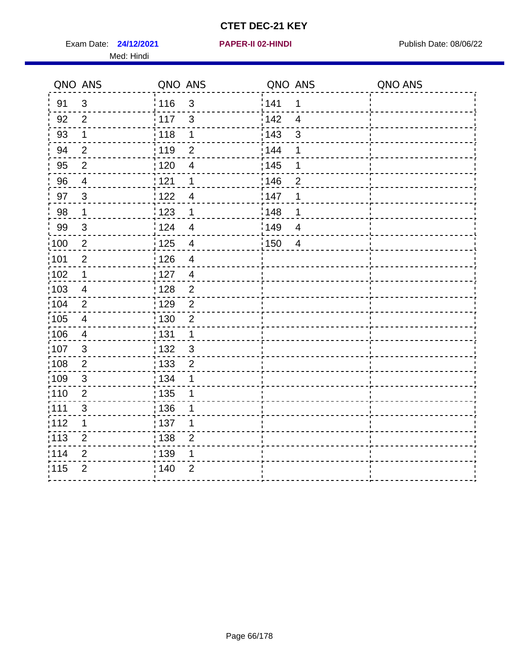Exam Date: 24/12/2021 **PAPER-II 02-HINDI Exam Date: 08/06/22** Med: Hindi

**24/12/2021 PAPER-II 02-HINDI**

|                   | QNO ANS                 | QNO ANS                                      | QNO ANS                         | QNO ANS |
|-------------------|-------------------------|----------------------------------------------|---------------------------------|---------|
| 91                | 3                       | 116<br>$\mathfrak{S}$                        | 141<br>$\mathbf 1$              |         |
| 92                | $\overline{2}$          | 117<br>3                                     | 142<br>$\overline{\mathcal{A}}$ |         |
| 93                | $\mathbf 1$             | 118<br>1                                     | 143<br>$\mathbf{3}$             |         |
| 94                | $\overline{2}$          | : 119<br>$\overline{2}$                      | : 144<br>1                      |         |
| 95                | $\overline{2}$          | : 120<br>$\overline{\mathcal{A}}$            | : 145<br>1                      |         |
| 96                | $\overline{4}$          | 121<br>1                                     | 146<br>$\overline{2}$           |         |
| 97                | $\mathbf{3}$            | :122<br>$\overline{4}$                       | 147<br>1                        |         |
| 98                | $\mathbf{1}$            | 123<br>$\mathbf{1}$                          | 148<br>1                        |         |
| 99                | $\sqrt{3}$              | 124<br>$\overline{\mathbf{4}}$               | 149<br>$\overline{4}$           |         |
| :100              | $\sqrt{2}$              | $\frac{1}{1}$ 125<br>$\overline{\mathbf{4}}$ | 150<br>$\overline{4}$           |         |
| :101              | $\mathbf 2$             | : 126<br>$\overline{4}$                      |                                 |         |
| 102               | $\mathbf 1$             | : 127<br>$\overline{4}$                      |                                 |         |
| 103               | $\overline{4}$          | $\overline{2}$<br>: 128                      |                                 |         |
| 104               | $\overline{2}$          | $\frac{1}{1}$ 129<br>$\overline{2}$          |                                 |         |
| $\frac{1}{1}$ 105 | $\overline{\mathbf{4}}$ | $\frac{1}{1}$ 130<br>$\overline{2}$          |                                 |         |
| :106              | $\overline{4}$          | : 131<br>$\mathbf 1$                         |                                 |         |
| 107               | 3                       | : 132<br>$\mathbf{3}$                        |                                 |         |
| 108               | $\sqrt{2}$              | $\frac{1}{1}$ 133<br>$\overline{2}$          |                                 |         |
| :109              | $\sqrt{3}$              | : 134<br>1                                   |                                 |         |
| :110              | $\overline{2}$          | $\frac{1}{1}$ 135<br>1                       |                                 |         |
| ;111              | $\mathfrak{S}$          | : 136<br>1                                   |                                 |         |
| 112               | 1                       | : 137<br>1                                   |                                 |         |
| :113              | $\boldsymbol{2}$        | : 138<br>$\overline{2}$                      |                                 |         |
| 114               | $\overline{2}$          | : 139<br>1                                   |                                 |         |
| 115               | $\overline{2}$          | 140<br>$\overline{2}$                        |                                 |         |
|                   |                         |                                              |                                 |         |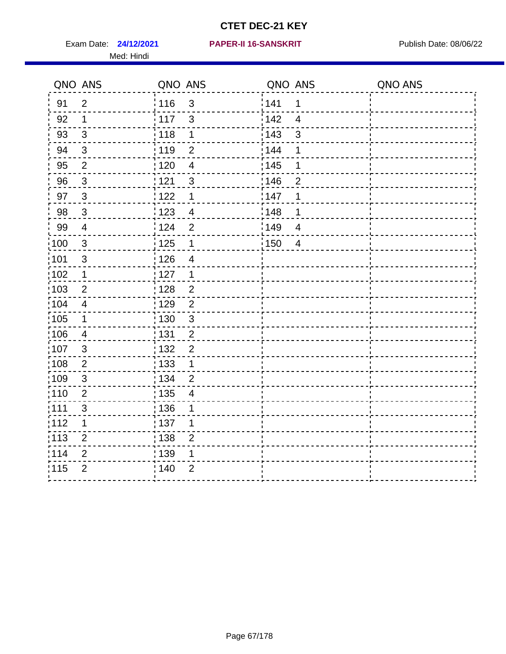Med: Hindi

|      | QNO ANS        | QNO ANS                             | QNO ANS                             | QNO ANS |
|------|----------------|-------------------------------------|-------------------------------------|---------|
| 91   | $\overline{2}$ | 116<br>$\mathfrak{S}$               | 141<br>$\mathbf 1$                  |         |
| 92   | $\mathbf 1$    | 117<br>3                            | 142<br>$\overline{\mathbf{4}}$      |         |
| 93   | $\sqrt{3}$     | 118<br>1                            | 143<br>3                            |         |
| 94   | $\mathfrak{B}$ | : 119<br>$\overline{2}$             | : 144<br>1                          |         |
| 95   | $\overline{2}$ | : 120<br>$\overline{\mathcal{A}}$   | : 145<br>1                          |         |
| 96   | $\mathfrak{S}$ | 121<br>$\mathbf{3}$                 | 146<br>$\overline{2}$               |         |
| 97   | $\mathbf{3}$   | 122<br>1                            | 147<br>1                            |         |
| 98   | $\mathbf{3}$   | 123<br>$\overline{4}$               | ¦148<br>1                           |         |
| 99   | $\overline{4}$ | 124<br>$\mathbf 2$                  | $\frac{1}{2}$ 149<br>$\overline{4}$ |         |
| :100 | $\sqrt{3}$     | 125<br>$\mathbf{1}$                 | 150<br>$\overline{4}$               |         |
| :101 | $\mathbf{3}$   | : 126<br>$\overline{4}$             |                                     |         |
| 102  | $\mathbf 1$    | : 127<br>1                          |                                     |         |
| ;103 | 2              | :128<br>$\overline{2}$              |                                     |         |
| 104  | $\overline{4}$ | : 129<br>$\overline{2}$             |                                     |         |
| 105  | $\mathbf 1$    | $\frac{1}{1}$ 130<br>$\mathfrak{S}$ |                                     |         |
| :106 | $\overline{4}$ | : 131<br>$\overline{2}$             |                                     |         |
| 107  | $\mathfrak{S}$ | $\overline{2}$<br>132               |                                     |         |
| 108  | $\overline{2}$ | : 133<br>$\mathbf{1}$               |                                     |         |
| :109 | $\sqrt{3}$     | : 134<br>$\overline{2}$             |                                     |         |
| :110 | $\overline{2}$ | : 135<br>$\overline{4}$             |                                     |         |
| :111 | $\sqrt{3}$     | : 136<br>1                          |                                     |         |
| 112  | 1              | : 137<br>1                          |                                     |         |
| 113  | $\overline{2}$ | : 138<br>$\overline{2}$             |                                     |         |
| 114  | $\overline{2}$ | : 139<br>1                          |                                     |         |
| 115  | $\overline{2}$ | 140<br>$\overline{2}$               |                                     |         |
|      |                |                                     |                                     |         |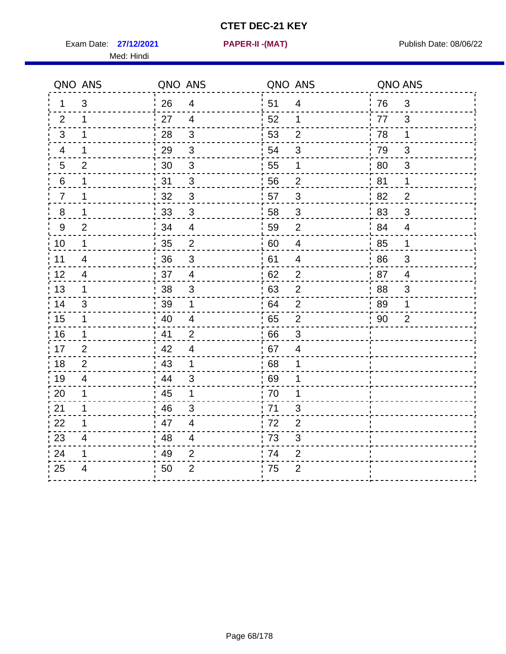Exam Date: **27/12/2021 PAPER-II -(MAT)** Publish Date: 08/06/22 Med: Hindi

**27/12/2021 PAPER-II -(MAT)**

|                | QNO ANS                 | QNO ANS |                         | QNO ANS |                | QNO ANS |                |
|----------------|-------------------------|---------|-------------------------|---------|----------------|---------|----------------|
| 1              | 3                       | 26      | $\overline{4}$          | 51      | 4              | 76      | 3              |
| 2              | 1                       | 27      | $\overline{4}$          | 52      | 1              | 77      | 3              |
| $\mathbf{3}$   | $\mathbf 1$             | 28      | 3                       | 53      | $\overline{2}$ | 78      | $\mathbf 1$    |
| 4              | 1                       | 29      | $\mathfrak{B}$          | 54      | $\mathfrak{S}$ | 79      | 3              |
| $\sqrt{5}$     | $\overline{2}$          | 30      | $\sqrt{3}$              | 55      | 1              | 80      | $\sqrt{3}$     |
| 6              | 1                       | 31      | 3                       | 56      | $\overline{2}$ | 81      | 1              |
| $\overline{7}$ | 1                       | 32      | $\mathbf{3}$            | 57      | 3              | 82      | $\overline{2}$ |
| 8              | 1                       | 33      | $\mathfrak{B}$          | 58      | $\mathfrak{B}$ | 83      | 3              |
| 9              | $\overline{2}$          | 34      | $\overline{4}$          | 59      | $\overline{2}$ | 84      | $\overline{4}$ |
| 10             | $\mathbf 1$             | 35      | $\overline{2}$          | 60      | $\overline{4}$ | 85      | $\mathbf{1}$   |
| 11             | $\overline{\mathbf{4}}$ | 36      | $\sqrt{3}$              | 61      | 4              | 86      | 3              |
| 12             | 4                       | 37      | $\overline{\mathbf{4}}$ | 62      | $\mathbf{2}$   | 87      | $\overline{4}$ |
| 13             | 1                       | 38      | 3                       | 63      | $\overline{2}$ | 88      | 3              |
| 14             | 3                       | 39      | 1                       | 64      | $\overline{2}$ | 89      | 1              |
| 15             | $\mathbf 1$             | 40      | $\overline{4}$          | 65      | $\overline{c}$ | 90      | $\overline{2}$ |
| 16             | 1                       | 41      | $\overline{2}$          | 66      | $\mathsf 3$    |         |                |
| 17             | 2                       | 42      | 4                       | 67      | 4              |         |                |
| 18             | 2                       | 43      | 1                       | 68      | 1              |         |                |
| 19             | 4                       | 44      | 3                       | 69      | 1              |         |                |
| 20             | 1                       | 45      | $\mathbf 1$             | 70      | 1              |         |                |
| 21             | 1                       | 46      | 3                       | : 71    | 3              |         |                |
| 22             | 1                       | 47      | $\overline{4}$          | 72      | $\overline{2}$ |         |                |
| 23             | 4                       | 48      | $\overline{4}$          | 73      | 3              |         |                |
| 24             | 1                       | 49      | $\overline{2}$          | 74      | $\overline{2}$ |         |                |
| 25             | 4                       | 50      | $\overline{2}$          | 75      | $\overline{2}$ |         |                |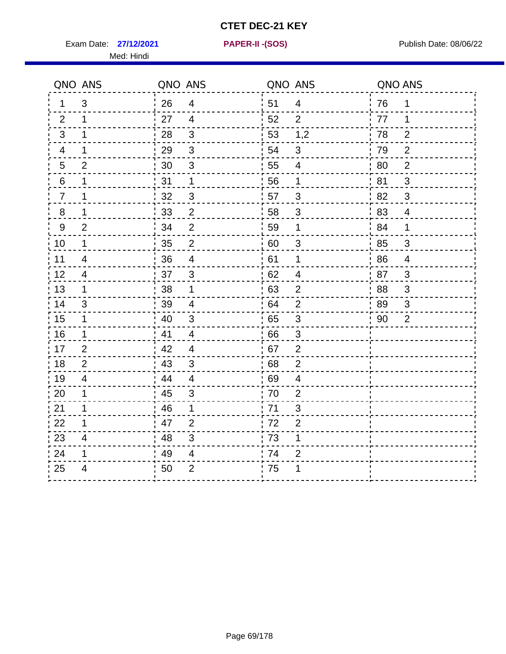Exam Date: **27/12/2021 PAPER-II - (SOS)** Publish Date: 08/06/22 Med: Hindi

**27/12/2021 PAPER-II -(SOS)**

|                | QNO ANS                 | QNO ANS |                | QNO ANS |                          | QNO ANS |                |
|----------------|-------------------------|---------|----------------|---------|--------------------------|---------|----------------|
| 1.             | 3                       | 26      | $\overline{4}$ | 51      | $\overline{4}$           | 76      | 1              |
| 2              | 1                       | 27      | $\overline{4}$ | 52      | 2                        | 77      | 1              |
| 3              | 1                       | 28      | $\mathfrak{3}$ | 53      | 1,2                      | 78      | $\overline{2}$ |
| 4              | 1                       | 29      | 3              | 54      | 3                        | 79      | $\overline{2}$ |
| $\overline{5}$ | $\overline{2}$          | 30      | $\mathsf 3$    | 55      | 4                        | 80      | $\overline{2}$ |
| 6              | 1                       | 31      | $\mathbf 1$    | 56      | 1                        | 81      | 3              |
| $\overline{7}$ | 1                       | 32      | 3              | 57      | 3                        | .82     | 3              |
| 8              | 1                       | 33      | $\overline{2}$ | 58      | 3                        | 83      | $\overline{4}$ |
| 9              | $\overline{2}$          | 34      | $\overline{2}$ | 59      | 1                        | ' 84    | $\mathbf{1}$   |
| 10             | $\mathbf 1$             | 35      | $\overline{2}$ | 60      | 3                        | 85      | 3              |
| 11             | $\overline{\mathbf{4}}$ | 36      | $\overline{4}$ | 61      | 1                        | 86      | $\overline{4}$ |
| 12             | $\overline{4}$          | 37      | $\sqrt{3}$     | 62      | $\overline{\mathcal{A}}$ | 87      | 3              |
| 13             | 1                       | 38      | 1              | 63      | $\overline{2}$           | 88      | 3              |
| 14             | 3                       | 39      | $\overline{4}$ | 64      | $\overline{2}$           | 89      | 3              |
| 15             | $\mathbf 1$             | 40      | 3              | 65      | 3                        | 90      | $\overline{2}$ |
| 16             | 1                       | 41      | $\overline{4}$ | 66      | $\mathfrak{B}$           |         |                |
| 17             | $\overline{2}$          | 42      | $\overline{4}$ | 67      | $\overline{2}$           |         |                |
| 18             | 2                       | 43      | 3              | 68      | $\overline{2}$           |         |                |
| 19             | 4                       | 44      | $\overline{4}$ | 69      | $\overline{\mathcal{A}}$ |         |                |
| 20             | 1                       | 45      | $\mathfrak{B}$ | 70      | $\overline{2}$           |         |                |
| 21             | 1                       | 46      | 1              | .71     | 3                        |         |                |
| 22             | 1                       | 47      | $\overline{2}$ | 72      | $\overline{2}$           |         |                |
| 23             | 4                       | 48      | 3              | 73      | 1                        |         |                |
| 24             | 1                       | 49      | 4              | 74      | $\overline{2}$           |         |                |
| 25             | 4                       | 50      | $\overline{2}$ | .75     |                          |         |                |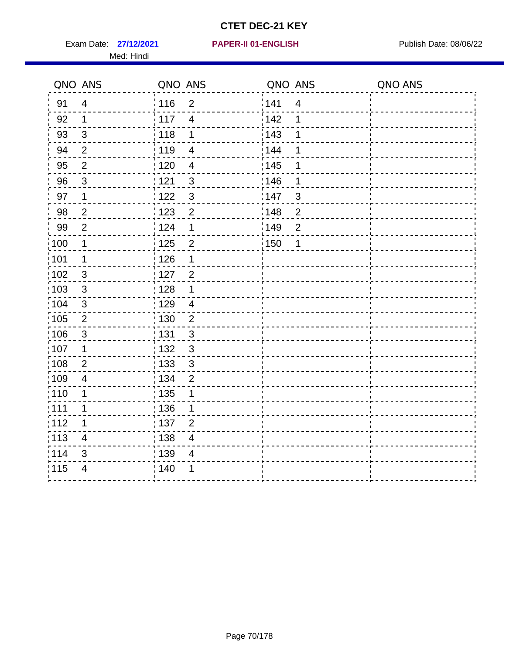Exam Date: 27/12/2021 PAPER-II 01-ENGLISH PREERENT Publish Date: 08/06/22 Med: Hindi

|                   | QNO ANS                 | QNO ANS                                      |                   | QNO ANS                 | QNO ANS |
|-------------------|-------------------------|----------------------------------------------|-------------------|-------------------------|---------|
| 91                | $\overline{4}$          | 116<br>$\overline{2}$                        | 141               | $\overline{\mathbf{4}}$ |         |
| 92                | $\mathbf 1$             | 117<br>$\overline{\mathbf{4}}$               | 142               | 1                       |         |
| 93                | $\mathbf{3}$            | 118<br>1                                     | 143               | 1                       |         |
| 94                | $\overline{2}$          | : 119<br>$\overline{\mathcal{A}}$            | 144               | 1                       |         |
| 95                | $\overline{2}$          | : 120<br>$\overline{\mathcal{A}}$            | : 145             | 1                       |         |
| 96                | $\mathfrak{S}$          | 121<br>$\sqrt{3}$                            | 146               | 1                       |         |
| 97                | $\mathbf 1$             | $\mathbf{3}$<br>122                          | 147               | 3                       |         |
| 98                | $\overline{c}$          | $\frac{1}{2}$ 123<br>$\overline{\mathbf{c}}$ | $\frac{1}{2}$ 148 | $\overline{c}$          |         |
| 99                | $\overline{2}$          | 124<br>1                                     | $\frac{1}{2}$ 149 | $\overline{2}$          |         |
| $\frac{1}{1}$ 100 | $\mathbf 1$             | $\overline{2}$<br>$\frac{1}{1}$ 125          | 150               | 1                       |         |
| :101              | 1                       | 126<br>1                                     |                   |                         |         |
| 102               | 3                       | : 127<br>$\overline{2}$                      |                   |                         |         |
| 103               | $\mathbf{3}$            | 128<br>1                                     |                   |                         |         |
| :104              | $\sqrt{3}$              | : 129<br>$\overline{4}$                      |                   |                         |         |
| 105               | $\sqrt{2}$              | : 130<br>$\overline{2}$                      |                   |                         |         |
| :106              | $\mathfrak{S}$          | : 131<br>3                                   |                   |                         |         |
| :107              | 1                       | $\mathfrak{S}$<br>: 132                      |                   |                         |         |
| 108               | $\mathbf 2$             | $\frac{1}{1}$ 133<br>$\sqrt{3}$              |                   |                         |         |
| :109              | $\overline{\mathbf{4}}$ | : 134<br>$\overline{2}$                      |                   |                         |         |
| :110              | 1                       | : 135<br>1                                   |                   |                         |         |
| :111              | $\mathbf 1$             | : 136<br>1                                   |                   |                         |         |
| 112               | 1                       | 137<br>$\overline{2}$                        |                   |                         |         |
| : 113             | $\overline{\mathbf{4}}$ | : 138<br>$\overline{\mathbf{4}}$             |                   |                         |         |
| 114               | 3                       | :139<br>4                                    |                   |                         |         |
| 115               | $\overline{4}$          | 140<br>1                                     |                   |                         |         |
|                   |                         |                                              |                   |                         |         |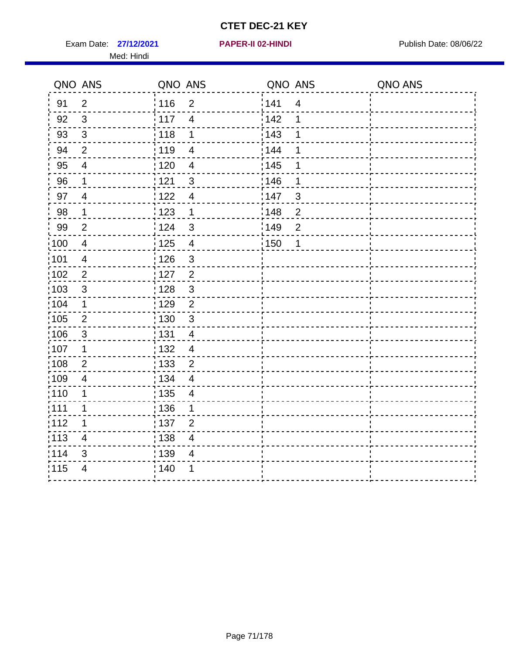Exam Date: 27/12/2021 **PAPER-II 02-HINDI Exam Date: 08/06/22** Med: Hindi

**27/12/2021 PAPER-II 02-HINDI**

|                   | QNO ANS                  | QNO ANS           |                          | QNO ANS           |                | QNO ANS |
|-------------------|--------------------------|-------------------|--------------------------|-------------------|----------------|---------|
| 91                | $\overline{2}$           | 116               | $\mathbf 2$              | 141               | $\overline{4}$ |         |
| 92                | $\mathbf{3}$             | 117               | $\overline{\mathbf{4}}$  | 142               | 1              |         |
| 93                | $\sqrt{3}$               | 118               | 1                        | 143               | 1              |         |
| 94                | $\overline{2}$           | : 119             | $\overline{4}$           | : 144             | 1              |         |
| 95                | $\overline{4}$           | : 120             | $\overline{\mathcal{A}}$ | : 145             | 1              |         |
| 96                | 1                        | 121               | 3                        | 146               | 1              |         |
| 97                | $\overline{4}$           | :122              | $\overline{4}$           | 147               | $\mathfrak{B}$ |         |
| 98                | $\mathbf{1}$             | 123               | $\mathbf{1}$             | 148               | $\overline{c}$ |         |
| 99                | $\overline{2}$           | 124               | $\mathfrak{S}$           | $\frac{1}{2}$ 149 | $\overline{2}$ |         |
| $\frac{1}{1}$ 100 | $\overline{4}$           | $\frac{1}{1}$ 125 | $\overline{\mathbf{4}}$  | 150               | 1              |         |
| :101              | $\overline{\mathcal{A}}$ | : 126             | $\mathfrak{S}$           |                   |                |         |
| 102               | $\overline{2}$           | : 127             | $\overline{2}$           |                   |                |         |
| 103               | $\mathfrak{S}$           | : 128             | $\mathbf{3}$             |                   |                |         |
| :104              | $\mathbf{1}$             | : 129             | $\overline{2}$           |                   |                |         |
| $\frac{1}{1}$ 105 | $\overline{2}$           | $\frac{1}{1}$ 130 | $\mathfrak{S}$           |                   |                |         |
| :106              | $\mathbf{3}$             | : 131             | $\overline{4}$           |                   |                |         |
| :107              | $\mathbf 1$              | : 132             | $\overline{4}$           |                   |                |         |
| 108               | $\overline{2}$           | $\frac{1}{1}$ 133 | $\overline{2}$           |                   |                |         |
| :109              | $\overline{\mathbf{4}}$  | : 134             | $\overline{4}$           |                   |                |         |
| :110              | 1                        | $\frac{1}{1}$ 135 | $\overline{\mathcal{A}}$ |                   |                |         |
| ;111              | 1                        | : 136             | 1                        |                   |                |         |
| 112               | 1                        | : 137             | $\overline{2}$           |                   |                |         |
| 113               | $\overline{\mathbf{4}}$  | : 138             | $\overline{\mathbf{4}}$  |                   |                |         |
| 114               | 3                        | : 139             | $\overline{4}$           |                   |                |         |
| 115               | $\overline{4}$           | 140               | 1                        |                   |                |         |
|                   |                          |                   |                          |                   |                |         |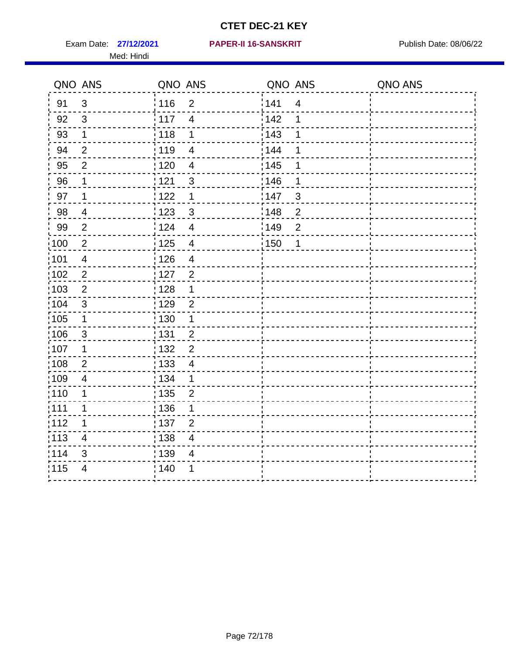Med: Hindi

|                   | QNO ANS                 | QNO ANS |                          | QNO ANS           |                         | QNO ANS |
|-------------------|-------------------------|---------|--------------------------|-------------------|-------------------------|---------|
| 91                | $\mathbf{3}$            | 116     | $\mathbf 2$              | 141               | $\overline{\mathbf{4}}$ |         |
| 92                | 3                       | 117     | $\overline{\mathbf{4}}$  | 142               | 1                       |         |
| 93                | $\mathbf 1$             | 118     | 1                        | 143               | 1                       |         |
| 94                | $\overline{2}$          | : 119   | $\overline{\mathbf{4}}$  | 144               | 1                       |         |
| 95                | $\overline{2}$          | : 120   | $\overline{\mathcal{A}}$ | : 145             | 1                       |         |
| 96                | 1                       | 121     | $\mathbf{3}$             | 146               | 1                       |         |
| 97                | $\mathbf 1$             | 122     | 1                        | 147               | $\mathfrak{B}$          |         |
| 98                | $\overline{4}$          | 123     | 3                        | ¦148              | $\overline{c}$          |         |
| 99                | $\mathbf{2}$            | 124     | $\overline{4}$           | :149              | $\mathbf{2}$            |         |
| $\frac{1}{1}$ 100 | $\overline{2}$          | 125     | $\overline{4}$           | $\frac{1}{1}$ 150 | 1                       |         |
| :101              | $\overline{\mathbf{4}}$ | : 126   | $\overline{\mathbf{4}}$  |                   |                         |         |
| 102               | $\overline{2}$          | : 127   | $\overline{2}$           |                   |                         |         |
| ;103              | 2                       | : 128   | $\mathbf 1$              |                   |                         |         |
| 104               | $\mathfrak{3}$          | : 129   | $\overline{2}$           |                   |                         |         |
| 105               | $\mathbf{1}$            | 130     | $\mathbf 1$              |                   |                         |         |
| 106               | $\mathfrak{S}$          | : 131   | $\overline{2}$           |                   |                         |         |
| ;107              | 1                       | 132     | $\overline{2}$           |                   |                         |         |
| 108               | $\overline{2}$          | : 133   | $\overline{4}$           |                   |                         |         |
| :109              | $\overline{4}$          | : 134   | $\mathbf{1}$             |                   |                         |         |
| :110              | 1                       | : 135   | $\overline{2}$           |                   |                         |         |
| : 111             | 1                       | : 136   | 1                        |                   |                         |         |
| 112               | 1                       | : 137   | $\overline{2}$           |                   |                         |         |
| : 113             | $\overline{\mathbf{4}}$ | : 138   | $\overline{4}$           |                   |                         |         |
| 114               | 3                       | : 139   | 4                        |                   |                         |         |
| 115               | $\overline{4}$          | 140     | 1                        |                   |                         |         |
|                   |                         |         |                          |                   |                         |         |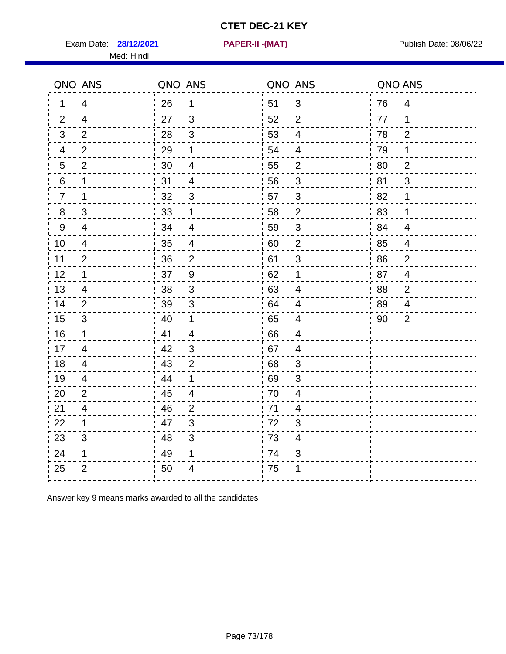Exam Date: 28/12/2021 PAPER-II - (MAT) PRESER FOR DATE: 08/06/22

Med: Hindi

**28/12/2021 PAPER-II -(MAT)**

|    | QNO ANS        | QNO ANS |                          | QNO ANS |                          | QNO ANS |                |
|----|----------------|---------|--------------------------|---------|--------------------------|---------|----------------|
| 1  | 4              | 26      | $\mathbf 1$              | ່ 51    | $\mathfrak{B}$           | 76      | $\overline{4}$ |
| 2  | $\overline{4}$ | 27      | $\mathbf{3}$             | 52      | $\overline{2}$           | 77      | 1              |
| 3  | 2              | 28      | $\sqrt{3}$               | 53      | $\overline{4}$           | 78      | $\overline{2}$ |
| 4  | $\overline{2}$ | 29      | 1                        | 54      | 4                        | 79      | 1              |
| 5  | $\overline{2}$ | 30      | $\overline{\mathcal{A}}$ | 55      | $\overline{2}$           | 80      | $\overline{2}$ |
| 6  | 1              | 31      | $\overline{4}$           | 56      | 3                        | 81      | 3              |
| 7  | 1              | 32      | 3                        | 57      | 3                        | 82      | 1              |
| 8  | 3              | 33      | 1                        | 58      | $\overline{2}$           | 83      | 1              |
| 9  | $\overline{4}$ | 34      | $\overline{4}$           | 59      | $\sqrt{3}$               | 84      | $\overline{4}$ |
| 10 | 4              | 35      | $\overline{4}$           | 60      | $\overline{2}$           | 85      | $\overline{4}$ |
| 11 | $\overline{2}$ | 36      | $\mathbf 2$              | 61      | $\sqrt{3}$               | 86      | $\overline{2}$ |
| 12 | 1              | 37      | $\boldsymbol{9}$         | 62      | $\mathbf 1$              | 87      | $\overline{4}$ |
| 13 | 4              | 38      | $\mathfrak{S}$           | 63      | 4                        | 88      | $\overline{2}$ |
| 14 | 2              | 39      | 3                        | 64      | 4                        | 89      | 4              |
| 15 | 3              | 40      | $\mathbf 1$              | 65      | $\overline{4}$           | 90      | 2              |
| 16 | $\mathbf{1}$   | 41      | $\overline{4}$           | 66      | $\overline{4}$           |         |                |
| 17 | $\overline{4}$ | 42      | $\mathfrak{S}$           | 67      | $\overline{4}$           |         |                |
| 18 | 4              | 43      | $\overline{2}$           | 68      | 3                        |         |                |
| 19 | 4              | 44      | 1                        | 69      | 3                        |         |                |
| 20 | $\overline{2}$ | 45      | $\overline{\mathcal{A}}$ | 70      | $\overline{\mathbf{4}}$  |         |                |
| 21 | 4              | 46      | 2                        | .71     | 4                        |         |                |
| 22 | $\mathbf 1$    | 47      | 3                        | 72      | 3                        |         |                |
| 23 | 3              | 48      | $\sqrt{3}$               | 73      | $\overline{\mathcal{A}}$ |         |                |
| 24 | 1              | 49      | 1                        | 74      | 3                        |         |                |
| 25 | $\overline{2}$ | 50      | 4                        | .75     | 1                        |         |                |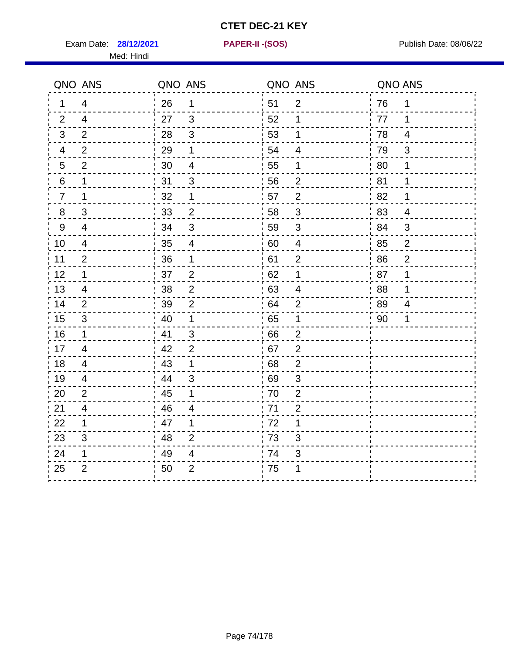Exam Date: **28/12/2021 PAPER-II - (SOS)** Publish Date: 08/06/22 Med: Hindi

**28/12/2021 PAPER-II -(SOS)**

|                | QNO ANS        | QNO ANS |                          | QNO ANS |                           | QNO ANS |                |
|----------------|----------------|---------|--------------------------|---------|---------------------------|---------|----------------|
| 1              | 4              | 26      | $\mathbf 1$              | 51      | $\overline{2}$            | 76      | 1              |
| 2              | $\overline{4}$ | 27      | 3                        | 52      | 1                         | 77      | 1              |
| 3              | 2              | 28      | 3                        | 53      | 1                         | 78      | 4              |
| 4              | $\overline{2}$ | 29      | 1                        | 54      | $\overline{4}$            | 79      | $\mathfrak{S}$ |
| 5              | $\overline{2}$ | 30      | $\overline{\mathbf{4}}$  | 55      | 1                         | 80      | $\mathbf 1$    |
| 6              | 1              | 31      | 3                        | 56      | $\overline{2}$            | 81      | 1              |
| $\overline{7}$ | 1              | 32      | 1                        | 57      | $\overline{2}$            | 82      | 1              |
| 8              | 3              | 33      | $\overline{2}$           | 58      | 3                         | 83      | $\overline{4}$ |
| 9              | $\overline{4}$ | 34      | $\mathfrak{S}$           | 59      | 3                         | 84      | 3              |
| 10             | $\overline{4}$ | 35      | $\overline{\mathcal{A}}$ | 60      | $\overline{4}$            | 85      | $\overline{2}$ |
| 11             | $\overline{2}$ | 36      | $\mathbf 1$              | 61      | $\overline{2}$            | 86      | $\overline{2}$ |
| 12             | 1              | 37      | $\sqrt{2}$               | 62      | 1                         | 87      | 1              |
| 13             | 4              | 38      | $\overline{2}$           | 63      | 4                         | 88      | 1              |
| 14             | 2              | 39      | $\overline{2}$           | 64      | $\overline{2}$            | 89      | $\overline{4}$ |
| 15             | 3              | 40      | $\mathbf 1$              | 65      | $\mathbf 1$               | 90      | 1              |
| 16             | $\mathbf 1$    | 41      | 3                        | 66      | $\overline{2}$            |         |                |
| 17             | $\overline{4}$ | 42      | 2                        | 67      | $\overline{2}$            |         |                |
| 18             | 4              | 43      | $\mathbf{1}$             | 68      | $\overline{2}$            |         |                |
| 19             | 4              | 44      | 3                        | 69      | 3                         |         |                |
| 20             | $\overline{2}$ | 45      | 1                        | 70      | $\overline{2}$            |         |                |
| 21             | 4              | 46      | $\overline{4}$           | 71      | $\overline{2}$            |         |                |
| 22             | $\mathbf 1$    | 47      | 1                        | 72      | 1                         |         |                |
| 23             | 3              | 48      | $\overline{2}$           | 73      | 3                         |         |                |
| 24             | 1              | 49      | $\overline{\mathcal{A}}$ | 74      | $\ensuremath{\mathsf{3}}$ |         |                |
| 25             | $\overline{2}$ | 50      | $\overline{2}$           | 75      | 1                         |         |                |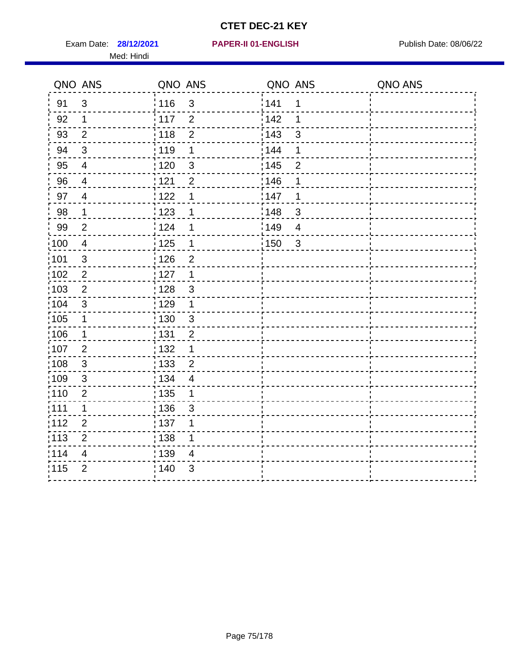Exam Date: **28/12/2021 PAPER-II 01-ENGLISH Propriet Allen Exam Date: 08/06/22** Med: Hindi

|       | QNO ANS        | QNO ANS                          | QNO ANS                             | QNO ANS |
|-------|----------------|----------------------------------|-------------------------------------|---------|
| 91    | $\mathbf{3}$   | 116<br>$\mathfrak{S}$            | 141<br>$\mathbf 1$                  |         |
| 92    | $\mathbf 1$    | 117<br>$\overline{2}$            | 142<br>1                            |         |
| 93    | $\overline{2}$ | 118<br>$\overline{2}$            | 143<br>3                            |         |
| 94    | 3              | : 119<br>1                       | : 144<br>1                          |         |
| 95    | $\overline{4}$ | : 120<br>$\mathfrak{B}$          | : 145<br>$\overline{2}$             |         |
| 96    | 4              | 121<br>$\overline{2}$            | 146<br>1                            |         |
| 97    | $\overline{4}$ | : 122<br>1                       | 147<br>1                            |         |
| 98    | $\mathbf{1}$   | 123<br>1                         | 148<br>$\mathbf{3}$                 |         |
| 99    | $\overline{2}$ | $\frac{1}{2}$ 124<br>1           | :149<br>$\overline{4}$              |         |
| :100  | $\overline{4}$ | $\frac{1}{2}$ 125<br>$\mathbf 1$ | $\frac{1}{2}$ 150<br>$\mathfrak{S}$ |         |
| :101  | $\sqrt{3}$     | : 126<br>$\overline{2}$          |                                     |         |
| 102   | $\overline{2}$ | : 127<br>$\mathbf 1$             |                                     |         |
| ;103  | 2              | $\mathbf{3}$<br>128              |                                     |         |
| 104   | $\mathfrak{3}$ | : 129<br>$\mathbf 1$             |                                     |         |
| :105  | $\mathbf 1$    | 130<br>$\mathfrak{S}$            |                                     |         |
| :106  | $\mathbf 1$    | : 131<br>$\overline{2}$          |                                     |         |
| 107   | $\overline{2}$ | 1<br>:132                        |                                     |         |
| 108   | $\sqrt{3}$     | $\overline{2}$<br> 133           |                                     |         |
| :109  | $\sqrt{3}$     | : 134<br>$\overline{4}$          |                                     |         |
| : 110 | 2              | : 135<br>1                       |                                     |         |
| 111   | $\mathbf 1$    | : 136<br>3                       |                                     |         |
| 112   | $\mathbf 2$    | 137<br>1                         |                                     |         |
| 113   | $\mathbf 2$    | : 138<br>1                       |                                     |         |
| 114   | 4              | 139<br>4                         |                                     |         |
| 115   | $\overline{2}$ | 140<br>$\mathfrak{S}$            |                                     |         |
|       |                |                                  |                                     |         |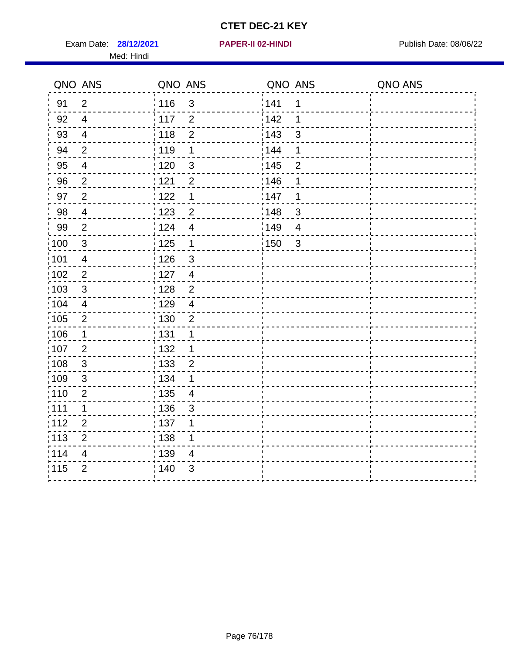Exam Date: **28/12/2021 PAPER-II 02-HINDI Exam Date: 08/06/22** Med: Hindi

|                   | QNO ANS                 | QNO ANS                             | QNO ANS                 | QNO ANS |
|-------------------|-------------------------|-------------------------------------|-------------------------|---------|
| 91                | $\overline{2}$          | 116<br>$\mathfrak{S}$               | 141<br>1                |         |
| 92                | $\overline{4}$          | 117<br>$\overline{2}$               | 142<br>1                |         |
| 93                | $\overline{4}$          | 118<br>$\overline{2}$               | 143<br>3                |         |
| 94                | $\overline{2}$          | : 119<br>1                          | : 144<br>1              |         |
| 95                | 4                       | 120<br>$\mathfrak{S}$               | : 145<br>$\overline{2}$ |         |
| 96                | $\overline{2}$          | 121<br>$\overline{2}$               | 146<br>1                |         |
| 97                | $\overline{2}$          | 122<br>1                            | 147<br>1                |         |
| $98\,$            | $\overline{4}$          | 123<br>$\overline{c}$               | 148<br>$\mathbf{3}$     |         |
| 99                | $\overline{2}$          | 124<br>$\overline{\mathbf{4}}$      | 149<br>$\overline{4}$   |         |
| $\frac{1}{1}$ 100 | $\sqrt{3}$              | $\frac{1}{1}$ 125<br>$\mathbf{1}$   | 150<br>$\mathfrak{3}$   |         |
| :101              | $\overline{\mathbf{4}}$ | : 126<br>$\mathfrak{S}$             |                         |         |
| 102               | $\overline{2}$          | : 127<br>$\overline{4}$             |                         |         |
| 103               | 3                       | $\overline{2}$<br>: 128             |                         |         |
| 104               | $\overline{4}$          | : 129<br>$\overline{4}$             |                         |         |
| $\frac{1}{1}$ 105 | $\overline{2}$          | $\frac{1}{1}$ 130<br>$\overline{2}$ |                         |         |
| :106              | $\mathbf{1}$            | : 131<br>1                          |                         |         |
| 107               | 2                       | : 132<br>$\mathbf 1$                |                         |         |
| 108               | $\mathbf{3}$            | $\frac{1}{1}$ 133<br>$\overline{2}$ |                         |         |
| :109              | $\sqrt{3}$              | : 134<br>1                          |                         |         |
| :110              | $\overline{2}$          | 135<br>$\overline{4}$               |                         |         |
| ;111              | 1                       | : 136<br>$\mathbf{3}$               |                         |         |
| 112               | $\overline{2}$          | : 137<br>1                          |                         |         |
| 113               | $\mathbf 2$             | : 138<br>1                          |                         |         |
| 114               | $\overline{4}$          | : 139<br>$\overline{4}$             |                         |         |
| 115               | $\overline{2}$          | 140<br>$\mathfrak{S}$               |                         |         |
|                   |                         |                                     |                         |         |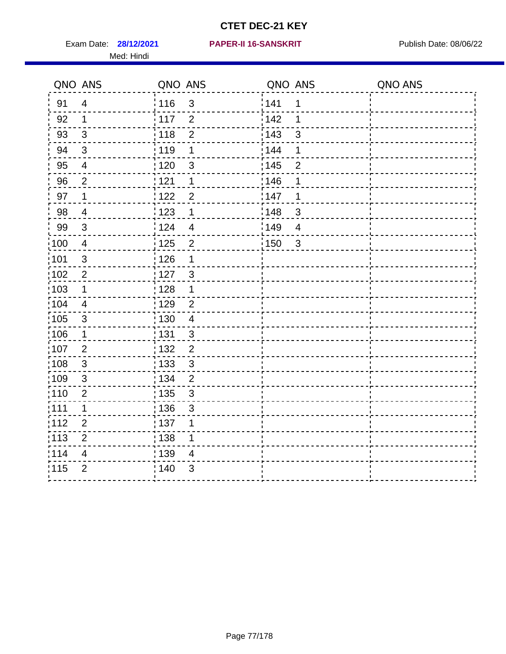Med: Hindi

#### **28/12/2021 PAPER-II 16-SANSKRIT** Exam Date: Publish Date: 08/06/22

|                   | QNO ANS        | QNO ANS           |                         | QNO ANS |                | QNO ANS |
|-------------------|----------------|-------------------|-------------------------|---------|----------------|---------|
| 91                | $\overline{4}$ | : 116             | 3                       | 141     | 1              |         |
| 92                | $\mathbf 1$    | 117               | $\overline{2}$          | 142     | 1              |         |
| 93                | $\mathfrak{S}$ | 118               | $\overline{2}$          | 143     | 3              |         |
| 94                | $\mathfrak{3}$ | : 119             | $\mathbf 1$             | 144     | 1              |         |
| 95                | $\overline{4}$ | :120              | $\mathfrak{B}$          | : 145   | $\overline{2}$ |         |
| 96                | $\overline{2}$ | 121               | 1                       | 146     | 1              |         |
| 97                | $\mathbf 1$    | 122               | $\overline{2}$          | 147     | 1              |         |
| 98                | $\overline{4}$ | 123               | 1                       | 148     | $\mathbf{3}$   |         |
| 99                | $\sqrt{3}$     | 124               | $\overline{\mathbf{4}}$ | 149     | $\overline{4}$ |         |
| $\frac{1}{1}$ 100 | $\overline{4}$ | $\frac{1}{1}$ 125 | $\overline{2}$          | 150     | $\mathbf{3}$   |         |
| :101              | $\sqrt{3}$     | $\frac{1}{1}$ 126 | 1                       |         |                |         |
| 102               | $\overline{2}$ | : 127             | $\mathbf{3}$            |         |                |         |
| 103               | $\mathbf 1$    | :128              | $\mathbf 1$             |         |                |         |
| 104               | $\overline{4}$ | : 129             | $\overline{2}$          |         |                |         |
| 105               | $\sqrt{3}$     | : 130             | $\overline{4}$          |         |                |         |
| ;106              | $\mathbf 1$    | : 131             | 3                       |         |                |         |
| :107              | $\overline{2}$ | 132               | $\overline{2}$          |         |                |         |
| 108               | $\sqrt{3}$     | : 133             | $\mathbf{3}$            |         |                |         |
| :109              | $\mathbf{3}$   | : 134             | $\overline{2}$          |         |                |         |
| :110              | $\overline{2}$ | 135               | 3                       |         |                |         |
| :111              | $\mathbf 1$    | : 136             | $\mathfrak{S}$          |         |                |         |
| 112               | $\mathbf{2}$   | 137               | 1                       |         |                |         |
| : 113             | $\mathbf 2$    | : 138             | 1                       |         |                |         |
| 114               | 4              | 139               | 4                       |         |                |         |
| 115               | $\overline{2}$ | 140               | 3                       |         |                |         |
|                   |                |                   |                         |         |                |         |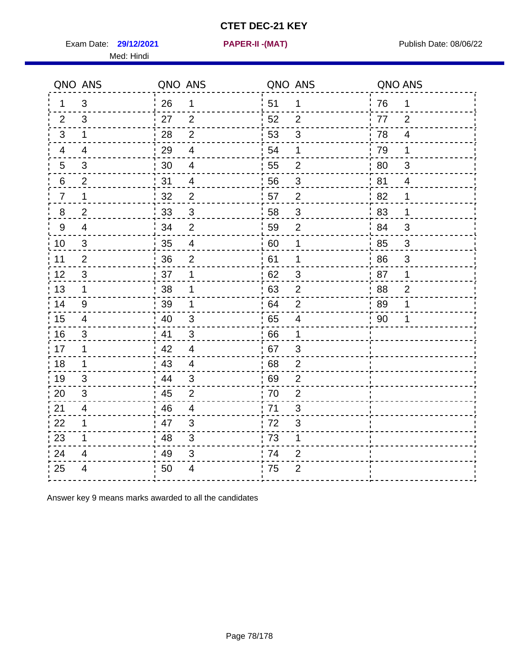Exam Date: **29/12/2021 PAPER-II -(MAT)** PUblish Date: 08/06/22

Med: Hindi

**29/12/2021 PAPER-II -(MAT)**

|                | QNO ANS                 | QNO ANS |                          |     | QNO ANS                 | QNO ANS |                           |
|----------------|-------------------------|---------|--------------------------|-----|-------------------------|---------|---------------------------|
| 1              | 3                       | 26      | 1                        | 51  | $\mathbf 1$             | 76      | 1                         |
| 2              | 3                       | 27      | 2                        | 52  | $\overline{2}$          | 77      | $\overline{2}$            |
| 3              | $\mathbf 1$             | 28      | $\overline{2}$           | 53  | $\sqrt{3}$              | 78      | $\overline{4}$            |
| $\overline{4}$ | $\overline{4}$          | 29      | $\overline{4}$           | 54  | 1                       | 79      | 1                         |
| 5              | 3                       | 30      | $\overline{\mathcal{A}}$ | 55  | $\overline{2}$          | 80      | 3                         |
| 6              | $\overline{2}$          | 31      | $\overline{4}$           | 56  | 3                       | 81      | 4                         |
| 7              | 1                       | 32      | $\overline{2}$           | 57  | $\overline{2}$          | 82      | 1                         |
| 8              | $\overline{2}$          | 33      | $\sqrt{3}$               | 58  | $\sqrt{3}$              | 83      | 1                         |
| $9\,$          | $\overline{\mathbf{4}}$ | 34      | $\mathbf 2$              | 59  | $\mathbf{2}$            | 84      | $\sqrt{3}$                |
| 10             | 3                       | 35      | $\overline{4}$           | 60  | $\mathbf 1$             | 85      | $\sqrt{3}$                |
| 11             | $\mathbf{2}$            | 36      | $\mathbf 2$              | 61  | 1                       | 86      | $\ensuremath{\mathsf{3}}$ |
| 12             | $\mathfrak{B}$          | 37      | 1                        | 62  | $\sqrt{3}$              | 87      | 1                         |
| 13             | $\mathbf 1$             | 38      | 1                        | .63 | 2                       | 88      | $\overline{2}$            |
| 14             | 9                       | 39      | 1                        | 64  | $\overline{2}$          | 89      | 1                         |
| 15             | $\overline{4}$          | 40      | $\sqrt{3}$               | 65  | $\overline{\mathbf{4}}$ | 90      | 1                         |
| 16             | 3                       | 41      | 3                        | 66  | $\mathbf 1$             |         |                           |
| 17             | 1                       | 42      | $\overline{4}$           | .67 | 3                       |         |                           |
| 18             | $\mathbf 1$             | 43      | $\overline{4}$           | 68  | $\overline{2}$          |         |                           |
| 19             | 3                       | 44      | $\sqrt{3}$               | .69 | $\overline{2}$          |         |                           |
| 20             | 3                       | 45      | $\overline{2}$           | 70  | $\overline{2}$          |         |                           |
| 21             | 4                       | 46      | $\overline{4}$           | 71  | 3                       |         |                           |
| 22             | $\mathbf 1$             | 47      | $\mathfrak{B}$           | 72  | $\sqrt{3}$              |         |                           |
| 23             | 1                       | 48      | $\mathfrak{S}$           | 73  | 1                       |         |                           |
| 24             | 4                       | 49      | 3                        | 74  | $\overline{2}$          |         |                           |
| 25             | 4                       | 50      | 4                        | 75  | $\overline{2}$          |         |                           |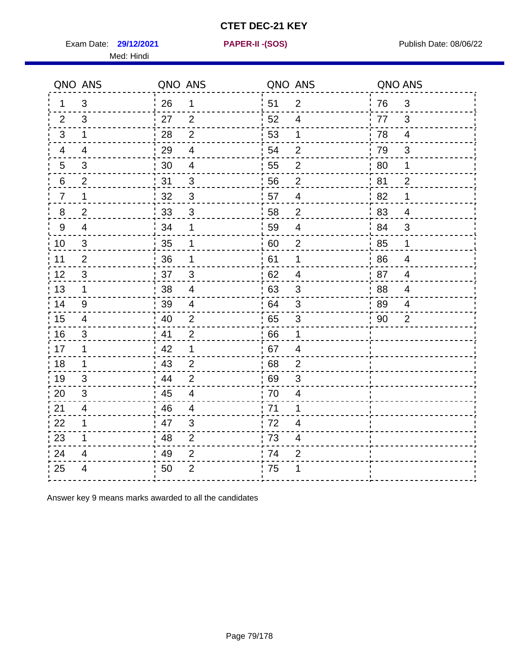Exam Date: **29/12/2021 PAPER-II - (SOS)** Publish Date: 08/06/22

Med: Hindi

**29/12/2021 PAPER-II -(SOS)**

|                 | QNO ANS        | QNO ANS |                          | QNO ANS |                         | QNO ANS |                |
|-----------------|----------------|---------|--------------------------|---------|-------------------------|---------|----------------|
| 1.              | 3              | 26      | $\mathbf 1$              | ່ 51    | $\overline{2}$          | 76      | $\mathfrak{S}$ |
| 2               | 3              | 27      | 2                        | 52      | 4                       | 77      | 3              |
| 3               | $\mathbf{1}$   | 28      | $\overline{2}$           | 53      | $\mathbf{1}$            | 78      | $\overline{4}$ |
| 4               | 4              | 29      | $\overline{\mathcal{A}}$ | 54      | $\overline{2}$          | 79      | 3              |
| $5\overline{)}$ | 3              | 30      | $\overline{\mathbf{4}}$  | 55      | $\overline{c}$          | 80      | 1              |
| 6               | 2              | 31      | 3                        | 56      | 2                       | .81     | $\overline{2}$ |
| $\overline{7}$  | 1              | 32      | 3                        | 57      | $\overline{4}$          | 82      | 1              |
| 8               | $\overline{2}$ | 33      | $\sqrt{3}$               | 58      | $\overline{2}$          | 83      | $\overline{4}$ |
| 9               | $\overline{4}$ | 34      | 1                        | 59      | $\overline{4}$          | ' 84    | 3              |
| 10              | 3              | 35      | 1                        | 60      | $\overline{c}$          | 85      | $\mathbf{1}$   |
| 11              | $\overline{2}$ | 36      | 1                        | 61      | $\mathbf 1$             | 86      | $\overline{4}$ |
| 12              | $\mathfrak{S}$ | 37      | $\mathbf{3}$             | 62      | $\overline{4}$          | 87      | $\overline{4}$ |
| 13              | $\mathbf{1}$   | 38      | $\overline{4}$           | 63      | 3                       | 88      | 4              |
| 14              | 9              | 39      | $\overline{4}$           | 64      | 3                       | 89      | 4              |
| 15              | 4              | 40      | $\overline{2}$           | 65      | $\sqrt{3}$              | 90      | $\overline{2}$ |
| 16              | 3              | 41      | $\overline{2}$           | 66      | 1                       |         |                |
| 17              | 1              | 42      | 1                        | .67     | 4                       |         |                |
| 18              | $\mathbf 1$    | 43      | $\overline{2}$           | 68      | $\overline{2}$          |         |                |
| 19              | 3              | 44      | $\overline{2}$           | .69     | 3                       |         |                |
| 20              | 3              | 45      | $\overline{4}$           | 70      | $\overline{\mathbf{4}}$ |         |                |
| 21              | 4              | 46      | 4                        | 71      | 1                       |         |                |
| 22              | $\mathbf 1$    | 47      | 3                        | 72      | $\overline{4}$          |         |                |
| 23              | 1              | 48      | $\overline{2}$           | 73      | $\overline{\mathbf{4}}$ |         |                |
| 24              | 4              | 49      | $\overline{2}$           | 74      | $\overline{2}$          |         |                |
| 25              | 4              | 50      | $\overline{2}$           | 75      |                         |         |                |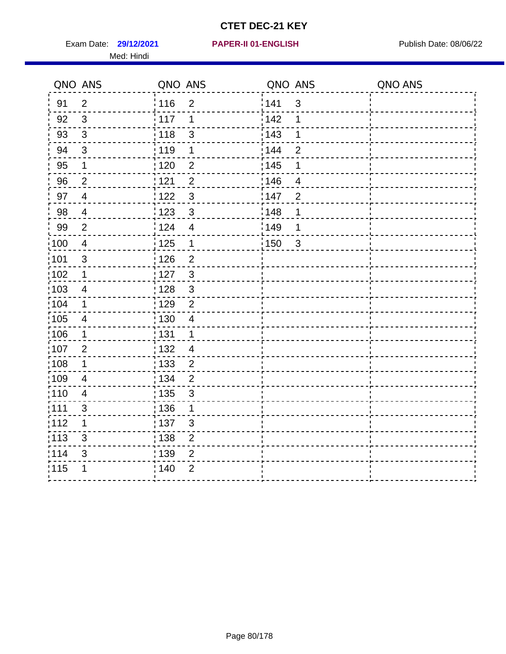Exam Date: 29/12/2021 **PAPER-II 01-ENGLISH Propriet Access 198/06/22** Med: Hindi

|                   | QNO ANS        | QNO ANS           |                | QNO ANS |                | QNO ANS |
|-------------------|----------------|-------------------|----------------|---------|----------------|---------|
| 91                | $\overline{2}$ | 116               | $\overline{2}$ | 141     | $\mathfrak{S}$ |         |
| 92                | $\mathfrak{S}$ | 117               | 1              | 142     | 1              |         |
| 93                | $\mathbf{3}$   | 118               | $\mathfrak{S}$ | 143     | 1              |         |
| 94                | 3              | : 119             | 1              | 144     | $\overline{2}$ |         |
| 95                | 1              | : 120             | $\overline{2}$ | : 145   | 1              |         |
| 96                | $\overline{2}$ | 121               | $\overline{2}$ | 146     | $\overline{4}$ |         |
| 97                | $\overline{4}$ | 122               | $\mathbf{3}$   | 147     | $\overline{2}$ |         |
| 98                | $\overline{4}$ | $\frac{1}{2}$ 123 | $\mathbf{3}$   | 148     | 1              |         |
| 99                | $\mathbf{2}$   | 124               | $\overline{4}$ | ¦149    | 1              |         |
| $\frac{1}{1}$ 100 | $\overline{4}$ | 125               | $\mathbf 1$    | 150     | $\mathbf{3}$   |         |
| 101               | $\mathsf 3$    | 126               | $\overline{2}$ |         |                |         |
| 102               | 1              | : 127             | $\mathbf{3}$   |         |                |         |
| 103               | $\overline{4}$ | 128               | $\mathfrak{3}$ |         |                |         |
| 104               | $\mathbf 1$    | : 129             | $\overline{2}$ |         |                |         |
| $\frac{1}{1}$ 105 | $\overline{4}$ | : 130             | $\overline{4}$ |         |                |         |
| :106              | $\mathbf 1$    | : 131             | $\mathbf 1$    |         |                |         |
| :107              | $\overline{2}$ | : 132             | $\overline{4}$ |         |                |         |
| 108               | $\mathbf 1$    | $\frac{1}{1}$ 133 | $\overline{2}$ |         |                |         |
| :109              | $\overline{4}$ | : 134             | $\overline{2}$ |         |                |         |
| 110               | 4              | : 135             | 3              |         |                |         |
| :111              | $\sqrt{3}$     | : 136             | 1              |         |                |         |
| 112               | 1              | $\frac{1}{1}$ 137 | $\mathfrak{S}$ |         |                |         |
| 113               | $\mathfrak{S}$ | : 138             | $\overline{c}$ |         |                |         |
| 114               | 3              | : 139             | $\overline{2}$ |         |                |         |
| 115               | 1              | 140               | $\overline{2}$ |         |                |         |
|                   |                |                   |                |         |                |         |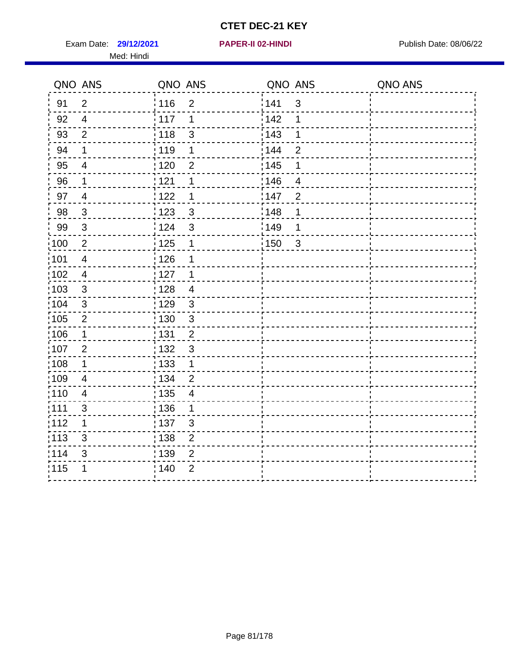Exam Date: 29/12/2021 **PAPER-II 02-HINDI Exam Date: 08/06/22** Med: Hindi

**29/12/2021 PAPER-II 02-HINDI**

|                   | QNO ANS                  | QNO ANS                             | QNO ANS           |                | QNO ANS |
|-------------------|--------------------------|-------------------------------------|-------------------|----------------|---------|
| 91                | $\overline{2}$           | 116<br>$\overline{2}$               | 141               | $\mathfrak{S}$ |         |
| 92                | $\overline{4}$           | $\frac{1}{2}$ 117<br>1              | 142               | 1              |         |
| 93                | $\overline{2}$           | 118<br>$\mathfrak{S}$               | 143               | 1              |         |
| 94                | 1                        | : 119<br>1                          | : 144             | $\overline{2}$ |         |
| 95                | $\overline{4}$           | : 120<br>2                          | : 145             | 1              |         |
| 96                | 1                        | 121<br>1                            | 146               | 4              |         |
| 97                | $\overline{4}$           | 122<br>1                            | 147               | $\overline{2}$ |         |
| 98                | $\mathbf{3}$             | $\frac{1}{2}$ 123<br>$\mathbf{3}$   | 148               | 1              |         |
| 99                | $\sqrt{3}$               | 124<br>3                            | $\frac{1}{2}$ 149 | 1              |         |
| :100              | $\sqrt{2}$               | $\frac{1}{1}$ 125<br>$\mathbf 1$    | $\frac{1}{1}$ 150 | $\mathfrak{3}$ |         |
| :101              | $\overline{\mathcal{A}}$ | 126<br>1                            |                   |                |         |
| 102               | $\overline{4}$           | : 127<br>1                          |                   |                |         |
| 103               | 3                        | : 128<br>$\overline{4}$             |                   |                |         |
| :104              | $\mathbf{3}$             | $\frac{1}{1}$ 129<br>$\mathfrak{3}$ |                   |                |         |
| $\frac{1}{1}$ 105 | $\overline{2}$           | $\mathbf{3}$<br>130                 |                   |                |         |
| :106              | $\mathbf 1$              | : 131<br>$\overline{2}$             |                   |                |         |
| 107               | $\overline{2}$           | $\mathbf{3}$<br>132                 |                   |                |         |
| 108               | $\mathbf 1$              | 133<br>$\mathbf{1}$                 |                   |                |         |
| :109              | $\overline{4}$           | : 134<br>$\overline{2}$             |                   |                |         |
| :110              | $\overline{4}$           | 135<br>4                            |                   |                |         |
| :111              | $\mathfrak{S}$           | : 136<br>1                          |                   |                |         |
| 112               | 1                        | $\frac{1}{1}$ 137<br>$\mathfrak{S}$ |                   |                |         |
| 113               | 3                        | $\frac{1}{1}$ 138<br>$\overline{2}$ |                   |                |         |
| 114               | 3                        | : 139<br>$\overline{2}$             |                   |                |         |
| 115               | 1                        | 140<br>$\overline{2}$               |                   |                |         |
|                   |                          |                                     |                   |                |         |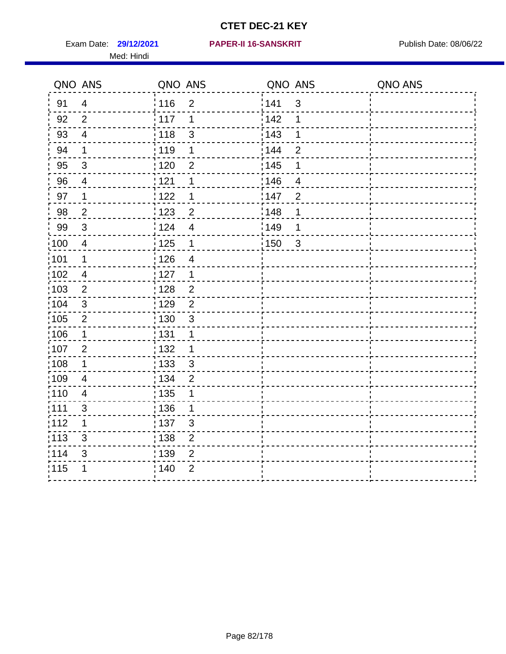Med: Hindi

|                   | QNO ANS        | QNO ANS                                  | QNO ANS                             | QNO ANS |
|-------------------|----------------|------------------------------------------|-------------------------------------|---------|
| 91                | $\overline{4}$ | 116<br>$\overline{2}$                    | 141<br>$\mathfrak{S}$               |         |
| 92                | $\overline{2}$ | 117<br>1                                 | 142<br>1                            |         |
| 93                | $\overline{4}$ | 118<br>$\mathfrak{S}$                    | 143<br>1                            |         |
| 94                | 1              | : 119<br>1                               | : 144<br>$\overline{2}$             |         |
| 95                | 3              | : 120<br>2                               | : 145<br>1                          |         |
| 96                | 4              | 121<br>1                                 | 146<br>4                            |         |
| 97                | 1              | 122<br>1                                 | 147<br>$\overline{2}$               |         |
| 98                | $\overline{c}$ | $\frac{1}{2}$ 123<br>$\overline{c}$      | 148<br>1                            |         |
| 99                | $\sqrt{3}$     | $\frac{1}{2}$<br>$\overline{\mathbf{4}}$ | $\frac{1}{2}$ 149<br>1              |         |
| $\frac{1}{1}$ 100 | $\overline{4}$ | $\frac{1}{1}$ 125<br>$\mathbf 1$         | $\frac{1}{1}$ 150<br>$\mathfrak{3}$ |         |
| :101              | 1              | 126<br>$\overline{\mathbf{4}}$           |                                     |         |
| 102               | $\overline{4}$ | : 127<br>1                               |                                     |         |
| 103               | 2              | : 128<br>$\overline{2}$                  |                                     |         |
| :104              | $\mathbf{3}$   | $\overline{2}$<br>$\frac{1}{1}$ 129      |                                     |         |
| $\frac{1}{1}$ 105 | $\overline{2}$ | 130<br>3                                 |                                     |         |
| :106              | $\mathbf 1$    | : 131<br>1                               |                                     |         |
| 107               | $\overline{2}$ | 132<br>$\mathbf 1$                       |                                     |         |
| 108               | $\mathbf 1$    | 133<br>$\mathbf{3}$                      |                                     |         |
| :109              | $\overline{4}$ | : 134<br>$\overline{2}$                  |                                     |         |
| :110              | $\overline{4}$ | 135<br>1                                 |                                     |         |
| :111              | $\mathfrak{S}$ | : 136<br>1                               |                                     |         |
| 112               | 1              | $\frac{1}{1}$ 137<br>$\mathfrak{S}$      |                                     |         |
| 113               | 3              | $\frac{1}{1}$ 138<br>$\overline{2}$      |                                     |         |
| 114               | 3              | : 139<br>$\overline{2}$                  |                                     |         |
| 115               | 1              | 140<br>$\overline{2}$                    |                                     |         |
|                   |                |                                          |                                     |         |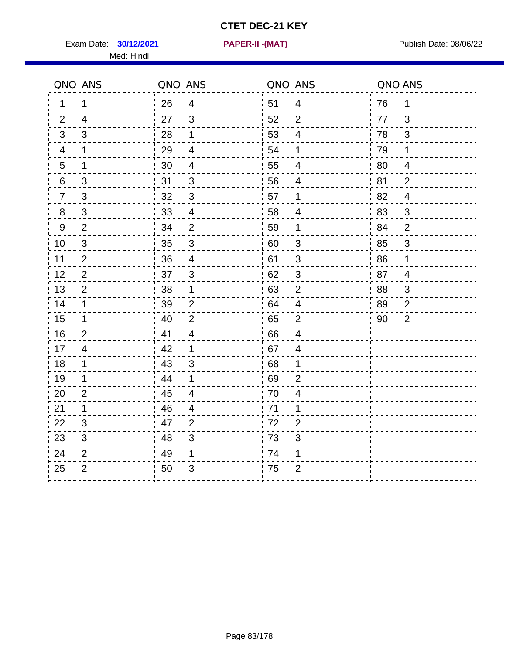Exam Date: **30/12/2021 PAPER-II -(MAT)** Publish Date: 08/06/22 Med: Hindi

**30/12/2021 PAPER-II -(MAT)**

|                 | QNO ANS        | QNO ANS |                         | QNO ANS |                           | QNO ANS |                |
|-----------------|----------------|---------|-------------------------|---------|---------------------------|---------|----------------|
| $\mathbf 1$     | 1              | 26      | $\overline{4}$          | ່ 51    | $\overline{4}$            | 76      | $\mathbf 1$    |
| 2               | $\overline{4}$ | 27      | $\mathbf{3}$            | 52      | $\overline{2}$            | 77      | 3              |
| 3               | 3              | 28      | $\mathbf 1$             | 53      | $\overline{4}$            | 78      | 3              |
| 4               | $\mathbf 1$    | 29      | $\overline{4}$          | 54      | 1                         | 79      | $\mathbf 1$    |
| $5\phantom{.0}$ | 1              | 30      | $\overline{\mathbf{4}}$ | 55      | $\overline{4}$            | 80      | $\overline{4}$ |
| 6               | 3              | 31      | 3                       | 56      | 4                         | 81      | $\overline{2}$ |
| $\overline{7}$  | 3              | 32      | $\mathbf{3}$            | 57      | $\mathbf 1$               | 82      | $\overline{4}$ |
| 8               | 3              | 33      | $\overline{4}$          | 58      | 4                         | 83      | 3              |
| 9               | 2              | 34      | $\overline{2}$          | 59      | 1                         | 84      | $\overline{2}$ |
| 10              | 3              | 35      | $\sqrt{3}$              | 60      | $\mathbf{3}$              | 85      | 3              |
| 11              | $\overline{2}$ | 36      | $\overline{\mathbf{4}}$ | 61      | 3                         | 86      | 1              |
| 12              | $\overline{2}$ | 37      | $\sqrt{3}$              | 62      | $\ensuremath{\mathsf{3}}$ | 87      | $\overline{4}$ |
| 13              | 2              | 38      | 1                       | 63      | 2                         | 88      | 3              |
| 14              | 1              | 39      | $\overline{2}$          | 64      | 4                         | 89      | $\overline{2}$ |
| 15              | $\mathbf 1$    | 40      | $\overline{2}$          | 65      | $\overline{2}$            | 90      | $\overline{2}$ |
| 16              | $\overline{2}$ | 41      | $\overline{4}$          | 66      | $\overline{4}$            |         |                |
| 17              | 4              | 42      | 1                       | 67      | 4                         |         |                |
| 18              | 1              | 43      | 3                       | 68      | 1                         |         |                |
| 19              | 1              | 44      | $\mathbf 1$             | 69      | $\overline{2}$            |         |                |
| 20              | $\overline{2}$ | 45      | $\overline{4}$          | 70      | $\overline{\mathbf{4}}$   |         |                |
| 21              | 1              | 46      | 4                       | .71     | 1                         |         |                |
| 22              | 3              | 47      | 2                       | 72      | $\overline{2}$            |         |                |
| 23              | 3              | 48      | $\mathfrak{S}$          | 73      | 3                         |         |                |
| 24              | $\overline{2}$ | 49      | 1                       | 74      | 1                         |         |                |
| 25              | $\overline{2}$ | 50      | 3                       | 75      | $\overline{c}$            |         |                |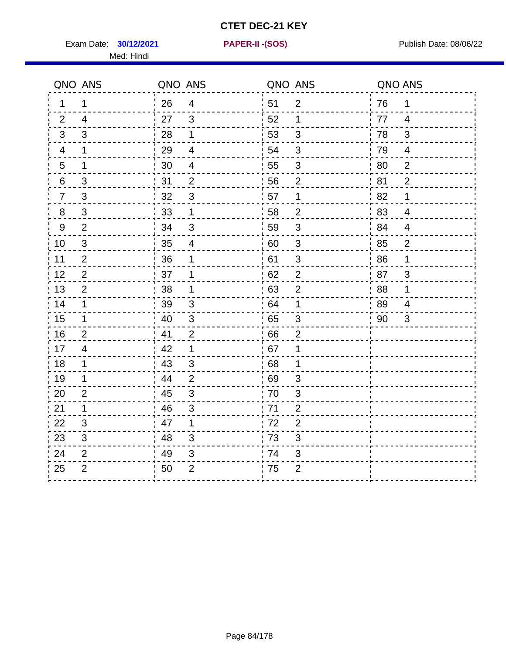Exam Date: **30/12/2021 PAPER-II - (SOS)** Publish Date: 08/06/22 Med: Hindi

**30/12/2021 PAPER-II -(SOS)**

|    | QNO ANS                   | QNO ANS |                           | QNO ANS |                           | QNO ANS |                |
|----|---------------------------|---------|---------------------------|---------|---------------------------|---------|----------------|
| 1. | 1                         | 26      | $\overline{4}$            | 51      | $\overline{2}$            | 76      | 1              |
| 2  | $\overline{4}$            | 27      | $\mathbf{3}$              | 52      | $\mathbf 1$               | 77      | $\overline{4}$ |
| 3  | 3                         | 28      | $\mathbf 1$               | 53      | $\mathfrak{B}$            | 78      | 3              |
| 4  | 1                         | 29      | $\overline{\mathbf{4}}$   | 54      | 3                         | 79      | 4              |
| 5  | 1                         | 30      | $\overline{\mathcal{A}}$  | 55      | $\sqrt{3}$                | 80      | $\overline{2}$ |
| 6  | 3                         | 31      | 2                         | 56      | 2                         | 81      | $\overline{2}$ |
| 7  | 3                         | 32      | 3                         | 57      | $\mathbf 1$               | 82      | 1              |
| 8  | $\ensuremath{\mathsf{3}}$ | 33      | $\mathbf{1}$              | 58      | $\mathbf 2$               | 83      | $\overline{4}$ |
| 9  | $\overline{2}$            | 34      | 3                         | 59      | 3                         | 84      | 4              |
| 10 | $\mathfrak{S}$            | 35      | $\overline{\mathcal{A}}$  | 60      | $\mathfrak{S}$            | 85      | $\overline{c}$ |
| 11 | $\overline{2}$            | 36      | 1                         | 61      | $\ensuremath{\mathsf{3}}$ | 86      | 1              |
| 12 | $\mathbf{2}$              | 37      | 1                         | 62      | $\mathbf 2$               | 87      | 3              |
| 13 | $\overline{2}$            | 38      | 1                         | 63      | $\overline{2}$            | 88      | 1              |
| 14 | 1                         | 39      | 3                         | 64      | 1                         | 89      | 4              |
| 15 | $\mathbf 1$               | 40      | $\sqrt{3}$                | 65      | 3                         | 90      | 3              |
| 16 | $\overline{2}$            | 41      | $\overline{2}$            | 66      | $\overline{2}$            |         |                |
| 17 | 4                         | 42      | 1                         | 67      | 1                         |         |                |
| 18 | 1                         | 43      | 3                         | 68      | 1                         |         |                |
| 19 | 1                         | 44      | $\overline{2}$            | 69      | 3                         |         |                |
| 20 | $\overline{2}$            | 45      | $\sqrt{3}$                | 70      | $\ensuremath{\mathsf{3}}$ |         |                |
| 21 | 1                         | -46     | 3                         | .71     | $\overline{2}$            |         |                |
| 22 | 3                         | 47      | 1                         | 72      | $\overline{2}$            |         |                |
| 23 | 3                         | 48      | 3                         | 73      | 3                         |         |                |
| 24 | $\overline{2}$            | 49      | $\ensuremath{\mathsf{3}}$ | 74      | $\ensuremath{\mathsf{3}}$ |         |                |
| 25 | $\overline{2}$            | 50      | $\overline{2}$            | 75      | $\overline{2}$            |         |                |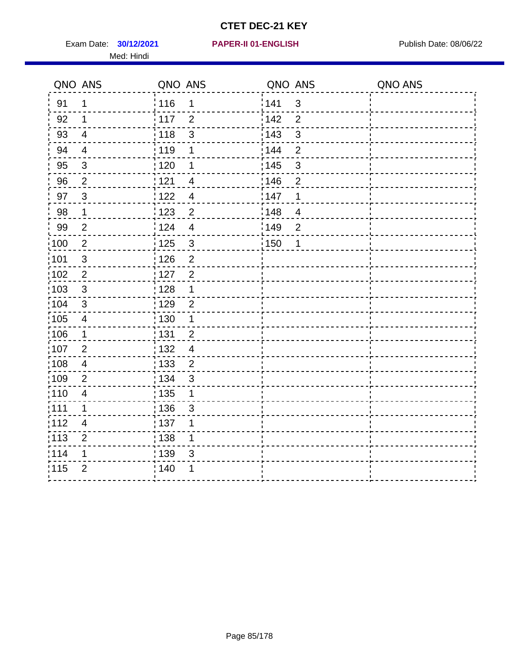Exam Date: **30/12/2021 PAPER-II 01-ENGLISH Proposed by Publish Date: 08/06/22** Med: Hindi

|                   | QNO ANS                  | QNO ANS                             | QNO ANS                             | QNO ANS |
|-------------------|--------------------------|-------------------------------------|-------------------------------------|---------|
| 91                | $\mathbf{1}$             | 116<br>1                            | 141<br>$\mathsf 3$                  |         |
| 92                | 1                        | 117<br>$\overline{2}$               | 142<br>$\overline{2}$               |         |
| 93                | $\overline{\mathbf{4}}$  | 3<br>118                            | 143<br>3                            |         |
| 94                | $\overline{4}$           | : 119<br>1                          | 144<br>$\overline{2}$               |         |
| 95                | $\mathfrak{S}$           | : 120<br>1                          | : 145<br>3                          |         |
| 96                | $\overline{2}$           | 121<br>$\overline{4}$               | 146<br>$\overline{2}$               |         |
| 97                | $\mathbf{3}$             | 122<br>$\overline{4}$               | 147<br>1                            |         |
| $98\,$            | $\mathbf{1}$             | $\frac{1}{2}$ 123<br>$\mathbf 2$    | 148<br>$\overline{4}$               |         |
| 99                | $\mathbf{2}$             | 124<br>$\overline{4}$               | $\frac{1}{2}$ 149<br>$\overline{2}$ |         |
| $\frac{1}{1}$ 100 | $\sqrt{2}$               | 125<br>$\mathbf{3}$                 | 150<br>1                            |         |
| :101              | $\mathsf 3$              | 126<br>$\overline{2}$               |                                     |         |
| 102               | 2                        | : 127<br>$\overline{2}$             |                                     |         |
| 103               | $\mathbf{3}$             | 128<br>$\mathbf 1$                  |                                     |         |
| 104               | $\sqrt{3}$               | : 129<br>$\overline{2}$             |                                     |         |
| 105               | $\overline{\mathbf{4}}$  | : 130<br>1                          |                                     |         |
| 106               | $\mathbf 1$              | : 131<br>$\overline{2}$             |                                     |         |
| :107              | $\overline{2}$           | : 132<br>$\overline{4}$             |                                     |         |
| $\frac{1}{1}$ 108 | $\overline{4}$           | $\frac{1}{1}$ 133<br>$\overline{2}$ |                                     |         |
| :109              | $\mathbf{2}$             | : 134<br>$\mathfrak{S}$             |                                     |         |
| :110              | $\overline{4}$           | : 135<br>1                          |                                     |         |
| :111              | $\mathbf 1$              | : 136<br>3                          |                                     |         |
| 112               | $\overline{\mathcal{A}}$ | : 137<br>1                          |                                     |         |
| 113               | $\overline{2}$           | : 138<br>1                          |                                     |         |
| 114               | 1                        | : 139<br>3                          |                                     |         |
| 115               | $\overline{2}$           | 140<br>1                            |                                     |         |
|                   |                          |                                     |                                     |         |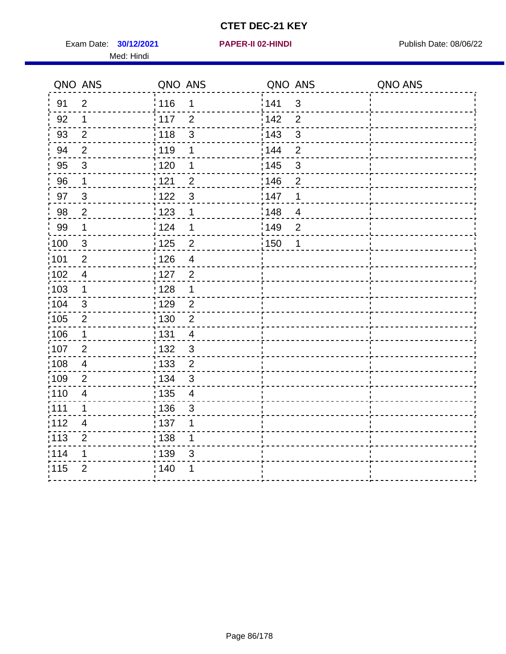Exam Date: **30/12/2021 PAPER-II 02-HINDI Exam Date: 08/06/22** Med: Hindi

**30/12/2021 PAPER-II 02-HINDI**

|                   | QNO ANS                 | QNO ANS           |                | QNO ANS           |                | QNO ANS |
|-------------------|-------------------------|-------------------|----------------|-------------------|----------------|---------|
| 91                | $\overline{2}$          | 116               | 1              | 141               | $\mathsf 3$    |         |
| 92                | 1                       | 117               | $\overline{2}$ | 142               | $\overline{2}$ |         |
| 93                | $\overline{2}$          | 118               | 3              | 143               | $\mathfrak{S}$ |         |
| 94                | $\overline{2}$          | :119              | 1              | 144               | $\overline{2}$ |         |
| 95                | 3                       | : 120             | 1              | : 145             | 3              |         |
| 96                | $\mathbf{1}$            | 121               | $\overline{2}$ | 146               | $\overline{2}$ |         |
| 97                | $\mathbf{3}$            | :122              | $\mathbf{3}$   | 147               | 1              |         |
| 98                | $\overline{c}$          | 123               | 1              | 148               | $\overline{4}$ |         |
| 99                | $\mathbf 1$             | 124               | 1              | $\frac{1}{2}$ 149 | $\overline{2}$ |         |
| $\frac{1}{1}$ 100 | $\mathbf 3$             | $\frac{1}{1}$ 125 | $\overline{2}$ | 150               | 1              |         |
| :101              | $\mathbf{2}$            | 126               | $\overline{4}$ |                   |                |         |
| 102               | $\overline{4}$          | : 127             | $\overline{2}$ |                   |                |         |
| :103              | $\mathbf{1}$            | : 128             | $\mathbf{1}$   |                   |                |         |
| :104              | $\mathbf{3}$            | : 129             | $\overline{2}$ |                   |                |         |
| $\frac{1}{1}$ 105 | $\overline{2}$          | : 130             | $\overline{2}$ |                   |                |         |
| :106              | $\mathbf 1$             | : 131             | $\overline{4}$ |                   |                |         |
| 107               | 2                       | : 132             | $\mathbf{3}$   |                   |                |         |
| 108               | $\overline{\mathbf{4}}$ | $\frac{1}{1}$ 133 | $\overline{2}$ |                   |                |         |
| :109              | $\overline{2}$          | : 134             | $\mathbf{3}$   |                   |                |         |
| :110              | $\overline{\mathbf{4}}$ | 135               | $\overline{4}$ |                   |                |         |
| ;111              | 1                       | : 136             | $\mathfrak{S}$ |                   |                |         |
| 112               | $\overline{4}$          | : 137             | 1              |                   |                |         |
| 113               | $\mathbf 2$             | : 138             | 1              |                   |                |         |
| 114               | 1                       | : 139             | 3              |                   |                |         |
| 115               | $\overline{2}$          | 140               | 1              |                   |                |         |
|                   |                         |                   |                |                   |                |         |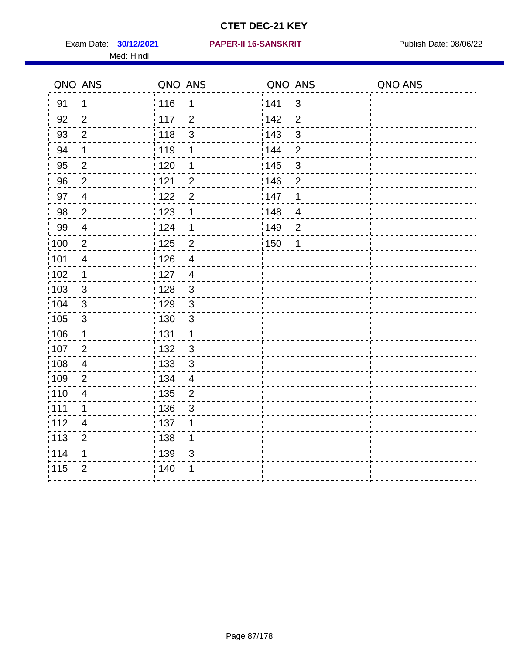Med: Hindi

|                   | QNO ANS                  | QNO ANS |                           | QNO ANS |                | QNO ANS |
|-------------------|--------------------------|---------|---------------------------|---------|----------------|---------|
| 91                | $\mathbf 1$              | 116     | 1                         | 1141    | $\sqrt{3}$     |         |
| 92                | 2                        | 117     | $\overline{2}$            | 142     | $\overline{2}$ |         |
| 93                | $\mathbf{2}$             | : 118   | $\mathsf 3$               | 143     | $\mathfrak{S}$ |         |
| 94                | $\mathbf 1$              | 119     | 1                         | : 144   | $\overline{2}$ |         |
| 95                | 2                        | : 120   | 1                         | : 145   | 3              |         |
| 96                | $\overline{2}$           | : 121   | $\overline{2}$            | 146     | $\overline{2}$ |         |
| 97                | $\overline{4}$           | 1122    | $\overline{2}$            | 147     | 1              |         |
| 98                | $\overline{2}$           | 123     | 1                         | 148     | $\overline{4}$ |         |
| 99                | $\overline{\mathcal{A}}$ | 124     | 1                         | :149    | $\overline{2}$ |         |
| $\frac{1}{1}$ 100 | $\sqrt{2}$               | 125     | $\overline{2}$            | : 150   | $\mathbf 1$    |         |
| :101              | $\overline{4}$           | : 126   | $\overline{4}$            |         |                |         |
| 102               | $\mathbf 1$              | : 127   | $\overline{4}$            |         |                |         |
| 103               | $\mathbf{3}$             | : 128   | $\mathbf{3}$              |         |                |         |
| 104               | $\mathbf{3}$             | : 129   | $\mathbf{3}$              |         |                |         |
| :105              | $\sqrt{3}$               | : 130   | $\mathsf 3$               |         |                |         |
| 106               | $\mathbf 1$              | : 131   | $\mathbf 1$               |         |                |         |
| :107              | $\overline{2}$           | : 132   | $\mathbf{3}$              |         |                |         |
| $\frac{1}{1}$ 108 | $\overline{\mathbf{4}}$  | 133     | $\sqrt{3}$                |         |                |         |
| :109              | $\overline{2}$           | : 134   | $\overline{4}$            |         |                |         |
| :110              | $\overline{4}$           | 135     | $\overline{2}$            |         |                |         |
| : 111             | 1                        | 136     | $\ensuremath{\mathsf{3}}$ |         |                |         |
| 112               | 4                        | : 137   | 1                         |         |                |         |
| $\frac{1}{1}$ 113 | $\overline{2}$           | : 138   | 1                         |         |                |         |
| 114               | 1                        | : 139   | 3                         |         |                |         |
| 115               | $\overline{2}$           | 140     | 1                         |         |                |         |
|                   |                          |         |                           |         |                |         |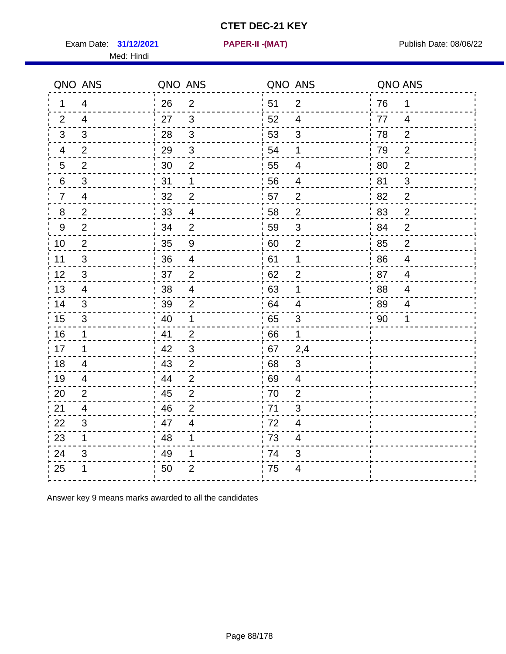Exam Date: 31/12/2021 **PAPER-II - (MAT)** PARE Exam Date: 08/06/22

Med: Hindi

**31/12/2021 PAPER-II -(MAT)**

|                | QNO ANS        | QNO ANS |                          | QNO ANS |                          | QNO ANS |                |
|----------------|----------------|---------|--------------------------|---------|--------------------------|---------|----------------|
| 1              | 4              | 26      | $\overline{2}$           | ່ 51    | $\overline{2}$           | 76      | 1              |
| 2              | $\overline{4}$ | 27      | $\mathbf{3}$             | 52      | $\overline{4}$           | 77      | $\overline{4}$ |
| 3              | 3              | 28      | $\mathbf{3}$             | 53      | $\mathfrak{B}$           | 78      | $\overline{2}$ |
| 4              | $\overline{2}$ | 29      | $\sqrt{3}$               | 54      | 1                        | 79      | $\overline{2}$ |
| 5              | $\overline{2}$ | 30      | $\overline{2}$           | 55      | $\overline{\mathcal{A}}$ | 80      | $\overline{2}$ |
| 6              | 3              | 31      | $\mathbf 1$              | 56      | $\overline{\mathcal{A}}$ | 81      | 3              |
| $\overline{7}$ | 4              | 32      | $\overline{2}$           | 57      | $\overline{2}$           | 82      | $\overline{2}$ |
| 8              | $\overline{2}$ | 33      | $\overline{4}$           | 58      | $\overline{2}$           | 83      | $\overline{2}$ |
| 9              | $\overline{2}$ | 34      | $\overline{2}$           | 59      | $\mathsf 3$              | 84      | $\overline{2}$ |
| 10             | $\overline{2}$ | 35      | $\boldsymbol{9}$         | 60      | $\overline{2}$           | 85      | $\overline{c}$ |
| 11             | 3              | 36      | $\overline{\mathcal{A}}$ | 61      | 1                        | 86      | $\overline{4}$ |
| 12             | 3              | 37      | $\boldsymbol{2}$         | 62      | $\mathbf{2}$             | 87      | $\overline{4}$ |
| 13             | 4              | 38      | $\overline{\mathcal{A}}$ | 63      | 1                        | 88      | 4              |
| 14             | 3              | 39      | 2                        | 64      | 4                        | 89      | 4              |
| 15             | 3              | 40      | $\mathbf 1$              | 65      | 3                        | 90      | 1              |
| 16             | $\mathbf 1$    | 41      | $\overline{2}$           | 66      | $\mathbf 1$              |         |                |
| 17             | 1              | 42      | $\mathfrak{S}$           | 67      | 2,4                      |         |                |
| 18             | 4              | 43      | $\overline{2}$           | 68      | 3                        |         |                |
| 19             | 4              | 44      | $\overline{2}$           | 69      | 4                        |         |                |
| 20             | $\overline{2}$ | 45      | $\overline{2}$           | 70      | $\overline{2}$           |         |                |
| 21             | 4              | 46      | $\overline{2}$           | .71     | 3                        |         |                |
| 22             | 3              | 47      | $\overline{4}$           | 72      | 4                        |         |                |
| 23             | $\mathbf 1$    | 48      | 1                        | 73      | 4                        |         |                |
| 24             | 3              | 49      | 1                        | 74      | 3                        |         |                |
| 25             | 1              | 50      | $\overline{2}$           | .75     | 4                        |         |                |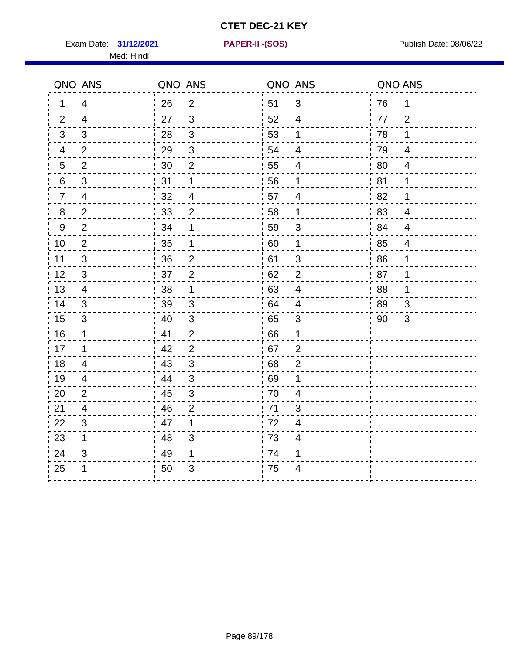Exam Date: 31/12/2021 **PAPER-II-(SOS)** Provided by Publish Date: 08/06/22 Med: Hindi

**31/12/2021 PAPER-II -(SOS)**

|                | QNO ANS                   | QNO ANS |                | QNO ANS |                          | QNO ANS |                          |
|----------------|---------------------------|---------|----------------|---------|--------------------------|---------|--------------------------|
| 1              | 4                         | 26      | $\overline{2}$ | 51      | 3                        | 76      | $\mathbf 1$              |
| 2              | $\overline{4}$            | 27      | $\mathbf{3}$   | 52      | 4                        | 77      | $\overline{2}$           |
| 3              | 3                         | 28      | 3              | 53      | $\mathbf 1$              | 78      | 1                        |
| 4              | $\overline{2}$            | 29      | $\mathfrak{S}$ | 54      | $\overline{\mathbf{4}}$  | 79      | $\overline{4}$           |
| 5              | $\mathbf{2}$              | 30      | $\mathbf{2}$   | 55      | 4                        | 80      | 4                        |
| 6              | 3                         | 31      | $\mathbf 1$    | 56      | 1                        | 81      | 1                        |
| $\overline{7}$ | 4                         | 32      | $\overline{4}$ | 57      | $\overline{\mathcal{A}}$ | 82      | 1                        |
| 8              | $\overline{2}$            | 33      | $\overline{2}$ | 58      | 1                        | 83      | $\overline{4}$           |
| $9$            | $\overline{2}$            | 34      | 1              | 59      | 3                        | 84      | $\overline{4}$           |
| 10             | $\overline{2}$            | 35      | $\mathbf 1$    | 60      | $\mathbf 1$              | 85      | $\overline{\mathcal{A}}$ |
| 11             | $\mathfrak{B}$            | 36      | $\mathbf{2}$   | 61      | 3                        | 86      | 1                        |
| 12             | $\mathfrak{S}$            | 37      | $\mathbf{2}$   | 62      | $\mathbf{2}$             | 87      | 1                        |
| 13             | 4                         | 38      | 1              | 63      | $\overline{4}$           | 88      | 1                        |
| 14             | 3                         | 39      | 3              | 64      | 4                        | 89      | 3                        |
| 15             | 3                         | 40      | $\sqrt{3}$     | 65      | $\mathbf{3}$             | 90      | 3                        |
| 16             | $\mathbf 1$               | 41      | $\overline{2}$ | 66      | 1                        |         |                          |
| 17             | 1                         | 42      | 2              | 67      | $\overline{2}$           |         |                          |
| 18             | 4                         | 43      | 3              | 68      | $\overline{2}$           |         |                          |
| 19             | 4                         | 44      | 3              | 69      | 1                        |         |                          |
| 20             | $\overline{2}$            | 45      | $\sqrt{3}$     | 70      | $\overline{\mathbf{4}}$  |         |                          |
| 21             | 4                         | -46     | $\overline{2}$ | 71      | 3                        |         |                          |
| 22             | 3                         | 47      | 1              | 72      | 4                        |         |                          |
| 23             | $\mathbf 1$               | 48      | 3              | 73      | 4                        |         |                          |
| 24             | $\ensuremath{\mathsf{3}}$ | 49      | 1              | 74      | 1                        |         |                          |
| 25             | 1                         | 50      | 3              | 75      | 4                        |         |                          |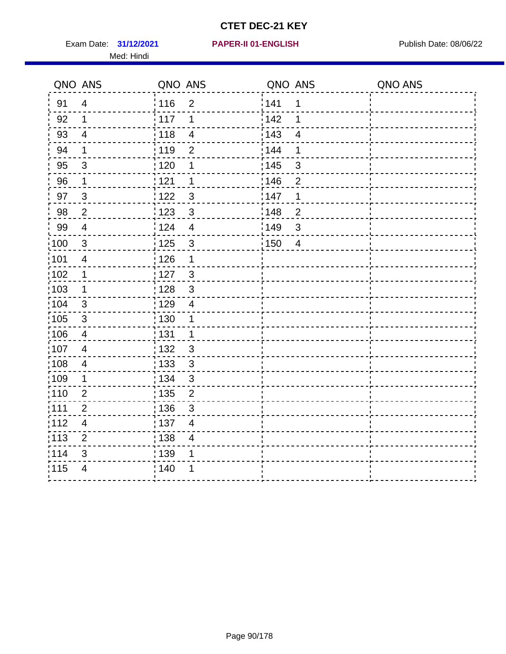Exam Date: 31/12/2021 **PAPER-II 01-ENGLISH Propriet Access 14/12/2021** Publish Date: 08/06/22 Med: Hindi

|                   | QNO ANS                  | QNO ANS                             | QNO ANS                        | QNO ANS |
|-------------------|--------------------------|-------------------------------------|--------------------------------|---------|
| 91                | $\overline{4}$           | 116<br>$\overline{2}$               | 141<br>$\mathbf 1$             |         |
| 92                | $\mathbf 1$              | 117<br>1                            | 142<br>1                       |         |
| 93                | $\overline{4}$           | 118<br>$\overline{4}$               | 143<br>$\overline{\mathbf{4}}$ |         |
| 94                | 1                        | : 119<br>$\overline{2}$             | 144<br>1                       |         |
| 95                | 3                        | : 120<br>1                          | : 145<br>3                     |         |
| 96                | $\mathbf 1$              | 121<br>1                            | 146<br>$\overline{2}$          |         |
| 97                | $\sqrt{3}$               | $\mathbf{3}$<br>122                 | 147<br>1                       |         |
| 98                | $\sqrt{2}$               | $\frac{1}{2}$ 123<br>$\mathbf{3}$   | 148<br>$\overline{c}$          |         |
| 99                | $\overline{4}$           | 124<br>$\overline{\mathbf{4}}$      | ¦149<br>$\mathfrak{S}$         |         |
| $\frac{1}{1}$ 100 | $\sqrt{3}$               | 125<br>$\mathsf 3$                  | 150<br>$\overline{4}$          |         |
| 101               | $\overline{\mathbf{4}}$  | 126<br>1                            |                                |         |
| 102               | 1                        | : 127<br>3                          |                                |         |
| 103               | $\mathbf 1$              | $\mathfrak{3}$<br>128               |                                |         |
| 104               | $\mathbf{3}$             | : 129<br>$\overline{4}$             |                                |         |
| 105               | $\sqrt{3}$               | : 130<br>1                          |                                |         |
| 106               | 4                        | : 131<br>$\mathbf 1$                |                                |         |
| :107              | $\overline{4}$           | : 132<br>3                          |                                |         |
| $\frac{1}{1}$ 108 | $\overline{4}$           | : 133<br>$\mathfrak{S}$             |                                |         |
| :109              | 1                        | : 134<br>$\mathbf{3}$               |                                |         |
| :110              | $\overline{2}$           | : 135<br>$\overline{2}$             |                                |         |
| :111              | $\sqrt{2}$               | : 136<br>$\mathbf{3}$               |                                |         |
| 112               | $\overline{\mathcal{A}}$ | $\frac{1}{1}$ 137<br>$\overline{4}$ |                                |         |
| : 113             | $\mathbf 2$              | 138<br>$\overline{4}$               |                                |         |
| 114               | 3                        | : 139<br>1                          |                                |         |
| 115               | $\overline{4}$           | 140<br>1                            |                                |         |
|                   |                          |                                     |                                |         |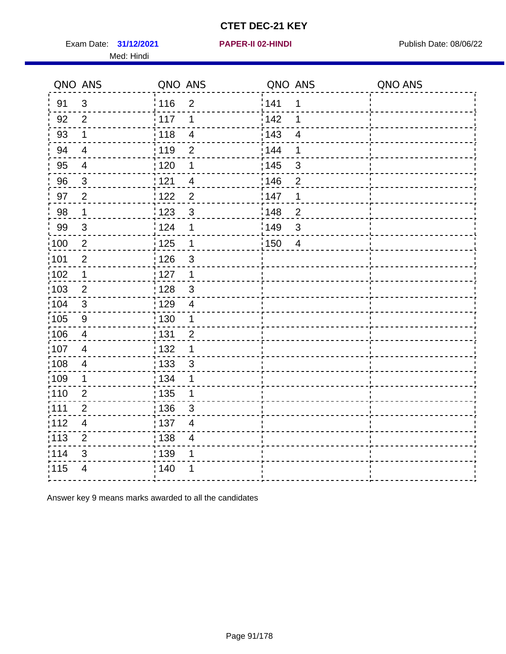Exam Date: 31/12/2021 **PAPER-II 02-HINDI Exam Date: 08/06/22** Med: Hindi

**31/12/2021 PAPER-II 02-HINDI**

|                   | QNO ANS                  | QNO ANS                          | QNO ANS               | QNO ANS |
|-------------------|--------------------------|----------------------------------|-----------------------|---------|
| 91                | 3                        | : 116<br>$\overline{2}$          | 141<br>1              |         |
| 92                | $\overline{2}$           | 117<br>1                         | 142<br>1              |         |
| 93                | $\mathbf 1$              | 118<br>$\overline{4}$            | 143<br>$\overline{4}$ |         |
| 94                | $\overline{4}$           | : 119<br>$\overline{2}$          | 144<br>1              |         |
| 95                | $\overline{\mathcal{A}}$ | :120<br>1                        | : 145<br>3            |         |
| 96                | $\mathfrak{S}$           | 121<br>$\overline{\mathcal{A}}$  | 146<br>$\overline{2}$ |         |
| 97                | $\overline{2}$           | $\overline{2}$<br>122            | 147<br>1              |         |
| 98                | $\mathbf{1}$             | $\mathbf{3}$<br>123              | 148<br>$\overline{2}$ |         |
| 99                | $\sqrt{3}$               | 124<br>1                         | 149<br>$\mathfrak{S}$ |         |
| 100               | $\sqrt{2}$               | $\frac{1}{1}$ 125<br>$\mathbf 1$ | 150<br>$\overline{4}$ |         |
| 101               | $\mathbf{2}$             | : 126<br>$\mathfrak{S}$          |                       |         |
| $\frac{1}{1}$ 102 | $\mathbf 1$              | : 127<br>$\mathbf{1}$            |                       |         |
| 103               | $\overline{2}$           | : 128<br>$\mathbf{3}$            |                       |         |
| 104               | 3                        | : 129<br>$\overline{4}$          |                       |         |
| $\frac{1}{1}$ 105 | $\boldsymbol{9}$         | : 130<br>$\mathbf{1}$            |                       |         |
| $\frac{1}{1}$ 106 | $\overline{\mathbf{4}}$  | : 131<br>$\overline{2}$          |                       |         |
| 107               | $\overline{4}$           | : 132<br>$\mathbf 1$             |                       |         |
| :108              | $\overline{\mathcal{A}}$ | : 133<br>$\mathfrak{S}$          |                       |         |
| :109              | $\mathbf 1$              | : 134<br>1                       |                       |         |
| 110               | $\overline{2}$           | $\frac{1}{1}$ 135<br>1           |                       |         |
| :111              | $\overline{2}$           | : 136<br>3                       |                       |         |
| 112               | $\overline{\mathbf{4}}$  | :137<br>$\overline{4}$           |                       |         |
| :113              | $\overline{2}$           | : 138<br>$\overline{4}$          |                       |         |
| 114               | $\mathfrak{B}$           | 139<br>1                         |                       |         |
| 115               | $\overline{4}$           | : 140                            |                       |         |
|                   |                          |                                  |                       |         |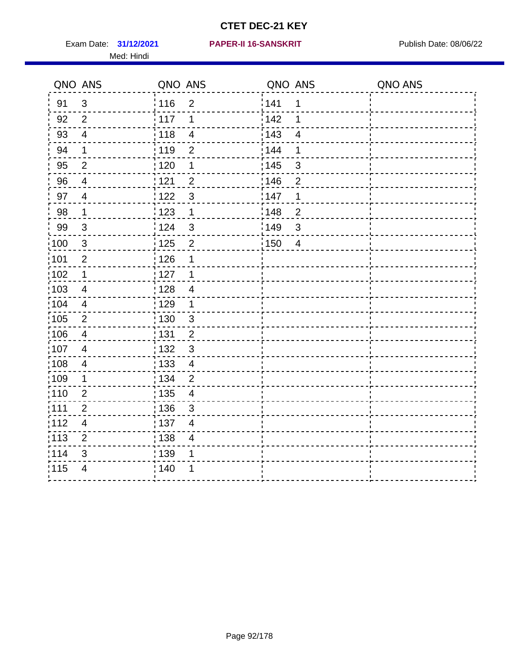Med: Hindi

|        | QNO ANS                  | QNO ANS |                          | QNO ANS           |                         | QNO ANS |
|--------|--------------------------|---------|--------------------------|-------------------|-------------------------|---------|
| 91     | $\mathfrak{S}$           | 116     | $\mathbf 2$              | 141               | $\mathbf 1$             |         |
| 92     | $\overline{2}$           | 117     | 1                        | 142               | 1                       |         |
| 93     | $\overline{\mathbf{4}}$  | 118     | $\overline{4}$           | 143               | $\overline{\mathbf{4}}$ |         |
| 94     | 1                        | : 119   | $\overline{2}$           | 144               | 1                       |         |
| 95     | $\overline{2}$           | : 120   | 1                        | : 145             | 3                       |         |
| 96     | $\overline{4}$           | 121     | $\overline{2}$           | 146               | $\overline{2}$          |         |
| 97     | $\overline{\mathbf{4}}$  | 122     | $\mathbf{3}$             | 147               | 1                       |         |
| $98\,$ | $\mathbf{1}$             | 123     | $\mathbf{1}$             | ¦148              | $\overline{c}$          |         |
| 99     | $\sqrt{3}$               | 124     | $\mathfrak{S}$           | :149              | $\mathfrak{S}$          |         |
| :100   | $\sqrt{3}$               | 125     | $\overline{c}$           | $\frac{1}{1}$ 150 | $\overline{4}$          |         |
| :101   | $\mathbf 2$              | 126     | 1                        |                   |                         |         |
| 102    | $\mathbf 1$              | : 127   | 1                        |                   |                         |         |
| ;103   | 4                        | :128    | $\overline{4}$           |                   |                         |         |
| 104    | $\overline{4}$           | : 129   | $\mathbf 1$              |                   |                         |         |
| 105    | $\mathbf 2$              | 130     | $\mathfrak{S}$           |                   |                         |         |
| :106   | $\overline{4}$           | 131     | $\overline{2}$           |                   |                         |         |
| ;107   | $\overline{4}$           | 132     | $\mathfrak{3}$           |                   |                         |         |
| 108    | $\overline{4}$           | : 133   | $\overline{\mathbf{4}}$  |                   |                         |         |
| :109   | $\mathbf 1$              | : 134   | $\overline{2}$           |                   |                         |         |
| :110   | $\overline{2}$           | : 135   | $\overline{\mathcal{A}}$ |                   |                         |         |
| 111    | $\overline{2}$           | : 136   | $\sqrt{3}$               |                   |                         |         |
| 112    | $\overline{\mathcal{A}}$ | : 137   | $\overline{\mathbf{4}}$  |                   |                         |         |
| : 113  | $\overline{2}$           | : 138   | $\overline{4}$           |                   |                         |         |
| 114    | 3                        | : 139   | 1                        |                   |                         |         |
| 115    | $\overline{4}$           | 140     | 1                        |                   |                         |         |
|        |                          |         |                          |                   |                         |         |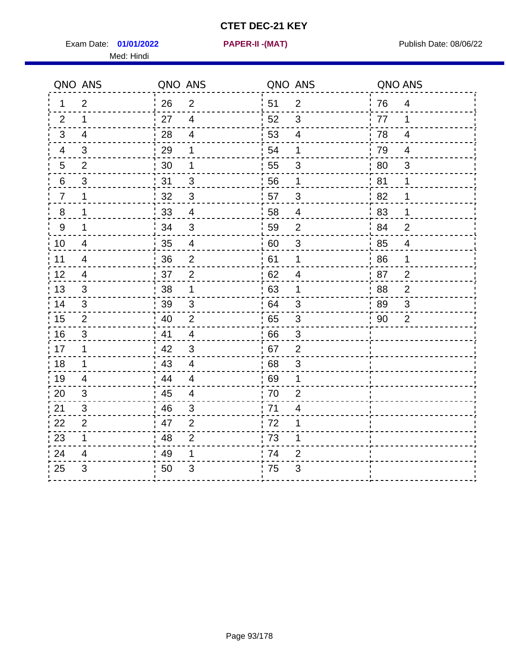Exam Date: **01/01/2022 PAPER-II -(MAT)** Publish Date: 08/06/22 Med: Hindi

**01/01/2022 PAPER-II -(MAT)**

|                  | QNO ANS                   | QNO ANS |                          | QNO ANS |                           | QNO ANS |                          |
|------------------|---------------------------|---------|--------------------------|---------|---------------------------|---------|--------------------------|
| 1                | $\overline{2}$            | 26      | $\overline{2}$           | 51      | $\overline{2}$            | 76      | $\overline{4}$           |
| 2                | $\mathbf 1$               | 27      | $\overline{4}$           | 52      | 3                         | 77      | 1                        |
| 3                | 4                         | 28      | $\overline{4}$           | 53      | $\overline{4}$            | 78      | 4                        |
| 4                | 3                         | 29      | 1                        | 54      | 1                         | 79      | $\overline{4}$           |
| $\sqrt{5}$       | $\overline{2}$            | 30      | 1                        | 55      | $\ensuremath{\mathsf{3}}$ | 80      | $\mathfrak{B}$           |
| 6                | 3                         | 31      | 3                        | 56      | 1                         | 81      | 1                        |
| $\overline{7}$   | 1                         | 32      | 3                        | 57      | 3                         | 82      | 1                        |
| $\, 8$           | 1                         | 33      | $\overline{\mathbf{4}}$  | 58      | $\overline{4}$            | 83      | 1                        |
| $\boldsymbol{9}$ | 1                         | 34      | $\mathbf{3}$             | 59      | $\overline{2}$            | 84      | $\overline{2}$           |
| 10               | $\overline{\mathcal{A}}$  | 35      | $\overline{\mathcal{A}}$ | 60      | $\sqrt{3}$                | 85      | $\overline{\mathcal{A}}$ |
| 11               | 4                         | 36      | $\mathbf 2$              | 61      | 1                         | 86      | 1                        |
| 12               | $\overline{\mathcal{A}}$  | 37      | $\overline{2}$           | 62      | $\overline{4}$            | 87      | $\overline{2}$           |
| 13               | 3                         | 38      | 1                        | 63      | 1                         | 88      | $\overline{2}$           |
| 14               | 3                         | 39      | 3                        | 64      | 3                         | 89      | 3                        |
| 15               | 2                         | 40      | $\overline{2}$           | 65      | $\sqrt{3}$                | 90      | $\overline{2}$           |
| 16               | $\sqrt{3}$                | 41      | $\overline{4}$           | 66      | 3                         |         |                          |
| 17               | 1                         | 42      | 3                        | 67      | $\overline{2}$            |         |                          |
| 18               | $\mathbf 1$               | 43      | $\overline{4}$           | 68      | 3                         |         |                          |
| 19               | 4                         | 44      | $\overline{4}$           | 69      | 1                         |         |                          |
| 20               | 3                         | 45      | $\overline{\mathcal{A}}$ | 70      | $\overline{2}$            |         |                          |
| 21               | 3                         | 46      | 3                        | : 71    | 4                         |         |                          |
| 22               | $\overline{2}$            | 47      | 2                        | 72      | 1                         |         |                          |
| 23               | $\mathbf 1$               | 48      | $\overline{2}$           | 73      | 1                         |         |                          |
| 24               | 4                         | 49      | 1                        | 74      | $\overline{2}$            |         |                          |
| 25               | $\ensuremath{\mathsf{3}}$ | 50      | 3                        | 75      | 3                         |         |                          |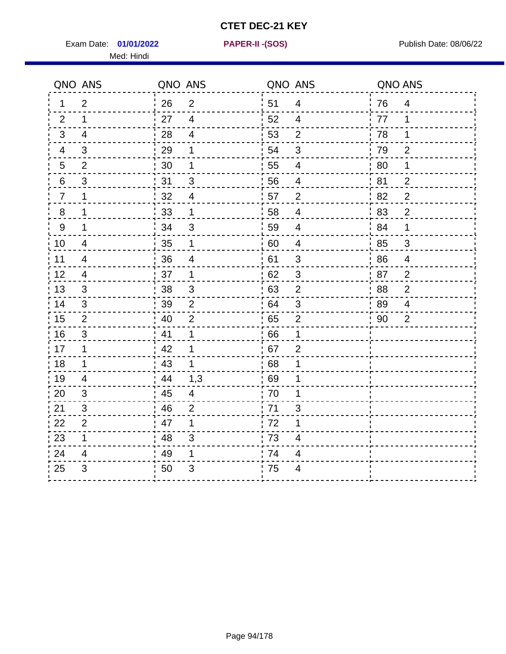Exam Date: **01/01/2022 PAPER-II - (SOS)** PUBLISH Date: 08/06/22 Med: Hindi

**01/01/2022 PAPER-II -(SOS)**

|                | QNO ANS                   | QNO ANS |                | QNO ANS |                           | QNO ANS |                |
|----------------|---------------------------|---------|----------------|---------|---------------------------|---------|----------------|
| 1.             | 2                         | 26      | 2              | 51      | $\overline{4}$            | 76      | 4              |
| 2              | 1                         | 27      | $\overline{4}$ | 52      | 4                         | 77      | 1              |
| 3              | $\overline{4}$            | 28      | $\overline{4}$ | 53      | $\overline{2}$            | 78      | 1              |
| 4              | 3                         | 29      | 1              | 54      | $\mathfrak{S}$            | 79      | $\overline{2}$ |
| 5              | $\overline{2}$            | 30      | 1              | 55      | $\overline{\mathcal{A}}$  | 80      | 1              |
| 6              | 3                         | 31      | 3              | 56      | $\overline{4}$            | 81      | $\overline{2}$ |
| $\overline{7}$ | 1                         | 32      | $\overline{4}$ | 57      | 2                         | 82      | $\overline{2}$ |
| 8              | 1                         | 33      | $\mathbf 1$    | 58      | $\overline{\mathcal{A}}$  | 83      | $\overline{2}$ |
| $9\,$          | 1                         | 34      | $\mathfrak{B}$ | 59      | 4                         | 84      | 1              |
| 10             | $\overline{4}$            | 35      | $\mathbf 1$    | 60      | $\overline{4}$            | 85      | $\mathfrak{S}$ |
| 11             | $\overline{4}$            | 36      | 4              | 61      | $\mathfrak{S}$            | 86      | $\overline{4}$ |
| 12             | 4                         | 37      | $\mathbf 1$    | 62      | $\ensuremath{\mathsf{3}}$ | 87      | $\overline{2}$ |
| 13             | 3                         | 38      | $\sqrt{3}$     | 63      | $\overline{2}$            | 88      | $\overline{2}$ |
| 14             | 3                         | 39      | 2              | 64      | 3                         | 89      | 4              |
| 15             | 2                         | 40      | $\overline{2}$ | 65      | $\overline{2}$            | 90      | 2              |
| 16             | $\sqrt{3}$                | 41      | 1              | 66      | 1                         |         |                |
| 17             | 1                         | 42      | 1              | .67     | $\overline{2}$            |         |                |
| 18             | 1                         | 43      | $\mathbf 1$    | 68      | 1                         |         |                |
| 19             | 4                         | 44      | 1,3            | 69      | 1                         |         |                |
| 20             | $\ensuremath{\mathsf{3}}$ | 45      | $\overline{4}$ | 70      | 1                         |         |                |
| 21             | 3                         | 46      | $\overline{2}$ | .71     | 3                         |         |                |
| 22             | $\overline{2}$            | 47      | 1              | 72      | 1                         |         |                |
| 23             | $\mathbf 1$               | 48      | 3              | 73      | 4                         |         |                |
| 24             | 4                         | 49      | 1              | 74      | $\overline{\mathcal{A}}$  |         |                |
| 25             | 3                         | 50      | 3              | 75      | 4                         |         |                |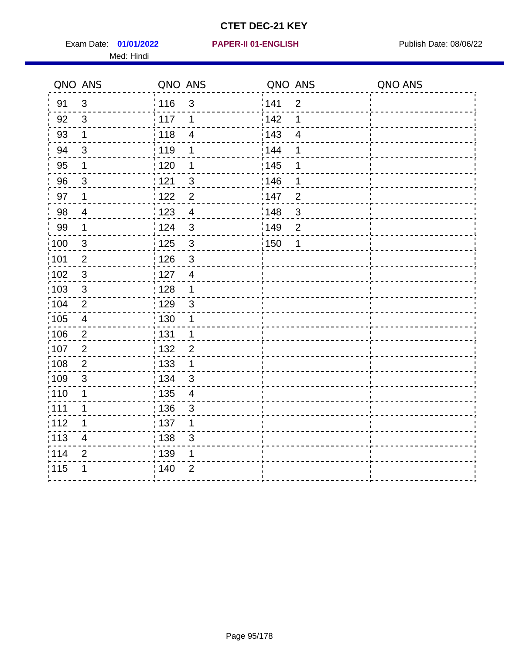Exam Date: 01/01/2022 PAPER-II 01-ENGLISH PREERENT Publish Date: 08/06/22 Med: Hindi

**01/01/2022 PAPER-II 01-ENGLISH**

|                   | QNO ANS                 | QNO ANS           |                | QNO ANS           |                         | QNO ANS |
|-------------------|-------------------------|-------------------|----------------|-------------------|-------------------------|---------|
| 91                | $\mathfrak{3}$          | 116               | 3              | 141               | $\overline{2}$          |         |
| 92                | $\mathfrak{S}$          | 117               | 1              | 142               | 1                       |         |
| 93                | $\mathbf{1}$            | 118               | $\overline{4}$ | 143               | $\overline{\mathbf{4}}$ |         |
| 94                | 3                       | : 119             | 1              | 144               | 1                       |         |
| 95                | 1                       | : 120             | 1              | : 145             | 1                       |         |
| 96                | $\mathfrak{S}$          | : 121             | 3              | 146               | 1                       |         |
| 97                | $\mathbf 1$             | 122               | $\overline{c}$ | 147               | $\overline{2}$          |         |
| 98                | $\overline{4}$          | $\frac{1}{2}$ 123 | $\overline{4}$ | 148               | $\mathfrak{S}$          |         |
| 99                | $\mathbf 1$             | 124               | 3              | 149               | $\overline{2}$          |         |
| $\frac{1}{1}$ 100 | $\mathbf{3}$            | $\frac{1}{1}$ 125 | $\sqrt{3}$     | $\frac{1}{1}$ 150 | 1                       |         |
| :101              | $\mathbf 2$             | 126               | 3              |                   |                         |         |
| 102               | $\mathbf{3}$            | 127               | $\overline{4}$ |                   |                         |         |
| 103               | $\mathbf{3}$            | : 128             | $\mathbf 1$    |                   |                         |         |
| 104               | $\overline{2}$          | : 129             | $\mathbf{3}$   |                   |                         |         |
| :105              | $\overline{\mathbf{4}}$ | $\frac{1}{1}$ 130 | $\mathbf 1$    |                   |                         |         |
| :106              | $\overline{2}$          | : 131             | $\mathbf{1}$   |                   |                         |         |
| 107               | $\overline{2}$          | : 132             | $\overline{2}$ |                   |                         |         |
| 108               | $\overline{2}$          | : 133             | $\mathbf{1}$   |                   |                         |         |
| :109              | $\sqrt{3}$              | : 134             | $\mathbf{3}$   |                   |                         |         |
| :110              | 1                       | 135               | $\overline{4}$ |                   |                         |         |
| ;111              | 1                       | : 136             | $\sqrt{3}$     |                   |                         |         |
| 112               | 1                       | $\frac{1}{1}$ 137 | 1              |                   |                         |         |
| 113               | $\overline{\mathbf{4}}$ | : 138             | 3              |                   |                         |         |
| 114               | $\overline{2}$          | : 139             | 1              |                   |                         |         |
| 115               | 1                       | 140               | $\overline{2}$ |                   |                         |         |
|                   |                         |                   |                |                   |                         |         |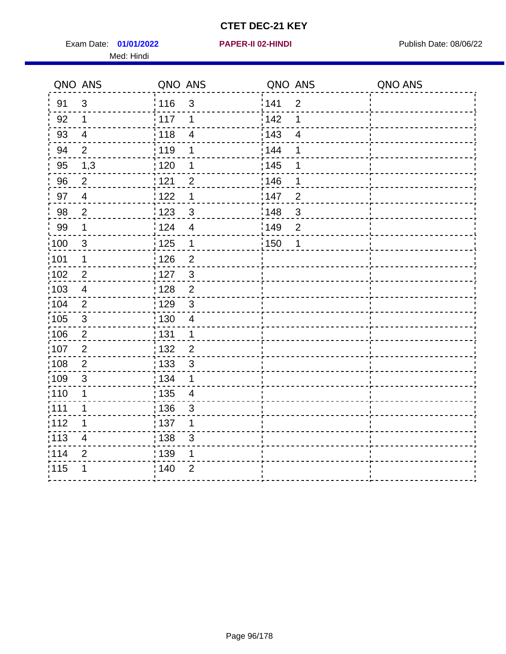Exam Date: 01/01/2022 **PAPER-II 02-HINDI Exam Date: 08/06/22** Med: Hindi

**01/01/2022 PAPER-II 02-HINDI**

|       | QNO ANS                 | QNO ANS |                          | QNO ANS |                          | QNO ANS |
|-------|-------------------------|---------|--------------------------|---------|--------------------------|---------|
| 91    | $\mathfrak{S}$          | 116     | $\mathfrak{S}$           | 1141    | $\overline{2}$           |         |
| 92    | $\mathbf 1$             | 117     | 1                        | 142     | 1                        |         |
| 93    | $\overline{4}$          | 118     | $\overline{\mathcal{A}}$ | 143     | $\overline{\mathcal{A}}$ |         |
| 94    | 2                       | : 119   | 1                        | : 144   | 1                        |         |
| 95    | 1,3                     | : 120   | 1                        | : 145   | 1                        |         |
| 96    | $\overline{2}$          | 121     | $\overline{2}$           | 146     | 1                        |         |
| 97    | $\overline{4}$          | 122     | 1                        | 147     | $\overline{2}$           |         |
| 98    | $\mathbf{2}$            | 123     | $\mathbf{3}$             | 148     | $\sqrt{3}$               |         |
| 99    | $\mathbf 1$             | :124    | $\overline{\mathbf{4}}$  | :149    | $\mathbf 2$              |         |
| :100  | $\sqrt{3}$              | 125     | $\mathbf 1$              | 150     | 1                        |         |
| :101  | 1                       | : 126   | $\overline{c}$           |         |                          |         |
| 102   | $\overline{2}$          | : 127   | $\mathbf{3}$             |         |                          |         |
| 103   | $\overline{4}$          | :128    | $\overline{2}$           |         |                          |         |
| 104   | $\overline{2}$          | : 129   | $\sqrt{3}$               |         |                          |         |
| 105   | $\mathsf 3$             | 130     | $\overline{4}$           |         |                          |         |
| :106  | $\overline{2}$          | : 131   | $\mathbf 1$              |         |                          |         |
| 107   | $\overline{2}$          | :132    | $\overline{2}$           |         |                          |         |
| 108   | $\sqrt{2}$              | : 133   | $\mathbf{3}$             |         |                          |         |
| :109  | $\mathfrak{S}$          | : 134   | $\mathbf 1$              |         |                          |         |
| : 110 | 1                       | : 135   | 4                        |         |                          |         |
| 111   | 1                       | : 136   | 3                        |         |                          |         |
| 112   | 1                       | : 137   | 1                        |         |                          |         |
| 113   | $\overline{\mathbf{4}}$ | : 138   | 3                        |         |                          |         |
| 114   | $\overline{2}$          | : 139   | 1                        |         |                          |         |
| 115   | 1                       | 140     | $\overline{2}$           |         |                          |         |
|       |                         |         |                          |         |                          |         |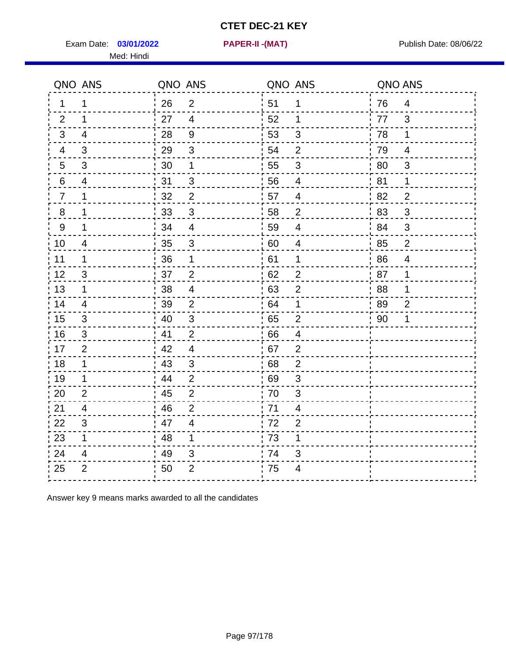Exam Date: 03/01/2022 **PAPER-II - (MAT)** PARE Exam Date: 08/06/22 Med: Hindi

**03/01/2022 PAPER-II -(MAT)**

|                  | QNO ANS        | QNO ANS |                         | QNO ANS |                           | QNO ANS |                |
|------------------|----------------|---------|-------------------------|---------|---------------------------|---------|----------------|
| 1                | 1              | 26      | $\overline{2}$          | 51      | 1                         | 76      | 4              |
| 2                | 1              | 27      | $\overline{4}$          | 52      | 1                         | 77      | 3              |
| 3                | $\overline{4}$ | 28      | $9\,$                   | 53      | 3                         | 78      | 1              |
| 4                | 3              | 29      | $\mathfrak{S}$          | 54      | $\overline{2}$            | 79      | $\overline{4}$ |
| 5                | 3              | 30      | $\mathbf 1$             | 55      | $\sqrt{3}$                | 80      | $\mathfrak{S}$ |
| 6                | 4              | 31      | 3                       | 56      | $\overline{4}$            | 81      | 1              |
| $\overline{7}$   | 1              | 32      | $\overline{2}$          | 57      | $\overline{4}$            | 82      | $\overline{2}$ |
| 8                | 1              | 33      | $\mathfrak{B}$          | 58      | $\overline{2}$            | 83      | 3              |
| $\boldsymbol{9}$ | 1              | 34      | $\overline{4}$          | 59      | $\overline{4}$            | 84      | 3              |
| 10               | $\overline{4}$ | 35      | $\mathfrak{B}$          | 60      | $\overline{4}$            | 85      | $\overline{2}$ |
| 11               | 1              | 36      | $\mathbf 1$             | 61      | $\mathbf 1$               | 86      | $\overline{4}$ |
| 12               | $\mathfrak{S}$ | 37      | $\overline{2}$          | 62      | $\mathbf{2}$              | 87      | 1              |
| 13               | 1              | 38      | $\overline{\mathbf{4}}$ | 63      | $\overline{2}$            | 88      | 1              |
| 14               | $\overline{4}$ | 39      | $\overline{2}$          | 64      | 1                         | 89      | $\overline{2}$ |
| 15               | 3              | 40      | $\mathbf{3}$            | 65      | $\overline{2}$            | 90      | 1              |
| 16               | 3              | 41      | $\overline{2}$          | 66      | $\overline{4}$            |         |                |
| 17               | 2              | 42      | $\overline{4}$          | 67      | $\overline{2}$            |         |                |
| 18               | 1              | 43      | 3                       | 68      | $\overline{2}$            |         |                |
| 19               | 1              | 44      | $\overline{2}$          | 69      | $\ensuremath{\mathsf{3}}$ |         |                |
| 20               | $\overline{2}$ | 45      | $\overline{2}$          | 70      | 3                         |         |                |
| 21               | 4              | 46      | $\overline{2}$          | 71      | 4                         |         |                |
| 22               | 3              | 47      | $\overline{4}$          | 72      | $\overline{2}$            |         |                |
| 23               | 1              | 48      | $\mathbf 1$             | 73      | 1                         |         |                |
| 24               | 4              | 49      | 3                       | 74      | 3                         |         |                |
| 25               | $\overline{2}$ | 50      | $\overline{2}$          | 75      | 4                         |         |                |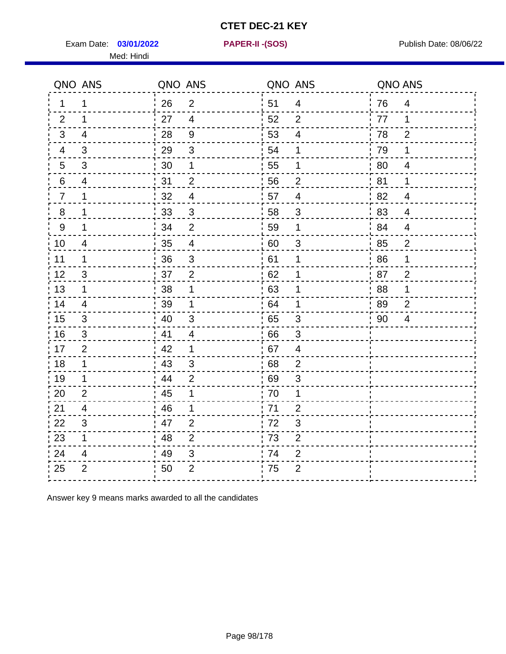Exam Date: 03/01/2022 **PAPER-II-(SOS)** PARER-IN Publish Date: 08/06/22

Med: Hindi

**03/01/2022 PAPER-II -(SOS)**

|                 | QNO ANS        | QNO ANS |                          | QNO ANS |                | QNO ANS |                |
|-----------------|----------------|---------|--------------------------|---------|----------------|---------|----------------|
| 1.              | 1              | 26      | 2                        | 51      | $\overline{4}$ | 76      | $\overline{4}$ |
| 2               | 1              | 27      | $\overline{4}$           | 52      | $\overline{2}$ | 77      | 1              |
| 3               | 4              | 28      | $9\,$                    | 53      | $\overline{4}$ | 78      | 2              |
| 4               | 3              | 29      | $\mathfrak{S}$           | 54      | 1              | 79      | 1              |
| $5\phantom{.0}$ | 3              | 30      | 1                        | 55      | 1              | 80      | $\overline{4}$ |
| 6               | 4              | 31      | $\overline{2}$           | 56      | $\overline{2}$ | 81      | 1              |
| $\overline{7}$  | 1              | 32      | $\overline{\mathcal{A}}$ | 57      | $\overline{4}$ | 82      | $\overline{4}$ |
| 8               | 1              | 33      | $\mathfrak{B}$           | 58      | 3              | 83      | $\overline{4}$ |
| 9               | 1              | 34      | $\overline{2}$           | 59      | 1              | 84      | $\overline{4}$ |
| 10              | 4              | 35      | $\overline{4}$           | 60      | $\mathfrak{S}$ | 85      | $\overline{2}$ |
| 11              | 1              | 36      | $\sqrt{3}$               | 61      | 1              | 86      | 1              |
| 12              | 3              | 37      | $\overline{2}$           | 62      | 1              | 87      | $\overline{2}$ |
| 13              | 1              | 38      | 1                        | 63      | 1              | 88      | 1              |
| 14              | 4              | 39      | 1                        | 64      | 1              | 89      | $\overline{2}$ |
| 15              | 3              | 40      | 3                        | 65      | 3              | 90      | $\overline{4}$ |
| 16              | $\mathfrak{B}$ | 41      | $\overline{4}$           | 66      | $\mathfrak{B}$ |         |                |
| 17              | $\overline{2}$ | 42      | 1                        | 67      | 4              |         |                |
| 18              | 1              | 43      | 3                        | 68      | $\overline{2}$ |         |                |
| 19              | 1              | 44      | $\overline{2}$           | 69      | 3              |         |                |
| 20              | $\overline{2}$ | 45      | 1                        | 70      | 1              |         |                |
| 21              | 4              | 46      | 1                        | .71     | $\overline{2}$ |         |                |
| 22              | 3              | 47      | $\overline{2}$           | 72      | 3              |         |                |
| 23              | $\mathbf 1$    | 48      | $\overline{2}$           | 73      | $\overline{2}$ |         |                |
| 24              | 4              | 49      | $\sqrt{3}$               | 74      | $\mathbf{2}$   |         |                |
| 25              | $\overline{2}$ | 50      | $\overline{2}$           | 75      | $\overline{2}$ |         |                |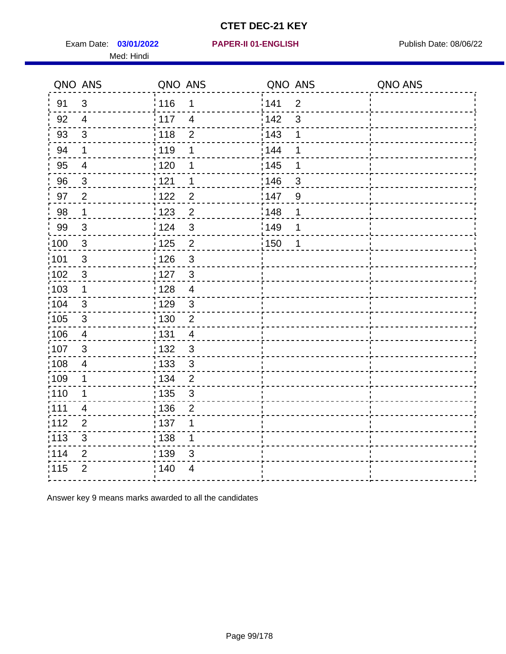Exam Date: 03/01/2022 **PAPER-II 01-ENGLISH** PUBLISH Publish Date: 08/06/22 Med: Hindi

**03/01/2022 PAPER-II 01-ENGLISH**

|                   | QNO ANS                   | QNO ANS           |                | QNO ANS |                | QNO ANS |
|-------------------|---------------------------|-------------------|----------------|---------|----------------|---------|
| 91                | 3                         | 116               | $\mathbf 1$    | 141     | $\overline{2}$ |         |
| 92                | $\overline{4}$            | $\frac{1}{117}$   | $\overline{4}$ | 142     | $\mathbf{3}$   |         |
| 93                | $\sqrt{3}$                | 118               | $\overline{2}$ | 143     | 1              |         |
| 94                | 1                         | : 119             | 1              | 144     | 1              |         |
| 95                | $\overline{\mathbf{4}}$   | : 120             | 1              | : 145   | 1              |         |
| 96                | 3                         | 121               | 1              | :146    | 3              |         |
| 97                | $\overline{2}$            | 122               | $\overline{2}$ | 147     | $9\,$          |         |
| 98                | $\mathbf 1$               | 123               | $\overline{2}$ | 148     | 1              |         |
| 99                | $\sqrt{3}$                | 124               | 3              | 149     | 1              |         |
| 100               | $\sqrt{3}$                | $\frac{1}{1}$ 125 | $\overline{2}$ | 150     | 1              |         |
| 101               | $\sqrt{3}$                | 126               | $\mathfrak{S}$ |         |                |         |
| 102               | $\mathbf{3}$              | : 127             | $\mathbf{3}$   |         |                |         |
| 103               | $\mathbf 1$               | : 128             | $\overline{4}$ |         |                |         |
| 104               | 3                         | : 129             | $\mathbf{3}$   |         |                |         |
| $\frac{1}{1}$ 105 | $\sqrt{3}$                | $\frac{1}{1}$ 130 | $\overline{c}$ |         |                |         |
| $\frac{1}{1}$ 106 | $\overline{4}$            | : 131             | $\overline{4}$ |         |                |         |
| 107               | 3                         | : 132             | $\mathbf{3}$   |         |                |         |
| 108               | $\overline{\mathbf{4}}$   | $\frac{1}{1}$ 133 | $\mathbf{3}$   |         |                |         |
| :109              | 1                         | : 134             | $\overline{2}$ |         |                |         |
| 110               | 1                         | 135               | $\mathfrak{S}$ |         |                |         |
| :111              | 4                         | : 136             | $\overline{2}$ |         |                |         |
| 112               | $\overline{2}$            | : 137             | 1              |         |                |         |
| $\frac{1}{1}$ 113 | $\ensuremath{\mathsf{3}}$ | : 138             | $\mathbf{1}$   |         |                |         |
| 114               | $\mathbf{2}$              | : 139             | 3              |         |                |         |
| 115               | $\overline{2}$            | ; 140             | 4              |         |                |         |
|                   |                           |                   |                |         |                |         |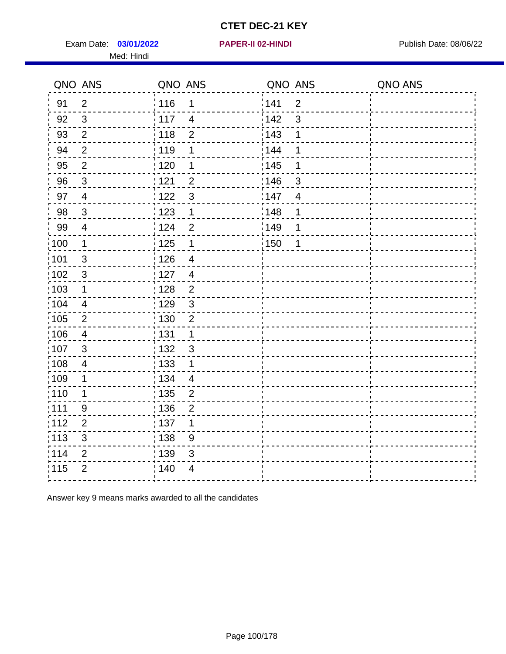Exam Date: 03/01/2022 **PAPER-II 02-HINDI Exam Date: 08/06/22** Publish Date: 08/06/22 Med: Hindi

|                   | QNO ANS                  | QNO ANS           |                          | QNO ANS |                | QNO ANS |
|-------------------|--------------------------|-------------------|--------------------------|---------|----------------|---------|
| 91                | $\overline{2}$           | 116               | $\mathbf 1$              | 141     | $\overline{2}$ |         |
| 92                | $\mathfrak{S}$           | $\frac{1}{117}$   | $\overline{4}$           | 142     | $\mathbf{3}$   |         |
| 93                | $\overline{2}$           | 118               | $\overline{2}$           | 143     | 1              |         |
| 94                | $\overline{2}$           | : 119             | 1                        | 144     | 1              |         |
| 95                | $\overline{2}$           | : 120             | 1                        | : 145   | 1              |         |
| 96                | 3                        | 121               | $\overline{2}$           | :146    | 3              |         |
| 97                | $\overline{4}$           | 122               | 3                        | 147     | $\overline{4}$ |         |
| 98                | $\mathbf{3}$             | 123               | $\mathbf 1$              | 148     | 1              |         |
| 99                | $\overline{\mathcal{A}}$ | 124               | $\overline{2}$           | 149     | 1              |         |
| 100               | $\mathbf 1$              | $\frac{1}{1}$ 125 | $\mathbf 1$              | 150     | 1              |         |
| 101               | $\sqrt{3}$               | $\frac{1}{2}$ 126 | $\overline{\mathcal{A}}$ |         |                |         |
| 102               | 3                        | : 127             | $\overline{4}$           |         |                |         |
| 103               | 1                        | : 128             | $\overline{2}$           |         |                |         |
| 104               | $\overline{4}$           | : 129             | $\mathbf{3}$             |         |                |         |
| $\frac{1}{1}$ 105 | $\mathbf 2$              | $\frac{1}{1}$ 130 | $\overline{c}$           |         |                |         |
| $\frac{1}{1}$ 106 | $\overline{4}$           | : 131             | $\mathbf{1}$             |         |                |         |
| 107               | 3                        | : 132             | $\mathbf{3}$             |         |                |         |
| 108               | $\overline{\mathbf{4}}$  | $\frac{1}{1}$ 133 | $\mathbf{1}$             |         |                |         |
| :109              | 1                        | : 134             | $\overline{4}$           |         |                |         |
| 110               | 1                        | 135               | $\overline{2}$           |         |                |         |
| :111              | 9                        | :136              | $\overline{2}$           |         |                |         |
| 112               | $\overline{2}$           | : 137             | 1                        |         |                |         |
| $\frac{1}{1}$ 113 | $\sqrt{3}$               | : 138             | 9                        |         |                |         |
| 114               | $\mathbf{2}$             | 139               | 3                        |         |                |         |
| 115               | $\overline{2}$           | ; 140             | 4                        |         |                |         |
|                   |                          |                   |                          |         |                |         |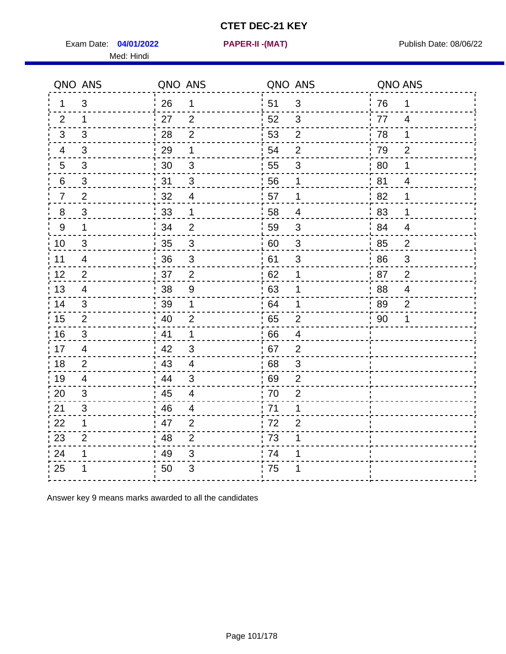Exam Date: 04/01/2022 PAPER-II -(MAT) Pressure and Publish Date: 08/06/22

Med: Hindi

**04/01/2022 PAPER-II -(MAT)**

|                | QNO ANS        | QNO ANS |                          | QNO ANS          |                | QNO ANS |                           |
|----------------|----------------|---------|--------------------------|------------------|----------------|---------|---------------------------|
| 1              | 3              | 26      | 1                        | 51               | $\mathfrak{B}$ | 76      | 1                         |
| 2              | $\mathbf 1$    | 27      | 2                        | 52               | 3              | 77      | $\overline{4}$            |
| 3              | 3              | 28      | $\overline{2}$           | 53               | $\overline{2}$ | 78      | $\mathbf 1$               |
| $\overline{4}$ | 3              | 29      | 1                        | 54               | $\overline{2}$ | 79      | $\overline{2}$            |
| 5              | 3              | 30      | $\sqrt{3}$               | 55               | $\sqrt{3}$     | 80      | 1                         |
| 6              | 3              | 31      | 3                        | 56               | 1              | 81      | 4                         |
| $\overline{7}$ | $\overline{2}$ | 32      | $\overline{\mathcal{A}}$ | 57               | 1              | 82      | 1                         |
| 8              | $\mathfrak{S}$ | 33      | 1                        | 58               | $\overline{4}$ | 83      | 1                         |
| $9\,$          | $\mathbf 1$    | 34      | $\mathbf 2$              | 59               | $\sqrt{3}$     | 84      | $\overline{4}$            |
| 10             | 3              | 35      | $\overline{3}$           | 60               | $\sqrt{3}$     | 85      | $\overline{2}$            |
| 11             | $\overline{4}$ | 36      | $\mathsf 3$              | 61               | $\mathsf 3$    | 86      | $\ensuremath{\mathsf{3}}$ |
| 12             | $\overline{2}$ | 37      | $\overline{2}$           | 62               | $\mathbf 1$    | 87      | $\overline{2}$            |
| 13             | 4              | 38      | $9\,$                    | .63              | 1              | ' 88    | 4                         |
| 14             | 3              | 39      | 1                        | 64               | 1              | 89      | $\overline{2}$            |
| 15             | $\overline{2}$ | 40      | $\overline{2}$           | 65               | $\mathbf{2}$   | 90      | 1                         |
| 16             | 3              | 41      | $\mathbf 1$              | 66               | $\overline{4}$ |         |                           |
| 17             | $\overline{4}$ | 42      | 3                        | 67               | $\overline{2}$ |         |                           |
| 18             | $\overline{2}$ | 43      | $\overline{4}$           | 68               | $\sqrt{3}$     |         |                           |
| 19             | 4              | 44      | $\sqrt{3}$               | .69              | $\overline{2}$ |         |                           |
| 20             | 3              | 45      | $\overline{4}$           | 70               | $\overline{2}$ |         |                           |
| 21             | 3              | 46      | $\overline{4}$           | 71               | 1              |         |                           |
| 22             | $\mathbf 1$    | 47      | $\overline{2}$           | 72               | $\overline{2}$ |         |                           |
| 23             | $\overline{2}$ | 48      | $\overline{2}$           | $\frac{1}{2}$ 73 | 1              |         |                           |
| 24             | 1              | 49      | 3                        | 74               | 1              |         |                           |
| 25             |                | 50      | 3                        | 75               |                |         |                           |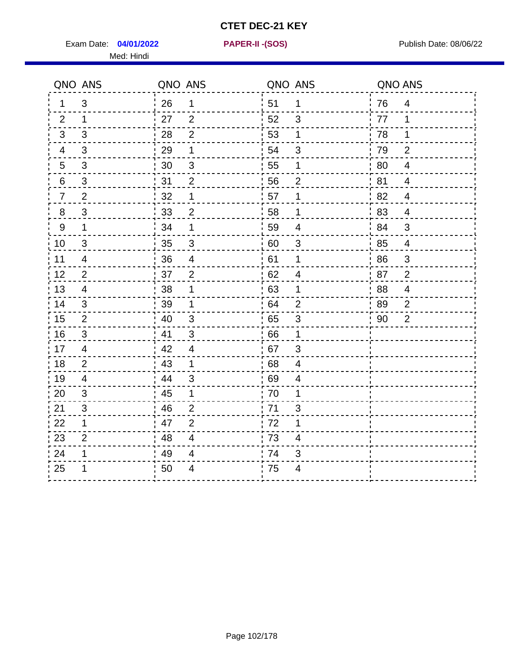Exam Date: 04/01/2022 **PAPER-II-(SOS)** Provided by Publish Date: 08/06/22 Med: Hindi

**04/01/2022 PAPER-II -(SOS)**

|                  | QNO ANS        | QNO ANS |                           | QNO ANS |                          | QNO ANS |                          |
|------------------|----------------|---------|---------------------------|---------|--------------------------|---------|--------------------------|
| 1                | 3              | 26      | $\mathbf 1$               | 51      | $\mathbf 1$              | 76      | $\overline{4}$           |
| 2                | 1              | 27      | 2                         | 52      | 3                        | 77      | 1                        |
| 3                | 3              | 28      | $\overline{2}$            | 53      | 1                        | 78      | 1                        |
| 4                | 3              | 29      | 1                         | 54      | 3                        | 79      | $\overline{2}$           |
| 5                | 3              | 30      | $\ensuremath{\mathsf{3}}$ | 55      | $\mathbf 1$              | 80      | $\overline{4}$           |
| 6                | 3              | 31      | 2                         | 56      | $\overline{2}$           | 81      | 4                        |
| $\overline{7}$   | $\overline{2}$ | 32      | $\mathbf 1$               | 57      | $\mathbf 1$              | 82      | $\overline{4}$           |
| 8                | 3              | 33      | $\overline{2}$            | 58      | 1                        | 83      | $\overline{4}$           |
| $\boldsymbol{9}$ | $\mathbf 1$    | 34      | 1                         | 59      | 4                        | 84      | 3                        |
| 10               | $\mathbf{3}$   | 35      | $\mathfrak{S}$            | 60      | $\mathfrak{S}$           | 85      | $\overline{\mathcal{A}}$ |
| 11               | 4              | 36      | $\overline{4}$            | 61      | $\mathbf 1$              | 86      | $\mathsf 3$              |
| 12               | $\overline{2}$ | 37      | $\overline{2}$            | 62      | $\overline{\mathcal{A}}$ | 87      | $\overline{2}$           |
| 13               | $\overline{4}$ | 38      | 1                         | 63      | 1                        | 88      | $\overline{4}$           |
| 14               | 3              | 39      | 1                         | 64      | $\overline{2}$           | 89      | $\overline{2}$           |
| 15               | 2              | 40      | 3                         | 65      | 3                        | 90      | $\overline{2}$           |
| 16               | $\mathfrak{S}$ | 41      | 3                         | 66      | 1                        |         |                          |
| 17               | 4              | : 42    | 4                         | 67      | 3                        |         |                          |
| 18               | 2              | 43      | $\mathbf 1$               | 68      | $\overline{\mathbf{4}}$  |         |                          |
| 19               | $\overline{4}$ | .44     | $\mathfrak{B}$            | 69      | 4                        |         |                          |
| 20               | 3              | 45      | 1                         | 70      | 1                        |         |                          |
| 21               | 3              | :46     | $\overline{2}$            | 71      | 3                        |         |                          |
| 22               | $\mathbf{1}$   | 47      | $\overline{2}$            | 72      | $\mathbf 1$              |         |                          |
| 23               | $\overline{2}$ | 48      | $\overline{4}$            | 73      | 4                        |         |                          |
| 24               | 1              | 49      | $\overline{4}$            | 74      | 3                        |         |                          |
| 25               | 1              | 50      | 4                         | 75      | 4                        |         |                          |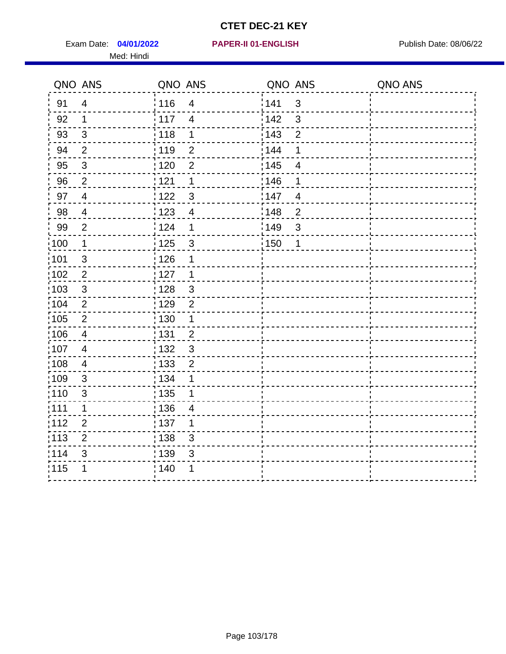Exam Date: 04/01/2022 **PAPER-II 01-ENGLISH Exam Date: 08/06/22** Med: Hindi

#### **04/01/2022 PAPER-II 01-ENGLISH**

|                   | QNO ANS                 | QNO ANS           |                          | QNO ANS           |                         | QNO ANS |
|-------------------|-------------------------|-------------------|--------------------------|-------------------|-------------------------|---------|
| 91                | $\overline{4}$          | : 116             | $\overline{4}$           | 141               | $\mathfrak{3}$          |         |
| 92                | $\mathbf 1$             | 117               | $\overline{4}$           | 142               | 3                       |         |
| 93                | $\sqrt{3}$              | 118               | 1                        | 143               | $\overline{2}$          |         |
| 94                | $\overline{2}$          | : 119             | $\overline{2}$           | : 144             | 1                       |         |
| 95                | $\sqrt{3}$              | : 120             | $\overline{2}$           | : 145             | $\overline{\mathbf{4}}$ |         |
| 96                | $\overline{2}$          | 121               | 1                        | 146               | 1                       |         |
| 97                | $\overline{4}$          | 122               | $\mathbf{3}$             | 147               | 4                       |         |
| 98                | $\overline{\mathbf{4}}$ | $\frac{1}{2}$ 123 | $\overline{4}$           | $\frac{1}{2}$ 148 | $\overline{c}$          |         |
| 99                | $\overline{2}$          | 124               | 1                        | $\frac{1}{2}$ 149 | 3                       |         |
| $\frac{1}{1}$ 100 | $\mathbf{1}$            | $\frac{1}{1}$ 125 | $\mathbf{3}$             | $\frac{1}{1}$ 150 | 1                       |         |
| :101              | $\sqrt{3}$              | 126               | 1                        |                   |                         |         |
| 102               | $\overline{2}$          | : 127             | $\mathbf{1}$             |                   |                         |         |
| 103               | $\mathbf{3}$            | : 128             | $\mathbf{3}$             |                   |                         |         |
| $\frac{1}{104}$   | $\overline{2}$          | $\frac{1}{1}$ 129 | $\overline{2}$           |                   |                         |         |
| 105               | $\overline{2}$          | : 130             | $\mathbf{1}$             |                   |                         |         |
| 106               | $\overline{4}$          | 131               | $\overline{2}$           |                   |                         |         |
| :107              | $\overline{4}$          | 132               | $\mathbf{3}$             |                   |                         |         |
| 108               | $\overline{4}$          | : 133             | $\mathbf 2$              |                   |                         |         |
| ;109              | $\mathfrak{B}$          | : 134             | 1                        |                   |                         |         |
| :110              | $\mathfrak{S}$          | : 135             | 1                        |                   |                         |         |
| :111              | $\mathbf 1$             | : 136             | $\overline{\mathcal{A}}$ |                   |                         |         |
| 112               | $\overline{2}$          | 137               | 1                        |                   |                         |         |
| 113               | $\overline{2}$          | : 138             | 3                        |                   |                         |         |
| 114               | 3                       | 139               | 3                        |                   |                         |         |
| 115               | 1                       | 140               | 1                        |                   |                         |         |
|                   |                         |                   |                          |                   |                         |         |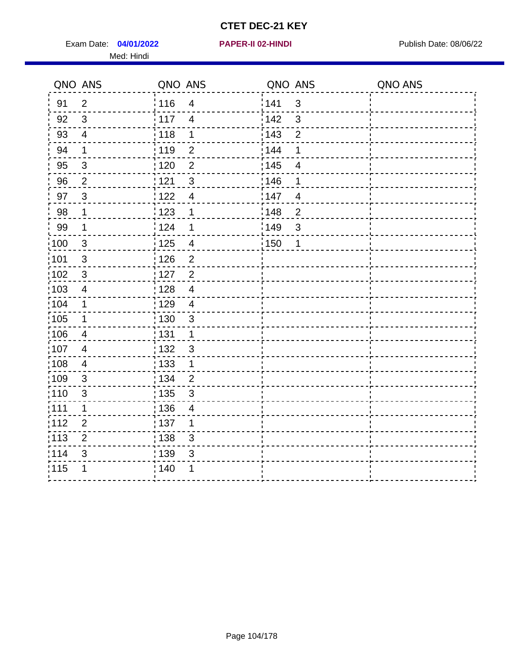Exam Date: 04/01/2022 **PAPER-II 02-HINDI Exam Date: 08/06/22** Med: Hindi

**04/01/2022 PAPER-II 02-HINDI**

|                   | QNO ANS        | QNO ANS           |                         | QNO ANS           |                | QNO ANS |
|-------------------|----------------|-------------------|-------------------------|-------------------|----------------|---------|
| 91                | $\overline{2}$ | 116               | $\overline{4}$          | 141               | $\sqrt{3}$     |         |
| 92                | $\mathfrak{S}$ | : 117             | $\overline{4}$          | 142               | 3              |         |
| 93                | $\overline{4}$ | 118               | $\mathbf 1$             | 143               | $\overline{2}$ |         |
| 94                | 1              | : 119             | $\overline{2}$          | 144               | 1              |         |
| 95                | 3              | : 120             | $\overline{2}$          | : 145             | $\overline{4}$ |         |
| 96                | $\overline{2}$ | 121               | $\mathfrak{S}$          | 146               | 1              |         |
| 97                | $\mathbf{3}$   | 122               | $\overline{4}$          | 147               | $\overline{4}$ |         |
| 98                | 1              | 123               | $\mathbf 1$             | $\frac{1}{2}$ 148 | $\overline{2}$ |         |
| 99                | $\mathbf 1$    | 124               | 1                       | $\frac{1}{2}$ 149 | $\mathfrak{S}$ |         |
| 100               | $\mathbf{3}$   | 125               | $\overline{\mathbf{4}}$ | 150               | $\mathbf 1$    |         |
| :101              | $\mathfrak{S}$ | 126               | $\overline{2}$          |                   |                |         |
| 102               | $\mathbf{3}$   | : 127             | $\overline{2}$          |                   |                |         |
| 103               | $\overline{4}$ | 128               | $\overline{4}$          |                   |                |         |
| :104              | 1              | : 129             | $\overline{4}$          |                   |                |         |
| 105               | $\mathbf 1$    | : 130             | $\sqrt{3}$              |                   |                |         |
| :106              | $\overline{4}$ | : 131             | $\mathbf 1$             |                   |                |         |
| :107              | $\overline{4}$ | : 132             | $\mathfrak{3}$          |                   |                |         |
| $\frac{1}{1}$ 108 | $\overline{4}$ | $\frac{1}{1}$ 133 | $\mathbf{1}$            |                   |                |         |
| :109              | $\mathfrak{3}$ | : 134             | $\overline{2}$          |                   |                |         |
| :110              | $\mathbf{3}$   | : 135             | $\mathbf{3}$            |                   |                |         |
| : 111             | $\mathbf{1}$   | : 136             | $\overline{4}$          |                   |                |         |
| 112               | $\overline{2}$ | 137               | 1                       |                   |                |         |
| $\frac{1}{1}$ 113 | $\overline{2}$ | 138               | 3                       |                   |                |         |
| 114               | 3              | 139               | 3                       |                   |                |         |
| 115               | 1              | : 140             | 1                       |                   |                |         |
|                   |                |                   |                         |                   |                |         |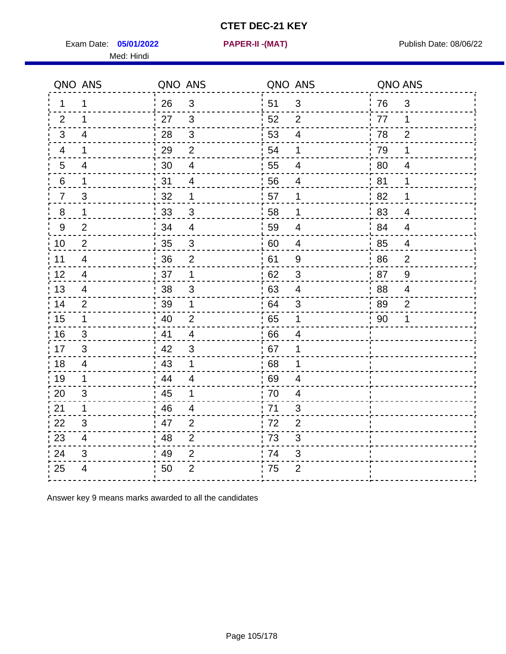**05/01/2022 PAPER-II -(MAT)**

Exam Date: **05/01/2022 PAPER-II -(MAT)** Publish Date: 08/06/22 Med: Hindi

| QNO ANS         |                         | QNO ANS          |                         | QNO ANS |                          | QNO ANS |                |
|-----------------|-------------------------|------------------|-------------------------|---------|--------------------------|---------|----------------|
| $\mathbf 1$     | 1                       | 26               | 3                       | 51      | 3                        | 76      | $\mathfrak{S}$ |
| 2               | 1                       | 27               | $\mathbf{3}$            | 52      | 2                        | 77      | $\mathbf 1$    |
| 3               | $\overline{4}$          | 28               | $\sqrt{3}$              | 53      | $\overline{4}$           | 78      | $\overline{2}$ |
| 4               | $\mathbf 1$             | 29               | $\overline{2}$          | 54      | 1                        | 79      | $\mathbf 1$    |
| $5\phantom{.0}$ | 4                       | 30               | $\overline{\mathbf{4}}$ | 55      | $\overline{\mathcal{A}}$ | 80      | $\overline{4}$ |
| 6               | $\mathbf 1$             | 31               | $\overline{4}$          | 56      | $\overline{4}$           | 81      | 1              |
| $\overline{7}$  | 3                       | 32               | $\mathbf 1$             | 57      | 1                        | 82      | 1              |
| 8               | $\mathbf 1$             | 33               | $\mathfrak{B}$          | 58      | 1                        | 83      | $\overline{4}$ |
| $9\,$           | 2                       | 34               | $\overline{4}$          | 59      | $\overline{4}$           | 84      | $\overline{4}$ |
| 10              | $\overline{2}$          | 35               | $\mathbf{3}$            | 60      | $\overline{4}$           | 85      | $\overline{4}$ |
| 11              | $\overline{4}$          | 36               | $\overline{2}$          | 61      | 9                        | 86      | $\overline{2}$ |
| 12              | $\overline{\mathbf{4}}$ | 37               | $\mathbf 1$             | 62      | $\sqrt{3}$               | 87      | $\overline{9}$ |
| 13              | 4                       | 38               | 3                       | 63      | $\overline{4}$           | 88      | 4              |
| 14              | 2                       | 39               | $\mathbf 1$             | 64      | 3                        | 89      | $\overline{2}$ |
| 15              | $\mathbf 1$             | 40               | $\overline{2}$          | 65      | $\mathbf 1$              | 90      | 1              |
| 16              | 3                       | 41               | $\overline{4}$          | 66      | $\overline{4}$           |         |                |
| 17              | 3                       | $\frac{1}{2}$ 42 | 3                       | 67      | 1                        |         |                |
| 18              | 4                       | 43               | $\mathbf 1$             | 68      | 1                        |         |                |
| 19              | 1                       | .44              | 4                       | 69      | 4                        |         |                |
| 20              | 3                       | 45               | 1                       | 70      | 4                        |         |                |
| 21              | $\mathbf 1$             | 46               | 4                       | 71      | 3                        |         |                |
| 22              | 3                       | 47               | 2                       | 72      | $\overline{2}$           |         |                |
| 23              | $\overline{4}$          | 48               | $\overline{2}$          | 73      | $\mathfrak{S}$           |         |                |
| 24              | 3                       | 49               | $\overline{2}$          | 74      | 3                        |         |                |
| 25              | $\overline{4}$          | 50               | $\overline{2}$          | 75      | $\overline{2}$           |         |                |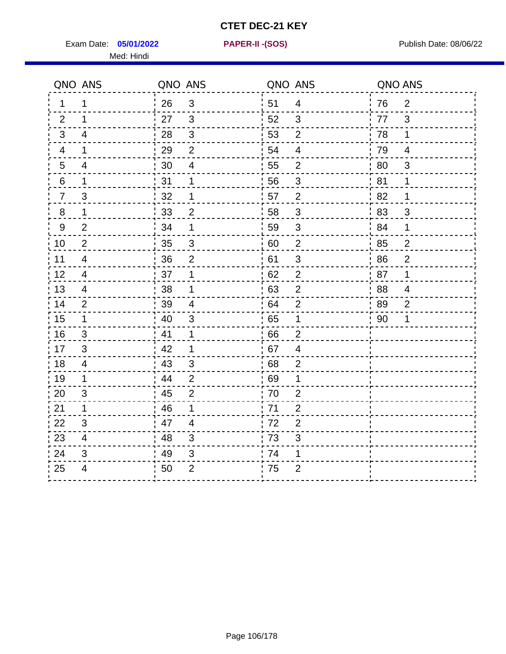Exam Date: **05/01/2022 PAPER-II - (SOS)** PUBLISH Date: 08/06/22 Med: Hindi

**05/01/2022 PAPER-II -(SOS)**

|                | QNO ANS                  | QNO ANS |                         | QNO ANS |                         | QNO ANS |                |
|----------------|--------------------------|---------|-------------------------|---------|-------------------------|---------|----------------|
| 1              | 1                        | 26      | $\mathbf{3}$            | 51      | 4                       | 76      | $\overline{2}$ |
| 2              | 1                        | 27      | $\mathbf{3}$            | 52      | 3                       | 77      | 3              |
| 3              | 4                        | 28      | $\mathfrak{S}$          | 53      | $\overline{2}$          | 78      | $\mathbf 1$    |
| 4              | $\mathbf 1$              | 29      | $\overline{2}$          | 54      | $\overline{4}$          | 79      | 4              |
| $\overline{5}$ | $\overline{4}$           | 30      | $\overline{\mathbf{4}}$ | 55      | $\overline{c}$          | 80      | $\mathfrak{B}$ |
| 6              | 1                        | 31      | 1                       | 56      | 3                       | 81      | 1              |
| $\overline{7}$ | 3                        | 32      | 1                       | 57      | $\overline{2}$          | 82      | 1              |
| 8              | 1                        | 33      | $\overline{2}$          | 58      | $\sqrt{3}$              | 83      | 3              |
| $9\,$          | $\overline{2}$           | 34      | 1                       | 59      | 3                       | -84     | 1              |
| 10             | $\overline{2}$           | 35      | $\mathfrak{S}$          | 60      | $\mathbf{2}$            | 85      | $\overline{2}$ |
| 11             | $\overline{\mathcal{A}}$ | 36      | $\overline{2}$          | 61      | $\sqrt{3}$              | 86      | $\overline{2}$ |
| 12             | $\overline{\mathcal{A}}$ | 37      | 1                       | 62      | $\mathbf 2$             | 87      | 1              |
| 13             | 4                        | 38      | 1                       | 63      | $\mathbf{2}$            | 88      | $\overline{4}$ |
| 14             | $\overline{2}$           | 39      | 4                       | 64      | $\overline{2}$          | 89      | 2              |
| 15             | $\mathbf 1$              | 40      | 3                       | 65      | 1                       | 90      | 1              |
| 16             | $\sqrt{3}$               | 41      | $\mathbf 1$             | 66      | $\overline{2}$          |         |                |
| 17             | 3                        | 42      | 1                       | 67      | $\overline{\mathbf{4}}$ |         |                |
| 18             | 4                        | 43      | 3                       | 68      | $\overline{2}$          |         |                |
| 19             | $\mathbf 1$              | 44      | $\overline{2}$          | 69      | 1                       |         |                |
| 20             | 3                        | 45      | $\overline{2}$          | 70      | $\overline{2}$          |         |                |
| 21             | $\mathbf{1}$             | 46      | 1                       | 71      | $\overline{2}$          |         |                |
| 22             | 3                        | 47      | $\overline{4}$          | 72      | $\overline{2}$          |         |                |
| 23             | 4                        | 48      | 3                       | 73      | 3                       |         |                |
| 24             | 3                        | 49      | 3                       | 74      | 1                       |         |                |
| 25             | 4                        | 50      | $\overline{2}$          | 75      | $\overline{2}$          |         |                |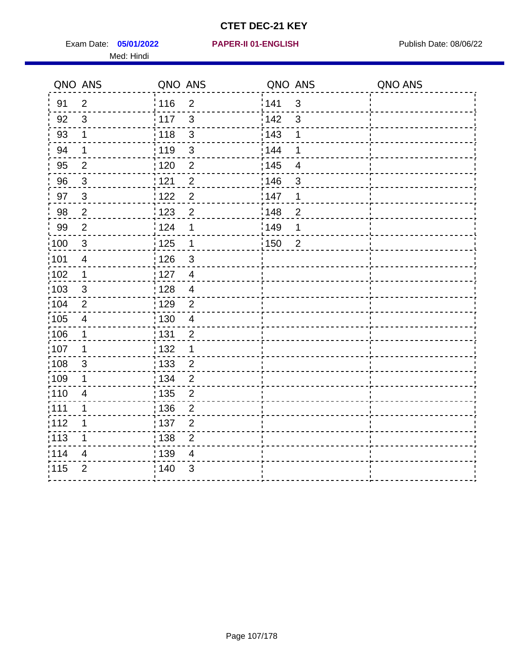Exam Date: 05/01/2022 **PAPER-II 01-ENGLISH Propriet Access 198/06/22** Med: Hindi

**05/01/2022 PAPER-II 01-ENGLISH**

|                   | QNO ANS                  | QNO ANS           |                         | QNO ANS           |                | QNO ANS |
|-------------------|--------------------------|-------------------|-------------------------|-------------------|----------------|---------|
| 91                | $\overline{2}$           | : 116             | $\overline{2}$          | 1141              | $\mathfrak{S}$ |         |
| 92                | 3                        | $\frac{1}{117}$   | $\mathfrak{S}$          | 142               | $\mathbf{3}$   |         |
| 93                | $\mathbf 1$              | : 118             | $\mathbf{3}$            | 143               | 1              |         |
| 94                | 1                        | :119              | 3                       | 144               | 1              |         |
| 95                | $\overline{2}$           | : 120             | $\overline{2}$          | : 145             | $\overline{4}$ |         |
| 96                | 3                        | 121               | $\overline{2}$          | :146              | 3              |         |
| 97                | 3                        | 1122              | $\overline{2}$          | 147               | 1              |         |
| 98                | $\overline{2}$           | 123               | $\overline{2}$          | 148               | $\overline{2}$ |         |
| 99                | $\overline{2}$           | 124               | 1                       | $\frac{1}{2}$ 149 | 1              |         |
| 100               | $\mathbf{3}$             | $\frac{1}{2}$ 125 | $\overline{\mathbf{1}}$ | $\frac{1}{1}$ 150 | $\overline{2}$ |         |
| :101              | $\overline{\mathcal{A}}$ | : 126             | $\mathfrak{S}$          |                   |                |         |
| 102               | $\mathbf 1$              | : 127             | $\overline{4}$          |                   |                |         |
| 103               | 3                        | : 128             | $\overline{4}$          |                   |                |         |
| 104               | $\overline{2}$           | : 129             | $\overline{2}$          |                   |                |         |
| :105              | $\overline{\mathcal{A}}$ | : 130             | $\overline{4}$          |                   |                |         |
| 106               | 1                        | : 131             | $\overline{2}$          |                   |                |         |
| :107              | 1                        | : 132             | $\mathbf 1$             |                   |                |         |
| :108              | $\sqrt{3}$               | : 133             | $\overline{2}$          |                   |                |         |
| :109              | 1                        | : 134             | $\overline{2}$          |                   |                |         |
| :110              | $\overline{4}$           | : 135             | $\overline{2}$          |                   |                |         |
| 111               | 1                        | 136               | $\overline{2}$          |                   |                |         |
| 112               | 1                        | $\frac{1}{1}$ 137 | $\overline{c}$          |                   |                |         |
| $\frac{1}{1}$ 113 | 1                        | : 138             | $\overline{2}$          |                   |                |         |
| 114               | 4                        | : 139             | 4                       |                   |                |         |
| 115               | $\overline{2}$           | 140               | $\mathfrak{S}$          |                   |                |         |
|                   |                          |                   |                         |                   |                |         |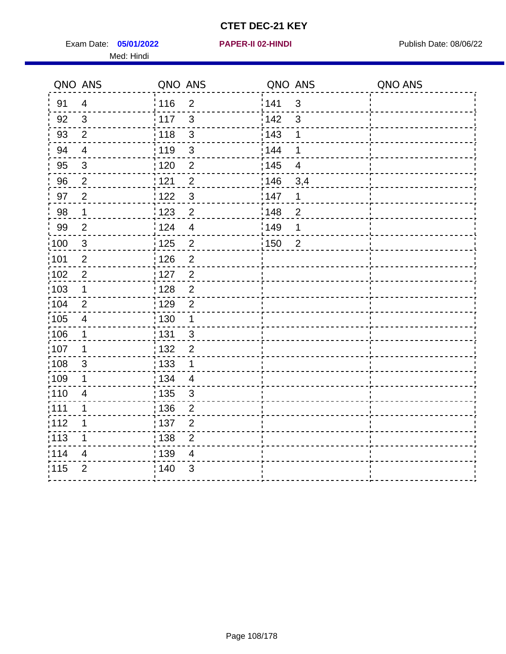Exam Date: 05/01/2022 **PAPER-II 02-HINDI Exam Date: 08/06/22** Med: Hindi

**05/01/2022 PAPER-II 02-HINDI**

|        | QNO ANS                  | QNO ANS           |                | QNO ANS           |                         | QNO ANS |
|--------|--------------------------|-------------------|----------------|-------------------|-------------------------|---------|
| 91     | $\overline{4}$           | 116               | $\overline{2}$ | 141               | $\sqrt{3}$              |         |
| 92     | $\mathbf{3}$             | 117               | 3              | 142               | 3                       |         |
| 93     | $\overline{2}$           | 118               | $\mathbf{3}$   | 143               | 1                       |         |
| 94     | $\overline{\mathcal{A}}$ | : 119             | $\mathfrak{S}$ | : 144             | 1                       |         |
| 95     | 3                        | :120              | $\overline{2}$ | : 145             | $\overline{\mathbf{4}}$ |         |
| 96     | $\overline{2}$           | 121               | $\overline{2}$ | 146               | 3,4                     |         |
| 97     | $\overline{2}$           | : 122             | $\mathbf{3}$   | 147               | 1                       |         |
| $98\,$ | $\mathbf{1}$             | $\frac{1}{2}$ 123 | $\overline{c}$ | $\frac{1}{2}$ 148 | $\overline{2}$          |         |
| 99     | $\overline{2}$           | 124               | $\overline{4}$ | :149              | 1                       |         |
| 100    | $\mathbf{3}$             | : 125             | $\mathbf 2$    | 150               | $\overline{2}$          |         |
| :101   | $\overline{2}$           | 126               | $\overline{2}$ |                   |                         |         |
| 102    | $\overline{2}$           | : 127             | $\overline{2}$ |                   |                         |         |
| 103    | 1                        | 128               | $\overline{2}$ |                   |                         |         |
| 104    | $\overline{2}$           | : 129             | $\overline{2}$ |                   |                         |         |
| 105    | $\overline{4}$           | : 130             | $\mathbf{1}$   |                   |                         |         |
| :106   | 1                        | : 131             | $\mathbf{3}$   |                   |                         |         |
| :107   | 1                        | : 132             | $\overline{2}$ |                   |                         |         |
| 108    | $\sqrt{3}$               | : 133             | $\mathbf 1$    |                   |                         |         |
| :109   | 1                        | : 134             | $\overline{4}$ |                   |                         |         |
| :110   | $\overline{4}$           | : 135             | 3              |                   |                         |         |
| :111   | 1                        | : 136             | $\mathbf{2}$   |                   |                         |         |
| 112    | 1                        | $\frac{1}{1}$ 137 | $\overline{2}$ |                   |                         |         |
| 113    | 1                        | 138               | $\overline{2}$ |                   |                         |         |
| 1114   | 4                        | 139               | 4              |                   |                         |         |
| 115    | $\overline{2}$           | 140               | 3              |                   |                         |         |
|        |                          |                   |                |                   |                         |         |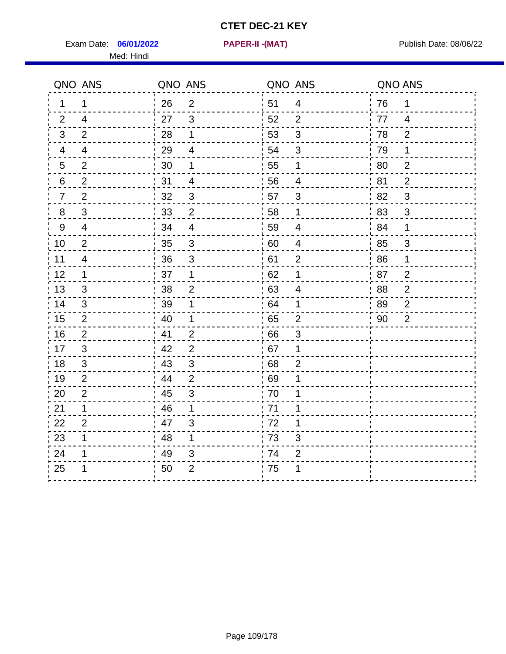Exam Date: **06/01/2022 PAPER-II -(MAT)** Publish Date: 08/06/22 Med: Hindi

**06/01/2022 PAPER-II -(MAT)**

|         | QNO ANS                 | QNO ANS |                         | QNO ANS |                         | QNO ANS |                |
|---------|-------------------------|---------|-------------------------|---------|-------------------------|---------|----------------|
| 1       | 1                       | 26      | $\overline{2}$          | 51      | $\overline{4}$          | 76      | 1              |
| 2       | $\overline{4}$          | 27      | $\mathbf{3}$            | 52      | $\overline{2}$          | 77      | $\overline{4}$ |
| 3       | 2                       | 28      | $\mathbf 1$             | 53      | $\mathfrak{S}$          | 78      | $\overline{2}$ |
| 4       | 4                       | 29      | $\overline{\mathbf{4}}$ | 54      | 3                       | 79      | 1              |
| 5       | $\overline{2}$          | 30      | 1                       | 55      | $\mathbf{1}$            | 80      | $\overline{2}$ |
| 6       | $\overline{2}$          | 31      | 4                       | 56      | 4                       | 81      | $\overline{2}$ |
| 7       | $\overline{2}$          | 32      | $\sqrt{3}$              | 57      | 3                       | 82      | $\mathbf{3}$   |
| $\bf 8$ | $\sqrt{3}$              | 33      | $\mathbf 2$             | 58      | $\mathbf 1$             | 83      | $\sqrt{3}$     |
| 9       | $\overline{4}$          | 34      | $\overline{\mathbf{4}}$ | 59      | $\overline{\mathbf{4}}$ | 84      | 1              |
| 10      | $\overline{2}$          | 35      | $\overline{3}$          | 60      | $\overline{4}$          | 85      | $\mathfrak{S}$ |
| 11      | $\overline{\mathbf{4}}$ | 36      | $\mathsf 3$             | 61      | $\mathbf{2}$            | 86      | $\mathbf 1$    |
| 12      | $\mathbf{1}$            | 37      | $\mathbf 1$             | 62      | $\mathbf{1}$            | 87      | $\overline{2}$ |
| 13      | 3                       | 38      | $\overline{2}$          | 63      | $\overline{4}$          | 88      | $\overline{2}$ |
| 14      | 3                       | 39      | 1                       | 64      | 1                       | 89      | $\overline{2}$ |
| 15      | $\overline{2}$          | 40      | 1                       | 65      | $\mathbf{2}$            | 90      | $\overline{2}$ |
| 16      | 2                       | 41      | $\overline{2}$          | 66      | 3                       |         |                |
| 17      | 3                       | 42      | $\overline{2}$          | 67      | $\mathbf 1$             |         |                |
| 18      | 3                       | 43      | $\sqrt{3}$              | 68      | $\overline{2}$          |         |                |
| 19      | $\overline{2}$          | 44      | $\overline{2}$          | .69     | 1                       |         |                |
| 20      | $\overline{2}$          | 45      | 3                       | 70      | 1                       |         |                |
| 21      | 1                       | 46      | 1                       | 71      | 1                       |         |                |
| 22      | $\overline{2}$          | 47      | $\mathfrak{S}$          | 72      | 1                       |         |                |
| 23      | 1                       | 48      | 1                       | 73      | 3                       |         |                |
| 24      | 1                       | 49      | 3                       | .74     | $\overline{2}$          |         |                |
| 25      | 1                       | 50      | $\overline{2}$          | 75      | 1                       |         |                |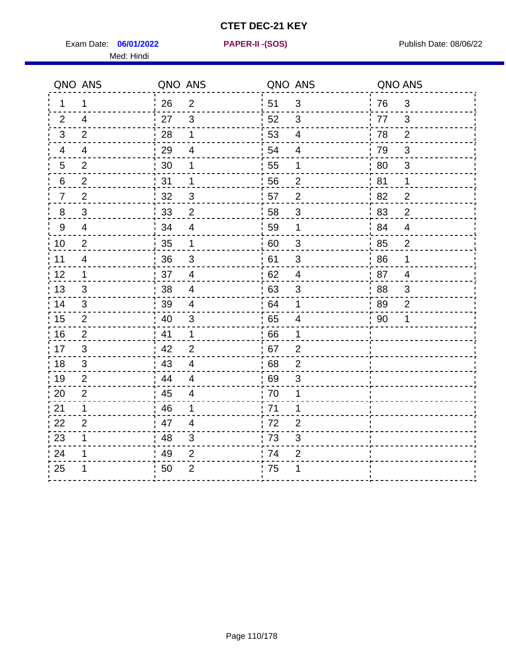Exam Date: **06/01/2022 PAPER-II - (SOS)** Publish Date: 08/06/22 Med: Hindi

**06/01/2022 PAPER-II -(SOS)**

|                | QNO ANS        | QNO ANS |                          | QNO ANS |                          | QNO ANS |                |
|----------------|----------------|---------|--------------------------|---------|--------------------------|---------|----------------|
| 1              | 1              | 26      | $\overline{2}$           | 51      | 3                        | 76      | 3              |
| 2              | $\overline{4}$ | 27      | $\mathbf{3}$             | 52      | 3                        | 77      | 3              |
| 3              | 2              | 28      | $\mathbf 1$              | 53      | $\overline{4}$           | 78      | $\overline{2}$ |
| 4              | 4              | 29      | 4                        | 54      | $\overline{4}$           | 79      | 3              |
| $\overline{5}$ | $\overline{2}$ | 30      | 1                        | 55      | 1                        | 80      | $\sqrt{3}$     |
| 6              | $\overline{2}$ | 31      | $\mathbf 1$              | 56      | $\overline{2}$           | 81      | 1              |
| $\overline{7}$ | $\overline{2}$ | 32      | 3                        | 57      | $\overline{2}$           | 82      | $\overline{2}$ |
| 8              | $\sqrt{3}$     | 33      | $\overline{2}$           | 58      | $\sqrt{3}$               | 83      | $\overline{2}$ |
| $9\,$          | $\overline{4}$ | 34      | $\overline{4}$           | 59      | 1                        | 84      | $\overline{4}$ |
| 10             | $\overline{2}$ | 35      | $\mathbf{1}$             | 60      | $\sqrt{3}$               | 85      | $\overline{c}$ |
| 11             | $\overline{4}$ | 36      | $\mathfrak{S}$           | 61      | $\sqrt{3}$               | 86      | 1              |
| 12             | 1              | 37      | $\overline{\mathcal{A}}$ | 62      | $\overline{\mathcal{A}}$ | 87      | $\overline{4}$ |
| 13             | 3              | 38      | 4                        | 63      | 3                        | 88      | 3              |
| 14             | 3              | 39      | 4                        | 64      | 1                        | -89     | 2              |
| 15             | 2              | 40      | 3                        | 65      | $\overline{\mathbf{4}}$  | 90      | 1              |
| 16             | $\overline{2}$ | 41      | $\mathbf 1$              | 66      | 1                        |         |                |
| 17             | 3              | 42      | $\overline{2}$           | 67      | $\overline{2}$           |         |                |
| 18             | 3              | 43      | 4                        | 68      | $\overline{2}$           |         |                |
| 19             | $\overline{2}$ | 44      | $\overline{4}$           | 69      | $\sqrt{3}$               |         |                |
| 20             | $\overline{2}$ | 45      | $\overline{\mathbf{4}}$  | 70      | 1                        |         |                |
| 21             | 1              | 46      | 1                        | 71      | 1                        |         |                |
| 22             | $\overline{2}$ | 47      | $\overline{4}$           | 72      | $\overline{2}$           |         |                |
| 23             | 1              | 48      | 3                        | 73      | 3                        |         |                |
| 24             | 1              | 49      | $\overline{2}$           | 74      | $\overline{2}$           |         |                |
| 25             | 1              | 50      | $\overline{2}$           | .75     | 1                        |         |                |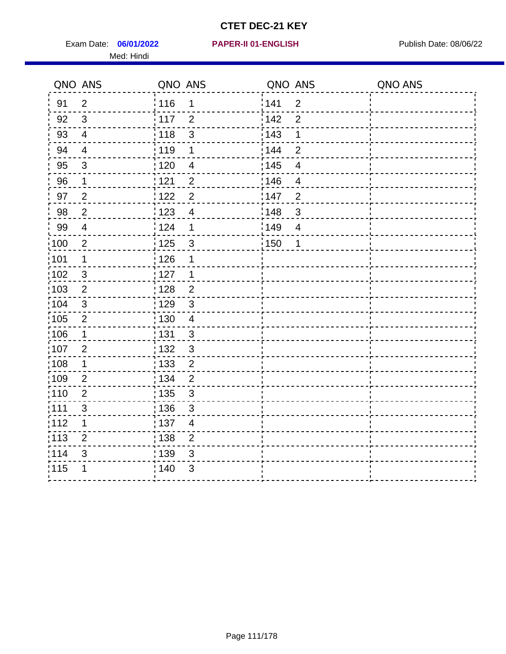Exam Date: 06/01/2022 **PAPER-II 01-ENGLISH Product by Publish Date: 08/06/22** Med: Hindi

**06/01/2022 PAPER-II 01-ENGLISH**

|                   | QNO ANS                  | QNO ANS           |                | QNO ANS           |                         | QNO ANS |
|-------------------|--------------------------|-------------------|----------------|-------------------|-------------------------|---------|
| 91                | $\overline{2}$           | 116               | $\mathbf 1$    | 1141              | $\overline{2}$          |         |
| 92                | 3                        | : 117             | $\overline{2}$ | 142               | $\overline{2}$          |         |
| 93                | $\overline{4}$           | : 118             | $\mathfrak{S}$ | 143               | 1                       |         |
| 94                | $\overline{4}$           | :119              | 1              | : 144             | $\overline{2}$          |         |
| 95                | 3                        | : 120             | $\overline{4}$ | : 145             | $\overline{4}$          |         |
| 96                | 1                        | 121               | $\overline{2}$ | :146              | $\overline{4}$          |         |
| 97                | $\overline{2}$           | : 122             | $\overline{2}$ | 147               | $\overline{2}$          |         |
| 98                | $\overline{c}$           | 1123              | $\overline{4}$ | 148               | $\mathbf{3}$            |         |
| 99                | $\overline{\mathcal{A}}$ | 124               | 1              | 149               | $\overline{\mathbf{4}}$ |         |
| $\frac{1}{1}$ 100 | $\sqrt{2}$               | $\frac{1}{1}$ 125 | $\mathbf{3}$   | $\frac{1}{1}$ 150 | 1                       |         |
| :101              | 1                        | : 126             | 1              |                   |                         |         |
| 102               | 3                        | : 127             | 1              |                   |                         |         |
| 103               | $\overline{2}$           | : 128             | $\overline{2}$ |                   |                         |         |
| 104               | $\mathbf{3}$             | : 129             | $\mathfrak{3}$ |                   |                         |         |
| :105              | $\overline{2}$           | : 130             | $\overline{4}$ |                   |                         |         |
| 106               | 1                        | : 131             | 3              |                   |                         |         |
| :107              | $\overline{2}$           | : 132             | $\mathfrak{3}$ |                   |                         |         |
| $\frac{1}{1}$ 108 | $\mathbf 1$              | $\frac{1}{1}$ 133 | $\overline{2}$ |                   |                         |         |
| :109              | $\overline{2}$           | : 134             | $\overline{2}$ |                   |                         |         |
| :110              | 2                        | : 135             | $\mathfrak{S}$ |                   |                         |         |
| 111               | $\mathfrak{S}$           | : 136             | $\sqrt{3}$     |                   |                         |         |
| 112               | 1                        | $\frac{1}{1}$ 137 | $\overline{4}$ |                   |                         |         |
| $\frac{1}{1}$ 113 | $\overline{2}$           | : 138             | $\overline{c}$ |                   |                         |         |
| 114               | 3                        | : 139             | 3              |                   |                         |         |
| 115               | 1                        | 140               | $\mathfrak{S}$ |                   |                         |         |
|                   |                          |                   |                |                   |                         |         |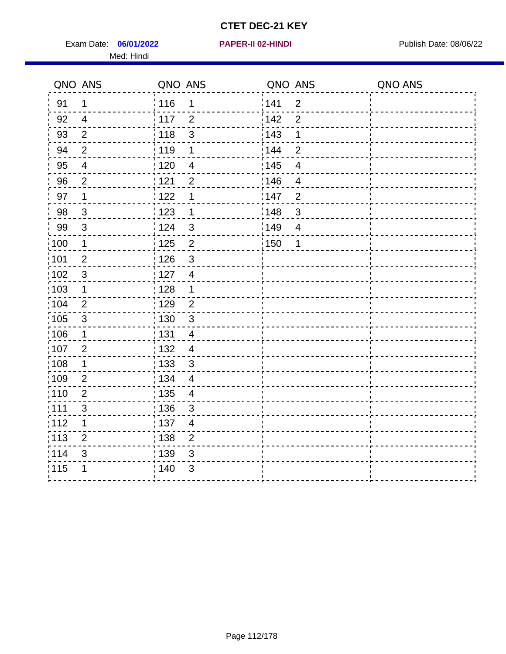Exam Date: 06/01/2022 **PAPER-II 02-HINDI Exam Date: 08/06/22** Med: Hindi

**06/01/2022 PAPER-II 02-HINDI**

|                   | QNO ANS        | QNO ANS           |                | QNO ANS |                | QNO ANS |
|-------------------|----------------|-------------------|----------------|---------|----------------|---------|
| 91                | $\mathbf{1}$   | 116               | 1              | 141     | $\overline{2}$ |         |
| 92                | $\overline{4}$ | 117               | $\overline{2}$ | 142     | $\overline{2}$ |         |
| 93                | $\overline{2}$ | 118               | $\mathbf{3}$   | 143     | 1              |         |
| 94                | $\overline{2}$ | : 119             | 1              | : 144   | $\overline{2}$ |         |
| 95                | $\overline{4}$ | :120              | 4              | : 145   | $\overline{4}$ |         |
| 96                | $\overline{2}$ | 121               | $\overline{2}$ | 146     | $\overline{4}$ |         |
| 97                | $\mathbf 1$    | 122               | 1              | 147     | $\overline{2}$ |         |
| 98                | $\mathbf{3}$   | 123               | $\mathbf 1$    | 148     | $\sqrt{3}$     |         |
| 99                | $\sqrt{3}$     | 124               | $\mathfrak{3}$ | 149¦    | $\overline{4}$ |         |
| $\frac{1}{1}$ 100 | $\mathbf 1$    | 125               | $\overline{2}$ | 150     | 1              |         |
| 101               | $\overline{2}$ | 126               | 3              |         |                |         |
| 102               | 3              | : 127             | $\overline{4}$ |         |                |         |
| ;103              | $\mathbf 1$    | 128               | $\mathbf 1$    |         |                |         |
| 104               | $\overline{2}$ | : 129             | $\overline{2}$ |         |                |         |
| 105               | $\sqrt{3}$     | : 130             | $\mathfrak{S}$ |         |                |         |
| ;106              | $\mathbf 1$    | : 131             | $\overline{4}$ |         |                |         |
| :107              | $\overline{2}$ | : 132             | $\overline{4}$ |         |                |         |
| 108               | $\mathbf 1$    | $\frac{1}{1}$ 133 | $\mathfrak{3}$ |         |                |         |
| :109              | $\overline{2}$ | : 134             | $\overline{4}$ |         |                |         |
| :110              | $\overline{2}$ | : 135             | 4              |         |                |         |
| :111              | $\mathfrak{S}$ | : 136             | $\mathbf{3}$   |         |                |         |
| 112               | 1              | 137               | $\overline{4}$ |         |                |         |
| 113               | $\overline{2}$ | : 138             | $\overline{2}$ |         |                |         |
| 114               | 3              | 139               | 3              |         |                |         |
| 115               | 1              | 140               | $\sqrt{3}$     |         |                |         |
|                   |                |                   |                |         |                |         |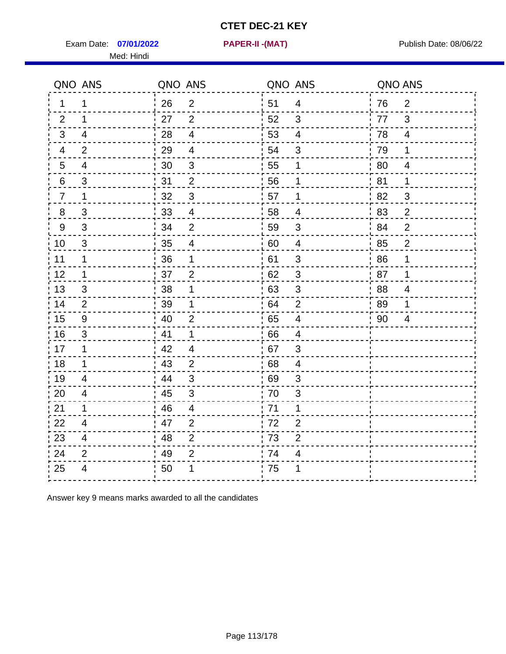Exam Date: 07/01/2022 **PAPER-II - (MAT)** Present Mate: 08/06/22

Med: Hindi

**07/01/2022 PAPER-II -(MAT)**

|                 | QNO ANS                 | QNO ANS |                          | QNO ANS |                          | QNO ANS |                |
|-----------------|-------------------------|---------|--------------------------|---------|--------------------------|---------|----------------|
| $\mathbf 1$     | 1                       | 26      | $\overline{2}$           | ່ 51    | $\overline{4}$           | 76      | 2              |
| 2               | $\mathbf 1$             | 27      | $\overline{2}$           | 52      | 3                        | 77      | $\mathfrak{S}$ |
| 3               | $\overline{4}$          | 28      | $\overline{4}$           | 53      | $\overline{4}$           | 78      | $\overline{4}$ |
| 4               | $\overline{2}$          | 29      | $\overline{\mathcal{A}}$ | 54      | 3                        | 79      | 1              |
| $5\overline{)}$ | $\overline{\mathbf{4}}$ | 30      | $\sqrt{3}$               | 55      | 1                        | 80      | $\overline{4}$ |
| 6               | 3                       | 31      | 2                        | 56      | $\mathbf 1$              | .81     | 1              |
| $\overline{7}$  | 1                       | 32      | $\mathbf{3}$             | 57      | 1                        | 82      | 3              |
| 8               | 3                       | 33      | $\overline{4}$           | 58      | $\overline{\mathcal{A}}$ | 83      | $\overline{2}$ |
| 9               | 3                       | 34      | $\mathbf 2$              | 59      | $\mathfrak{S}$           | 84      | $\overline{2}$ |
| 10              | 3                       | 35      | $\overline{4}$           | 60      | $\overline{4}$           | 85      | $\overline{2}$ |
| 11              | $\mathbf 1$             | 36      | 1                        | 61      | $\sqrt{3}$               | 86      | 1              |
| 12              | $\mathbf{1}$            | 37      | $\overline{2}$           | 62      | $\sqrt{3}$               | 87      | 1              |
| 13              | 3                       | 38      | 1                        | 63      | 3                        | 88      | $\overline{4}$ |
| 14              | 2                       | 39      | 1                        | 64      | 2                        | 89      | 1              |
| 15              | 9                       | 40      | $\overline{2}$           | 65      | $\overline{\mathbf{4}}$  | 90      | 4              |
| 16              | 3                       | 41      | $\mathbf 1$              | 66      | $\overline{4}$           |         |                |
| 17              | 1                       | 42      | 4                        | 67      | 3                        |         |                |
| 18              | $\mathbf 1$             | 43      | $\overline{2}$           | 68      | $\overline{\mathbf{4}}$  |         |                |
| 19              | $\overline{4}$          | 44      | $\sqrt{3}$               | 69      | 3                        |         |                |
| 20              | $\overline{4}$          | 45      | $\mathfrak{S}$           | 70      | 3                        |         |                |
| 21              | 1                       | 46      | 4                        | 71      | 1                        |         |                |
| 22              | 4                       | 47      | $\overline{2}$           | 72      | $\overline{2}$           |         |                |
| 23              | $\overline{4}$          | 48      | $\overline{2}$           | 73      | $\overline{2}$           |         |                |
| 24              | $\overline{2}$          | 49      | $\overline{2}$           | 74      | 4                        |         |                |
| 25              | $\overline{4}$          | 50      | 1                        | 75      | 1                        |         |                |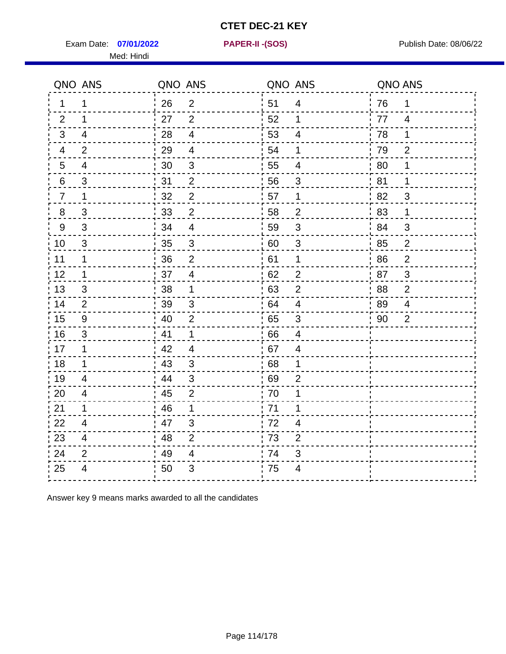Exam Date: 07/01/2022 **PAPER-II-(SOS)** PARER-IN Publish Date: 08/06/22

Med: Hindi

**07/01/2022 PAPER-II -(SOS)**

|                | QNO ANS                  | QNO ANS |                           |      | QNO ANS                   | QNO ANS |                |
|----------------|--------------------------|---------|---------------------------|------|---------------------------|---------|----------------|
| 1              | 1                        | 26      | $\overline{2}$            | ່ 51 | $\overline{4}$            | 76      | 1              |
| 2              | $\mathbf 1$              | 27      | $\overline{2}$            | 52   | $\mathbf 1$               | 77      | $\overline{4}$ |
| 3              | $\overline{4}$           | 28      | $\overline{4}$            | 53   | $\overline{\mathbf{4}}$   | 78      | 1              |
| $\overline{4}$ | $\overline{2}$           | 29      | $\overline{\mathbf{4}}$   | 54   | 1                         | 79      | $\mathbf{2}$   |
| 5              | 4                        | 30      | $\sqrt{3}$                | 55   | $\overline{4}$            | 80      | 1              |
| 6              | 3                        | 31      | $\overline{2}$            | 56   | 3                         | 81      | 1              |
| $\overline{7}$ | 1                        | 32      | $\overline{2}$            | 57   | $\mathbf 1$               | 82      | 3              |
| $\bf 8$        | $\mathfrak{S}$           | 33      | $\mathbf{2}$              | 58   | $\overline{2}$            | 83      | 1              |
| 9              | 3                        | 34      | $\overline{\mathbf{4}}$   | 59   | $\mathfrak{B}$            | 84      | 3              |
| 10             | $\mathfrak{S}$           | 35      | $\ensuremath{\mathsf{3}}$ | 60   | $\ensuremath{\mathsf{3}}$ | 85      | $\overline{2}$ |
| 11             | $\mathbf 1$              | 36      | $\overline{2}$            | 61   | 1                         | 86      | $\mathbf 2$    |
| 12             | $\mathbf 1$              | 37      | $\overline{4}$            | 62   | $\overline{2}$            | 87      | $\mathbf{3}$   |
| 13             | 3                        | 38      | 1                         | .63  | $\overline{2}$            | 88      | $\overline{2}$ |
| 14             | 2                        | 39      | 3                         | 64   | 4                         | 89      | 4              |
| 15             | $\boldsymbol{9}$         | 40      | $\overline{2}$            | 65   | $\sqrt{3}$                | 90      | $\overline{2}$ |
| 16             | 3                        | 41      | 1                         | 66   | $\overline{4}$            |         |                |
| 17             | $\mathbf{1}$             | 42      | 4                         | 67   | 4                         |         |                |
| 18             | $\mathbf 1$              | 43      | $\mathfrak{3}$            | 68   | 1                         |         |                |
| 19             | $\overline{\mathcal{A}}$ | 44      | $\sqrt{3}$                | .69  | $\overline{2}$            |         |                |
| 20             | $\overline{4}$           | 45      | $\overline{2}$            | 70   | 1                         |         |                |
| 21             | 1                        | 46      | 1                         | 71   | 1                         |         |                |
| 22             | $\overline{\mathcal{A}}$ | 47      | $\sqrt{3}$                | 72   | 4                         |         |                |
| 23             | $\overline{\mathbf{4}}$  | 48      | $\overline{2}$            | 73   | $\overline{2}$            |         |                |
| 24             | $\overline{2}$           | 49      | 4                         | 74   | 3                         |         |                |
| 25             | $\overline{4}$           | 50      | 3                         | 75   | $\overline{4}$            |         |                |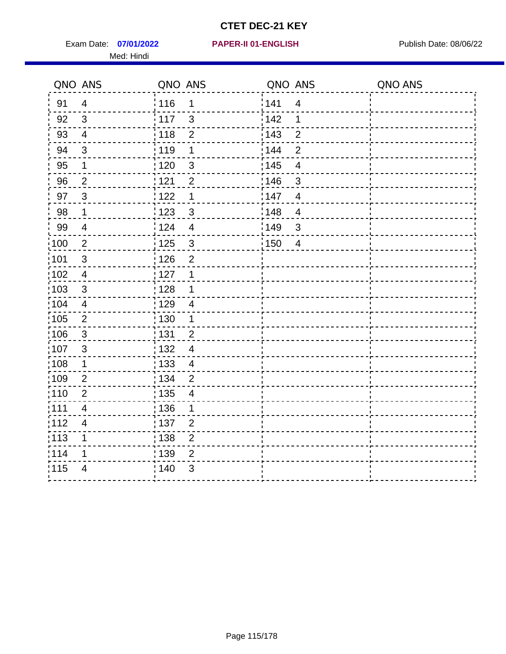Exam Date: 07/01/2022 **PAPER-II 01-ENGLISH Exam Date: 08/06/22** Med: Hindi

#### **07/01/2022 PAPER-II 01-ENGLISH**

|                   | QNO ANS                  | QNO ANS           |                         | QNO ANS           |                          | QNO ANS |
|-------------------|--------------------------|-------------------|-------------------------|-------------------|--------------------------|---------|
| 91                | $\overline{4}$           | 116               | $\mathbf{1}$            | 141               | $\overline{4}$           |         |
| 92                | 3                        | $\frac{1}{2}$ 117 | $\mathbf{3}$            | 142               | 1                        |         |
| 93                | $\overline{4}$           | 118               | $\mathbf 2$             | 143               | $\overline{2}$           |         |
| 94                | 3                        | : 119             | 1                       | : 144             | $\overline{2}$           |         |
| 95                | 1                        | : 120             | $\mathbf{3}$            | : 145             | $\overline{\mathcal{A}}$ |         |
| 96                | $\overline{2}$           | 121               | $\overline{2}$          | 146               | 3                        |         |
| 97                | $\mathbf{3}$             | : 122             | 1                       | 147               | $\overline{4}$           |         |
| 98                | $\mathbf{1}$             | 123               | $\mathfrak{S}$          | 148               | $\overline{4}$           |         |
| 99                | $\overline{4}$           | 124               | $\overline{\mathbf{4}}$ | $\frac{1}{2}$ 149 | 3                        |         |
| $\frac{1}{1}$ 100 | $\overline{2}$           | $\frac{1}{1}$ 125 | $\mathfrak{S}$          | 150               | $\overline{4}$           |         |
| :101              | $\sqrt{3}$               | : 126             | $\overline{2}$          |                   |                          |         |
| 102               | $\overline{4}$           | : 127             | 1                       |                   |                          |         |
| 103               | 3                        | : 128             | $\mathbf 1$             |                   |                          |         |
| 104               | $\overline{4}$           | : 129             | $\overline{4}$          |                   |                          |         |
| 105               | $\mathbf 2$              | 130               | $\mathbf 1$             |                   |                          |         |
| :106              | $\mathfrak{S}$           | : 131             | $\overline{2}$          |                   |                          |         |
| 107               | $\mathbf{3}$             | :132              | $\overline{4}$          |                   |                          |         |
| 108               | $\mathbf 1$              | : 133             | $\overline{4}$          |                   |                          |         |
| :109              | $\mathbf 2$              | : 134             | $\overline{2}$          |                   |                          |         |
| :110              | $\overline{2}$           | : 135             | $\overline{4}$          |                   |                          |         |
| 111               | $\overline{\mathbf{4}}$  | : 136             | 1                       |                   |                          |         |
| 112               | $\overline{\mathcal{A}}$ | 137               | $\overline{2}$          |                   |                          |         |
| 113               | 1                        | : 138             | $\overline{c}$          |                   |                          |         |
| 114               | 1                        | 139               | $\overline{2}$          |                   |                          |         |
| 115               | $\overline{4}$           | 140               | $\mathfrak{S}$          |                   |                          |         |
|                   |                          |                   |                         |                   |                          |         |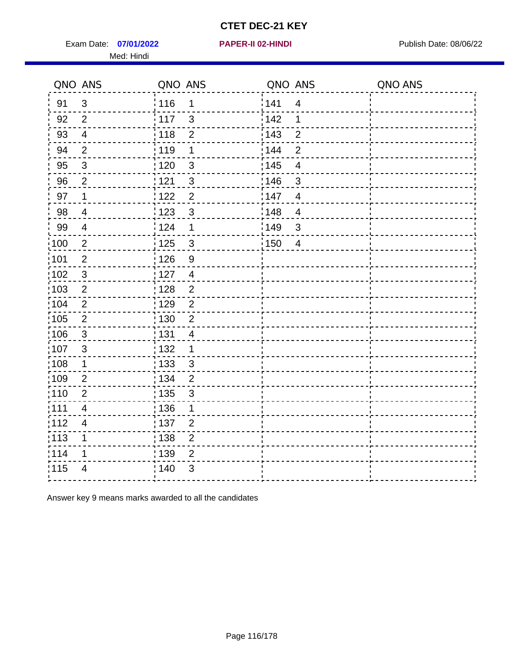Exam Date: 07/01/2022 PAPER-II 02-HINDI PREER PREER PUblish Date: 08/06/22 Med: Hindi

|                   | QNO ANS        | QNO ANS           |                | QNO ANS |                         | QNO ANS |
|-------------------|----------------|-------------------|----------------|---------|-------------------------|---------|
| 91                | 3              | 116               | $\mathbf 1$    | 141     | $\overline{4}$          |         |
| 92                | $\overline{2}$ | $\frac{1}{2}$ 117 | $\mathbf{3}$   | 142     | 1                       |         |
| 93                | $\overline{4}$ | 118               | $\overline{2}$ | 143     | $\overline{2}$          |         |
| 94                | $\overline{2}$ | : 119             | 1              | : 144   | $\overline{2}$          |         |
| 95                | $\mathbf{3}$   | : 120             | $\mathbf{3}$   | : 145   | $\overline{\mathbf{4}}$ |         |
| 96                | $\overline{2}$ | 121               | $\mathfrak{S}$ | :146    | 3                       |         |
| 97                | 1              | 122               | $\overline{2}$ | 147     | $\overline{4}$          |         |
| 98                | $\overline{4}$ | 123               | $\mathfrak{S}$ | 148     | $\overline{4}$          |         |
| 99                | $\overline{4}$ | 124               | 1              | 149     | $\mathfrak{B}$          |         |
| 100               | $\sqrt{2}$     | $\frac{1}{1}$ 125 | $\mathbf{3}$   | 150     | $\overline{4}$          |         |
| 101               | $\overline{2}$ | 126               | $\overline{9}$ |         |                         |         |
| 102               | $\mathbf{3}$   | : 127             | $\overline{4}$ |         |                         |         |
| 103               | 2              | : 128             | $\overline{2}$ |         |                         |         |
| 104               | $\overline{2}$ | :129              | $\overline{2}$ |         |                         |         |
| :105              | $\sqrt{2}$     | $\frac{1}{1}$ 130 | $\overline{2}$ |         |                         |         |
| $\frac{1}{1}$ 106 | $\mathbf{3}$   | : 131             | $\overline{4}$ |         |                         |         |
| 107               | $\mathbf{3}$   | : 132             | $\mathbf 1$    |         |                         |         |
| $\frac{1}{1}$ 108 | $\mathbf 1$    | $\frac{1}{1}$ 133 | $\mathbf{3}$   |         |                         |         |
| $\frac{1}{1}$ 109 | $\overline{2}$ | : 134             | $\overline{2}$ |         |                         |         |
| :110              | $\overline{2}$ | 135               | 3              |         |                         |         |
| :111              | 4              | : 136             | 1              |         |                         |         |
| 112               | $\overline{4}$ | : 137             | $\overline{2}$ |         |                         |         |
| $\frac{1}{1}$ 113 | $\mathbf 1$    | : 138             | $\overline{c}$ |         |                         |         |
| 114               | 1              | 139               | $\overline{2}$ |         |                         |         |
| 115               | 4              | ; 140             | 3              |         |                         |         |
|                   |                |                   |                |         |                         |         |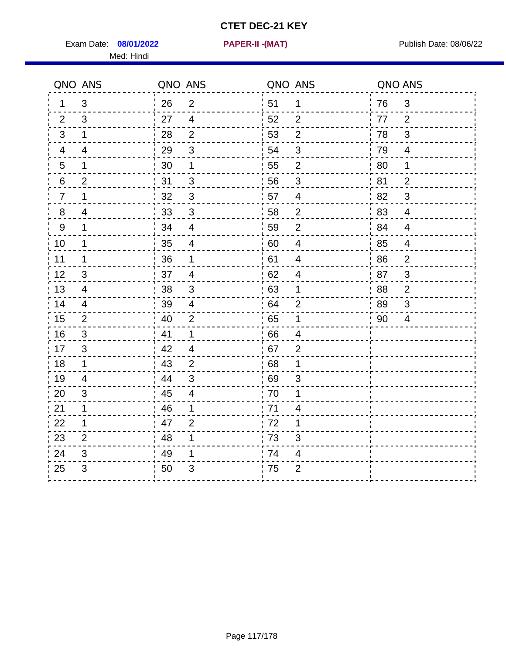Exam Date: 08/01/2022 **PAPER-II-(MAT)** Pressure Publish Date: 08/06/22 Med: Hindi

**08/01/2022 PAPER-II -(MAT)**

|                  | QNO ANS        | QNO ANS          |                          | QNO ANS |                           | QNO ANS |                          |
|------------------|----------------|------------------|--------------------------|---------|---------------------------|---------|--------------------------|
| 1                | $\mathbf{3}$   | 26               | 2                        | ¦ 51    | $\mathbf 1$               | 76      | $\mathfrak{S}$           |
| 2                | 3              | 27               | $\overline{4}$           | 52      | $\overline{2}$            | 77      | 2                        |
| 3                | $\mathbf 1$    | 28               | $\overline{2}$           | 53      | $\mathbf{2}$              | 78      | $\sqrt{3}$               |
| $\overline{4}$   | $\overline{4}$ | 29               | $\mathfrak{B}$           | 54      | $\mathfrak{B}$            | 79      | $\overline{\mathcal{A}}$ |
| $\overline{5}$   | 1              | 30               | 1                        | 55      | $\overline{2}$            | 80      | 1                        |
| 6                | $\overline{2}$ | 31               | 3                        | 56      | 3                         | 81      | $\overline{2}$           |
| $\overline{7}$   | 1              | 32               | $\sqrt{3}$               | 57      | $\overline{\mathcal{A}}$  | 82      | 3                        |
| 8                | $\overline{4}$ | 33               | $\sqrt{3}$               | 58      | $\overline{2}$            | 83      | $\overline{4}$           |
| $\boldsymbol{9}$ | $\mathbf 1$    | 34               | $\overline{4}$           | 59      | $\overline{2}$            | 84      | $\overline{\mathbf{4}}$  |
| 10               | $\mathbf 1$    | 35               | $\overline{\mathcal{A}}$ | 60      | $\overline{4}$            | 85      | 4                        |
| 11               | $\mathbf 1$    | 36               | 1                        | 61      | $\overline{\mathbf{4}}$   | 86      | $\mathbf{2}$             |
| 12               | 3              | 37               | $\overline{4}$           | 62      | $\overline{4}$            | 87      | 3                        |
| 13               | 4              | : 38             | 3                        | 63      | $\mathbf 1$               | 88      | $\overline{2}$           |
| 14               | 4              | 39               | $\overline{4}$           | 64      | $\overline{2}$            | 89      | 3                        |
| 15               | $\overline{2}$ | $\frac{1}{1}$ 40 | $\overline{2}$           | 65      | $\mathbf 1$               | 90      | $\overline{4}$           |
| 16               | 3              | 41               | $\mathbf{1}$             | 66      | 4                         |         |                          |
| 17               | 3              | .42              | 4                        | 67      | $\overline{2}$            |         |                          |
| 18               | $\mathbf 1$    | 43               | 2                        | 68      | 1                         |         |                          |
| 19               | $\overline{4}$ | 44               | $\sqrt{3}$               | 69      | $\ensuremath{\mathsf{3}}$ |         |                          |
| 20               | 3              | 45               | $\overline{\mathbf{4}}$  | 70      | 1                         |         |                          |
| 21               | $\mathbf 1$    | 46               | 1                        | 71      | 4                         |         |                          |
| 22               | $\mathbf 1$    | 47               | 2                        | 72      | 1                         |         |                          |
| 23               | $\overline{2}$ | 48               | 1                        | .73     | 3                         |         |                          |
| 24               | 3              | 49               | 1                        | 74      | $\overline{\mathcal{A}}$  |         |                          |
| 25               | 3              | 50               | 3                        | 75      | $\overline{c}$            |         |                          |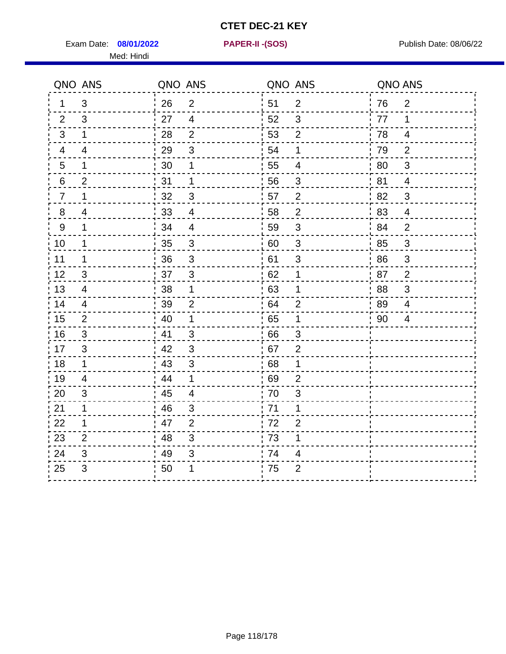Exam Date: 08/01/2022 **PAPER-II-(SOS)** Provided by Publish Date: 08/06/22 Med: Hindi

**08/01/2022 PAPER-II -(SOS)**

|                | QNO ANS                   | QNO ANS |                | QNO ANS |                          | QNO ANS |                |
|----------------|---------------------------|---------|----------------|---------|--------------------------|---------|----------------|
| 1              | 3                         | 26      | $\overline{2}$ | 51      | $\overline{2}$           | 76      | $\overline{2}$ |
| 2              | 3                         | 27      | $\overline{4}$ | 52      | 3                        | 77      | 1              |
| 3              | $\mathbf 1$               | 28      | 2              | 53      | $\overline{2}$           | 78      | 4              |
| 4              | 4                         | 29      | $\sqrt{3}$     | 54      | 1                        | 79      | $\overline{2}$ |
| $\overline{5}$ | 1                         | 30      | 1              | 55      | $\overline{\mathcal{A}}$ | 80      | 3              |
| $\,6$          | $\overline{2}$            | 31      | $\mathbf{1}$   | 56      | 3                        | 81      | $\overline{4}$ |
| $\overline{7}$ | 1                         | 32      | 3              | 57      | 2                        | 82      | 3              |
| 8              | 4                         | 33      | $\overline{4}$ | 58      | $\overline{2}$           | 83      | $\overline{4}$ |
| $9\,$          | 1                         | 34      | $\overline{4}$ | 59      | $\mathfrak{S}$           | 84      | $\overline{2}$ |
| 10             | $\mathbf 1$               | 35      | $\sqrt{3}$     | 60      | $\sqrt{3}$               | 85      | $\mathbf{3}$   |
| 11             | 1                         | 36      | 3              | 61      | $\mathfrak{S}$           | 86      | $\mathfrak{S}$ |
| 12             | 3                         | 37      | $\sqrt{3}$     | 62      | 1                        | 87      | $\overline{2}$ |
| 13             | $\overline{\mathcal{A}}$  | 38      | 1              | 63      | 1                        | 88      | 3              |
| 14             | 4                         | 39      | $\overline{2}$ | 64      | $\overline{2}$           | 89      | 4              |
| 15             | 2                         | 40      | $\mathbf 1$    | 65      | 1                        | 90      | $\overline{4}$ |
| 16             | $\mathfrak{B}$            | 41      | $\mathfrak{B}$ | 66      | 3                        |         |                |
| 17             | 3                         | 42      | 3              | 67      | $\overline{2}$           |         |                |
| 18             | 1                         | 43      | 3              | 68      | 1                        |         |                |
| 19             | 4                         | 44      | $\mathbf 1$    | 69      | $\overline{2}$           |         |                |
| 20             | 3                         | 45      | $\overline{4}$ | 70      | 3                        |         |                |
| 21             | 1                         | 46      | 3              | .71     | 1                        |         |                |
| 22             | 1                         | 47      | 2              | 72      | $\overline{2}$           |         |                |
| 23             | 2                         | 48      | 3              | 73      | 1                        |         |                |
| 24             | $\ensuremath{\mathsf{3}}$ | 49      | 3              | 74      | 4                        |         |                |
| 25             | 3                         | 50      | 1              | 75      | $\overline{2}$           |         |                |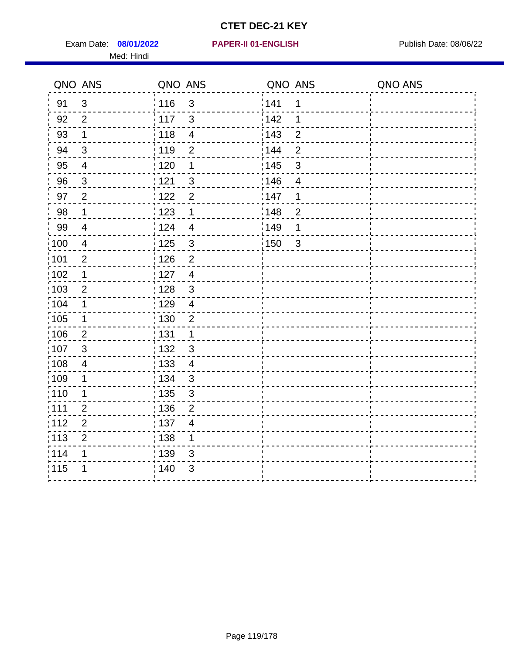Exam Date: 08/01/2022 **PAPER-II 01-ENGLISH Product by Publish Date: 08/06/22** Med: Hindi

**08/01/2022 PAPER-II 01-ENGLISH**

|                   | QNO ANS        | QNO ANS           |                         | QNO ANS           |                | QNO ANS |
|-------------------|----------------|-------------------|-------------------------|-------------------|----------------|---------|
| 91                | $\mathfrak{S}$ | 116               | $\mathbf{3}$            | 1141              | 1              |         |
| 92                | $\overline{2}$ | $\frac{1}{117}$   | $\mathbf{3}$            | 142               | 1              |         |
| 93                | $\mathbf 1$    | : 118             | $\overline{\mathbf{4}}$ | 143               | $\overline{2}$ |         |
| 94                | 3              | :119              | $\overline{2}$          | 144               | $\overline{2}$ |         |
| 95                | $\overline{4}$ | : 120             | 1                       | : 145             | 3              |         |
| 96                | $\mathfrak{S}$ | 121               | 3                       | 146               | $\overline{4}$ |         |
| 97                | $\overline{2}$ | 1122              | $\overline{2}$          | 147               | 1              |         |
| 98                | $\mathbf 1$    | 1123              | $\mathbf 1$             | 148               | $\overline{2}$ |         |
| 99                | $\overline{4}$ | 124               | $\overline{4}$          | :149              | 1              |         |
| 100               | $\overline{4}$ | $\frac{1}{1}$ 125 | $\mathbf{3}$            | $\frac{1}{1}$ 150 | $\mathbf{3}$   |         |
| :101              | $\overline{2}$ | : 126             | $\overline{2}$          |                   |                |         |
| 102               | $\mathbf 1$    | : 127             | $\overline{4}$          |                   |                |         |
| 103               | $\overline{2}$ | : 128             | $\mathbf{3}$            |                   |                |         |
| :104              | $\mathbf 1$    | : 129             | $\overline{4}$          |                   |                |         |
| :105              | $\mathbf 1$    | : 130             | $\overline{2}$          |                   |                |         |
| 106               | $\overline{2}$ | : 131             | 1                       |                   |                |         |
| 107               | 3              | : 132             | $\mathfrak{S}$          |                   |                |         |
| $\frac{1}{1}$ 108 | $\overline{4}$ | $\frac{1}{1}$ 133 | $\overline{4}$          |                   |                |         |
| :109              | 1              | : 134             | $\mathbf{3}$            |                   |                |         |
| :110              | 1              | : 135             | $\mathfrak{S}$          |                   |                |         |
| 111               | $\overline{2}$ | 136               | $\overline{2}$          |                   |                |         |
| 112               | $\mathbf 2$    | : 137             | $\overline{4}$          |                   |                |         |
| : 113             | $\overline{2}$ | : 138             | 1                       |                   |                |         |
| 114               | 1              | : 139             | 3                       |                   |                |         |
| 115               | 1              | 140               | $\mathfrak{S}$          |                   |                |         |
|                   |                |                   |                         |                   |                |         |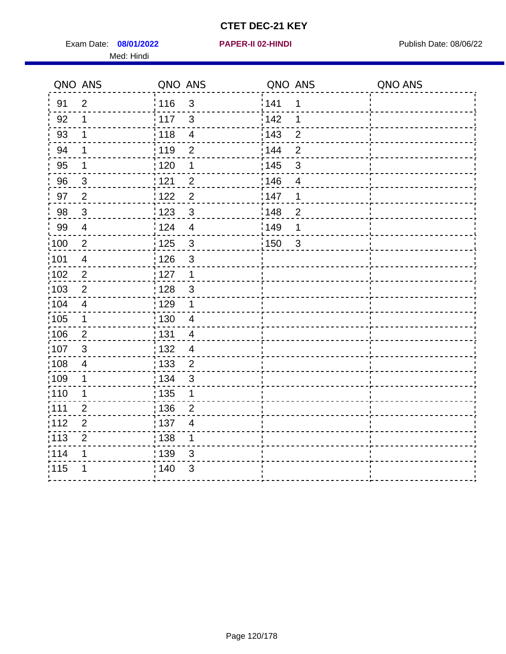Exam Date: 08/01/2022 **PAPER-II 02-HINDI Exam Date: 08/06/22** Med: Hindi

**08/01/2022 PAPER-II 02-HINDI**

|      | QNO ANS                  | QNO ANS           |                         | QNO ANS |                | QNO ANS |
|------|--------------------------|-------------------|-------------------------|---------|----------------|---------|
| 91   | $\overline{2}$           | 116               | $\sqrt{3}$              | 141     | 1              |         |
| 92   | 1                        | 117               | 3                       | 142     | 1              |         |
| 93   | 1                        | 118               | $\overline{\mathbf{4}}$ | 143     | $\overline{2}$ |         |
| 94   | 1                        | : 119             | $\overline{2}$          | 144     | $\overline{2}$ |         |
| 95   | 1                        | :120              | 1                       | : 145   | 3              |         |
| 96   | 3                        | 121               | $\overline{2}$          | :146    | $\overline{4}$ |         |
| 97   | $\overline{2}$           | 122               | $\overline{2}$          | 147     | 1              |         |
| 98   | $\mathbf{3}$             | 123               | $\mathbf{3}$            | 148     | $\overline{2}$ |         |
| 99   | $\overline{4}$           | 124               | $\overline{4}$          | :149    | 1              |         |
| 100  | $\sqrt{2}$               | 125               | $\mathbf{3}$            | 150     | $\sqrt{3}$     |         |
| 101  | $\overline{\mathcal{A}}$ | : 126             | 3                       |         |                |         |
| 102  | 2                        | : 127             | $\mathbf 1$             |         |                |         |
| ;103 | $\overline{2}$           | 128               | $\mathbf{3}$            |         |                |         |
| 104  | $\overline{4}$           | : 129             | 1                       |         |                |         |
| 105  | $\mathbf 1$              | : 130             | $\overline{4}$          |         |                |         |
| ;106 | $\overline{2}$           | : 131             | $\overline{4}$          |         |                |         |
| 107  | 3                        | : 132             | $\overline{4}$          |         |                |         |
| 108  | $\overline{4}$           | $\frac{1}{1}$ 133 | $\overline{2}$          |         |                |         |
| :109 | 1                        | : 134             | 3                       |         |                |         |
| :110 | 1                        | : 135             | 1                       |         |                |         |
| 111  | $\overline{2}$           | 136               | $\overline{c}$          |         |                |         |
| 112  | $\mathbf 2$              | 137               | $\overline{4}$          |         |                |         |
| 113  | $\overline{2}$           | : 138             | 1                       |         |                |         |
| 1114 | 1                        | 139               | 3                       |         |                |         |
| 115  | 1                        | 140               | $\sqrt{3}$              |         |                |         |
|      |                          |                   |                         |         |                |         |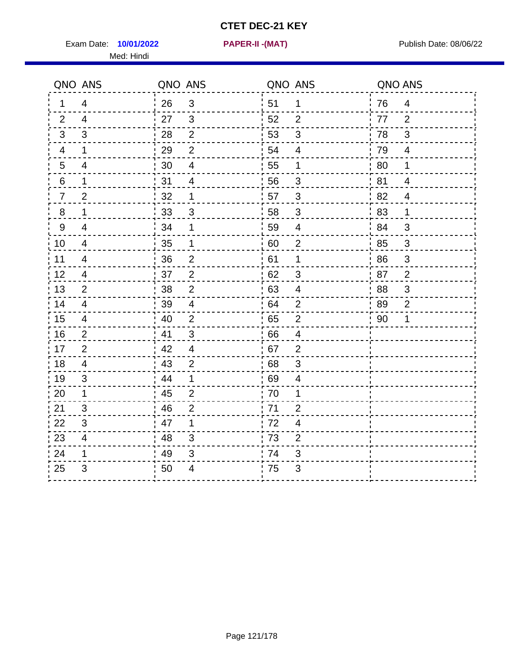Exam Date: 10/01/2022 **PAPER-II-(MAT)** Pressure Publish Date: 08/06/22 Med: Hindi

**10/01/2022 PAPER-II -(MAT)**

|                | QNO ANS        | QNO ANS |                         | QNO ANS |                           | QNO ANS |                |
|----------------|----------------|---------|-------------------------|---------|---------------------------|---------|----------------|
| 1              | $\overline{4}$ | 26      | $\mathbf{3}$            | ່ 51    | $\mathbf 1$               | 76      | $\overline{4}$ |
| 2              | $\overline{4}$ | 27      | 3                       | 52      | $\overline{2}$            | 77      | 2              |
| 3              | 3              | 28      | $\overline{2}$          | 53      | $\mathfrak{B}$            | 78      | 3              |
| 4              | 1              | 29      | $\overline{2}$          | 54      | $\overline{4}$            | 79      | $\overline{4}$ |
| $\overline{5}$ | 4              | 30      | $\overline{\mathbf{4}}$ | 55      | $\mathbf 1$               | 80      | $\mathbf 1$    |
| 6              | 1              | 31      | $\overline{4}$          | 56      | 3                         | 81      | 4              |
| $\overline{7}$ | $\overline{2}$ | 32      | $\mathbf 1$             | 57      | 3                         | 82      | $\overline{4}$ |
| 8              | 1              | 33      | $\mathfrak{S}$          | 58      | $\mathfrak{S}$            | 83      | 1              |
| 9              | $\overline{4}$ | 34      | 1                       | 59      | $\overline{4}$            | 84      | 3              |
| 10             | 4              | 35      | 1                       | 60      | $\overline{2}$            | 85      | $\mathbf{3}$   |
| 11             | $\overline{4}$ | 36      | $\overline{2}$          | 61      | $\mathbf 1$               | 86      | $\mathfrak{S}$ |
| 12             | 4              | 37      | $\mathbf 2$             | 62      | $\ensuremath{\mathsf{3}}$ | 87      | $\overline{2}$ |
| 13             | $\overline{2}$ | 38      | $\overline{2}$          | 63      | $\overline{4}$            | 88      | 3              |
| 14             | 4              | 39      | $\overline{4}$          | 64      | $\overline{2}$            | 89      | $\overline{2}$ |
| 15             | 4              | 40      | 2                       | .65     | $\overline{2}$            | 90      | 1              |
| 16             | $\overline{2}$ | 41      | $\mathbf{3}$            | .66     | $\overline{4}$            |         |                |
| 17             | 2              | 42      | $\overline{4}$          | .67     | $\overline{2}$            |         |                |
| 18             | 4              | 43      | $\overline{2}$          | 68      | 3                         |         |                |
| 19             | 3              | 44      | $\mathbf 1$             | 69      | 4                         |         |                |
| 20             | 1              | 45      | $\overline{2}$          | 70      | 1                         |         |                |
| 21             | 3              | 46      | $\overline{2}$          | : 71    | 2                         |         |                |
| 22             | 3              | 47      | 1                       | 72      | $\overline{4}$            |         |                |
| 23             | $\overline{4}$ | 48      | 3                       | 73      | $\overline{2}$            |         |                |
| 24             | 1              | 49      | $\mathfrak{S}$          | 74      | 3                         |         |                |
| 25             | 3              | 50      | 4                       | .75     | 3                         |         |                |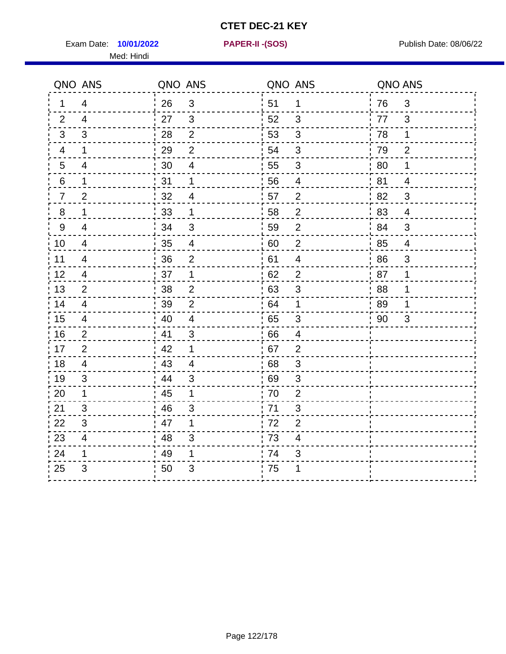Exam Date: **10/01/2022 PAPER-II - (SOS)** Publish Date: 08/06/22 Med: Hindi

**10/01/2022 PAPER-II -(SOS)**

|                | QNO ANS        | QNO ANS |                | QNO ANS |                           | QNO ANS |                          |
|----------------|----------------|---------|----------------|---------|---------------------------|---------|--------------------------|
| 1.             | $\overline{4}$ | 26      | $\mathbf{3}$   | 51      | $\mathbf 1$               | 76      | 3                        |
| 2              | 4              | 27      | 3              | 52      | 3                         | 77      | 3                        |
| 3              | 3              | 28      | $\overline{2}$ | 53      | 3                         | 78      | $\mathbf 1$              |
| 4              | $\mathbf 1$    | 29      | $\overline{2}$ | 54      | $\mathfrak{S}$            | 79      | $\overline{2}$           |
| $\overline{5}$ | 4              | 30      | 4              | 55      | 3                         | 80      | 1                        |
| 6              | $\mathbf 1$    | 31      | 1              | 56      | $\overline{4}$            | 81      | 4                        |
| $\overline{7}$ | $\overline{2}$ | 32      | 4              | 57      | $\overline{2}$            | 82      | 3                        |
| 8              | 1              | 33      | $\mathbf 1$    | 58      | $\overline{2}$            | 83      | $\overline{4}$           |
| $9\,$          | 4              | 34      | $\mathfrak{B}$ | 59      | $\overline{2}$            | 84      | 3                        |
| 10             | 4              | 35      | $\overline{4}$ | 60      | $\mathbf{2}$              | 85      | $\overline{\mathcal{A}}$ |
| 11             | 4              | 36      | $\overline{2}$ | 61      | 4                         | 86      | 3                        |
| 12             | 4              | 37      | $\mathbf 1$    | 62      | $\mathbf{2}$              | 87      | $\mathbf 1$              |
| 13             | 2              | 38      | $\overline{2}$ | 63      | 3                         | 88      | 1                        |
| 14             | 4              | 39      | 2              | 64      | 1                         | 89      | 1                        |
| 15             | 4              | 40      | $\overline{4}$ | 65      | 3                         | 90      | 3                        |
| 16             | $\overline{2}$ | 41      | 3              | .66     | $\overline{\mathbf{4}}$   |         |                          |
| 17             | 2              | 42      | 1              | 67      | $\overline{2}$            |         |                          |
| 18             | 4              | 43      | 4              | 68      | 3                         |         |                          |
| 19             | 3              | 44      | 3              | 69      | 3                         |         |                          |
| 20             | $\mathbf 1$    | 45      | 1              | 70      | $\overline{2}$            |         |                          |
| 21             | 3              | : 46    | 3              | .71     | 3                         |         |                          |
| 22             | 3              | 47      | 1              | 72      | $\overline{2}$            |         |                          |
| 23             | 4              | 48      | 3              | 73      | 4                         |         |                          |
| 24             | 1              | 49      | 1              | 74      | $\ensuremath{\mathsf{3}}$ |         |                          |
| 25             | 3              | 50      | 3              | .75     | 1                         |         |                          |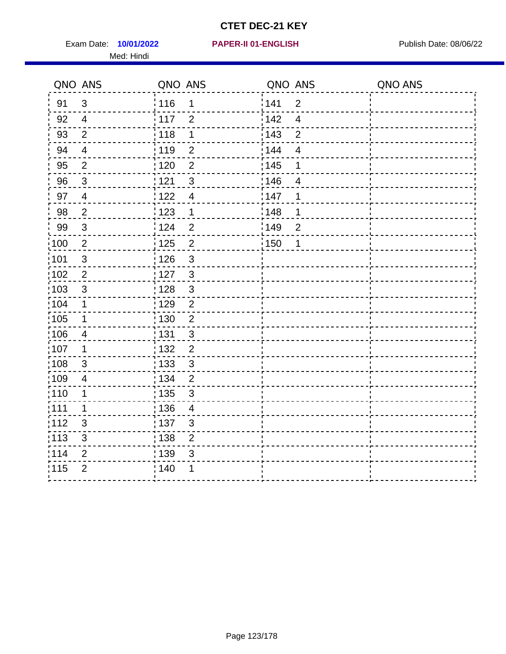Exam Date: 10/01/2022 **PAPER-II 01-ENGLISH Product by Publish Date: 08/06/22** Med: Hindi

|                   | QNO ANS                   | QNO ANS           |                | QNO ANS |                          | QNO ANS |
|-------------------|---------------------------|-------------------|----------------|---------|--------------------------|---------|
| 91                | $\mathbf{3}$              | 116               | 1              | 141     | $\overline{2}$           |         |
| 92                | $\overline{4}$            | 117               | $\overline{2}$ | 142     | $\overline{\mathcal{A}}$ |         |
| 93                | $\overline{2}$            | 118               | 1              | 143     | $\overline{2}$           |         |
| 94                | $\overline{4}$            | : 119             | $\overline{2}$ | 144     | 4                        |         |
| 95                | $\overline{2}$            | : 120             | $\overline{2}$ | : 145   | 1                        |         |
| 96                | $\mathfrak{S}$            | 121               | $\mathfrak{S}$ | 146     | $\overline{4}$           |         |
| 97                | $\overline{4}$            | $122$             | $\overline{4}$ | 147     | 1                        |         |
| 98                | $\sqrt{2}$                | $\frac{1}{2}$ 123 | $\mathbf{1}$   | 148     | 1                        |         |
| 99                | $\ensuremath{\mathsf{3}}$ | 124               | $\overline{2}$ | :149    | $\overline{2}$           |         |
| $\frac{1}{1}$ 100 | $\sqrt{2}$                | 125               | $\overline{2}$ | 150     | 1                        |         |
| :101              | $\sqrt{3}$                | 126               | 3              |         |                          |         |
| 102               | $\overline{2}$            | : 127             | $\mathbf{3}$   |         |                          |         |
| 103               | $\mathfrak{S}$            | 128               | $\mathbf{3}$   |         |                          |         |
| 104               | $\mathbf 1$               | : 129             | $\overline{2}$ |         |                          |         |
| 105               | 1                         | : 130             | $\overline{2}$ |         |                          |         |
| ;106              | 4                         | : 131             | 3              |         |                          |         |
| :107              | 1                         | : 132             | $\overline{2}$ |         |                          |         |
| 108               | $\ensuremath{\mathsf{3}}$ | : 133             | $\mathfrak{S}$ |         |                          |         |
| ;109              | $\overline{\mathbf{4}}$   | : 134             | $\overline{2}$ |         |                          |         |
| :110              | 1                         | : 135             | 3              |         |                          |         |
| 111               | $\mathbf 1$               | : 136             | $\overline{4}$ |         |                          |         |
| 112               | $\sqrt{3}$                | 137               | $\mathfrak{S}$ |         |                          |         |
| 113               | $\sqrt{3}$                | 138               | $\overline{c}$ |         |                          |         |
| 114               | 2                         | 139               | 3              |         |                          |         |
| 115               | $\overline{2}$            | 140               | 1              |         |                          |         |
|                   |                           |                   |                |         |                          |         |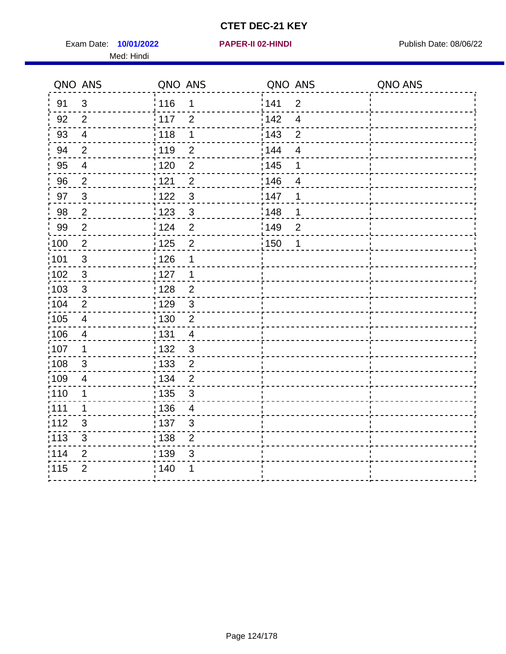Exam Date: 10/01/2022 **PAPER-II 02-HINDI Exam Date: 08/06/22** Med: Hindi

**10/01/2022 PAPER-II 02-HINDI**

|        | QNO ANS                  | QNO ANS           |                         | QNO ANS           |                | QNO ANS |
|--------|--------------------------|-------------------|-------------------------|-------------------|----------------|---------|
| 91     | $\mathbf{3}$             | 116               | 1                       | 141               | $\overline{2}$ |         |
| 92     | $\overline{2}$           | 117               | $\overline{2}$          | 142               | $\overline{4}$ |         |
| 93     | $\overline{4}$           | 118               | $\mathbf 1$             | 143               | $\overline{2}$ |         |
| 94     | $\overline{2}$           | : 119             | $\overline{2}$          | 144               | $\overline{4}$ |         |
| 95     | $\overline{\mathcal{A}}$ | : 120             | $\overline{2}$          | : 145             | 1              |         |
| 96     | $\overline{2}$           | 121               | $\overline{2}$          | 146               | $\overline{4}$ |         |
| 97     | $\mathbf{3}$             | 122               | $\mathbf{3}$            | 147               | 1              |         |
| $98\,$ | $\overline{c}$           | $\frac{1}{2}$ 123 | $\mathbf{3}$            | $\frac{1}{2}$ 148 | 1              |         |
| 99     | $\overline{2}$           | 124               | $\overline{2}$          | $\frac{1}{2}$ 149 | $\overline{c}$ |         |
| 100    | $\sqrt{2}$               | 125               | $\overline{2}$          | 150               | $\mathbf 1$    |         |
| :101   | $\mathfrak{S}$           | 126               | 1                       |                   |                |         |
| :102   | $\mathfrak{B}$           | : 127             | 1                       |                   |                |         |
| 103    | $\mathfrak{S}$           | 128               | $\overline{2}$          |                   |                |         |
| 104    | $\overline{2}$           | : 129             | $\mathfrak{3}$          |                   |                |         |
| 105    | $\overline{\mathbf{4}}$  | : 130             | $\overline{2}$          |                   |                |         |
| 106    | $\overline{4}$           | : 131             | $\overline{4}$          |                   |                |         |
| :107   | 1                        | : 132             | $\mathfrak{3}$          |                   |                |         |
| 108    | $\sqrt{3}$               | $\frac{1}{1}$ 133 | $\overline{2}$          |                   |                |         |
| :109   | $\overline{4}$           | : 134             | $\overline{2}$          |                   |                |         |
| :110   | 1                        | : 135             | $\mathbf{3}$            |                   |                |         |
| : 111  | $\mathbf 1$              | : 136             | $\overline{\mathbf{4}}$ |                   |                |         |
| :112   | 3                        | 137               | $\mathfrak{B}$          |                   |                |         |
| : 113  | $\mathfrak{S}$           | : 138             | $\overline{2}$          |                   |                |         |
| 114    | 2                        | 139               | 3                       |                   |                |         |
| 115    | $\overline{2}$           | : 140             | 1                       |                   |                |         |
|        |                          |                   |                         |                   |                |         |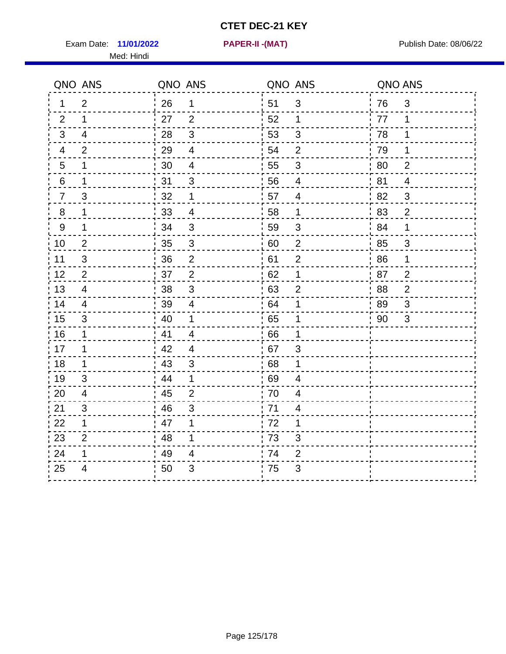Exam Date: 11/01/2022 **PAPER-II-(MAT)** Pressure Publish Date: 08/06/22 Med: Hindi

**11/01/2022 PAPER-II -(MAT)**

|                  | QNO ANS        | QNO ANS |                          | QNO ANS |                | QNO ANS |                |
|------------------|----------------|---------|--------------------------|---------|----------------|---------|----------------|
| 1                | $\overline{2}$ | 26      | $\mathbf 1$              | 51      | 3              | 76      | 3              |
| 2                | $\mathbf{1}$   | 27      | $\overline{2}$           | 52      | $\mathbf 1$    | 77      | 1              |
| $\mathbf{3}$     | 4              | 28      | $\mathfrak{S}$           | 53      | $\mathfrak{S}$ | 78      | $\mathbf 1$    |
| 4                | 2              | 29      | $\overline{4}$           | 54      | $\overline{2}$ | 79      | $\mathbf 1$    |
| $5\phantom{.0}$  | 1              | 30      | $\overline{\mathcal{A}}$ | 55      | $\sqrt{3}$     | 80      | $\overline{2}$ |
| 6                | 1              | 31      | 3                        | 56      | 4              | 81      | 4              |
| $\overline{7}$   | 3              | 32      | $\mathbf 1$              | 57      | 4              | 82      | 3              |
| $\, 8$           | $\mathbf 1$    | 33      | $\overline{4}$           | 58      | $\mathbf 1$    | 83      | $\overline{c}$ |
| $\boldsymbol{9}$ | 1              | 34      | 3                        | 59      | 3              | 84      | $\mathbf 1$    |
| 10               | $\overline{c}$ | 35      | $\mathbf{3}$             | 60      | $\overline{c}$ | 85      | 3              |
| 11               | 3              | 36      | $\overline{2}$           | 61      | $\overline{2}$ | 86      | $\mathbf 1$    |
| 12               | $\overline{2}$ | 37      | $\mathbf{2}$             | 62      | 1              | 87      | $\overline{c}$ |
| 13               | $\overline{4}$ | 38      | 3                        | 63      | $\overline{2}$ | 88      | $\overline{2}$ |
| 14               | 4              | 39      | 4                        | 64      | 1              | 89      | 3              |
| 15               | 3              | 40      | $\mathbf 1$              | 65      | 1              | 90      | 3              |
| 16               | 1              | 41      | $\overline{4}$           | 66      | 1              |         |                |
| 17               | 1              | 42      | $\overline{4}$           | 67      | 3              |         |                |
| 18               | 1              | 43      | 3                        | 68      | 1              |         |                |
| 19               | 3              | 44      | $\mathbf 1$              | 69      | 4              |         |                |
| 20               | 4              | 45      | $\overline{2}$           | 70      | 4              |         |                |
| 21               | 3              | 46      | 3                        | 71      | 4              |         |                |
| 22               | $\mathbf 1$    | 47      | 1                        | 72      | 1              |         |                |
| 23               | $\overline{2}$ | 48      | 1                        | 73      | 3              |         |                |
| 24               | 1              | 49      | 4                        | 74      | $\overline{2}$ |         |                |
| 25               | 4              | 50      | 3                        | 75      | 3              |         |                |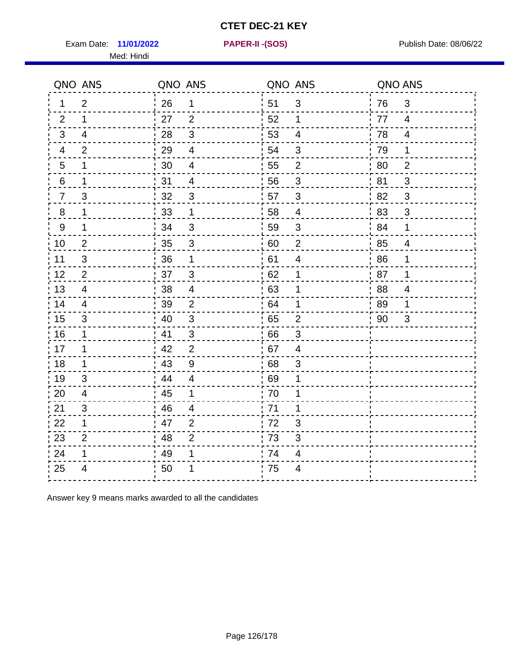Exam Date: **11/01/2022 PAPER-II - (SOS)** PUBLISH Date: 08/06/22

Med: Hindi

**11/01/2022 PAPER-II -(SOS)**

|                 | QNO ANS        | QNO ANS |                          | QNO ANS |                         | QNO ANS |                |
|-----------------|----------------|---------|--------------------------|---------|-------------------------|---------|----------------|
| $\mathbf 1$     | $\overline{2}$ | 26      | $\mathbf 1$              | ່ 51    | 3                       | 76      | $\mathfrak{S}$ |
| 2               | $\mathbf 1$    | 27      | 2                        | 52      | 1                       | 77      | $\overline{4}$ |
| 3               | $\overline{4}$ | 28      | 3                        | 53      | $\overline{4}$          | 78      | $\overline{4}$ |
| 4               | $\overline{2}$ | 29      | $\overline{\mathcal{A}}$ | 54      | 3                       | 79      | 1              |
| $5\overline{)}$ | 1              | 30      | $\overline{\mathbf{4}}$  | 55      | $\overline{c}$          | 80      | $\overline{2}$ |
| 6               | 1              | 31      | $\overline{4}$           | 56      | 3                       | 81      | 3              |
| $\overline{7}$  | 3              | 32      | $\mathfrak{B}$           | 57      | $\mathfrak{B}$          | 82      | 3              |
| 8               | 1              | 33      | 1                        | 58      | $\overline{4}$          | 83      | $\mathfrak{S}$ |
| 9               | $\mathbf 1$    | 34      | $\sqrt{3}$               | 59      | $\sqrt{3}$              | 84      | 1              |
| 10              | $\overline{2}$ | 35      | $\mathsf 3$              | 60      | $\overline{c}$          | 85      | $\overline{4}$ |
| 11              | $\mathsf 3$    | 36      | $\mathbf 1$              | 61      | $\overline{\mathbf{4}}$ | 86      | 1              |
| 12              | $\overline{2}$ | 37      | $\mathbf{3}$             | 62      | 1                       | 87      | 1              |
| 13              | $\overline{4}$ | 38      | $\overline{4}$           | .63     | 1                       | 88      | $\overline{4}$ |
| 14              | 4              | 39      | 2                        | 64      | 1                       | 89      | 1              |
| 15              | 3              | 40      | $\sqrt{3}$               | 65      | $\mathbf{2}$            | 90      | 3              |
| 16              | $\mathbf 1$    | 41      | 3                        | 66      | 3                       |         |                |
| 17              | 1              | 42      | 2                        | 67      | 4                       |         |                |
| 18              | $\mathbf 1$    | 43      | $\boldsymbol{9}$         | 68      | $\mathfrak{S}$          |         |                |
| 19              | 3              | 44      | $\overline{4}$           | .69     | 1                       |         |                |
| 20              | $\overline{4}$ | 45      | 1                        | 70      | 1                       |         |                |
| 21              | 3              | 46      | 4                        | 71      | 1                       |         |                |
| 22              | $\mathbf 1$    | 47      | $\overline{2}$           | 72      | 3                       |         |                |
| 23              | $\overline{2}$ | 48      | $\overline{2}$           | 73      | 3                       |         |                |
| 24              | 1              | 49      | 1                        | 74      | 4                       |         |                |
| 25              | 4              | 50      | 1                        | 75      | $\overline{4}$          |         |                |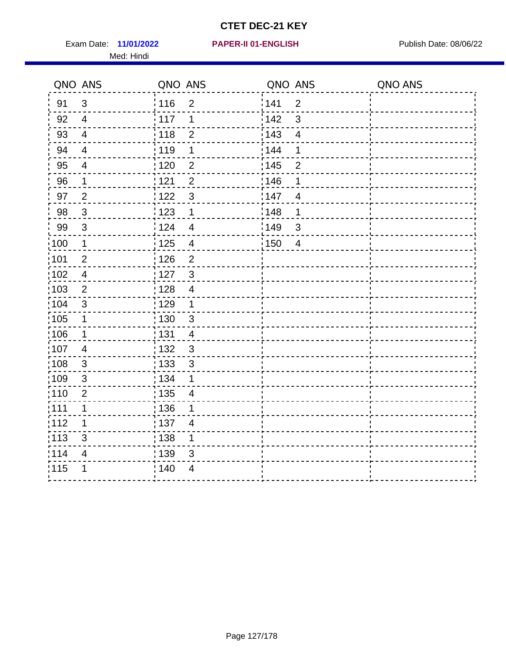Exam Date: 11/01/2022 **PAPER-II 01-ENGLISH Product by Publish Date: 08/06/22** Med: Hindi

|                   | QNO ANS        | QNO ANS           |                          | QNO ANS |                         | QNO ANS |
|-------------------|----------------|-------------------|--------------------------|---------|-------------------------|---------|
| 91                | 3              | 116               | $\mathbf 2$              | 141     | $\overline{2}$          |         |
| 92                | $\overline{4}$ | 117               | 1                        | 142     | $\mathfrak{S}$          |         |
| 93                | $\overline{4}$ | 118               | $\overline{2}$           | 143     | $\overline{\mathbf{4}}$ |         |
| 94                | $\overline{4}$ | : 119             | 1                        | : 144   | 1                       |         |
| 95                | $\overline{4}$ | 120               | $\overline{2}$           | : 145   | $\overline{2}$          |         |
| 96                | 1              | 121               | $\overline{2}$           | 146     | 1                       |         |
| 97                | $\overline{2}$ | :122              | $\mathbf{3}$             | 147     | $\overline{4}$          |         |
| $98\,$            | $\mathbf{3}$   | 123               | $\mathbf{1}$             | 148     | 1                       |         |
| 99                | $\sqrt{3}$     | 124               | $\overline{\mathbf{4}}$  | 149     | $\mathfrak{S}$          |         |
| $\frac{1}{1}$ 100 | $\mathbf{1}$   | $\frac{1}{1}$ 125 | $\overline{\mathbf{4}}$  | 150     | $\overline{4}$          |         |
| :101              | $\mathbf 2$    | : 126             | $\overline{2}$           |         |                         |         |
| 102               | $\overline{4}$ | : 127             | $\mathbf{3}$             |         |                         |         |
| 103               | 2              | : 128             | $\overline{4}$           |         |                         |         |
| :104              | $\mathbf{3}$   | : 129             | $\mathbf 1$              |         |                         |         |
| $\frac{1}{1}$ 105 | $\mathbf 1$    | $\frac{1}{1}$ 130 | $\mathbf{3}$             |         |                         |         |
| :106              | $\mathbf 1$    | : 131             | $\overline{4}$           |         |                         |         |
| 107               | $\overline{4}$ | : 132             | $\mathbf{3}$             |         |                         |         |
| 108               | $\mathbf{3}$   | $\frac{1}{1}$ 133 | $\mathfrak{S}$           |         |                         |         |
| :109              | $\sqrt{3}$     | : 134             | 1                        |         |                         |         |
| :110              | $\overline{2}$ | $\frac{1}{1}$ 135 | $\overline{\mathcal{A}}$ |         |                         |         |
| ;111              | 1              | : 136             | 1                        |         |                         |         |
| 112               | 1              | : 137             | $\overline{4}$           |         |                         |         |
| :113              | $\sqrt{3}$     | : 138             | 1                        |         |                         |         |
| 114               | $\overline{4}$ | : 139             | 3                        |         |                         |         |
| 115               | 1              | 140               | 4                        |         |                         |         |
|                   |                |                   |                          |         |                         |         |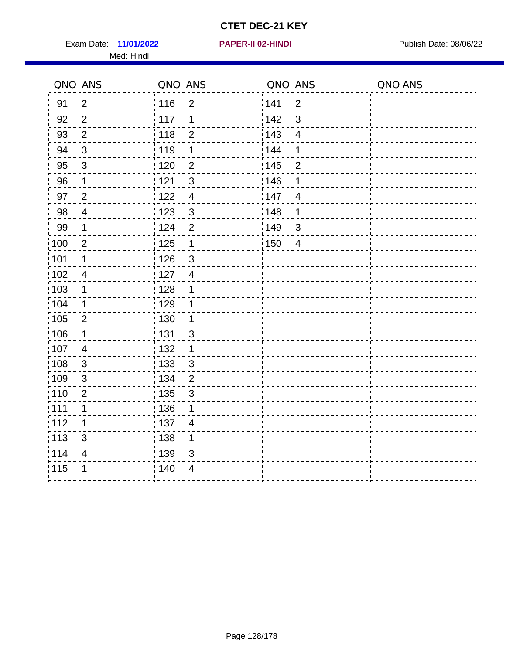Exam Date: 11/01/2022 **PAPER-II 02-HINDI Exam Date: 08/06/22** Med: Hindi

**11/01/2022 PAPER-II 02-HINDI**

|                   | QNO ANS                 | QNO ANS                             | QNO ANS           |                | QNO ANS |
|-------------------|-------------------------|-------------------------------------|-------------------|----------------|---------|
| 91                | $\overline{2}$          | 116<br>$\overline{2}$               | 141               | $\mathbf 2$    |         |
| 92                | $\overline{2}$          | 117<br>1                            | 142               | 3              |         |
| 93                | $\overline{2}$          | 118<br>$\overline{2}$               | 143               | $\overline{4}$ |         |
| 94                | 3                       | : 119<br>1                          | 144               | 1              |         |
| 95                | 3                       | : 120<br>$\overline{2}$             | : 145             | $\overline{2}$ |         |
| 96                | $\mathbf 1$             | : 121<br>$\sqrt{3}$                 | 146               | 1              |         |
| 97                | $\overline{2}$          | $\overline{4}$<br>: 122             | 147               | $\overline{4}$ |         |
| 98                | $\overline{\mathbf{4}}$ | $\frac{1}{2}$ 123<br>$\mathbf{3}$   | ¦148              | 1              |         |
| 99                | 1                       | 124<br>$\overline{2}$               | $\frac{1}{2}$ 149 | $\sqrt{3}$     |         |
| $\frac{1}{1}$ 100 | $\overline{2}$          | 125<br>$\overline{1}$               | 150               | $\overline{4}$ |         |
| :101              | 1                       | : 126<br>3                          |                   |                |         |
| 102               | $\overline{4}$          | : 127<br>$\overline{4}$             |                   |                |         |
| 103               | 1                       | : 128<br>1                          |                   |                |         |
| 104               | 1                       | : 129<br>1                          |                   |                |         |
| 105               | $\overline{2}$          | $\frac{1}{1}$ 130<br>1              |                   |                |         |
| :106              | 1                       | : 131<br>3                          |                   |                |         |
| ,107              | $\overline{4}$          | : 132<br>1                          |                   |                |         |
| :108              | $\sqrt{3}$              | $\frac{1}{1}$ 133<br>$\mathfrak{S}$ |                   |                |         |
| :109              | $\sqrt{3}$              | : 134<br>$\overline{2}$             |                   |                |         |
| :110              | $\overline{2}$          | : 135<br>3                          |                   |                |         |
| 111               | $\mathbf 1$             | : 136<br>1                          |                   |                |         |
| 112               | 1                       | $\frac{1}{1}$ 137<br>$\overline{4}$ |                   |                |         |
| : 113             | 3                       | : 138<br>1                          |                   |                |         |
| 114               | 4                       | 139<br>3                            |                   |                |         |
| 115               | 1                       | 140<br>$\overline{4}$               |                   |                |         |
|                   |                         |                                     |                   |                |         |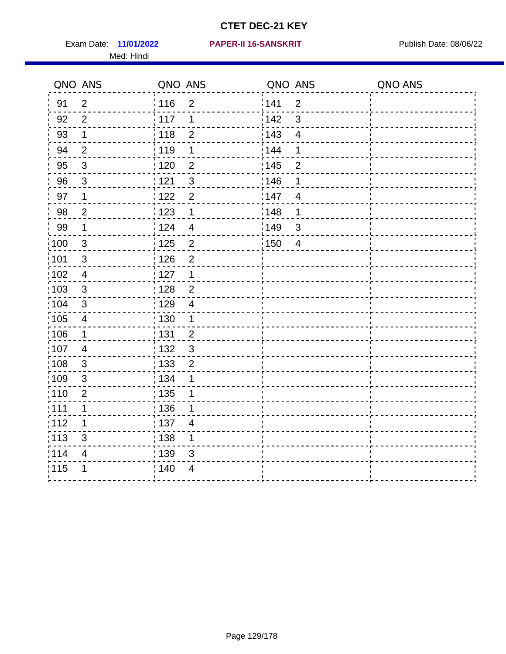Med: Hindi

#### **11/01/2022 PAPER-II 16-SANSKRIT** Exam Date: Publish Date: 08/06/22

|                   | QNO ANS                 | QNO ANS                             | QNO ANS |                         | QNO ANS |
|-------------------|-------------------------|-------------------------------------|---------|-------------------------|---------|
| 91                | $\overline{2}$          | 116<br>$\mathbf 2$                  | 141     | $\overline{2}$          |         |
| 92                | $\overline{2}$          | 117<br>1                            | 142     | $\mathfrak{S}$          |         |
| 93                | $\mathbf 1$             | 118<br>$\overline{2}$               | 143     | $\overline{\mathbf{4}}$ |         |
| 94                | $\overline{2}$          | :119<br>1                           | : 144   | 1                       |         |
| 95                | 3                       | : 120<br>$\overline{2}$             | : 145   | $\overline{2}$          |         |
| 96                | 3                       | 121<br>3                            | 146     | 1                       |         |
| 97                | $\mathbf 1$             | 122<br>$\overline{2}$               | 147     | $\overline{4}$          |         |
| 98                | $\overline{c}$          | 123<br>$\mathbf{1}$                 | 148     | 1                       |         |
| 99                | $\mathbf 1$             | 124<br>$\overline{\mathbf{4}}$      | 149     | $\mathfrak{S}$          |         |
| $\frac{1}{1}$ 100 | $\sqrt{3}$              | $\overline{c}$<br>$\frac{1}{1}$ 125 | 150     | $\overline{4}$          |         |
| :101              | $\sqrt{3}$              | : 126<br>$\overline{2}$             |         |                         |         |
| 102               | $\overline{4}$          | : 127<br>$\mathbf{1}$               |         |                         |         |
| 103               | $\mathbf{3}$            | $\overline{2}$<br>128               |         |                         |         |
| :104              | $\mathbf{3}$            | : 129<br>$\overline{4}$             |         |                         |         |
| $\frac{1}{1}$ 105 | $\overline{\mathbf{4}}$ | 130<br>$\mathbf{1}$                 |         |                         |         |
| :106              | $\mathbf{1}$            | : 131<br>$\overline{2}$             |         |                         |         |
| 107               | $\overline{4}$          | $\mathbf{3}$<br>: 132               |         |                         |         |
| 108               | $\mathbf{3}$            | $\frac{1}{1}$ 133<br>$\overline{2}$ |         |                         |         |
| :109              | $\sqrt{3}$              | : 134<br>1                          |         |                         |         |
| :110              | $\overline{2}$          | $\frac{1}{1}$ 135<br>1              |         |                         |         |
| ;111              | 1                       | : 136<br>1                          |         |                         |         |
| 112               | 1                       | : 137<br>$\overline{4}$             |         |                         |         |
| :113              | $\mathsf 3$             | : 138<br>1                          |         |                         |         |
| 114               | $\overline{4}$          | : 139<br>3                          |         |                         |         |
| 115               | 1                       | 140<br>4                            |         |                         |         |
|                   |                         |                                     |         |                         |         |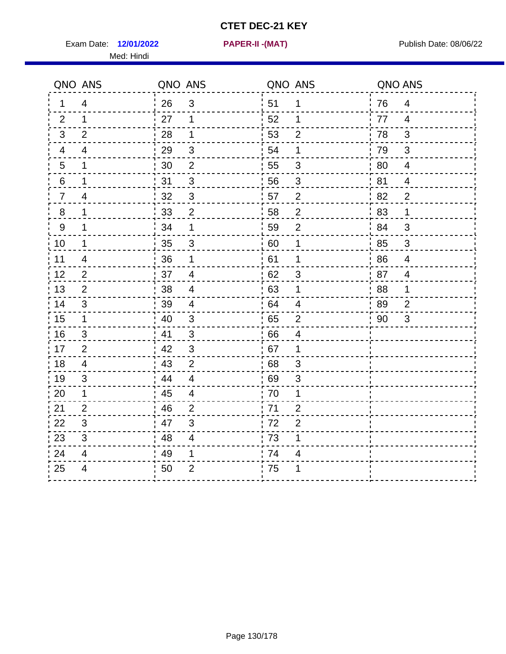Exam Date: 12/01/2022 **PAPER-II-(MAT)** Pressure Publish Date: 08/06/22 Med: Hindi

**12/01/2022 PAPER-II -(MAT)**

|                | QNO ANS        | QNO ANS |                           | QNO ANS |                | QNO ANS     |                |
|----------------|----------------|---------|---------------------------|---------|----------------|-------------|----------------|
| 1              | 4              | 26      | 3                         | ່ 51    | 1              | 76          | $\overline{4}$ |
| 2              | $\mathbf 1$    | 27      | $\mathbf 1$               | 52      | 1              | 77          | $\overline{4}$ |
| 3              | 2              | 28      | $\mathbf 1$               | 53      | $\overline{2}$ | 78          | $\mathfrak{B}$ |
| 4              | 4              | 29      | $\ensuremath{\mathsf{3}}$ | 54      | 1              | 79          | 3              |
| $\overline{5}$ | 1              | 30      | $\boldsymbol{2}$          | 55      | $\sqrt{3}$     | 80          | $\overline{4}$ |
| 6              | 1              | 31      | 3                         | 56      | 3              | 81          | 4              |
| $\overline{7}$ | 4              | 32      | $\mathbf{3}$              | 57      | $\overline{2}$ | 82          | $\overline{2}$ |
| $8\phantom{1}$ | 1              | 33      | $\mathbf 2$               | 58      | $\mathbf 2$    | 83          | 1              |
| 9              | 1              | 34      | 1                         | 59      | $\overline{2}$ | 84          | 3              |
| 10             | $\mathbf 1$    | 35      | $\mathfrak{S}$            | 60      | 1              | 85          | $\mathfrak{S}$ |
| 11             | 4              | 36      | 1                         | 61      | 1              | 86          | $\overline{4}$ |
| 12             | $\mathbf{2}$   | 37      | $\overline{\mathbf{4}}$   | 62      | $\sqrt{3}$     | 87          | $\overline{4}$ |
| 13             | $\overline{2}$ | 38      | $\overline{4}$            | 63      | 1              | 88          | 1              |
| 14             | 3              | 39      | 4                         | 64      | 4              | 89          | $\overline{2}$ |
| 15             | $\mathbf 1$    | 40      | $\mathbf{3}$              | 65      | $\overline{2}$ | $\sqrt{90}$ | 3              |
| 16             | 3              | 41      | $\mathfrak{S}$            | 66      | $\overline{4}$ |             |                |
| 17             | $\overline{2}$ | 42      | 3                         | 67      | 1              |             |                |
| 18             | 4              | 43      | 2                         | 68      | 3              |             |                |
| 19             | 3              | 44      | $\overline{4}$            | 69      | $\mathfrak{S}$ |             |                |
| 20             | 1              | 45      | $\overline{\mathcal{A}}$  | 70      | 1              |             |                |
| 21             | 2              | 46      | 2                         | .71     | $\overline{2}$ |             |                |
| 22             | 3              | 47      | 3                         | 72      | $\overline{2}$ |             |                |
| 23             | 3              | 48      | $\overline{4}$            | 73      | 1              |             |                |
| 24             | 4              | 49      | 1                         | 74      | 4              |             |                |
| 25             | 4              | 50      | $\overline{2}$            | .75     | 1              |             |                |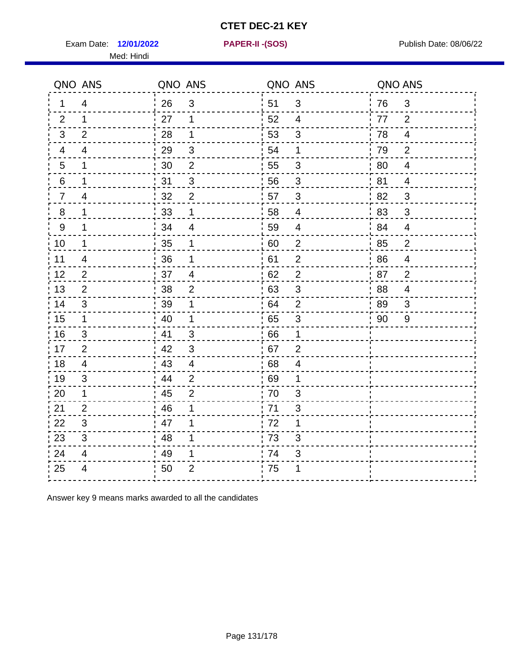Exam Date: 12/01/2022 **PAPER-II-(SOS)** PARER-IN Publish Date: 08/06/22

Med: Hindi

**12/01/2022 PAPER-II -(SOS)**

|                 | QNO ANS        | QNO ANS |                          | QNO ANS |                          | QNO ANS |                |
|-----------------|----------------|---------|--------------------------|---------|--------------------------|---------|----------------|
| 1               | 4              | 26      | 3                        | ່ 51    | 3                        | 76      | 3              |
| 2               | 1              | 27      | 1                        | 52      | $\overline{4}$           | 77      | 2              |
| 3               | 2              | 28      | 1                        | 53      | 3                        | 78      | $\overline{4}$ |
| 4               | 4              | 29      | $\mathbf{3}$             | 54      | 1                        | 79      | $\overline{2}$ |
| $5\phantom{.0}$ | 1              | 30      | $\overline{2}$           | 55      | $\sqrt{3}$               | 80      | $\overline{4}$ |
| 6               | 1              | 31      | 3                        | 56      | 3                        | 81      | $\overline{4}$ |
| $\overline{7}$  | 4              | 32      | $\overline{2}$           | 57      | $\mathfrak{B}$           | 82      | $\mathfrak{B}$ |
| 8               | 1              | 33      | 1                        | 58      | $\overline{\mathcal{A}}$ | 83      | $\mathfrak{B}$ |
| 9               | 1              | 34      | $\overline{4}$           | 59      | $\overline{4}$           | 84      | $\overline{4}$ |
| 10              | 1              | 35      | 1                        | 60      | $\overline{2}$           | 85      | $\overline{c}$ |
| 11              | $\overline{4}$ | 36      | 1                        | 61      | $\overline{2}$           | 86      | $\overline{4}$ |
| 12              | $\overline{2}$ | 37      | $\overline{\mathcal{A}}$ | 62      | $\mathbf{2}$             | 87      | $\overline{2}$ |
| 13              | 2              | 38      | $\overline{2}$           | 63      | 3                        | 88      | 4              |
| 14              | 3              | 39      | 1                        | 64      | $\overline{2}$           | 89      | 3              |
| 15              | $\mathbf 1$    | 40      | $\mathbf{1}$             | 65      | $\sqrt{3}$               | 90      | 9              |
| 16              | $\mathfrak{B}$ | 41      | $\mathbf{3}$             | .66     | $\mathbf 1$              |         |                |
| 17              | $\overline{2}$ | 42      | 3                        | .67     | $\overline{2}$           |         |                |
| 18              | 4              | 43      | $\overline{4}$           | 68      | 4                        |         |                |
| 19              | 3              | 44      | $\overline{2}$           | 69      | 1                        |         |                |
| 20              | $\mathbf 1$    | 45      | $\overline{2}$           | 70      | 3                        |         |                |
| 21              | 2              | 46      | 1                        | .71     | 3                        |         |                |
| 22              | 3              | 47      | 1                        | 72      | 1                        |         |                |
| 23              | 3              | 48      | 1                        | 73      | 3                        |         |                |
| 24              | 4              | 49      | 1                        | 74      | $\sqrt{3}$               |         |                |
| 25              | $\overline{4}$ | 50      | $\overline{2}$           | .75     | 1                        |         |                |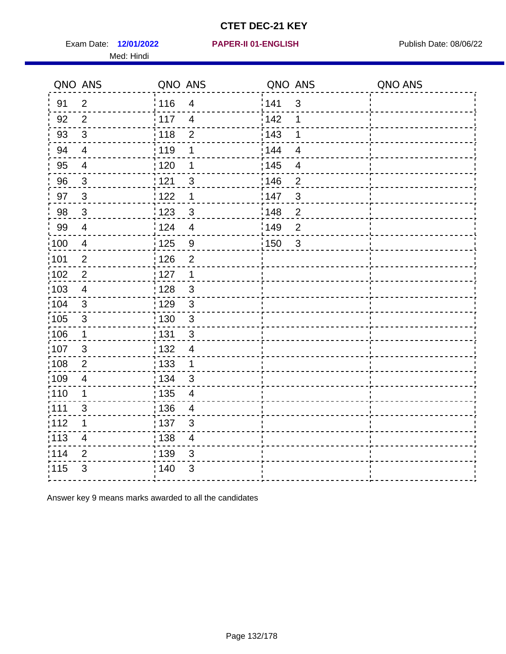Exam Date: 12/01/2022 **PAPER-II 01-ENGLISH Exam Date: 08/06/22** Med: Hindi

|                   | QNO ANS                   | QNO ANS           |                | QNO ANS |                         | QNO ANS |
|-------------------|---------------------------|-------------------|----------------|---------|-------------------------|---------|
| 91                | $\overline{2}$            | 116               | $\overline{4}$ | 141     | $\mathfrak{S}$          |         |
| 92                | $\overline{2}$            | $\frac{1}{2}$ 117 | $\overline{4}$ | 142     | 1                       |         |
| 93                | $\sqrt{3}$                | : 118             | $\overline{c}$ | 143     | 1                       |         |
| 94                | $\overline{4}$            | : 119             | 1              | : 144   | $\overline{4}$          |         |
| 95                | $\overline{4}$            | : 120             | 1              | : 145   | $\overline{4}$          |         |
| 96                | 3                         | 121               | 3              | :146    | $\overline{2}$          |         |
| 97                | $\mathbf{3}$              | 122               | 1              | 147     | $\mathfrak{S}$          |         |
| 98                | $\mathbf{3}$              | ¦ 123             | $\mathfrak{S}$ | 148     | $\overline{c}$          |         |
| 99                | $\overline{4}$            | 124               | $\overline{4}$ | 149     | $\overline{2}$          |         |
| 100               | $\overline{4}$            | $\frac{1}{1}$ 125 | 9              | 150     | $\overline{\mathbf{3}}$ |         |
| 101               | $\mathbf{2}$              | : 126             | $\overline{2}$ |         |                         |         |
| $\frac{1}{1}$ 102 | $\sqrt{2}$                | : 127             | $\overline{1}$ |         |                         |         |
| 103               | $\overline{4}$            | 128               | $\mathbf{3}$   |         |                         |         |
| 104               | $\mathbf{3}$              | : 129             | $\mathbf{3}$   |         |                         |         |
| $\frac{1}{1}$ 105 | $\ensuremath{\mathsf{3}}$ | $\frac{1}{1}$ 130 | $\mathbf{3}$   |         |                         |         |
| 106               | $\mathbf 1$               | : 131             | 3              |         |                         |         |
| 107               | 3                         | : 132             | $\overline{4}$ |         |                         |         |
| :108              | $\overline{2}$            | : 133             | 1              |         |                         |         |
| :109              | $\overline{\mathbf{4}}$   | : 134             | 3              |         |                         |         |
| :110              | 1                         | : 135             | $\overline{4}$ |         |                         |         |
| :111              | 3                         | : 136             | 4              |         |                         |         |
| 112               | 1                         | :137              | 3              |         |                         |         |
| :113              | $\overline{\mathbf{4}}$   | : 138             | $\overline{4}$ |         |                         |         |
| 114               | $\overline{2}$            | : 139             | 3              |         |                         |         |
| 115               | $\mathfrak{B}$            | ; 140             | 3              |         |                         |         |
|                   |                           |                   |                |         |                         |         |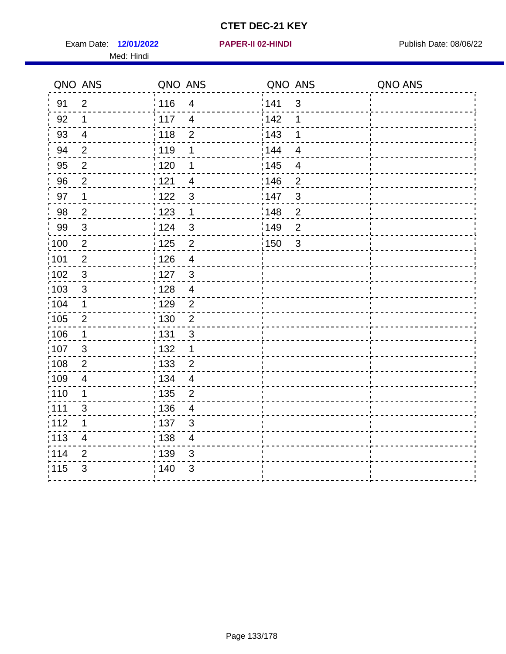Exam Date: 12/01/2022 **PAPER-II 02-HINDI Exam Date: 08/06/22** Med: Hindi

**12/01/2022 PAPER-II 02-HINDI**

|      | QNO ANS                   | QNO ANS |                          | QNO ANS           |                          | QNO ANS |
|------|---------------------------|---------|--------------------------|-------------------|--------------------------|---------|
| 91   | $\overline{2}$            | 116     | $\overline{4}$           | 1141              | $\mathfrak{S}$           |         |
| 92   | $\mathbf 1$               | i 117   | $\overline{4}$           | 142               | 1                        |         |
| 93   | $\overline{4}$            | 118     | $\overline{2}$           | 143               | 1                        |         |
| 94   | $\overline{2}$            | : 119   | 1                        | 144               | $\overline{4}$           |         |
| 95   | $\overline{2}$            | : 120   | 1                        | : 145             | $\overline{\mathcal{A}}$ |         |
| 96   | $\overline{2}$            | 121     | 4                        | 146               | $\overline{2}$           |         |
| 97   | $\mathbf 1$               | 122     | $\mathbf{3}$             | :147              | 3                        |         |
| 98   | $\overline{2}$            | 123     | $\overline{1}$           | $\frac{1}{2}$ 148 | $\overline{2}$           |         |
| 99   | $\ensuremath{\mathsf{3}}$ | :124    | $\mathfrak{3}$           | 149               | $\mathbf 2$              |         |
| 100  | $\sqrt{2}$                | 125     | $\overline{2}$           | 150               | $\mathbf{3}$             |         |
| 101  | $\overline{2}$            | : 126   | $\overline{\mathbf{4}}$  |                   |                          |         |
| 102  | 3                         | : 127   | $\mathbf{3}$             |                   |                          |         |
| 103  | $\mathbf{3}$              | 128     | $\overline{4}$           |                   |                          |         |
| 104  | $\mathbf 1$               | : 129   | $\overline{2}$           |                   |                          |         |
| 105  | $\boldsymbol{2}$          | : 130   | $\overline{2}$           |                   |                          |         |
| ;106 | $\mathbf 1$               | : 131   | $\mathbf{3}$             |                   |                          |         |
| :107 | $\mathbf{3}$              | : 132   | $\mathbf 1$              |                   |                          |         |
| 108  | $\mathbf{2}$              | : 133   | $\overline{2}$           |                   |                          |         |
| :109 | $\overline{\mathbf{4}}$   | : 134   | $\overline{4}$           |                   |                          |         |
| :110 | 1                         | : 135   | $\overline{2}$           |                   |                          |         |
| :111 | 3                         | : 136   | $\overline{4}$           |                   |                          |         |
| 112  | 1                         | : 137   | $\mathbf{3}$             |                   |                          |         |
| 113  | $\overline{\mathbf{4}}$   | : 138   | $\overline{\mathcal{A}}$ |                   |                          |         |
| :114 | 2                         | : 139   | 3                        |                   |                          |         |
| 115  | 3                         | 140     | $\mathfrak{S}$           |                   |                          |         |
|      |                           |         |                          |                   |                          |         |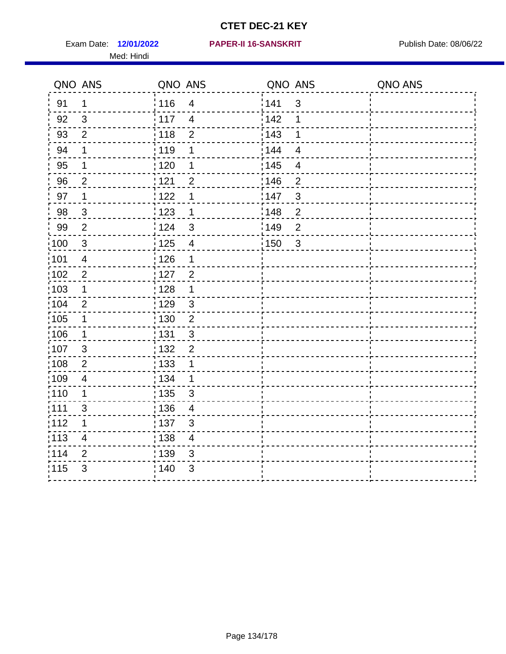Med: Hindi

**12/01/2022 PAPER-II 16-SANSKRIT** Exam Date: Publish Date: 08/06/22

|      | QNO ANS                 | QNO ANS           |                         | QNO ANS           |                | QNO ANS |
|------|-------------------------|-------------------|-------------------------|-------------------|----------------|---------|
| 91   | 1                       | 116               | $\overline{4}$          | 141               | $\mathfrak{3}$ |         |
| 92   | $\mathbf{3}$            | $\frac{1}{117}$   | $\overline{4}$          | 142               | 1              |         |
| 93   | $\overline{2}$          | 118               | $\overline{2}$          | 143               | 1              |         |
| 94   | 1                       | : 119             | 1                       | : 144             | $\overline{4}$ |         |
| 95   | 1                       | $\frac{1}{1}$ 120 | 1                       | : 145             | 4              |         |
| 96   | $\overline{2}$          | 121               | $\overline{2}$          | 146               | $\overline{2}$ |         |
| 97   | 1                       | 122               | 1                       | 147               | $\mathfrak{S}$ |         |
| 98   | $\mathbf{3}$            | $\frac{1}{2}$ 123 | 1                       | 148               | $\overline{c}$ |         |
| 99   | $\overline{2}$          | 124               | 3                       | 149               | $\mathbf{2}$   |         |
| 100  | $\mathbf{3}$            | $\frac{1}{1}$ 125 | $\overline{4}$          | $\frac{1}{1}$ 150 | $\mathfrak{3}$ |         |
| :101 | $\overline{\mathbf{4}}$ | : 126             | 1                       |                   |                |         |
| 102  | $\overline{2}$          | : 127             | $\overline{2}$          |                   |                |         |
| 103  | $\mathbf 1$             | : 128             | $\mathbf{1}$            |                   |                |         |
| :104 | $\overline{2}$          | : 129             | $\mathbf{3}$            |                   |                |         |
| 105  | $\mathbf 1$             | : 130             | $\overline{2}$          |                   |                |         |
| :106 | $\mathbf 1$             | 131               | 3                       |                   |                |         |
| 107  | $\mathbf{3}$            | 132               | $\overline{2}$          |                   |                |         |
| 108  | $\overline{2}$          | : 133             | $\mathbf 1$             |                   |                |         |
| :109 | $\overline{4}$          | : 134             | $\mathbf{1}$            |                   |                |         |
| :110 | 1                       | : 135             | 3                       |                   |                |         |
| 111  | 3                       | : 136             | $\overline{4}$          |                   |                |         |
| 112  | 1                       | : 137             | $\mathfrak{B}$          |                   |                |         |
| 113  | $\overline{\mathbf{4}}$ | : 138             | $\overline{\mathbf{4}}$ |                   |                |         |
| 114  | 2                       | 139               | 3                       |                   |                |         |
| 115  | 3                       | 140               | $\mathfrak{S}$          |                   |                |         |
|      |                         |                   |                         |                   |                |         |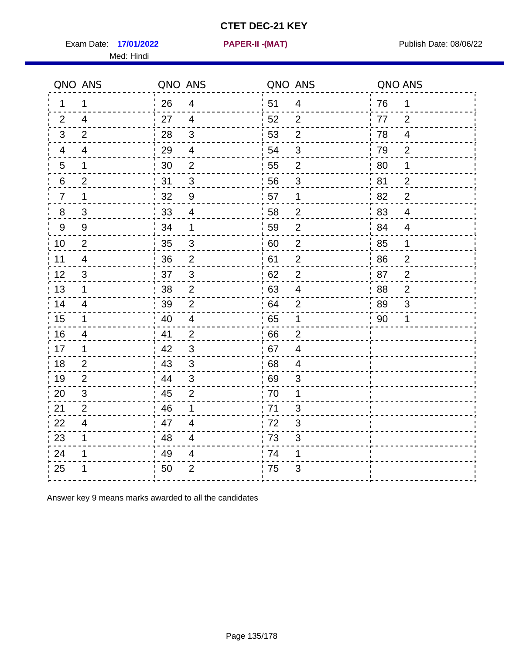Exam Date: 17/01/2022 PAPER-II -(MAT) Pressure and Publish Date: 08/06/22 Med: Hindi

|    | QNO ANS                  | QNO ANS |                          | QNO ANS |                | QNO ANS |                |
|----|--------------------------|---------|--------------------------|---------|----------------|---------|----------------|
| 1  | 1                        | 26      | $\overline{4}$           | 51      | $\overline{4}$ | 76      | 1              |
| 2  | $\overline{4}$           | 27      | $\overline{4}$           | 52      | $\overline{2}$ | 77      | 2              |
| 3  | 2                        | 28      | $\sqrt{3}$               | 53      | $\overline{2}$ | 78      | $\overline{4}$ |
| 4  | 4                        | 29      | $\overline{\mathcal{A}}$ | 54      | 3              | 79      | $\overline{2}$ |
| 5  | $\mathbf 1$              | 30      | $\overline{2}$           | 55      | $\overline{2}$ | 80      | 1              |
| 6  | $\overline{2}$           | 31      | 3                        | 56      | 3              | 81      | $\overline{2}$ |
| 7  | 1                        | 32      | $9\,$                    | 57      | 1              | 82      | $\overline{2}$ |
| 8  | 3                        | 33      | $\overline{\mathcal{A}}$ | 58      | $\overline{2}$ | 83      | $\overline{4}$ |
| 9  | $9\,$                    | 34      | 1                        | 59      | $\mathbf 2$    | 84      | $\overline{4}$ |
| 10 | $\overline{2}$           | 35      | $\mathfrak{S}$           | 60      | $\overline{c}$ | 85      | $\mathbf{1}$   |
| 11 | $\overline{\mathcal{A}}$ | 36      | $\overline{2}$           | 61      | $\overline{2}$ | 86      | $\sqrt{2}$     |
| 12 | $\sqrt{3}$               | 37      | $\mathbf{3}$             | 62      | $\overline{2}$ | 87      | $\overline{2}$ |
| 13 | 1                        | 38      | $\overline{2}$           | 63      | $\overline{4}$ | 88      | $\overline{2}$ |
| 14 | 4                        | 39      | $\overline{2}$           | 64      | $\overline{2}$ | 89      | 3              |
| 15 | $\mathbf 1$              | 40      | $\overline{4}$           | 65      | $\mathbf 1$    | 90      | 1              |
| 16 | $\overline{4}$           | 41      | $\overline{2}$           | 66      | $\overline{2}$ |         |                |
| 17 | 1                        | 42      | 3                        | 67      | $\overline{4}$ |         |                |
| 18 | $\overline{2}$           | 43      | $\mathbf{3}$             | 68      | 4              |         |                |
| 19 | 2                        | 44      | $\sqrt{3}$               | 69      | 3              |         |                |
| 20 | $\mathfrak{B}$           | 45      | $\overline{2}$           | 70      | 1              |         |                |
| 21 | 2                        | 46      | 1                        | 71      | 3              |         |                |
| 22 | $\overline{4}$           | 47      | $\overline{4}$           | 72      | 3              |         |                |
| 23 | 1                        | 48      | $\overline{4}$           | 73      | $\sqrt{3}$     |         |                |
| 24 | 1                        | 49      | 4                        | 74      | 1              |         |                |
| 25 |                          | 50      | $\overline{2}$           | 75      | 3              |         |                |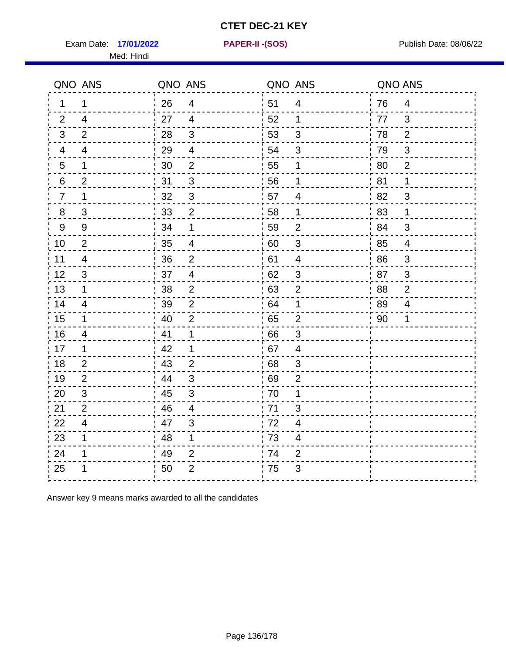Exam Date: 17/01/2022 **PAPER-II-(SOS)** Presset Material Publish Date: 08/06/22

Med: Hindi

**17/01/2022 PAPER-II -(SOS)**

|                 | QNO ANS        | QNO ANS |                         | QNO ANS |                           | QNO ANS |                |
|-----------------|----------------|---------|-------------------------|---------|---------------------------|---------|----------------|
| 1.              | 1              | 26      | $\overline{4}$          | ່ 51    | 4                         | 76      | $\overline{4}$ |
| 2               | 4              | 27      | $\overline{4}$          | 52      | 1                         | 77      | 3              |
| 3               | 2              | 28      | $\mathfrak{B}$          | 53      | 3                         | 78      | 2              |
| 4               | 4              | 29      | $\overline{4}$          | 54      | 3                         | 79      | $\mathfrak{B}$ |
| $5\phantom{.0}$ | 1              | 30      | $\mathbf 2$             | 55      | 1                         | 80      | $\overline{2}$ |
| 6               | $\overline{2}$ | 31      | 3                       | 56      | 1                         | 81      | 1              |
| $\overline{7}$  | 1              | 32      | $\mathbf{3}$            | 57      | 4                         | 82      | $\mathfrak{S}$ |
| 8               | 3              | 33      | $\overline{2}$          | 58      | $\mathbf 1$               | 83      | 1              |
| 9               | $9\,$          | 34      | 1                       | 59      | $\overline{2}$            | 84      | 3              |
| 10              | 2              | 35      | $\overline{4}$          | 60      | $\sqrt{3}$                | 85      | $\overline{4}$ |
| 11              | $\overline{4}$ | 36      | $\overline{2}$          | 61      | 4                         | 86      | $\mathfrak{S}$ |
| 12              | $\sqrt{3}$     | 37      | $\overline{\mathbf{4}}$ | 62      | $\ensuremath{\mathsf{3}}$ | 87      | $\mathsf 3$    |
| 13              | $\mathbf 1$    | 38      | $\overline{2}$          | 63      | 2                         | 88      | $\overline{2}$ |
| 14              | 4              | 39      | $\overline{2}$          | 64      | 1                         | 89      | 4              |
| 15              | $\mathbf 1$    | 40      | $\overline{2}$          | 65      | $\overline{2}$            | 90      | 1              |
| 16              | $\overline{4}$ | 41      | $\mathbf 1$             | .66     | 3                         |         |                |
| 17              | 1              | 42      | 1                       | .67     | 4                         |         |                |
| 18              | $\overline{2}$ | 43      | 2                       | 68      | 3                         |         |                |
| 19              | 2              | 44      | $\mathfrak{S}$          | 69      | $\overline{2}$            |         |                |
| 20              | $\mathfrak{B}$ | 45      | $\mathsf 3$             | 70      | 1                         |         |                |
| 21              | 2              | 46      | 4                       | .71     | 3                         |         |                |
| 22              | $\overline{4}$ | 47      | 3                       | 72      | 4                         |         |                |
| 23              | $\mathbf 1$    | 48      | $\mathbf 1$             | 73      | 4                         |         |                |
| 24              | 1              | 49      | $\overline{2}$          | 74      | $\mathbf{2}$              |         |                |
| 25              |                | 50      | $\overline{2}$          | 75      | 3                         |         |                |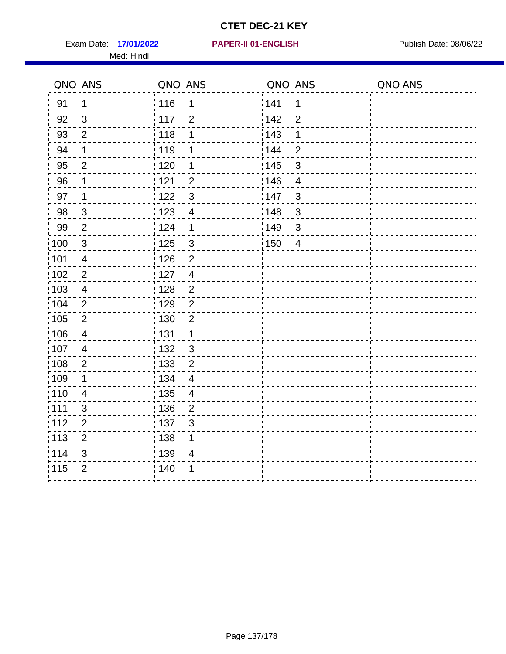Exam Date: 17/01/2022 **PAPER-II 01-ENGLISH Exam Date: 08/06/22** Med: Hindi

**17/01/2022 PAPER-II 01-ENGLISH**

|                   | QNO ANS                 | QNO ANS           |                          | QNO ANS |                | QNO ANS |
|-------------------|-------------------------|-------------------|--------------------------|---------|----------------|---------|
| 91                | 1                       | 116               | 1                        | 141     | $\mathbf 1$    |         |
| 92                | $\mathfrak{S}$          | 117               | $\overline{2}$           | 142     | $\overline{2}$ |         |
| 93                | $\overline{2}$          | 118               | 1                        | 143     | 1              |         |
| 94                | 1                       | :119              | 1                        | : 144   | $\overline{2}$ |         |
| 95                | $\overline{2}$          | : 120             | 1                        | : 145   | 3              |         |
| 96                | 1                       | 121               | $\overline{2}$           | 146     | $\overline{4}$ |         |
| 97                | 1                       | 122               | $\mathbf{3}$             | 147     | $\mathbf{3}$   |         |
| 98                | $\mathbf{3}$            | 123               | $\overline{4}$           | 148     | $\mathbf{3}$   |         |
| 99                | $\overline{2}$          | $\frac{1}{2}$ 124 | 1                        | 149     | $\mathfrak{S}$ |         |
| $\frac{1}{1}$ 100 | $\sqrt{3}$              | $\frac{1}{1}$ 125 | $\mathbf{3}$             | 150     | $\overline{4}$ |         |
| :101              | $\overline{\mathbf{4}}$ | : 126             | $\overline{2}$           |         |                |         |
| 102               | $\overline{2}$          | : 127             | $\overline{4}$           |         |                |         |
| :103              | $\overline{4}$          | : 128             | $\overline{2}$           |         |                |         |
| :104              | $\overline{2}$          | : 129             | $\overline{2}$           |         |                |         |
| $\frac{1}{1}$ 105 | $\sqrt{2}$              | $\frac{1}{1}$ 130 | $\overline{2}$           |         |                |         |
| :106              | $\overline{4}$          | : 131             | $\mathbf 1$              |         |                |         |
| 107               | $\overline{4}$          | : 132             | 3                        |         |                |         |
| 108               | $\sqrt{2}$              | 133               | $\overline{2}$           |         |                |         |
| :109              | $\mathbf 1$             | : 134             | $\overline{4}$           |         |                |         |
| :110              | $\overline{\mathbf{4}}$ | 135               | $\overline{\mathcal{A}}$ |         |                |         |
| ;111              | $\mathfrak{S}$          | : 136             | $\overline{2}$           |         |                |         |
| 112               | $\mathbf{2}$            | : 137             | $\mathfrak{S}$           |         |                |         |
| 113               | $\mathbf 2$             | : 138             | 1                        |         |                |         |
| 114               | 3                       | : 139             | $\overline{4}$           |         |                |         |
| 115               | $\overline{2}$          | 140               | 1                        |         |                |         |
|                   |                         |                   |                          |         |                |         |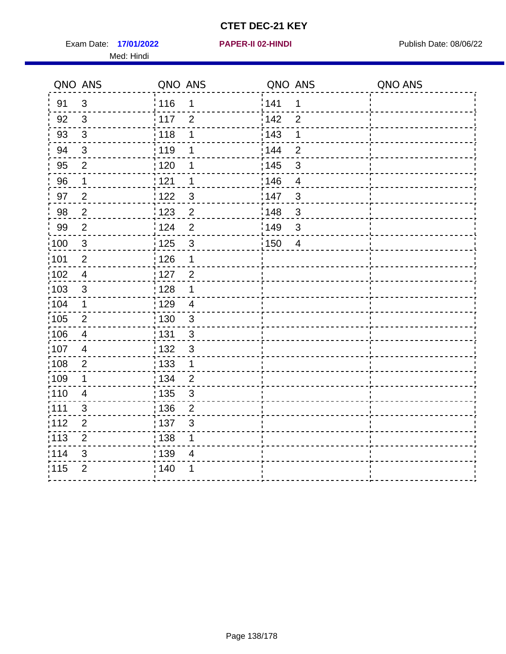Exam Date: 17/01/2022 **PAPER-II 02-HINDI Exam Date: 08/06/22** Med: Hindi

**17/01/2022 PAPER-II 02-HINDI**

|                   | QNO ANS          | QNO ANS           |                         | QNO ANS           |                | QNO ANS |
|-------------------|------------------|-------------------|-------------------------|-------------------|----------------|---------|
| 91                | $\mathbf{3}$     | 116               | 1                       | 141               | $\mathbf 1$    |         |
| 92                | $\mathfrak{3}$   | 117               | $\overline{2}$          | 142               | $\overline{2}$ |         |
| 93                | $\mathbf{3}$     | 118               | 1                       | 143               | 1              |         |
| 94                | 3                | : 119             | 1                       | 144               | $\overline{2}$ |         |
| 95                | $\overline{2}$   | : 120             | 1                       | : 145             | 3              |         |
| 96                | 1                | 121               | 1                       | 146               | $\overline{4}$ |         |
| 97                | $\overline{c}$   | 122               | $\mathbf{3}$            | 147               | 3              |         |
| 98                | $\overline{c}$   | $\frac{1}{2}$ 123 | $\overline{2}$          | $\frac{1}{2}$ 148 | $\mathbf{3}$   |         |
| 99                | $\overline{2}$   | 124               | $\overline{2}$          | $\frac{1}{2}$ 149 | $\mathbf{3}$   |         |
| 100               | $\mathbf{3}$     | 125               | $\mathbf{3}$            | 150               | $\overline{4}$ |         |
| :101              | $\overline{c}$   | 126               | 1                       |                   |                |         |
| 102               | $\overline{4}$   | : 127             | $\overline{2}$          |                   |                |         |
| 103               | $\mathbf{3}$     | 128               | $\mathbf 1$             |                   |                |         |
| :104              | 1                | : 129             | $\overline{\mathbf{4}}$ |                   |                |         |
| 105               | $\overline{2}$   | : 130             | $\mathbf{3}$            |                   |                |         |
| 106               | $\overline{4}$   | : 131             | $\mathbf{3}$            |                   |                |         |
| :107              | $\overline{4}$   | : 132             | $\mathfrak{3}$          |                   |                |         |
| 108               | $\boldsymbol{2}$ | $\frac{1}{1}$ 133 | $\mathbf{1}$            |                   |                |         |
| :109              | $\mathbf 1$      | : 134             | $\overline{2}$          |                   |                |         |
| :110              | $\overline{4}$   | : 135             | $\mathbf{3}$            |                   |                |         |
| :111              | $\mathfrak{S}$   | : 136             | $\overline{2}$          |                   |                |         |
| 112               | $\overline{2}$   | 137               | $\mathfrak{B}$          |                   |                |         |
| $\frac{1}{1}$ 113 | $\overline{2}$   | : 138             | 1                       |                   |                |         |
| 114               | 3                | 139               | 4                       |                   |                |         |
| 115               | $\overline{2}$   | : 140             | 1                       |                   |                |         |
|                   |                  |                   |                         |                   |                |         |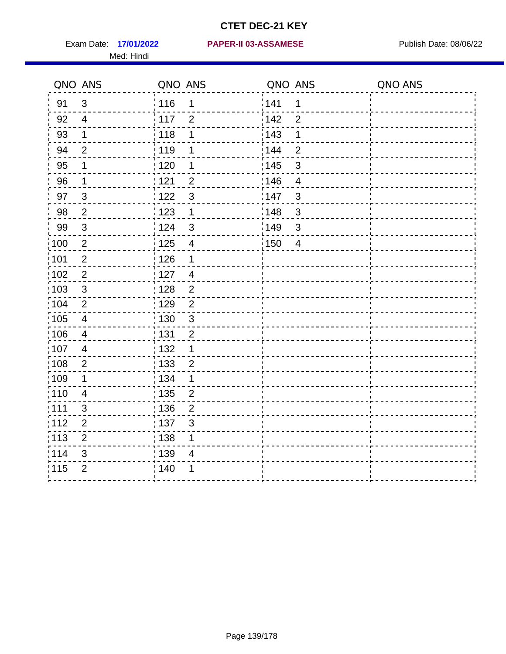Med: Hindi

**17/01/2022 PAPER-II 03-ASSAMESE** Exam Date: Publish Date: 08/06/22

|                   | QNO ANS                   | QNO ANS           |                         | QNO ANS |                | QNO ANS |
|-------------------|---------------------------|-------------------|-------------------------|---------|----------------|---------|
| 91                | $\mathfrak{3}$            | 116               | $\mathbf 1$             | 1141    | $\mathbf 1$    |         |
| 92                | $\overline{4}$            | 117               | $\overline{2}$          | 142     | $\overline{2}$ |         |
| 93                | $\mathbf{1}$              | 118               | 1                       | 143     | 1              |         |
| 94                | $\overline{2}$            | : 119             | 1                       | : 144   | $\overline{2}$ |         |
| 95                | 1                         | : 120             | 1                       | : 145   | 3              |         |
| 96                | $\mathbf 1$               | 121               | $\overline{2}$          | 146     | $\overline{4}$ |         |
| 97                | $\mathfrak{S}$            | 122               | $\mathbf{3}$            | 147     | $\mathfrak{S}$ |         |
| 98                | $\overline{2}$            | $\frac{1}{2}$ 123 | $\mathbf{1}$            | 148     | $\sqrt{3}$     |         |
| 99                | $\ensuremath{\mathsf{3}}$ | 124               | $\mathfrak{S}$          | :149    | $\mathsf 3$    |         |
| $\frac{1}{1}$ 100 | $\sqrt{2}$                | $\frac{1}{1}$ 125 | $\overline{\mathbf{4}}$ | 150     | $\overline{4}$ |         |
| :101              | $\boldsymbol{2}$          | : 126             | 1                       |         |                |         |
| 102               | $\overline{2}$            | 127               | $\overline{4}$          |         |                |         |
| 103               | 3                         | : 128             | $\overline{2}$          |         |                |         |
| 104               | $\overline{2}$            | : 129             | $\overline{2}$          |         |                |         |
| 105               | $\overline{4}$            | $\frac{1}{1}$ 130 | $\mathbf{3}$            |         |                |         |
| :106              | $\overline{4}$            | : 131             | 2                       |         |                |         |
| 107               | $\overline{4}$            | :132              | $\mathbf 1$             |         |                |         |
| 108               | $\sqrt{2}$                | : 133             | $\overline{2}$          |         |                |         |
| :109              | $\mathbf 1$               | : 134             | $\mathbf 1$             |         |                |         |
| :110              | $\overline{4}$            | : 135             | $\overline{2}$          |         |                |         |
| ;111              | $\mathfrak{S}$            | : 136             | $\overline{2}$          |         |                |         |
| 112               | $\overline{2}$            | : 137             | $\sqrt{3}$              |         |                |         |
| :113              | $\mathbf 2$               | : 138             | 1                       |         |                |         |
| 114               | 3                         | : 139             | 4                       |         |                |         |
| 115               | $\overline{2}$            | 140               | 1                       |         |                |         |
|                   |                           |                   |                         |         |                |         |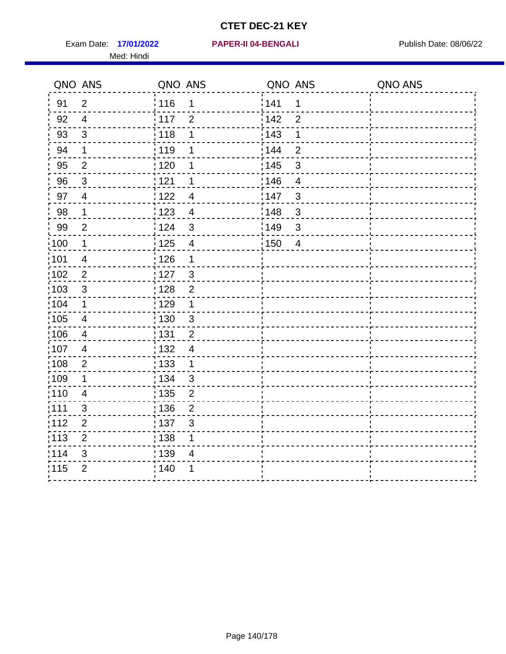Exam Date: 17/01/2022 **PAPER-II 04-BENGALI Exam Date: 08/06/22** Med: Hindi

|                   | QNO ANS        | QNO ANS           |                         | QNO ANS           |                | QNO ANS |
|-------------------|----------------|-------------------|-------------------------|-------------------|----------------|---------|
| 91                | $\overline{2}$ | 116               | 1                       | 141               | $\mathbf 1$    |         |
| 92                | $\overline{4}$ | 117               | $\overline{2}$          | 142               | $\overline{2}$ |         |
| 93                | $\mathfrak{Z}$ | 118               | 1                       | 143               | 1              |         |
| 94                | $\mathbf 1$    | : 119             | 1                       | : 144             | $\overline{2}$ |         |
| 95                | 2              | : 120             | 1                       | : 145             | 3              |         |
| 96                | $\mathfrak{S}$ | : 121             | 1                       | 146               | $\overline{4}$ |         |
| 97                | $\overline{4}$ | 122               | $\overline{4}$          | 147               | 3              |         |
| 98                | $\mathbf{1}$   | $\frac{1}{2}$ 123 | $\overline{4}$          | 148               | $\mathbf{3}$   |         |
| 99                | $\overline{2}$ | 124               | 3                       | 149               | $\mathfrak{S}$ |         |
| $\frac{1}{1}$ 100 | $\overline{1}$ | $\frac{1}{1}$ 125 | $\overline{\mathbf{4}}$ | $\frac{1}{1}$ 150 | $\overline{4}$ |         |
| :101              | $\overline{4}$ | 126               | 1                       |                   |                |         |
| 102               | $\overline{2}$ | :127              | $\mathbf{3}$            |                   |                |         |
| 103               | 3              | : 128             | $\overline{2}$          |                   |                |         |
| 104               | $\mathbf 1$    | : 129             | $\mathbf 1$             |                   |                |         |
| 105               | $\overline{4}$ | : 130             | $\mathbf{3}$            |                   |                |         |
| :106              | $\overline{4}$ | : 131             | $\overline{2}$          |                   |                |         |
| 107               | $\overline{4}$ | : 132             | $\overline{4}$          |                   |                |         |
| 108               | $\overline{2}$ | : 133             | $\mathbf{1}$            |                   |                |         |
| :109              | $\mathbf 1$    | : 134             | $\mathbf{3}$            |                   |                |         |
| :110              | $\overline{4}$ | 135               | $\overline{2}$          |                   |                |         |
| ;111              | $\mathfrak{S}$ | : 136             | $\overline{2}$          |                   |                |         |
| 112               | $\mathbf 2$    | : 137             | $\mathbf{3}$            |                   |                |         |
| 113               | $\mathbf 2$    | 138               | 1                       |                   |                |         |
| 114               | 3              | : 139             | $\overline{4}$          |                   |                |         |
| 115               | $\overline{2}$ | 140               | 1                       |                   |                |         |
|                   |                |                   |                         |                   |                |         |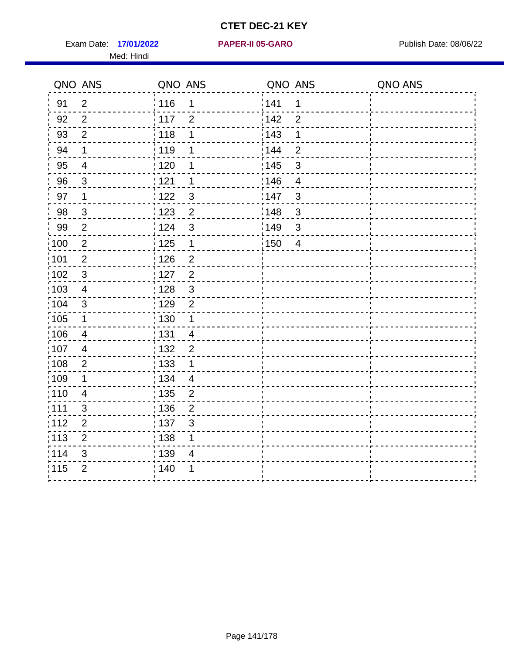Exam Date: 17/01/2022 **PAPER-II 05-GARO** Publish Date: 08/06/22 Med: Hindi

**17/01/2022 PAPER-II 05-GARO**

|      | QNO ANS                  | QNO ANS           |                | QNO ANS           |                | QNO ANS |
|------|--------------------------|-------------------|----------------|-------------------|----------------|---------|
| 91   | $\overline{2}$           | 116               | 1              | 141               | $\mathbf 1$    |         |
| 92   | $\overline{2}$           | 117               | $\overline{2}$ | 142               | $\overline{2}$ |         |
| 93   | $\overline{2}$           | 118               | 1              | 143               | 1              |         |
| 94   | 1                        | : 119             | 1              | 144               | $\overline{2}$ |         |
| 95   | $\overline{\mathcal{A}}$ | : 120             | 1              | : 145             | 3              |         |
| 96   | $\mathbf{3}$             | : 121             | 1              | 146               | $\overline{4}$ |         |
| 97   | 1                        | 122               | $\mathbf{3}$   | 147               | 3              |         |
| 98   | $\mathbf{3}$             | 123               | $\overline{2}$ | 148               | $\mathbf{3}$   |         |
| 99   | $\overline{2}$           | 124               | $\mathsf 3$    | $\frac{1}{2}$ 149 | $\mathfrak{S}$ |         |
| 100  | $\overline{2}$           | 125               | $\mathbf 1$    | 150               | $\overline{4}$ |         |
| :101 | $\overline{c}$           | : 126             | $\overline{2}$ |                   |                |         |
| 102  | $\mathfrak{3}$           | : 127             | $\overline{2}$ |                   |                |         |
| 103  | $\overline{4}$           | : 128             | $\mathbf{3}$   |                   |                |         |
| :104 | $\mathsf 3$              | : 129             | $\overline{2}$ |                   |                |         |
| 105  | $\mathbf 1$              | $\frac{1}{1}$ 130 | $\mathbf 1$    |                   |                |         |
| 106  | $\overline{4}$           | : 131             | $\overline{4}$ |                   |                |         |
| 107  | $\overline{4}$           | : 132             | $\overline{2}$ |                   |                |         |
| 108  | $\boldsymbol{2}$         | 133               | $\mathbf{1}$   |                   |                |         |
| :109 | 1                        | : 134             | $\overline{4}$ |                   |                |         |
| :110 | 4                        | : 135             | 2              |                   |                |         |
| 111  | 3                        | : 136             | $\overline{2}$ |                   |                |         |
| 112  | $\overline{2}$           | 137               | $\mathfrak{S}$ |                   |                |         |
| 113  | $\overline{2}$           | : 138             | 1              |                   |                |         |
| 114  | 3                        | : 139             | 4              |                   |                |         |
| 115  | $\overline{2}$           | 140               | 1              |                   |                |         |
|      |                          |                   |                |                   |                |         |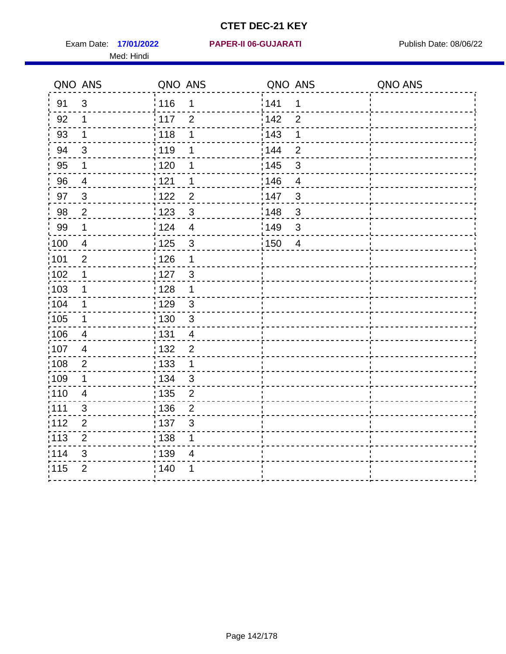Med: Hindi

**17/01/2022 PAPER-II 06-GUJARATI** Exam Date: Publish Date: 08/06/22

|                   | QNO ANS        | QNO ANS           |                | QNO ANS           |                | QNO ANS |
|-------------------|----------------|-------------------|----------------|-------------------|----------------|---------|
| 91                | $\mathbf{3}$   | 116               | 1              | 141               | $\mathbf 1$    |         |
| 92                | 1              | 117               | $\overline{2}$ | 142               | $\overline{2}$ |         |
| 93                | 1              | 118               | 1              | 143               | 1              |         |
| 94                | 3              | : 119             | 1              | 144               | $\overline{2}$ |         |
| 95                | 1              | : 120             | 1              | : 145             | 3              |         |
| 96                | 4              | 121               | 1              | 146               | $\overline{4}$ |         |
| 97                | $\mathfrak{S}$ | 122               | $\overline{2}$ | 147               | 3              |         |
| 98                | $\mathbf 2$    | $\frac{1}{2}$ 123 | $\mathbf{3}$   | $\frac{1}{2}$ 148 | $\mathfrak{S}$ |         |
| 99                | $\mathbf 1$    | 124               | $\overline{4}$ | ¦149              | $\mathfrak{S}$ |         |
| $\frac{1}{1}$ 100 | $\overline{4}$ | 125               | $\mathbf{3}$   | 150               | $\overline{4}$ |         |
| :101              | $\overline{2}$ | 126               | 1              |                   |                |         |
| 102               | 1              | : 127             | 3              |                   |                |         |
| ;103              | $\mathbf 1$    | 128               | $\mathbf{1}$   |                   |                |         |
| 104               | $\mathbf 1$    | : 129             | $\sqrt{3}$     |                   |                |         |
| $\frac{1}{1}$ 105 | $\mathbf 1$    | : 130             | $\mathbf{3}$   |                   |                |         |
| :106              | 4              | : 131             | $\overline{4}$ |                   |                |         |
| :107              | $\overline{4}$ | : 132             | $\overline{2}$ |                   |                |         |
| 108               | $\sqrt{2}$     | : 133             | $\mathbf{1}$   |                   |                |         |
| :109              | 1              | : 134             | $\mathbf{3}$   |                   |                |         |
| :110              | 4              | : 135             | $\overline{2}$ |                   |                |         |
| :111              | $\mathfrak{B}$ | : 136             | $\overline{c}$ |                   |                |         |
| 112               | $\mathbf 2$    | 137               | $\mathfrak{S}$ |                   |                |         |
| 113               | $\mathbf 2$    | : 138             | 1              |                   |                |         |
| 114               | 3              | :139              | 4              |                   |                |         |
| 115               | $\overline{2}$ | 140               | 1              |                   |                |         |
|                   |                |                   |                |                   |                |         |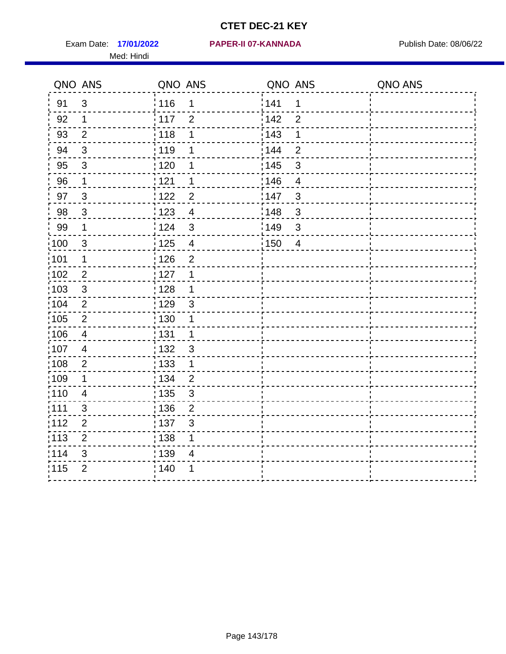Med: Hindi

#### **17/01/2022 PAPER-II 07-KANNADA** Exam Date: Publish Date: 08/06/22

|                   | QNO ANS        | QNO ANS                                      | QNO ANS                             | QNO ANS |
|-------------------|----------------|----------------------------------------------|-------------------------------------|---------|
| 91                | $\mathfrak{S}$ | : 116<br>1                                   | 141<br>$\mathbf 1$                  |         |
| 92                | $\mathbf 1$    | 117<br>$\overline{2}$                        | 142<br>$\overline{2}$               |         |
| 93                | $\overline{2}$ | 118<br>1                                     | 143<br>1                            |         |
| 94                | 3              | : 119<br>1                                   | 144<br>$\overline{2}$               |         |
| 95                | $\mathfrak{B}$ | : 120<br>1                                   | : 145<br>3                          |         |
| 96                | $\mathbf{1}$   | 121<br>1                                     | 146<br>$\overline{4}$               |         |
| 97                | $\mathfrak{B}$ | $\overline{c}$<br>122                        | 147<br>3                            |         |
| 98                | $\mathbf{3}$   | 123<br>$\overline{4}$                        | 148<br>$\mathbf{3}$                 |         |
| 99                | $\mathbf 1$    | i 124<br>$\mathfrak{S}$                      | $\frac{1}{2}$ 149<br>$\mathfrak{S}$ |         |
| $\frac{1}{1}$ 100 | $\mathbf{3}$   | $\frac{1}{1}$ 125<br>$\overline{\mathbf{4}}$ | 150<br>$\overline{4}$               |         |
| :101              | 1              | : 126<br>$\overline{2}$                      |                                     |         |
| 102               | $\overline{2}$ | : 127<br>1                                   |                                     |         |
| ;103              | 3              | : 128<br>$\mathbf 1$                         |                                     |         |
| 104               | $\overline{2}$ | : 129<br>$\mathfrak{3}$                      |                                     |         |
| 105               | $\mathbf 2$    | 130<br>1                                     |                                     |         |
| :106              | 4              | : 131<br>1                                   |                                     |         |
| 107               | $\overline{4}$ | :132<br>3                                    |                                     |         |
| 108               | $\sqrt{2}$     | 133<br>$\mathbf{1}$                          |                                     |         |
| :109              | 1              | : 134<br>$\overline{2}$                      |                                     |         |
| : 110             | 4              | : 135<br>3                                   |                                     |         |
| :111              | 3              | : 136<br>$\overline{2}$                      |                                     |         |
| 112               | $\mathbf 2$    | 137<br>$\mathfrak{S}$                        |                                     |         |
| 113               | $\mathbf 2$    | : 138<br>1                                   |                                     |         |
| 114               | 3              | 139<br>4                                     |                                     |         |
| 115               | $\overline{2}$ | 140<br>1                                     |                                     |         |
|                   |                |                                              |                                     |         |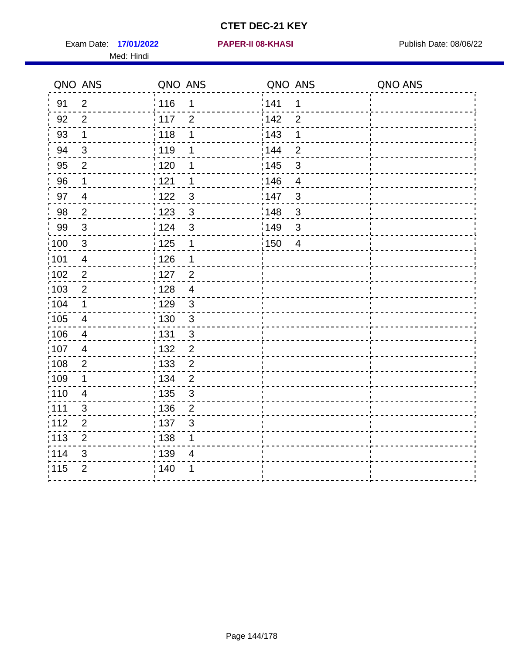Exam Date: 17/01/2022 **PAPER-II 08-KHASI Exam Date: 08/06/22** Med: Hindi

**17/01/2022 PAPER-II 08-KHASI**

|       | QNO ANS                   | QNO ANS           |                | QNO ANS           |                | QNO ANS |
|-------|---------------------------|-------------------|----------------|-------------------|----------------|---------|
| 91    | $\overline{2}$            | 116               | 1              | 141               | $\mathbf 1$    |         |
| 92    | $\overline{2}$            | 117               | $\overline{2}$ | 142               | $\overline{2}$ |         |
| 93    | $\mathbf 1$               | 118               | 1              | 143               | 1              |         |
| 94    | $\mathfrak{B}$            | : 119             | 1              | 144               | $\overline{2}$ |         |
| 95    | $\overline{2}$            | : 120             | 1              | : 145             | 3              |         |
| 96    | 1                         | 121               | 1              | 146               | $\overline{4}$ |         |
| 97    | $\overline{4}$            | 122               | $\mathbf{3}$   | 147               | 3              |         |
| 98    | $\overline{2}$            | 123               | $\mathfrak{S}$ | ¦148              | $\mathbf{3}$   |         |
| 99    | $\ensuremath{\mathsf{3}}$ | 124               | $\mathfrak{S}$ | $\frac{1}{2}$ 149 | $\mathfrak{S}$ |         |
| 100   | $\sqrt{3}$                | 125               | $\mathbf 1$    | 150               | $\overline{4}$ |         |
| :101  | $\overline{\mathbf{4}}$   | : 126             | 1              |                   |                |         |
| 102   | $\overline{2}$            | : 127             | $\overline{2}$ |                   |                |         |
| ;103  | $\overline{2}$            | :128              | $\overline{4}$ |                   |                |         |
| 104   | $\mathbf{1}$              | : 129             | $\mathfrak{S}$ |                   |                |         |
| 105   | $\overline{\mathbf{4}}$   | $\frac{1}{1}$ 130 | $\mathfrak{S}$ |                   |                |         |
| 106   | $\overline{4}$            | : 131             | $\mathfrak{S}$ |                   |                |         |
| ;107  | $\overline{4}$            | 132               | $\overline{2}$ |                   |                |         |
| 108   | $\sqrt{2}$                | : 133             | $\overline{2}$ |                   |                |         |
| :109  | $\mathbf 1$               | : 134             | $\overline{2}$ |                   |                |         |
| 110   | $\overline{4}$            | : 135             | 3              |                   |                |         |
| 111   | $\mathfrak{S}$            | : 136             | $\overline{2}$ |                   |                |         |
| 112   | $\mathbf 2$               | $\frac{1}{1}$ 137 | $\mathfrak{S}$ |                   |                |         |
| : 113 | $\mathbf 2$               | 138               | 1              |                   |                |         |
| 114   | 3                         | : 139             | 4              |                   |                |         |
| 115   | $\overline{2}$            | 140               | 1              |                   |                |         |
|       |                           |                   |                |                   |                |         |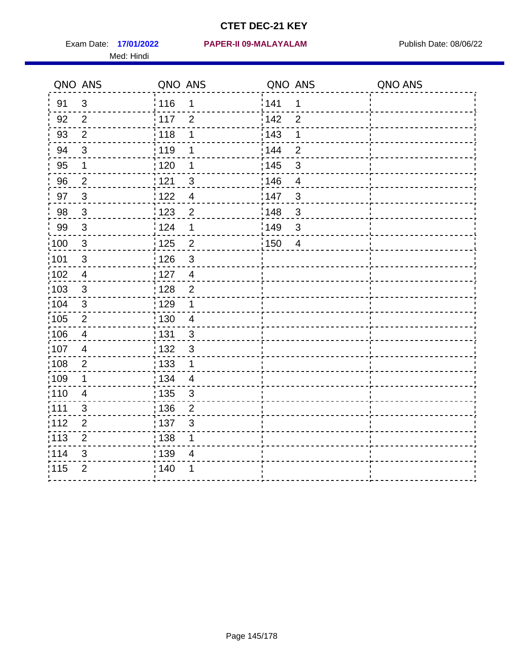Med: Hindi

**17/01/2022 PAPER-II 09-MALAYALAM** Exam Date: Publish Date: 08/06/22

| QNO ANS           |                          | QNO ANS           |                          | QNO ANS          |                          | QNO ANS |
|-------------------|--------------------------|-------------------|--------------------------|------------------|--------------------------|---------|
| 91                | $\mathfrak{S}$           | : 116             | 1                        | 141              | $\mathbf 1$              |         |
| 92                | 2                        | 117               | $\overline{2}$           | 142              | $\overline{2}$           |         |
| 93                | $\overline{2}$           | : 118             | 1                        | : 143            | 1                        |         |
| 94                | $\mathbf{3}$             | : 119             | 1                        | : 144            | $\overline{2}$           |         |
| 95                | 1                        | $\frac{1}{1}$ 120 | 1                        | : 145            | $\mathfrak{B}$           |         |
| 96                | $\overline{2}$           | 1121              | $\mathfrak{B}$           | 146              | $\overline{\mathcal{A}}$ |         |
| 97                | $\mathbf{3}$             | 122               | $\overline{4}$           | 147              | $\sqrt{3}$               |         |
| 98                | $\mathbf{3}$             | 1123              | $\overline{2}$           | 148              | $\sqrt{3}$               |         |
| 99                | $\mathbf{3}$             | 124               | $\mathbf 1$              | <sup>'</sup> 149 | $\mathbf{3}$             |         |
| $\frac{1}{1}$ 100 | $\mathbf{3}$             | 125               | $\overline{c}$           | : 150            | $\overline{4}$           |         |
| :101              | $\mathfrak{S}$           | 126               | $\mathfrak{S}$           |                  |                          |         |
| $\frac{1}{1}$ 102 | $\overline{4}$           | $\frac{1}{1}$ 127 | $\overline{4}$           |                  |                          |         |
| :103              | 3                        | : 128             | $\overline{2}$           |                  |                          |         |
| 104               | 3                        | : 129             | $\mathbf 1$              |                  |                          |         |
| $\frac{1}{1}$ 105 | $\overline{2}$           | $\frac{1}{1}$ 130 | $\overline{4}$           |                  |                          |         |
| 106               | $\overline{\mathcal{A}}$ | : 131             | $\mathbf{3}$             |                  |                          |         |
| :107              | 4                        | : 132             | $\overline{3}$           |                  |                          |         |
| 108               | $\overline{2}$           | : 133             | $\mathbf 1$              |                  |                          |         |
| :109              | 1                        | : 134             | $\overline{4}$           |                  |                          |         |
| :110              | $\overline{\mathbf{4}}$  | : 135             | $\mathfrak{S}$           |                  |                          |         |
| :111              | 3                        | : 136             | $\overline{2}$           |                  |                          |         |
| 112               | $\overline{2}$           | :137              | $\mathbf{3}$             |                  |                          |         |
| : 113             | $\overline{2}$           | : 138             | $\mathbf 1$              |                  |                          |         |
| 114               | 3                        | : 139             | $\overline{\mathcal{A}}$ |                  |                          |         |
| 115               | $\overline{2}$           | : 140             | 1                        |                  |                          |         |
|                   |                          |                   |                          |                  |                          |         |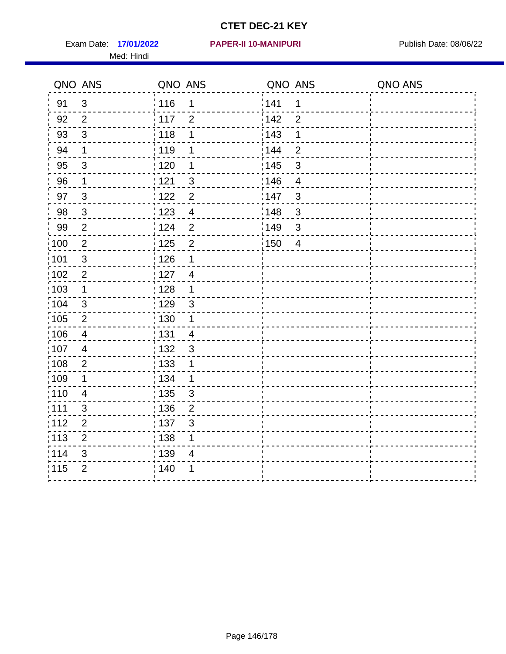Exam Date: 17/01/2022 PAPER-II 10-MANIPURI<br>
Publish Date: 08/06/22 Med: Hindi

#### **17/01/2022 PAPER-II 10-MANIPURI**

|                   | QNO ANS        | QNO ANS           |                | QNO ANS           |                | QNO ANS |
|-------------------|----------------|-------------------|----------------|-------------------|----------------|---------|
| 91                | $\mathfrak{S}$ | : 116             | 1              | 141               | $\mathbf 1$    |         |
| 92                | $\overline{2}$ | $\frac{1}{2}$ 117 | $\overline{2}$ | 142               | $\overline{2}$ |         |
| 93                | $\sqrt{3}$     | 118               | 1              | 143               | 1              |         |
| 94                | 1              | : 119             | 1              | 144               | $\overline{2}$ |         |
| 95                | $\mathfrak{S}$ | : 120             | 1              | : 145             | 3              |         |
| 96                | $\mathbf 1$    | 121               | 3              | 146               | $\overline{4}$ |         |
| 97                | $\mathfrak{B}$ | : 122             | $\overline{2}$ | 147               | 3              |         |
| 98                | $\mathbf{3}$   | 123               | $\overline{4}$ | 148               | $\mathbf{3}$   |         |
| 99                | $\overline{2}$ | 124               | $\overline{2}$ | $\frac{1}{2}$ 149 | $\mathfrak{S}$ |         |
| $\frac{1}{1}$ 100 | $\overline{2}$ | $\frac{1}{1}$ 125 | $\overline{2}$ | 150               | $\overline{4}$ |         |
| :101              | $\sqrt{3}$     | : 126             | 1              |                   |                |         |
| 102               | $\overline{2}$ | : 127             | $\overline{4}$ |                   |                |         |
| ;103              | $\mathbf 1$    | :128              | $\mathbf 1$    |                   |                |         |
| 104               | 3              | : 129             | $\mathfrak{3}$ |                   |                |         |
| 105               | $\sqrt{2}$     | 130               | $\mathbf 1$    |                   |                |         |
| :106              | 4              | : 131             | $\overline{4}$ |                   |                |         |
| 107               | $\overline{4}$ | :132              | $\mathbf{3}$   |                   |                |         |
| 108               | $\sqrt{2}$     | 133               | $\mathbf{1}$   |                   |                |         |
| :109              | 1              | : 134             | $\mathbf 1$    |                   |                |         |
| :110              | 4              | : 135             | 3              |                   |                |         |
| :111              | 3              | : 136             | $\overline{2}$ |                   |                |         |
| 112               | $\mathbf 2$    | 137               | $\mathfrak{S}$ |                   |                |         |
| 113               | $\mathbf 2$    | : 138             | 1              |                   |                |         |
| 114               | 3              | 139               | 4              |                   |                |         |
| 115               | $\overline{2}$ | 140               | 1              |                   |                |         |
|                   |                |                   |                |                   |                |         |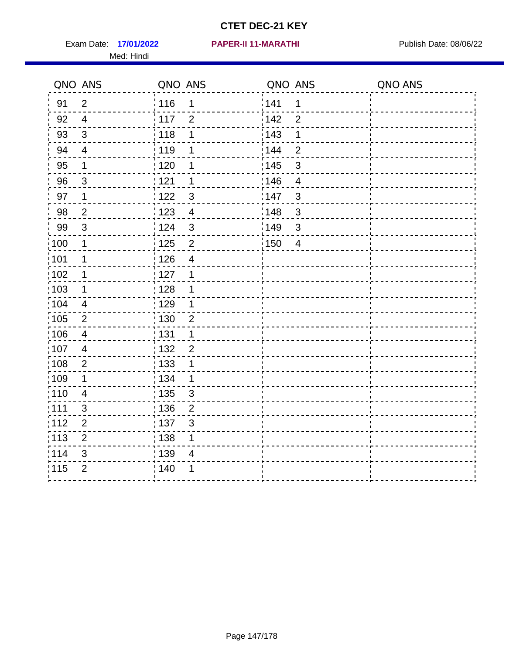Exam Date: 17/01/2022 **PAPER-II 11-MARATHI** 2008 Publish Date: 08/06/22 Med: Hindi

**17/01/2022 PAPER-II 11-MARATHI**

|       | QNO ANS                 | QNO ANS                             |       | QNO ANS        | QNO ANS |
|-------|-------------------------|-------------------------------------|-------|----------------|---------|
| 91    | $\overline{2}$          | 116<br>$\mathbf 1$                  | 1141  | 1              |         |
| 92    | $\overline{4}$          | 117<br>$\overline{2}$               | 142   | $\overline{2}$ |         |
| 93    | $\mathfrak{S}$          | 118<br>1                            | 143   | 1              |         |
| 94    | $\overline{\mathbf{4}}$ | 119<br>1                            | : 144 | $\overline{2}$ |         |
| 95    | 1                       | : 120<br>1                          | : 145 | $\mathfrak{B}$ |         |
| 96    | 3                       | 121<br>1                            | 146   | $\overline{4}$ |         |
| 97    | $\mathbf 1$             | $\mathbf{3}$<br>122                 | 147   | $\mathfrak{B}$ |         |
| 98    | $\overline{2}$          | 123<br>$\overline{4}$               | 148   | $\sqrt{3}$     |         |
| 99    | $\sqrt{3}$              | 124<br>$\sqrt{3}$                   | :149  | $\mathsf 3$    |         |
| :100  | $\mathbf 1$             | $\frac{1}{1}$ 125<br>$\overline{2}$ | 150   | $\overline{4}$ |         |
| :101  | 1                       | : 126<br>$\overline{\mathcal{A}}$   |       |                |         |
| 102   | 1                       | : 127<br>1                          |       |                |         |
| ;103  | $\mathbf 1$             | :128<br>1                           |       |                |         |
| 104   | $\overline{4}$          | : 129<br>1                          |       |                |         |
| 105   | $\sqrt{2}$              | 130<br>$\overline{c}$               |       |                |         |
| :106  | 4                       | :131<br>1                           |       |                |         |
| 107   | $\overline{4}$          | :132<br>$\overline{2}$              |       |                |         |
| 108   | $\sqrt{2}$              | : 133<br>$\mathbf 1$                |       |                |         |
| :109  | $\mathbf 1$             | : 134<br>$\mathbf 1$                |       |                |         |
| : 110 | $\overline{4}$          | : 135<br>3                          |       |                |         |
| 111   | 3                       | 136<br>$\overline{2}$               |       |                |         |
| 112   | $\mathbf 2$             | 137<br>3                            |       |                |         |
| 113   | $\mathbf 2$             | : 138<br>1                          |       |                |         |
| 114   | 3                       | : 139<br>4                          |       |                |         |
| 115   | $\overline{2}$          | 140<br>1                            |       |                |         |
|       |                         |                                     |       |                |         |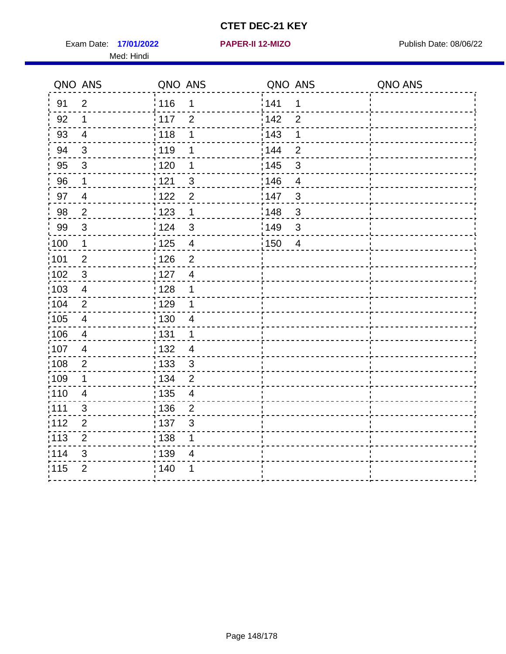Exam Date: 17/01/2022 **PAPER-II 12-MIZO** PUBLISH Date: 08/06/22 Med: Hindi

**17/01/2022 PAPER-II 12-MIZO**

|                   | QNO ANS                 | QNO ANS                           | QNO ANS                 | QNO ANS |
|-------------------|-------------------------|-----------------------------------|-------------------------|---------|
| 91                | $\overline{2}$          | 116<br>1                          | 141<br>$\mathbf 1$      |         |
| 92                | $\mathbf 1$             | 117<br>$\overline{2}$             | 142<br>$\overline{2}$   |         |
| 93                | $\overline{4}$          | 118<br>1                          | 143<br>1                |         |
| 94                | 3                       | : 119<br>1                        | : 144<br>$\overline{2}$ |         |
| 95                | 3                       | :120<br>1                         | : 145<br>3              |         |
| 96                | $\mathbf 1$             | 121<br>$\mathfrak{S}$             | 146<br>$\overline{4}$   |         |
| 97                | $\overline{4}$          | 122<br>$\overline{2}$             | 147<br>$\mathfrak{S}$   |         |
| 98                | $\overline{c}$          | $\frac{1}{2}$ 123<br>$\mathbf 1$  | 148<br>$\sqrt{3}$       |         |
| 99                | $\sqrt{3}$              | 124<br>$\mathbf{3}$               | :149<br>$\sqrt{3}$      |         |
| 100               | $\mathbf 1$             | 125<br>$\overline{4}$             | 150<br>$\overline{4}$   |         |
| 101               | $\overline{2}$          | 126<br>$\overline{2}$             |                         |         |
| 102               | $\mathbf{3}$            | : 127<br>$\overline{4}$           |                         |         |
| ;103              | $\overline{4}$          | : 128<br>1                        |                         |         |
| 104               | $\overline{2}$          | : 129<br>1                        |                         |         |
| $\frac{1}{1}$ 105 | $\overline{\mathbf{4}}$ | : 130<br>$\overline{4}$           |                         |         |
| :106              | 4                       | : 131<br>$\mathbf 1$              |                         |         |
| :107              | $\overline{4}$          | : 132<br>$\overline{4}$           |                         |         |
| 108               | $\sqrt{2}$              | $\frac{1}{1}$ 133<br>$\mathbf{3}$ |                         |         |
| :109              | 1                       | : 134<br>$\overline{2}$           |                         |         |
| :110              | $\overline{4}$          | : 135<br>4                        |                         |         |
| 111               | 3                       | 136<br>$\overline{2}$             |                         |         |
| 112               | $\mathbf 2$             | 137<br>$\ensuremath{\mathsf{3}}$  |                         |         |
| 113               | $\mathbf 2$             | : 138<br>1                        |                         |         |
| 114               | 3                       | 139<br>4                          |                         |         |
| 115               | $\overline{2}$          | 140<br>1                          |                         |         |
|                   |                         |                                   |                         |         |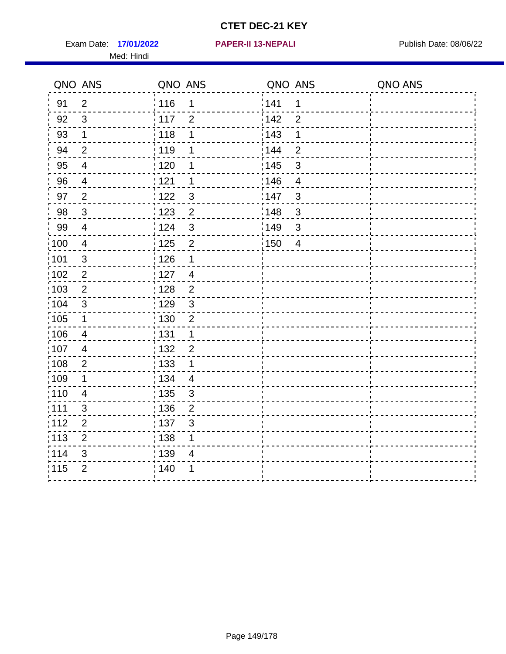Exam Date: 17/01/2022 **PAPER-II 13-NEPALI Exam Date: 08/06/22** Med: Hindi

**17/01/2022 PAPER-II 13-NEPALI**

|                   | QNO ANS        | QNO ANS                             | QNO ANS |                | QNO ANS |
|-------------------|----------------|-------------------------------------|---------|----------------|---------|
| 91                | $\overline{2}$ | 116<br>$\mathbf 1$                  | 1141    | $\mathbf 1$    |         |
| 92                | $\mathfrak{S}$ | 117<br>$\overline{2}$               | 142     | $\overline{2}$ |         |
| 93                | $\mathbf 1$    | 118<br>1                            | 143     | 1              |         |
| 94                | $\overline{2}$ | : 119<br>1                          | : 144   | $\overline{2}$ |         |
| 95                | $\overline{4}$ | : 120<br>1                          | : 145   | 3              |         |
| 96                | 4              | 121<br>1                            | :146    | $\overline{4}$ |         |
| 97                | $\overline{2}$ | 122<br>$\mathbf{3}$                 | 147     | $\mathfrak{S}$ |         |
| 98                | $\mathbf{3}$   | 123<br>$\overline{2}$               | 148     | $\sqrt{3}$     |         |
| 99                | $\overline{4}$ | 124<br>$\mathfrak{S}$               | :149    | $\mathfrak{S}$ |         |
| $\frac{1}{1}$ 100 | $\overline{4}$ | $\overline{2}$<br>$\frac{1}{1}$ 125 | 150     | $\overline{4}$ |         |
| :101              | $\sqrt{3}$     | : 126<br>1                          |         |                |         |
| 102               | $\overline{2}$ | : 127<br>$\overline{4}$             |         |                |         |
| :103              | $\overline{2}$ | 2<br>: 128                          |         |                |         |
| :104              | 3              | : 129<br>$\mathfrak{3}$             |         |                |         |
| 105               | $\mathbf 1$    | $\overline{2}$<br>: 130             |         |                |         |
| :106              | $\overline{4}$ | : 131<br>$\mathbf 1$                |         |                |         |
| 107               | $\overline{4}$ | 132<br>$\overline{2}$               |         |                |         |
| 108               | $\overline{2}$ | 133<br>$\mathbf 1$                  |         |                |         |
| :109              | $\mathbf 1$    | : 134<br>$\overline{4}$             |         |                |         |
| :110              | $\overline{4}$ | : 135<br>3                          |         |                |         |
| : 111             | 3              | 136<br>$\overline{2}$               |         |                |         |
| 112               | $\mathbf 2$    | : 137<br>$\sqrt{3}$                 |         |                |         |
| 113               | $\overline{2}$ | : 138<br>1                          |         |                |         |
| 114               | 3              | :139<br>4                           |         |                |         |
| 115               | $\overline{2}$ | 140<br>1                            |         |                |         |
|                   |                |                                     |         |                |         |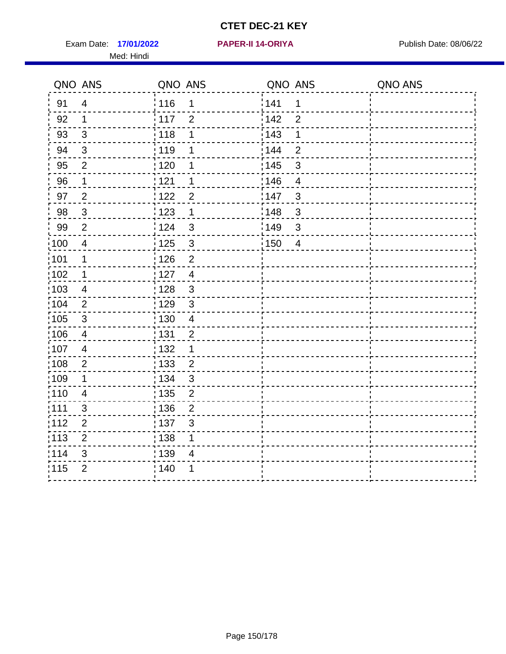Exam Date: 17/01/2022 **PAPER-II 14-ORIYA** Publish Date: 08/06/22 Med: Hindi

**17/01/2022 PAPER-II 14-ORIYA**

|                   | QNO ANS        | QNO ANS                             | QNO ANS                 | QNO ANS |
|-------------------|----------------|-------------------------------------|-------------------------|---------|
| 91                | $\overline{4}$ | 116<br>1                            | 141<br>$\mathbf 1$      |         |
| 92                | $\mathbf 1$    | 117<br>$\overline{2}$               | 142<br>$\overline{2}$   |         |
| 93                | $\mathfrak{3}$ | 118<br>1                            | 143<br>1                |         |
| 94                | 3              | : 119<br>1                          | : 144<br>$\overline{2}$ |         |
| 95                | $\overline{2}$ | :120<br>1                           | : 145<br>3              |         |
| 96                | $\mathbf 1$    | 121<br>1                            | 146<br>$\overline{4}$   |         |
| 97                | $\overline{2}$ | 122<br>$\overline{2}$               | 147<br>$\mathfrak{S}$   |         |
| 98                | $\mathbf{3}$   | 123<br>$\mathbf 1$                  | 148<br>$\sqrt{3}$       |         |
| 99                | $\overline{2}$ | 124<br>$\mathbf{3}$                 | :149<br>$\sqrt{3}$      |         |
| 100               | $\overline{4}$ | $\mathbf{3}$<br>125                 | 150<br>$\overline{4}$   |         |
| 101               | 1              | 126<br>$\overline{2}$               |                         |         |
| 102               | 1              | : 127<br>$\overline{4}$             |                         |         |
| ;103              | $\overline{4}$ | $\mathbf{3}$<br>128                 |                         |         |
| 104               | $\overline{2}$ | : 129<br>$\sqrt{3}$                 |                         |         |
| $\frac{1}{1}$ 105 | $\sqrt{3}$     | : 130<br>$\overline{4}$             |                         |         |
| :106              | 4              | : 131<br>2                          |                         |         |
| :107              | $\overline{4}$ | : 132<br>1                          |                         |         |
| 108               | $\sqrt{2}$     | $\frac{1}{1}$ 133<br>$\overline{2}$ |                         |         |
| :109              | 1              | : 134<br>$\mathfrak{3}$             |                         |         |
| :110              | $\overline{4}$ | : 135<br>$\overline{2}$             |                         |         |
| 111               | 3              | 136<br>$\overline{c}$               |                         |         |
| 112               | $\mathbf 2$    | 137<br>$\sqrt{3}$                   |                         |         |
| 113               | $\mathbf 2$    | : 138<br>1                          |                         |         |
| 114               | 3              | 139<br>4                            |                         |         |
| 115               | $\overline{2}$ | 140<br>1                            |                         |         |
|                   |                |                                     |                         |         |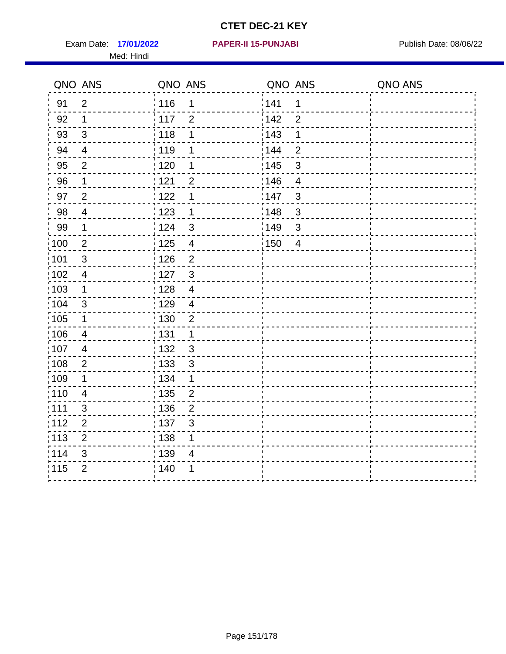Exam Date: 17/01/2022 **PAPER-II 15-PUNJABI** Publish Date: 08/06/22 Med: Hindi

**17/01/2022 PAPER-II 15-PUNJABI**

|                   | QNO ANS        | QNO ANS           |                | QNO ANS |                          | QNO ANS |
|-------------------|----------------|-------------------|----------------|---------|--------------------------|---------|
| 91                | $\overline{2}$ | : 116             | 1              | 1141    | 1                        |         |
| 92                | 1              | 117               | $\overline{2}$ | 142     | $\overline{2}$           |         |
| 93                | $\sqrt{3}$     | $\frac{1}{2}$ 118 | 1              | 143     | 1                        |         |
| 94                | $\overline{4}$ | : 119             | 1              | : 144   | $\overline{2}$           |         |
| 95                | $\overline{2}$ | : 120             | 1              | : 145   | 3                        |         |
| 96                | 1              | 121               | $\overline{2}$ | 146     | $\overline{4}$           |         |
| 97                | $\overline{2}$ | 122               | 1              | : 147   | $\mathfrak{B}$           |         |
| 98                | $\overline{4}$ | 123               | $\mathbf 1$    | 148     | $\mathfrak{S}$           |         |
| 99                | 1              | <sup>'</sup> 124  | $\mathfrak{S}$ | 149¦    | $\sqrt{3}$               |         |
| $\frac{1}{1}$ 100 | $\overline{2}$ | : 125             | $\overline{4}$ | :150    | $\overline{\mathcal{A}}$ |         |
| :101              | 3              | 126               | $\overline{2}$ |         |                          |         |
| 102               | $\overline{4}$ | : 127             | 3              |         |                          |         |
| 103               | 1              | 128               | $\overline{4}$ |         |                          |         |
| 104               | $\sqrt{3}$     | : 129             | $\overline{4}$ |         |                          |         |
| 105               | 1              | : 130             | $\overline{2}$ |         |                          |         |
| 106               | 4              | : 131             | 1              |         |                          |         |
| 107               | $\overline{4}$ | : 132             | $\mathbf{3}$   |         |                          |         |
| 108               | $\mathbf{2}$   | : 133             | $\mathfrak{S}$ |         |                          |         |
| :109              | 1              | : 134             | 1              |         |                          |         |
| :110              | $\overline{4}$ | : 135             | $\overline{2}$ |         |                          |         |
| :111              | $\sqrt{3}$     | $\frac{1}{1}$ 136 | $\overline{2}$ |         |                          |         |
| 112               | $\mathbf{2}$   | : 137             | $\mathbf{3}$   |         |                          |         |
| : 113             | $\overline{2}$ | : 138             | 1              |         |                          |         |
| 114               | 3              | : 139             | 4              |         |                          |         |
| 115               | $\overline{2}$ | 140               | 1              |         |                          |         |
|                   |                |                   |                |         |                          |         |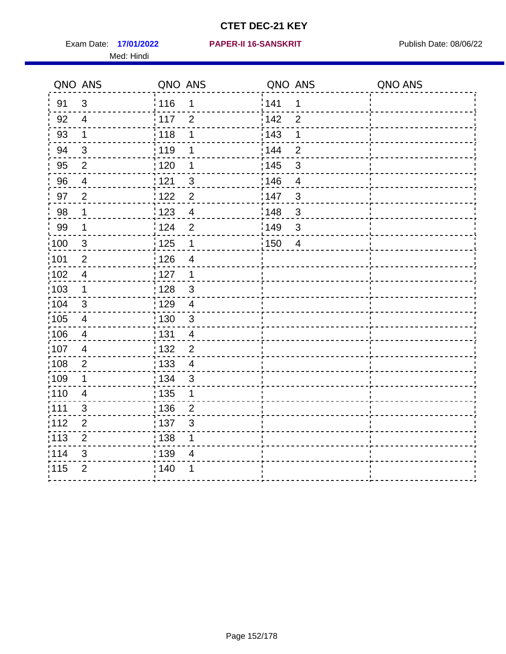Med: Hindi

#### **17/01/2022 PAPER-II 16-SANSKRIT** Exam Date: Publish Date: 08/06/22

|        | QNO ANS                 | QNO ANS                                      | QNO ANS           |                | QNO ANS |
|--------|-------------------------|----------------------------------------------|-------------------|----------------|---------|
| 91     | $\mathfrak{S}$          | 116<br>1                                     | 141               | $\mathbf 1$    |         |
| 92     | $\overline{4}$          | 117<br>$\overline{2}$                        | 142               | $\overline{2}$ |         |
| 93     | $\mathbf 1$             | 118<br>1                                     | 143               | 1              |         |
| 94     | 3                       | : 119<br>1                                   | : 144             | 2              |         |
| 95     | $\overline{2}$          | : 120<br>1                                   | : 145             | 3              |         |
| 96     | $\overline{4}$          | 121<br>3                                     | 146               | $\overline{4}$ |         |
| 97     | $\overline{2}$          | 122<br>$\overline{2}$                        | 147               | 3              |         |
| $98\,$ | $\mathbf{1}$            | $\frac{1}{2}$ 123<br>$\overline{\mathbf{4}}$ | $\frac{1}{2}$ 148 | $\mathbf{3}$   |         |
| 99     | $\mathbf{1}$            | 124<br>$\overline{2}$                        | $\frac{1}{2}$ 149 | $\mathfrak{S}$ |         |
| :100   | $\mathbf{3}$            | 125<br>$\mathbf{1}$                          | 150               | $\overline{4}$ |         |
| :101   | $\mathbf 2$             | : 126<br>$\overline{\mathcal{A}}$            |                   |                |         |
| 102    | $\overline{4}$          | : 127<br>$\mathbf{1}$                        |                   |                |         |
| ;103   | $\mathbf 1$             | 128<br>$\mathbf{3}$                          |                   |                |         |
| 104    | 3                       | : 129<br>$\overline{4}$                      |                   |                |         |
| 105    | $\overline{\mathbf{4}}$ | 130<br>$\mathbf{3}$                          |                   |                |         |
| :106   | $\overline{4}$          | : 131<br>$\overline{4}$                      |                   |                |         |
| 107    | $\overline{4}$          | $\overline{2}$<br>132                        |                   |                |         |
| 108    | $\sqrt{2}$              | 133<br>$\overline{4}$                        |                   |                |         |
| :109   | 1                       | : 134<br>$\mathbf{3}$                        |                   |                |         |
| :110   | 4                       | 135<br>1                                     |                   |                |         |
| ;111   | $\mathfrak{S}$          | : 136<br>$\overline{2}$                      |                   |                |         |
| 112    | $\overline{2}$          | : 137<br>$\mathfrak{S}$                      |                   |                |         |
| :113   | $\mathbf 2$             | : 138<br>1                                   |                   |                |         |
| 114    | 3                       | : 139<br>$\overline{4}$                      |                   |                |         |
| 115    | $\overline{2}$          | 140<br>1                                     |                   |                |         |
|        |                         |                                              |                   |                |         |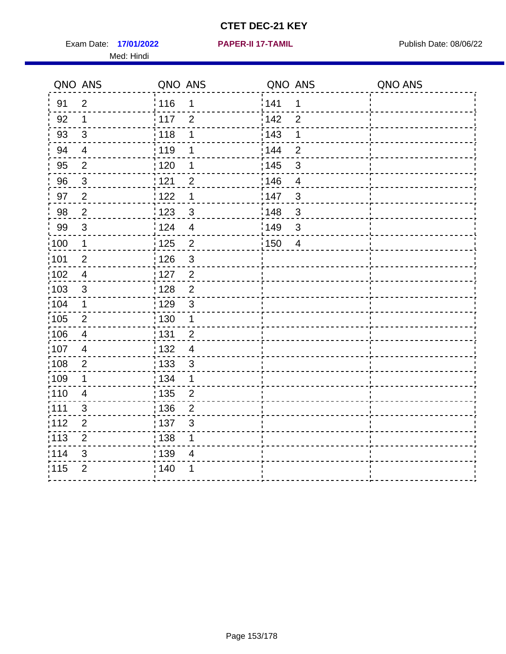Exam Date: 17/01/2022 **PAPER-II 17-TAMIL Exam Date: 08/06/22** Med: Hindi

**17/01/2022 PAPER-II 17-TAMIL**

|                   | QNO ANS        | QNO ANS                          | QNO ANS                | QNO ANS |
|-------------------|----------------|----------------------------------|------------------------|---------|
| 91                | $\overline{2}$ | 116<br>1                         | 1141<br>1              |         |
| 92                | $\mathbf 1$    | 117<br>$\overline{2}$            | 142<br>$\overline{2}$  |         |
| 93                | $\sqrt{3}$     | 118<br>1                         | 143<br>1               |         |
| 94                | $\overline{4}$ | : 119<br>1                       | 144<br>$\overline{2}$  |         |
| 95                | 2              | : 120<br>1                       | : 145<br>3             |         |
| 96                | $\mathfrak{S}$ | 121<br>$\overline{2}$            | :146<br>$\overline{4}$ |         |
| 97                | $\overline{2}$ | 122<br>$\mathbf 1$               | 147<br>$\mathfrak{S}$  |         |
| $98\,$            | $\mathbf 2$    | 123<br>$\mathbf{3}$              | 148<br>$\mathfrak{3}$  |         |
| 99                | $\sqrt{3}$     | 124<br>$\overline{\mathbf{4}}$   | 149<br>$\sqrt{3}$      |         |
| $\frac{1}{1}$ 100 | $\mathbf{1}$   | 125<br>$\overline{2}$            | 150<br>$\overline{4}$  |         |
| 101               | $\overline{2}$ | : 126<br>3                       |                        |         |
| 102               | $\overline{4}$ | : 127<br>$\overline{2}$          |                        |         |
| ;103              | $\mathbf{3}$   | $\overline{2}$<br>:128           |                        |         |
| 104               | $\mathbf 1$    | : 129<br>$\mathbf{3}$            |                        |         |
| 105               | $\sqrt{2}$     | $\frac{1}{1}$ 130<br>$\mathbf 1$ |                        |         |
| ;106              | 4              | : 131<br>$\overline{2}$          |                        |         |
| 107               | $\overline{4}$ | $\overline{4}$<br>:132           |                        |         |
| :108              | $\overline{2}$ | : 133<br>$\sqrt{3}$              |                        |         |
| :109              | $\mathbf 1$    | : 134<br>$\mathbf{1}$            |                        |         |
| 110               | $\overline{4}$ | : 135<br>$\overline{2}$          |                        |         |
| 111               | 3              | : 136<br>$\boldsymbol{2}$        |                        |         |
| 112               | $\overline{2}$ | : 137<br>$\sqrt{3}$              |                        |         |
| 113               | $\overline{2}$ | : 138<br>1                       |                        |         |
| 114               | 3              | : 139<br>4                       |                        |         |
| 115               | $\overline{2}$ | 140<br>1                         |                        |         |
|                   |                |                                  |                        |         |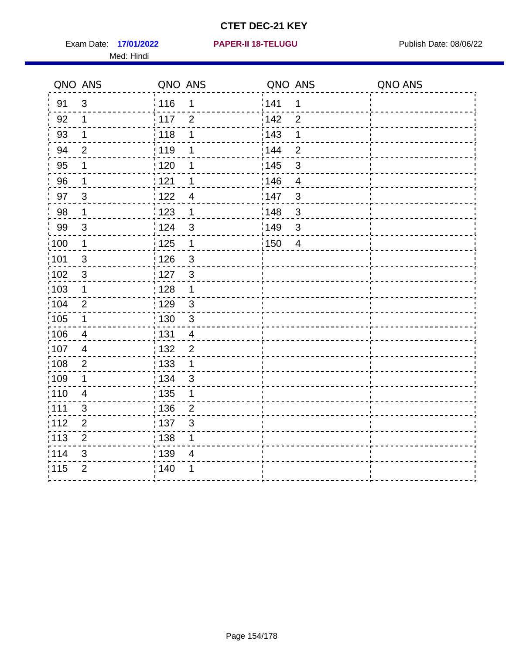Exam Date: 17/01/2022 **PAPER-II 18-TELUGU** PUBLISH Date: 08/06/22 Med: Hindi

**17/01/2022 PAPER-II 18-TELUGU**

|                  | QNO ANS        | QNO ANS                                        | QNO ANS                 | QNO ANS |
|------------------|----------------|------------------------------------------------|-------------------------|---------|
| 91               | $\mathbf{3}$   | 116<br>$\mathbf 1$                             | 1141<br>1               |         |
| 92               | $\mathbf 1$    | 117<br>$\overline{2}$                          | 142<br>$\overline{2}$   |         |
| 93               | $\mathbf 1$    | 118<br>1                                       | 143<br>1                |         |
| 94               | $\overline{2}$ | 119<br>1                                       | : 144<br>$\overline{2}$ |         |
| 95               | 1              | : 120<br>1                                     | : 145<br>$\mathfrak{B}$ |         |
| 96               | $\mathbf 1$    | 121<br>1                                       | 146<br>$\overline{4}$   |         |
| 97               | $\mathfrak{B}$ | 122<br>$\overline{4}$                          | 147<br>$\mathfrak{B}$   |         |
| 98               | $\mathbf{1}$   | 123<br>$\mathbf{1}$                            | 148<br>$\sqrt{3}$       |         |
| 99               | $\sqrt{3}$     | 124<br>$\mathfrak{S}$                          | :149<br>$\mathsf 3$     |         |
| $\frac{1}{2}100$ | $\mathbf 1$    | 125<br>$\mathbf{1}$                            | 150<br>$\overline{4}$   |         |
| :101             | $\sqrt{3}$     | $\frac{1}{1}$ 126<br>$\ensuremath{\mathsf{3}}$ |                         |         |
| 102              | $\mathfrak{3}$ | : 127<br>$\mathbf{3}$                          |                         |         |
| 103              | $\mathbf 1$    | :128<br>$\mathbf 1$                            |                         |         |
| 104              | 2              | : 129<br>$\sqrt{3}$                            |                         |         |
| 105              | $\mathbf 1$    | 130<br>$\mathbf{3}$                            |                         |         |
| :106             | 4              | : 131<br>$\overline{4}$                        |                         |         |
| 107              | $\overline{4}$ | $\overline{2}$<br>:132                         |                         |         |
| 108              | $\sqrt{2}$     | : 133<br>$\mathbf{1}$                          |                         |         |
| :109             | $\mathbf 1$    | : 134<br>3                                     |                         |         |
| : 110            | $\overline{4}$ | : 135<br>1                                     |                         |         |
| 111              | 3              | : 136<br>$\overline{2}$                        |                         |         |
| 112              | $\mathbf 2$    | 137<br>3                                       |                         |         |
| 113              | $\mathbf 2$    | : 138<br>1                                     |                         |         |
| 114              | 3              | : 139<br>4                                     |                         |         |
| 115              | $\overline{2}$ | 140<br>1                                       |                         |         |
|                  |                |                                                |                         |         |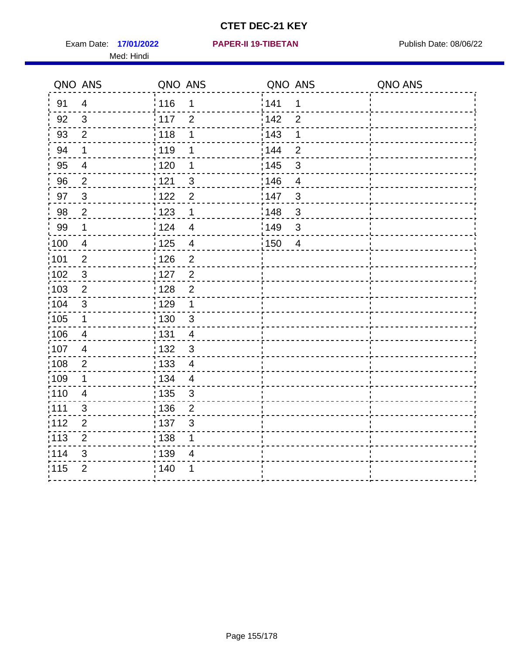Exam Date: 17/01/2022 **PAPER-II 19-TIBETAN** Publish Date: 08/06/22 Med: Hindi

**17/01/2022 PAPER-II 19-TIBETAN**

|       | QNO ANS        | QNO ANS                            | QNO ANS                 | QNO ANS |
|-------|----------------|------------------------------------|-------------------------|---------|
| 91    | $\overline{4}$ | 116<br>1                           | 141<br>$\mathbf 1$      |         |
| 92    | $\mathbf{3}$   | 117<br>$\overline{2}$              | 142<br>$\overline{2}$   |         |
| 93    | $\overline{2}$ | 118<br>1                           | 143<br>1                |         |
| 94    | $\mathbf 1$    | : 119<br>1                         | : 144<br>$\overline{2}$ |         |
| 95    | 4              | :120<br>1                          | : 145<br>3              |         |
| 96    | $\overline{2}$ | 121<br>$\mathbf{3}$                | 146<br>$\overline{4}$   |         |
| 97    | $\mathbf{3}$   | 122<br>$\overline{2}$              | :147<br>$\mathbf{3}$    |         |
| 98    | $\overline{c}$ | 123<br>$\mathbf 1$                 | 148<br>$\sqrt{3}$       |         |
| 99    | $\mathbf 1$    | : 124<br>$\overline{\mathcal{A}}$  | :149<br>$\sqrt{3}$      |         |
| :100  | $\overline{4}$ | 125<br>$\overline{4}$              | 150<br>$\overline{4}$   |         |
| :101  | $\overline{2}$ | : 126<br>$\mathbf 2$               |                         |         |
| 102   | $\mathbf{3}$   | : 127<br>2                         |                         |         |
| 103   | $\overline{2}$ | $\overline{2}$<br>: 128            |                         |         |
| 104   | $\mathbf{3}$   | : 129<br>$\mathbf 1$               |                         |         |
| 105   | $\mathbf{1}$   | 130<br>$\mathbf{3}$                |                         |         |
| :106  | $\overline{4}$ | : 131<br>4                         |                         |         |
| ;107  | 4              | $\mathbf{3}$<br>: 132              |                         |         |
| 108   | $\overline{2}$ | : 133<br>$\overline{\mathcal{A}}$  |                         |         |
| :109  | $\mathbf 1$    | : 134<br>$\overline{4}$            |                         |         |
| 110   | $\overline{4}$ | : 135<br>$\mathfrak{B}$            |                         |         |
| : 111 | $\mathfrak{S}$ | : 136<br>$\overline{2}$            |                         |         |
| 112   | $\mathbf 2$    | : 137<br>$\ensuremath{\mathsf{3}}$ |                         |         |
| 113   | $\mathbf 2$    | 138<br>1                           |                         |         |
| 114   | 3              | : 139<br>4                         |                         |         |
| 115   | $\overline{2}$ | 140<br>1                           |                         |         |
|       |                |                                    |                         |         |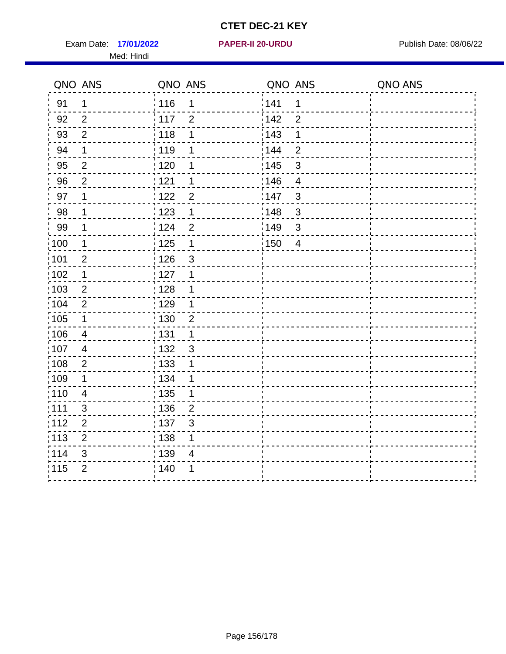Exam Date: 17/01/2022 **PAPER-II 20-URDU Exam Date: 08/06/22** Med: Hindi

**17/01/2022 PAPER-II 20-URDU**

|        | QNO ANS        | QNO ANS                             | QNO ANS                           | QNO ANS |
|--------|----------------|-------------------------------------|-----------------------------------|---------|
| 91     | 1              | 116<br>1                            | 141<br>$\mathbf 1$                |         |
| 92     | $\overline{2}$ | $\frac{1}{2}$ 117<br>$\overline{2}$ | 142<br>$\overline{2}$             |         |
| 93     | $\overline{2}$ | 118<br>1                            | 143<br>1                          |         |
| 94     | 1              | : 119<br>1                          | 144<br>$\overline{2}$             |         |
| 95     | $\overline{2}$ | : 120<br>1                          | : 145<br>3                        |         |
| 96     | $\overline{2}$ | 121<br>1                            | 146<br>$\overline{4}$             |         |
| 97     | 1              | 122<br>$\overline{2}$               | 147<br>$\mathfrak{S}$             |         |
| $98\,$ | 1              | 123<br>$\mathbf 1$                  | $\frac{1}{2}$ 148<br>$\mathbf{3}$ |         |
| 99     | 1              | 124<br>$\overline{2}$               | :149<br>$\mathbf{3}$              |         |
| 100    | 1              | 125<br>$\mathbf{1}$                 | 150<br>$\overline{4}$             |         |
| :101   | $\overline{c}$ | 126<br>$\mathfrak{S}$               |                                   |         |
| 102    | 1              | : 127<br>1                          |                                   |         |
| 103    | $\overline{2}$ | 128<br>1                            |                                   |         |
| :104   | $\overline{2}$ | : 129<br>1                          |                                   |         |
| 105    | $\mathbf 1$    | : 130<br>$\overline{2}$             |                                   |         |
| 106    | $\overline{4}$ | : 131<br>$\mathbf 1$                |                                   |         |
| :107   | $\overline{4}$ | : 132<br>$\mathfrak{S}$             |                                   |         |
| 108    | $\sqrt{2}$     | $\frac{1}{1}$ 133<br>1              |                                   |         |
| :109   | $\mathbf 1$    | : 134<br>1                          |                                   |         |
| :110   | $\overline{4}$ | : 135<br>1                          |                                   |         |
| : 111  | $\mathfrak{S}$ | : 136<br>$\boldsymbol{2}$           |                                   |         |
| 112    | $\overline{2}$ | 137<br>$\mathfrak{B}$               |                                   |         |
| : 113  | $\overline{2}$ | 138<br>1                            |                                   |         |
| 114    | 3              | 139<br>4                            |                                   |         |
| 115    | $\overline{2}$ | : 140<br>1                          |                                   |         |
|        |                |                                     |                                   |         |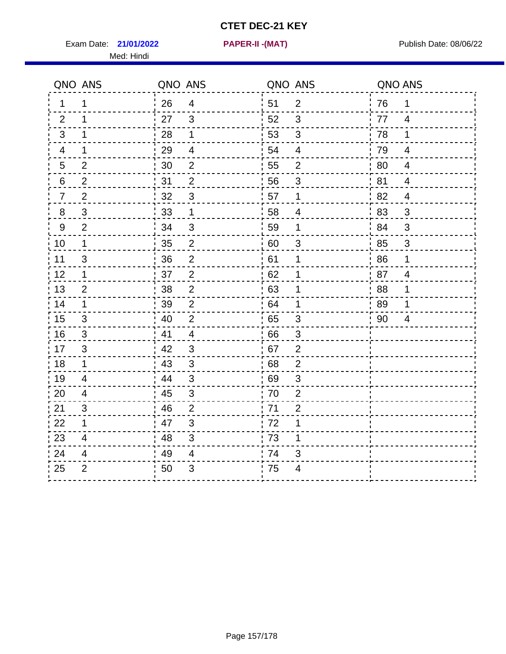Exam Date: 21/01/2022 **PAPER-II-(MAT)** Pressure Publish Date: 08/06/22 Med: Hindi

**21/01/2022 PAPER-II -(MAT)**

| QNO ANS        |                | QNO ANS |                          | QNO ANS |                           | QNO ANS |                |
|----------------|----------------|---------|--------------------------|---------|---------------------------|---------|----------------|
| 1.             | 1              | 26      | $\overline{4}$           | 51      | 2                         | 76      | $\mathbf 1$    |
| 2              | 1              | 27      | 3                        | 52      | 3                         | 77      | $\overline{4}$ |
| 3              | 1              | 28      | 1                        | 53      | 3                         | 78      | 1              |
| 4              | 1              | 29      | $\overline{\mathcal{A}}$ | 54      | $\overline{4}$            | 79      | 4              |
| 5              | $\overline{2}$ | 30      | $\mathbf 2$              | 55      | $\overline{c}$            | 80      | $\overline{4}$ |
| 6              | $\overline{2}$ | 31      | $\overline{2}$           | 56      | 3                         | 81      | 4              |
| $\overline{7}$ | 2              | 32      | $\mathbf{3}$             | 57      | $\mathbf 1$               | 82      | 4              |
| 8              | 3              | 33      | $\mathbf 1$              | 58      | 4                         | 83      | 3              |
| 9              | $\overline{2}$ | 34      | $\mathfrak{S}$           | 59      | $\mathbf 1$               | 84      | 3              |
| 10             | $\mathbf 1$    | 35      | $\overline{c}$           | 60      | $\sqrt{3}$                | 85      | $\mathfrak{S}$ |
| 11             | $\mathfrak{B}$ | 36      | $\overline{2}$           | 61      | $\mathbf 1$               | 86      | 1              |
| 12             | $\mathbf 1$    | 37      | $\mathbf 2$              | 62      | 1                         | 87      | $\overline{4}$ |
| 13             | 2              | 38      | $\overline{2}$           | 63      | 1                         | 88      | 1              |
| 14             | 1              | 39      | 2                        | 64      | 1                         | 89      | 1              |
| 15             | 3              | 40      | 2                        | 65      | $\mathfrak{S}$            | 90      | 4              |
| 16             | 3              | 41      | $\overline{4}$           | 66      | $\mathfrak{S}$            |         |                |
| 17             | 3              | 42      | 3                        | 67      | $\overline{2}$            |         |                |
| 18             | $\mathbf 1$    | 43      | 3                        | 68      | $\overline{2}$            |         |                |
| 19             | $\overline{4}$ | 44      | $\mathfrak{S}$           | 69      | $\ensuremath{\mathsf{3}}$ |         |                |
| 20             | 4              | 45      | $\mathbf{3}$             | 70      | $\overline{2}$            |         |                |
| 21             | 3              | 46      | 2                        | 71      | $\overline{2}$            |         |                |
| 22             | $\mathbf 1$    | 47      | $\mathfrak{B}$           | 72      | $\mathbf 1$               |         |                |
| 23             | 4              | 48      | $\mathfrak{S}$           | 73      | 1                         |         |                |
| 24             | 4              | 49      | $\overline{4}$           | 74      | 3                         |         |                |
| 25             | $\overline{2}$ | 50      | 3                        | 75      | 4                         |         |                |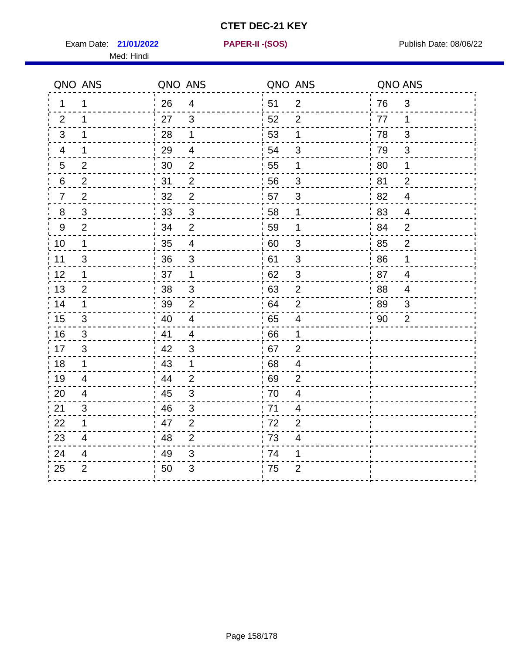Exam Date: **21/01/2022 PAPER-II - (SOS)** PUBLISH Date: 08/06/22 Med: Hindi

**21/01/2022 PAPER-II -(SOS)**

| 26<br>51<br>$\overline{2}$<br>3<br>$\overline{4}$<br>76<br>1<br>1<br>27<br>3<br>52<br>77<br>2<br>2<br>1<br>1<br>28<br>1<br>53<br>1<br>78<br>3<br>3<br>1<br>29<br>54<br>79<br>$\overline{\mathbf{4}}$<br>$\mathfrak{B}$<br>$\mathfrak{S}$<br>4<br>1<br>30<br>$\mathbf{2}$<br>55<br>80<br>$\overline{2}$<br>1<br>$\overline{5}$<br>1<br>31<br>81<br>$\overline{2}$<br>56<br>$\overline{2}$<br>6<br>$\overline{2}$<br>3<br>$\overline{2}$<br>32<br>$\overline{2}$<br>57<br>3<br>82<br>$\overline{4}$<br>$\overline{7}$<br>$\mathfrak{S}$<br>$\mathsf 3$<br>33<br>58<br>1<br>8<br>83<br>$\overline{4}$<br>59<br>34<br>$\overline{2}$<br>9<br>2<br>1<br>84<br>$\overline{2}$<br>35<br>10<br>$\overline{4}$<br>60<br>$\sqrt{3}$<br>$\overline{2}$<br>$\mathbf 1$<br>85<br>36<br>$\mathbf{3}$<br>61<br>11<br>3<br>$\mathfrak{S}$<br>86<br>1<br>12<br>37<br>62<br>$\ensuremath{\mathsf{3}}$<br>87<br>$\mathbf 1$<br>1<br>$\overline{4}$<br>38<br>63<br>88<br>13<br>$\mathfrak{S}$<br>$\overline{2}$<br>$\overline{2}$<br>4<br>39<br>64<br>89<br>14<br>2<br>1<br>$\overline{2}$<br>3<br>40<br>65<br>15<br>$\overline{4}$<br>$\overline{\mathbf{4}}$<br>90<br>$\overline{2}$<br>3<br>41<br>16<br>66<br>3<br>$\overline{4}$<br>1<br>42<br>67<br>17<br>3<br>3<br>$\overline{2}$<br>18<br>43<br>68<br>$\mathbf 1$<br>$\mathbf 1$<br>$\overline{4}$<br>44<br>69<br>19<br>$\overline{2}$<br>4<br>$\overline{2}$<br>$\mathbf{3}$<br>20<br>45<br>70<br>$\overline{\mathbf{4}}$<br>4<br>46<br>71<br>21<br>3<br>3<br>$\overline{4}$<br>47<br>$\overline{2}$<br>72<br>22<br>$\mathbf 1$<br>$\overline{2}$<br>23<br>48<br>$\overline{2}$<br>73<br>$\overline{\mathcal{A}}$<br>4 |    | QNO ANS | QNO ANS |                | QNO ANS |   | QNO ANS |  |
|------------------------------------------------------------------------------------------------------------------------------------------------------------------------------------------------------------------------------------------------------------------------------------------------------------------------------------------------------------------------------------------------------------------------------------------------------------------------------------------------------------------------------------------------------------------------------------------------------------------------------------------------------------------------------------------------------------------------------------------------------------------------------------------------------------------------------------------------------------------------------------------------------------------------------------------------------------------------------------------------------------------------------------------------------------------------------------------------------------------------------------------------------------------------------------------------------------------------------------------------------------------------------------------------------------------------------------------------------------------------------------------------------------------------------------------------------------------------------------------------------------------------------------------------------------------------------------------------------------------------------------------------------------|----|---------|---------|----------------|---------|---|---------|--|
|                                                                                                                                                                                                                                                                                                                                                                                                                                                                                                                                                                                                                                                                                                                                                                                                                                                                                                                                                                                                                                                                                                                                                                                                                                                                                                                                                                                                                                                                                                                                                                                                                                                            |    |         |         |                |         |   |         |  |
|                                                                                                                                                                                                                                                                                                                                                                                                                                                                                                                                                                                                                                                                                                                                                                                                                                                                                                                                                                                                                                                                                                                                                                                                                                                                                                                                                                                                                                                                                                                                                                                                                                                            |    |         |         |                |         |   |         |  |
|                                                                                                                                                                                                                                                                                                                                                                                                                                                                                                                                                                                                                                                                                                                                                                                                                                                                                                                                                                                                                                                                                                                                                                                                                                                                                                                                                                                                                                                                                                                                                                                                                                                            |    |         |         |                |         |   |         |  |
|                                                                                                                                                                                                                                                                                                                                                                                                                                                                                                                                                                                                                                                                                                                                                                                                                                                                                                                                                                                                                                                                                                                                                                                                                                                                                                                                                                                                                                                                                                                                                                                                                                                            |    |         |         |                |         |   |         |  |
|                                                                                                                                                                                                                                                                                                                                                                                                                                                                                                                                                                                                                                                                                                                                                                                                                                                                                                                                                                                                                                                                                                                                                                                                                                                                                                                                                                                                                                                                                                                                                                                                                                                            |    |         |         |                |         |   |         |  |
|                                                                                                                                                                                                                                                                                                                                                                                                                                                                                                                                                                                                                                                                                                                                                                                                                                                                                                                                                                                                                                                                                                                                                                                                                                                                                                                                                                                                                                                                                                                                                                                                                                                            |    |         |         |                |         |   |         |  |
|                                                                                                                                                                                                                                                                                                                                                                                                                                                                                                                                                                                                                                                                                                                                                                                                                                                                                                                                                                                                                                                                                                                                                                                                                                                                                                                                                                                                                                                                                                                                                                                                                                                            |    |         |         |                |         |   |         |  |
|                                                                                                                                                                                                                                                                                                                                                                                                                                                                                                                                                                                                                                                                                                                                                                                                                                                                                                                                                                                                                                                                                                                                                                                                                                                                                                                                                                                                                                                                                                                                                                                                                                                            |    |         |         |                |         |   |         |  |
|                                                                                                                                                                                                                                                                                                                                                                                                                                                                                                                                                                                                                                                                                                                                                                                                                                                                                                                                                                                                                                                                                                                                                                                                                                                                                                                                                                                                                                                                                                                                                                                                                                                            |    |         |         |                |         |   |         |  |
|                                                                                                                                                                                                                                                                                                                                                                                                                                                                                                                                                                                                                                                                                                                                                                                                                                                                                                                                                                                                                                                                                                                                                                                                                                                                                                                                                                                                                                                                                                                                                                                                                                                            |    |         |         |                |         |   |         |  |
|                                                                                                                                                                                                                                                                                                                                                                                                                                                                                                                                                                                                                                                                                                                                                                                                                                                                                                                                                                                                                                                                                                                                                                                                                                                                                                                                                                                                                                                                                                                                                                                                                                                            |    |         |         |                |         |   |         |  |
|                                                                                                                                                                                                                                                                                                                                                                                                                                                                                                                                                                                                                                                                                                                                                                                                                                                                                                                                                                                                                                                                                                                                                                                                                                                                                                                                                                                                                                                                                                                                                                                                                                                            |    |         |         |                |         |   |         |  |
|                                                                                                                                                                                                                                                                                                                                                                                                                                                                                                                                                                                                                                                                                                                                                                                                                                                                                                                                                                                                                                                                                                                                                                                                                                                                                                                                                                                                                                                                                                                                                                                                                                                            |    |         |         |                |         |   |         |  |
|                                                                                                                                                                                                                                                                                                                                                                                                                                                                                                                                                                                                                                                                                                                                                                                                                                                                                                                                                                                                                                                                                                                                                                                                                                                                                                                                                                                                                                                                                                                                                                                                                                                            |    |         |         |                |         |   |         |  |
|                                                                                                                                                                                                                                                                                                                                                                                                                                                                                                                                                                                                                                                                                                                                                                                                                                                                                                                                                                                                                                                                                                                                                                                                                                                                                                                                                                                                                                                                                                                                                                                                                                                            |    |         |         |                |         |   |         |  |
|                                                                                                                                                                                                                                                                                                                                                                                                                                                                                                                                                                                                                                                                                                                                                                                                                                                                                                                                                                                                                                                                                                                                                                                                                                                                                                                                                                                                                                                                                                                                                                                                                                                            |    |         |         |                |         |   |         |  |
|                                                                                                                                                                                                                                                                                                                                                                                                                                                                                                                                                                                                                                                                                                                                                                                                                                                                                                                                                                                                                                                                                                                                                                                                                                                                                                                                                                                                                                                                                                                                                                                                                                                            |    |         |         |                |         |   |         |  |
|                                                                                                                                                                                                                                                                                                                                                                                                                                                                                                                                                                                                                                                                                                                                                                                                                                                                                                                                                                                                                                                                                                                                                                                                                                                                                                                                                                                                                                                                                                                                                                                                                                                            |    |         |         |                |         |   |         |  |
|                                                                                                                                                                                                                                                                                                                                                                                                                                                                                                                                                                                                                                                                                                                                                                                                                                                                                                                                                                                                                                                                                                                                                                                                                                                                                                                                                                                                                                                                                                                                                                                                                                                            |    |         |         |                |         |   |         |  |
|                                                                                                                                                                                                                                                                                                                                                                                                                                                                                                                                                                                                                                                                                                                                                                                                                                                                                                                                                                                                                                                                                                                                                                                                                                                                                                                                                                                                                                                                                                                                                                                                                                                            |    |         |         |                |         |   |         |  |
|                                                                                                                                                                                                                                                                                                                                                                                                                                                                                                                                                                                                                                                                                                                                                                                                                                                                                                                                                                                                                                                                                                                                                                                                                                                                                                                                                                                                                                                                                                                                                                                                                                                            |    |         |         |                |         |   |         |  |
|                                                                                                                                                                                                                                                                                                                                                                                                                                                                                                                                                                                                                                                                                                                                                                                                                                                                                                                                                                                                                                                                                                                                                                                                                                                                                                                                                                                                                                                                                                                                                                                                                                                            |    |         |         |                |         |   |         |  |
|                                                                                                                                                                                                                                                                                                                                                                                                                                                                                                                                                                                                                                                                                                                                                                                                                                                                                                                                                                                                                                                                                                                                                                                                                                                                                                                                                                                                                                                                                                                                                                                                                                                            |    |         |         |                |         |   |         |  |
|                                                                                                                                                                                                                                                                                                                                                                                                                                                                                                                                                                                                                                                                                                                                                                                                                                                                                                                                                                                                                                                                                                                                                                                                                                                                                                                                                                                                                                                                                                                                                                                                                                                            | 24 | 4       | 49      | $\mathfrak{S}$ | 74      | 1 |         |  |
| 25<br>$\overline{2}$<br>3<br>$\overline{2}$<br>50<br>' 75                                                                                                                                                                                                                                                                                                                                                                                                                                                                                                                                                                                                                                                                                                                                                                                                                                                                                                                                                                                                                                                                                                                                                                                                                                                                                                                                                                                                                                                                                                                                                                                                  |    |         |         |                |         |   |         |  |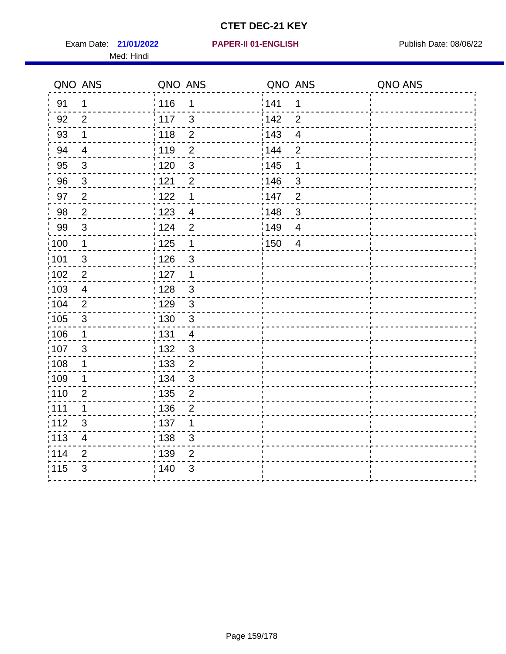Exam Date: 21/01/2022 **PAPER-II 01-ENGLISH Product by Publish Date: 08/06/22** Med: Hindi

**21/01/2022 PAPER-II 01-ENGLISH**

|       | QNO ANS                  | QNO ANS           |                | QNO ANS           |                | QNO ANS |
|-------|--------------------------|-------------------|----------------|-------------------|----------------|---------|
| 91    | $\mathbf{1}$             | 116               | 1              | 141               | 1              |         |
| 92    | $\overline{2}$           | 117               | $\mathbf{3}$   | 142               | $\overline{2}$ |         |
| 93    | $\mathbf 1$              | 118               | $\mathbf{2}$   | 143               | $\overline{4}$ |         |
| 94    | $\overline{4}$           | : 119             | $\overline{2}$ | 144               | $\overline{2}$ |         |
| 95    | $\mathbf{3}$             | : 120             | $\mathbf{3}$   | : 145             | 1              |         |
| 96    | 3                        | 121               | $\overline{2}$ | 146               | 3              |         |
| 97    | $\overline{2}$           | 122               | 1              | 147               | $\overline{2}$ |         |
| 98    | $\overline{2}$           | $\frac{1}{2}$ 123 | $\overline{4}$ | $\frac{1}{2}$ 148 | $\mathfrak{B}$ |         |
| 99    | $\sqrt{3}$               | 124               | $\overline{2}$ | :149              | $\overline{4}$ |         |
| :100  | $\mathbf{1}$             | $\frac{1}{1}$ 125 | $\mathbf 1$    | 150               | $\overline{4}$ |         |
| :101  | $\sqrt{3}$               | : 126             | $\mathfrak{S}$ |                   |                |         |
| 102   | $\overline{2}$           | : 127             | $\mathbf{1}$   |                   |                |         |
| 103   | $\overline{4}$           | : 128             | $\mathbf{3}$   |                   |                |         |
| :104  | 2                        | $\frac{1}{1}$ 129 | $\mathbf{3}$   |                   |                |         |
| 105   | $\sqrt{3}$               | : 130             | $\mathfrak{S}$ |                   |                |         |
| :106  | $\mathbf 1$              | : 131             | 4              |                   |                |         |
| 107   | $\mathfrak{B}$           | 132               | $\mathbf{3}$   |                   |                |         |
| 108   | $\mathbf 1$              | : 133             | $\overline{2}$ |                   |                |         |
| :109  | 1                        | : 134             | $\mathbf{3}$   |                   |                |         |
| :110  | $\overline{2}$           | : 135             | $\overline{2}$ |                   |                |         |
| :111  | $\mathbf 1$              | : 136             | $\overline{2}$ |                   |                |         |
| 112   | $\mathfrak{S}$           | : 137             | 1              |                   |                |         |
| : 113 | $\overline{\mathcal{A}}$ | : 138             | 3              |                   |                |         |
| 114   | 2                        | 139               | 2              |                   |                |         |
| 115   | 3                        | 140               | $\mathfrak{B}$ |                   |                |         |
|       |                          |                   |                |                   |                |         |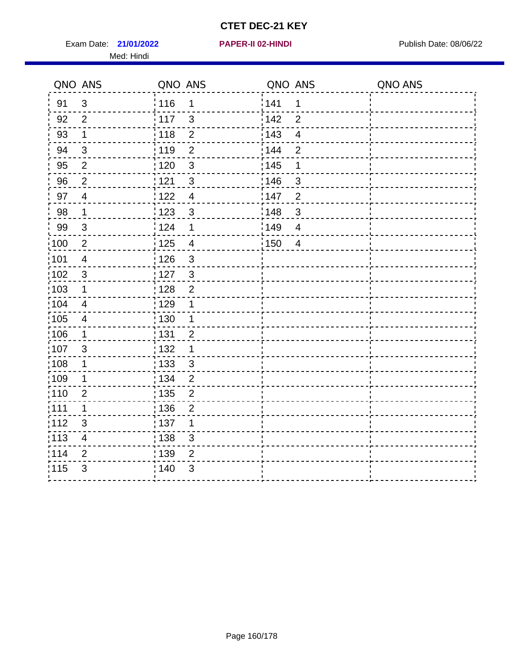Exam Date: 21/01/2022 **PAPER-II 02-HINDI Exam Date: 08/06/22** Med: Hindi

**21/01/2022 PAPER-II 02-HINDI**

|                   | QNO ANS                  | QNO ANS           |                  | QNO ANS |                          | QNO ANS |
|-------------------|--------------------------|-------------------|------------------|---------|--------------------------|---------|
| 91                | $\mathfrak{S}$           | 116               | $\mathbf 1$      | 141     | 1                        |         |
| 92                | $\overline{2}$           | 117               | $\mathfrak{S}$   | 142     | $\overline{2}$           |         |
| 93                | $\mathbf 1$              | 118               | $\overline{2}$   | 143     | $\overline{\mathbf{4}}$  |         |
| 94                | 3                        | : 119             | $\overline{2}$   | 144     | $\overline{2}$           |         |
| 95                | $\overline{2}$           | :120              | $\mathbf{3}$     | : 145   | 1                        |         |
| 96                | $\overline{2}$           | 121               | $\sqrt{3}$       | :146    | $\mathfrak{B}$           |         |
| 97                | $\overline{\mathcal{A}}$ | 122               | $\overline{4}$   | 147     | $\overline{2}$           |         |
| 98                | $\mathbf{1}$             | 123               | $\mathbf{3}$     | 148     | $\sqrt{3}$               |         |
| 99                | $\sqrt{3}$               | : 124             | $\mathbf 1$      | 149¦    | $\overline{\mathcal{A}}$ |         |
| 100               | $\overline{2}$           | 125               | $\overline{4}$   | 150     | $\overline{4}$           |         |
| 101               | $\overline{4}$           | : 126             | 3                |         |                          |         |
| 102               | 3                        | : 127             | $\mathbf{3}$     |         |                          |         |
| ;103              | $\mathbf 1$              | 128               | $\overline{2}$   |         |                          |         |
| 104               | $\overline{4}$           | : 129             | 1                |         |                          |         |
| $\frac{1}{1}$ 105 | $\overline{4}$           | : 130             | $\mathbf 1$      |         |                          |         |
| ;106              | $\mathbf 1$              | : 131             | $\overline{2}$   |         |                          |         |
| :107              | 3                        | : 132             | $\mathbf 1$      |         |                          |         |
| 108               | $\mathbf 1$              | $\frac{1}{1}$ 133 | $\mathbf{3}$     |         |                          |         |
| :109              | $\mathbf 1$              | : 134             | $\overline{2}$   |         |                          |         |
| :110              | $\overline{2}$           | : 135             | $\overline{2}$   |         |                          |         |
| :111              | $\mathbf 1$              | : 136             | $\boldsymbol{2}$ |         |                          |         |
| 112               | $\sqrt{3}$               | 137               | 1                |         |                          |         |
| 113               | $\overline{\mathcal{A}}$ | : 138             | 3                |         |                          |         |
| 114               | 2                        | : 139             | 2                |         |                          |         |
| 115               | 3                        | 140               | $\sqrt{3}$       |         |                          |         |
|                   |                          |                   |                  |         |                          |         |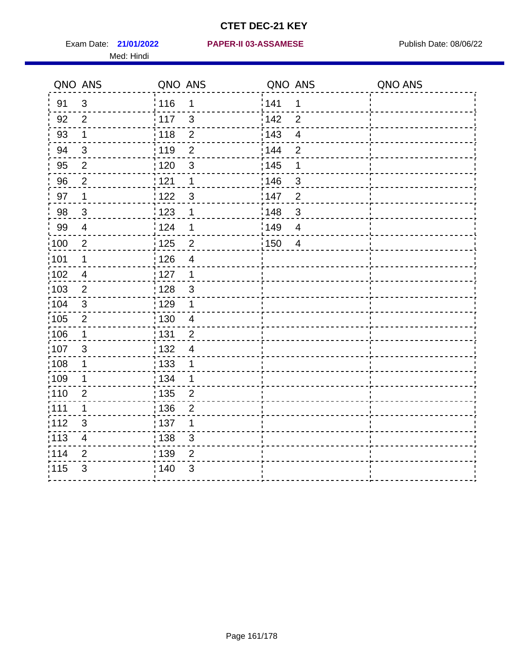Med: Hindi

**21/01/2022 PAPER-II 03-ASSAMESE** Exam Date: Publish Date: 08/06/22

|                   | QNO ANS                  | QNO ANS                             | QNO ANS                        | QNO ANS |
|-------------------|--------------------------|-------------------------------------|--------------------------------|---------|
| 91                | $\mathfrak{3}$           | 116<br>$\mathbf 1$                  | 1141<br>$\mathbf 1$            |         |
| 92                | $\overline{2}$           | 117<br>$\mathbf{3}$                 | 142<br>$\overline{2}$          |         |
| 93                | $\mathbf 1$              | 118<br>$\sqrt{2}$                   | 143<br>$\overline{\mathbf{4}}$ |         |
| 94                | $\mathfrak{B}$           | : 119<br>$\overline{2}$             | : 144<br>$\overline{2}$        |         |
| 95                | 2                        | :120<br>3                           | : 145<br>1                     |         |
| 96                | $\overline{2}$           | 121<br>1                            | :146<br>$\mathfrak{S}$         |         |
| 97                | $\mathbf 1$              | 122<br>$\mathbf{3}$                 | 147<br>$\overline{2}$          |         |
| 98                | $\mathbf{3}$             | $\frac{1}{2}$ 123<br>1              | 148<br>$\sqrt{3}$              |         |
| 99                | $\overline{4}$           | 124<br>$\mathbf 1$                  | :149<br>$\overline{4}$         |         |
| $\frac{1}{1}$ 100 | $\overline{2}$           | $\frac{1}{1}$ 125<br>$\overline{2}$ | 150<br>$\overline{4}$          |         |
| :101              | $\mathbf 1$              | : 126<br>$\overline{\mathcal{A}}$   |                                |         |
| 102               | $\overline{4}$           | 127<br>$\mathbf 1$                  |                                |         |
| 103               | $\overline{2}$           | : 128<br>$\mathbf{3}$               |                                |         |
| 104               | $\mathbf{3}$             | : 129<br>$\mathbf 1$                |                                |         |
| 105               | $\sqrt{2}$               | $\frac{1}{1}$ 130<br>$\overline{4}$ |                                |         |
| :106              | $\mathbf{1}$             | : 131<br>$\overline{2}$             |                                |         |
| 107               | $\mathbf{3}$             | :132<br>$\overline{4}$              |                                |         |
| 108               | $\mathbf{1}$             | : 133<br>$\mathbf 1$                |                                |         |
| :109              | $\mathbf{1}$             | : 134<br>$\mathbf 1$                |                                |         |
| :110              | $\overline{2}$           | : 135<br>$\overline{2}$             |                                |         |
| ;111              | $\mathbf 1$              | : 136<br>$\overline{2}$             |                                |         |
| 112               | $\mathfrak{S}$           | : 137<br>1                          |                                |         |
| 113               | $\overline{\mathcal{A}}$ | : 138<br>$\sqrt{3}$                 |                                |         |
| 114               | $\overline{2}$           | : 139<br>$\overline{2}$             |                                |         |
| 115               | $\mathfrak{S}$           | 140<br>3                            |                                |         |
|                   |                          |                                     |                                |         |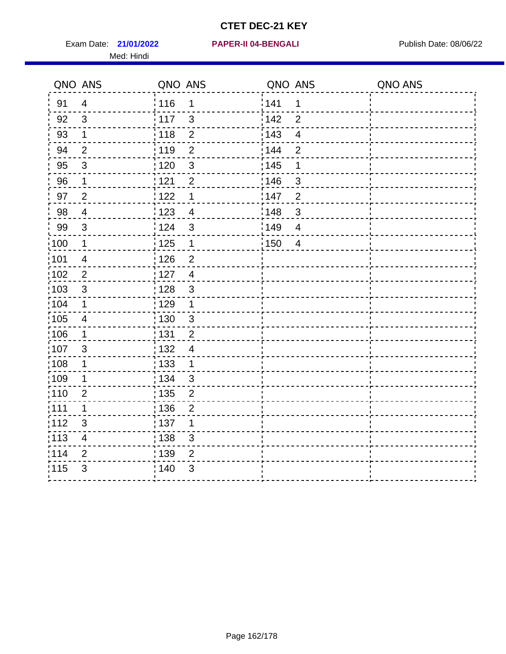Exam Date: 21/01/2022 **PAPER-II 04-BENGALI Exam Date: 08/06/22** Med: Hindi

**21/01/2022 PAPER-II 04-BENGALI**

|      | QNO ANS                  | QNO ANS           |                | QNO ANS |                         | QNO ANS |
|------|--------------------------|-------------------|----------------|---------|-------------------------|---------|
| 91   | $\overline{4}$           | 116               | $\mathbf 1$    | 1141    | 1                       |         |
| 92   | 3                        | $\frac{1}{2}$ 117 | $\mathfrak{3}$ | 142     | $\overline{2}$          |         |
| 93   | $\mathbf 1$              | 118               | $\overline{2}$ | 143     | $\overline{\mathbf{4}}$ |         |
| 94   | $\overline{2}$           | : 119             | $\overline{2}$ | 144     | $\overline{2}$          |         |
| 95   | $\mathfrak{S}$           | : 120             | 3              | : 145   | 1                       |         |
| 96   | $\mathbf{1}$             | 121               | $\overline{2}$ | :146    | $\mathfrak{S}$          |         |
| 97   | $\overline{2}$           | 122               | $\mathbf 1$    | 147     | $\overline{c}$          |         |
| 98   | $\overline{4}$           | 123               | $\overline{4}$ | 148     | $\sqrt{3}$              |         |
| 99   | $\sqrt{3}$               | 124               | $\sqrt{3}$     | 149     | $\overline{\mathbf{4}}$ |         |
| :100 | $\overline{\mathbf{1}}$  | 125               | $\mathbf{1}$   | 150     | $\overline{4}$          |         |
| :101 | $\overline{\mathbf{4}}$  | $\frac{1}{1}$ 126 | $\mathbf 2$    |         |                         |         |
| 102  | $\overline{2}$           | : 127             | $\overline{4}$ |         |                         |         |
| 103  | 3                        | : 128             | 3              |         |                         |         |
| 104  | $\mathbf 1$              | : 129             | $\mathbf 1$    |         |                         |         |
| 105  | $\overline{4}$           | $\frac{1}{1}$ 130 | $\mathbf{3}$   |         |                         |         |
| :106 | $\mathbf 1$              | : 131             | $\overline{2}$ |         |                         |         |
| 107  | 3                        | :132              | $\overline{4}$ |         |                         |         |
| 108  | $\mathbf 1$              | : 133             | $\mathbf{1}$   |         |                         |         |
| :109 | $\mathbf 1$              | : 134             | $\mathbf{3}$   |         |                         |         |
| :110 | 2                        | : 135             | $\overline{2}$ |         |                         |         |
| 111  | $\mathbf 1$              | : 136             | $\overline{c}$ |         |                         |         |
| 112  | $\sqrt{3}$               | 137               | 1              |         |                         |         |
| 113  | $\overline{\mathcal{A}}$ | : 138             | 3              |         |                         |         |
| 114  | 2                        | : 139             | 2              |         |                         |         |
| 115  | 3                        | 140               | $\mathfrak{B}$ |         |                         |         |
|      |                          |                   |                |         |                         |         |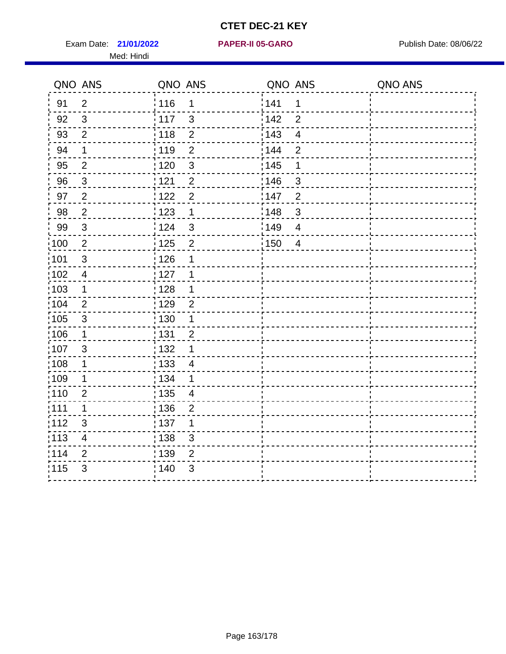Exam Date: 21/01/2022 **PAPER-II 05-GARO** Publish Date: 08/06/22 Med: Hindi

**21/01/2022 PAPER-II 05-GARO**

|       | QNO ANS                   | QNO ANS                             | QNO ANS                        | QNO ANS |
|-------|---------------------------|-------------------------------------|--------------------------------|---------|
| 91    | $\overline{2}$            | 116<br>$\mathbf 1$                  | 141<br>$\mathbf 1$             |         |
| 92    | $\mathfrak{S}$            | 117<br>$\mathfrak{S}$               | 142<br>$\overline{2}$          |         |
| 93    | $\overline{2}$            | $\overline{2}$<br>118               | 143<br>$\overline{\mathbf{4}}$ |         |
| 94    | $\mathbf 1$               | : 119<br>$\overline{2}$             | 144<br>$\overline{2}$          |         |
| 95    | $\overline{2}$            | :120<br>3                           | : 145<br>1                     |         |
| 96    | $\mathfrak{S}$            | 121<br>$\overline{2}$               | 146<br>$\mathfrak{S}$          |         |
| 97    | $\overline{2}$            | 122<br>$\overline{2}$               | :147<br>$\overline{2}$         |         |
| 98    | $\overline{2}$            | 123<br>$\mathbf 1$                  | 148<br>$\sqrt{3}$              |         |
| 99    | $\ensuremath{\mathsf{3}}$ | :124<br>$\mathbf{3}$                | :149<br>$\overline{4}$         |         |
| 100   | $\overline{2}$            | 125<br>$\mathbf{2}$                 | 150<br>$\overline{4}$          |         |
| :101  | $\sqrt{3}$                | : 126<br>1                          |                                |         |
| 102   | $\overline{4}$            | : 127<br>1                          |                                |         |
| 103   | $\mathbf 1$               | :128<br>$\mathbf 1$                 |                                |         |
| 104   | 2                         | : 129<br>$\overline{2}$             |                                |         |
| 105   | $\sqrt{3}$                | 130<br>$\mathbf 1$                  |                                |         |
| :106  | $\mathbf 1$               | : 131<br>$\overline{2}$             |                                |         |
| 107   | 3                         | 132<br>1                            |                                |         |
| 108   | $\mathbf 1$               | $\frac{1}{1}$ 133<br>$\overline{4}$ |                                |         |
| :109  | 1                         | : 134<br>$\mathbf 1$                |                                |         |
| :110  | $\overline{2}$            | : 135<br>4                          |                                |         |
| : 111 | $\mathbf 1$               | : 136<br>$\overline{2}$             |                                |         |
| 112   | $\sqrt{3}$                | : 137<br>1                          |                                |         |
| : 113 | $\overline{\mathbf{4}}$   | $\frac{1}{1}$ 138<br>3              |                                |         |
| 114   | 2                         | : 139<br>2                          |                                |         |
| 115   | $\mathfrak{S}$            | 140<br>$\sqrt{3}$                   |                                |         |
|       |                           |                                     |                                |         |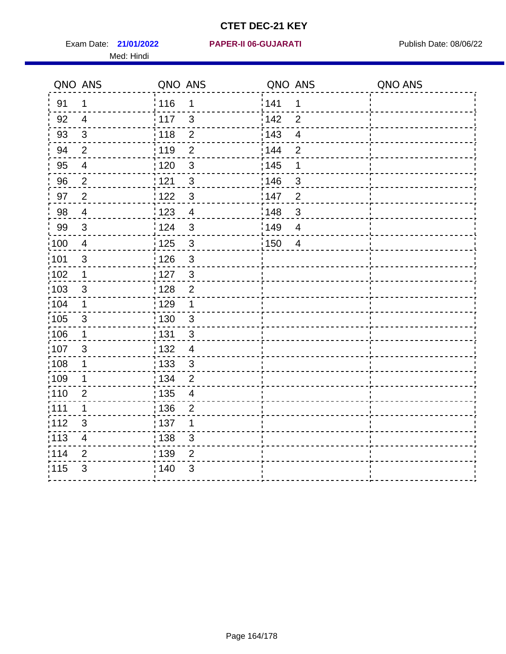Med: Hindi

**21/01/2022 PAPER-II 06-GUJARATI** Exam Date: Publish Date: 08/06/22

|                   | QNO ANS                 | QNO ANS           |                | QNO ANS           |                         | QNO ANS |
|-------------------|-------------------------|-------------------|----------------|-------------------|-------------------------|---------|
| 91                | 1                       | : 116             | 1              | 141               | 1                       |         |
| 92                | $\overline{4}$          | $\frac{1}{117}$   | $\mathbf{3}$   | 142               | $\overline{2}$          |         |
| 93                | $\mathfrak{Z}$          | 118               | $\mathbf 2$    | 143               | $\overline{\mathbf{4}}$ |         |
| 94                | $\overline{2}$          | : 119             | $\overline{2}$ | : 144             | $\overline{2}$          |         |
| 95                | $\overline{4}$          | : 120             | $\mathbf{3}$   | : 145             | 1                       |         |
| 96                | $\overline{2}$          | 121               | $\mathfrak{S}$ | 146               | 3                       |         |
| 97                | $\overline{2}$          | 122               | $\mathbf{3}$   | 147               | $\overline{2}$          |         |
| 98                | $\overline{4}$          | 123               | $\overline{4}$ | :148              | $\mathbf{3}$            |         |
| 99                | $\sqrt{3}$              | 124               | $\mathbf{3}$   | :149              | $\overline{4}$          |         |
| $\frac{1}{1}$ 100 | $\overline{4}$          | $\frac{1}{1}$ 125 | $\mathfrak{S}$ | $\frac{1}{1}$ 150 | $\overline{4}$          |         |
| 101               | $\mathsf 3$             | 126               | $\mathfrak{S}$ |                   |                         |         |
| 102               | $\mathbf 1$             | : 127             | $\mathbf{3}$   |                   |                         |         |
| 103               | 3                       | : 128             | $\overline{2}$ |                   |                         |         |
| :104              | $\mathbf 1$             | : 129             | $\mathbf 1$    |                   |                         |         |
| :105              | $\sqrt{3}$              | : 130             | $\mathbf{3}$   |                   |                         |         |
| :106              | $\mathbf 1$             | : 131             | 3              |                   |                         |         |
| 107               | 3                       | : 132             | $\overline{4}$ |                   |                         |         |
| 108               | $\mathbf 1$             | 133               | $\mathfrak{S}$ |                   |                         |         |
| :109              | $\mathbf 1$             | : 134             | $\overline{2}$ |                   |                         |         |
| :110              | $\overline{2}$          | 135               | $\overline{4}$ |                   |                         |         |
| : 111             | 1                       | : 136             | $\overline{2}$ |                   |                         |         |
| 112               | $\sqrt{3}$              | : 137             | 1              |                   |                         |         |
| $\frac{1}{1}$ 113 | $\overline{\mathbf{4}}$ | : 138             | 3              |                   |                         |         |
| 114               | 2                       | : 139             | 2              |                   |                         |         |
| 115               | 3                       | 140               | $\sqrt{3}$     |                   |                         |         |
|                   |                         |                   |                |                   |                         |         |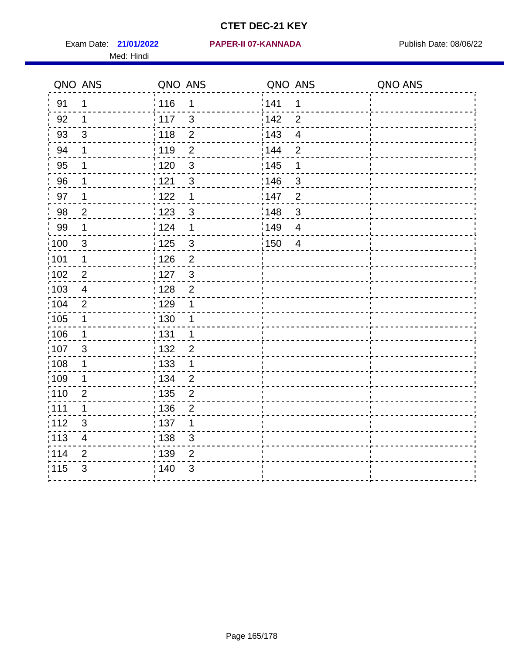Exam Date: 21/01/2022 PAPER-II 07-KANNADA Publish Date: 08/06/22 Med: Hindi

#### **21/01/2022 PAPER-II 07-KANNADA**

|       | QNO ANS                  | QNO ANS           |                | QNO ANS           |                         | QNO ANS |
|-------|--------------------------|-------------------|----------------|-------------------|-------------------------|---------|
| 91    | 1                        | : 116             | 1              | 141               | $\mathbf 1$             |         |
| 92    | 1                        | 117               | 3              | 142               | $\overline{2}$          |         |
| 93    | $\mathfrak{S}$           | 118               | $\overline{2}$ | 143               | $\overline{\mathbf{4}}$ |         |
| 94    | 1                        | 119               | $\overline{2}$ | 144               | $\overline{2}$          |         |
| 95    | 1                        | : 120             | $\mathbf{3}$   | : 145             | 1                       |         |
| 96    | 1                        | 121               | $\mathbf{3}$   | 146               | 3                       |         |
| 97    | 1                        | 122               | 1              | 147               | $\overline{2}$          |         |
| 98    | $\overline{c}$           | $\frac{1}{2}$ 123 | $\mathbf{3}$   | $\frac{1}{2}$ 148 | $\mathbf{3}$            |         |
| 99    | $\mathbf 1$              | 124               | 1              | ¦149              | $\overline{4}$          |         |
| 100   | $\mathbf{3}$             | $\frac{1}{1}$ 125 | $\mathbf{3}$   | 150               | $\overline{4}$          |         |
| 101   | 1                        | 126               | $\overline{2}$ |                   |                         |         |
| 102   | $\overline{2}$           | : 127             | $\mathbf{3}$   |                   |                         |         |
| 103   | $\overline{\mathcal{A}}$ | 128               | $\overline{2}$ |                   |                         |         |
| 104   | $\overline{2}$           | : 129             | 1              |                   |                         |         |
| 105   | 1                        | : 130             | 1              |                   |                         |         |
| 106   | 1                        | : 131             | 1              |                   |                         |         |
| 107   | $\mathbf{3}$             | : 132             | $\overline{2}$ |                   |                         |         |
| :108  | $\mathbf 1$              | : 133             | $\mathbf 1$    |                   |                         |         |
| :109  | 1                        | : 134             | $\overline{2}$ |                   |                         |         |
| :110  | $\overline{2}$           | : 135             | $\overline{2}$ |                   |                         |         |
| : 111 | $\mathbf 1$              | : 136             | $\overline{2}$ |                   |                         |         |
| 112   | $\sqrt{3}$               | $\frac{1}{1}$ 137 | 1              |                   |                         |         |
| 113   | $\overline{\mathbf{4}}$  | : 138             | 3              |                   |                         |         |
| 1114  | $\overline{2}$           | 139               | $\overline{2}$ |                   |                         |         |
| 115   | 3                        | 140               | $\mathfrak{S}$ |                   |                         |         |
|       |                          |                   |                |                   |                         |         |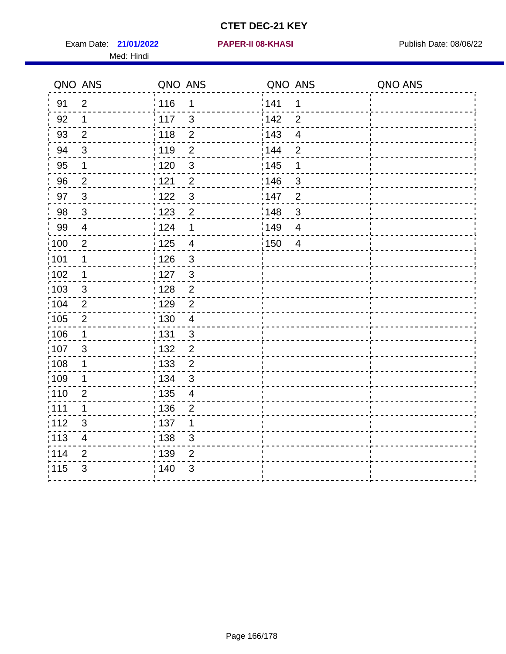Exam Date: 21/01/2022 **PAPER-II 08-KHASI** Publish Date: 08/06/22 Med: Hindi

**21/01/2022 PAPER-II 08-KHASI**

|                   | QNO ANS                 | QNO ANS                             | QNO ANS                        | QNO ANS |
|-------------------|-------------------------|-------------------------------------|--------------------------------|---------|
| 91                | $\overline{2}$          | 116<br>$\mathbf 1$                  | 141<br>1                       |         |
| 92                | $\mathbf 1$             | 117<br>$\mathbf{3}$                 | 142<br>$\overline{2}$          |         |
| 93                | $\overline{2}$          | 118<br>$\overline{2}$               | 143<br>$\overline{\mathbf{4}}$ |         |
| 94                | $\mathfrak{S}$          | : 119<br>$\overline{2}$             | : 144<br>$\overline{2}$        |         |
| 95                | 1                       | :120<br>3                           | : 145<br>1                     |         |
| 96                | $\overline{2}$          | 121<br>$\overline{2}$               | :146<br>$\mathfrak{S}$         |         |
| 97                | $\mathbf{3}$            | $\mathbf{3}$<br>122                 | :147<br>$\overline{2}$         |         |
| 98                | $\mathbf{3}$            | 1123<br>$\overline{2}$              | 148<br>$\sqrt{3}$              |         |
| 99                | $\overline{4}$          | 124<br>$\mathbf 1$                  | 149<br>$\overline{4}$          |         |
| $\frac{1}{1}$ 100 | $\overline{2}$          | 125<br>$\overline{4}$               | :150<br>$\overline{4}$         |         |
| :101              | 1                       | $\frac{1}{1}$ 126<br>$\mathfrak{S}$ |                                |         |
| 102               | 1                       | : 127<br>$\mathbf{3}$               |                                |         |
| 103               | $\mathbf{3}$            | $\overline{2}$<br>128               |                                |         |
| 104               | $\overline{2}$          | :129<br>$\overline{2}$              |                                |         |
| :105              | $\sqrt{2}$              | : 130<br>$\overline{4}$             |                                |         |
| 106               | $\mathbf 1$             | : 131<br>$\mathbf{3}$               |                                |         |
| :107              | $\mathbf{3}$            | : 132<br>$\overline{2}$             |                                |         |
| 108               | $\mathbf{1}$            | $\overline{2}$<br>$\frac{1}{1}$ 133 |                                |         |
| :109              | $\mathbf 1$             | : 134<br>3                          |                                |         |
| :110              | $\overline{2}$          | : 135<br>4                          |                                |         |
| :111              | $\mathbf 1$             | 136<br>$\overline{2}$               |                                |         |
| 112               | $\sqrt{3}$              | 137<br>$\mathbf 1$                  |                                |         |
| 113               | $\overline{\mathbf{4}}$ | 138<br>3                            |                                |         |
| 114               | 2                       | : 139<br>2                          |                                |         |
| 115               | 3                       | 140<br>$\sqrt{3}$                   |                                |         |
|                   |                         |                                     |                                |         |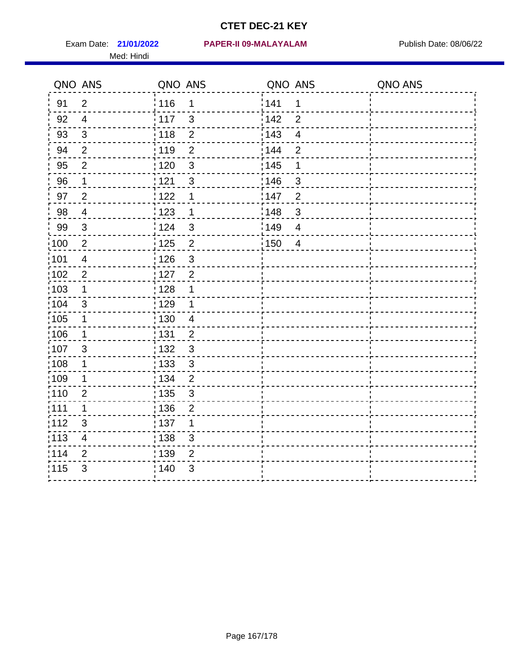Med: Hindi

**21/01/2022 PAPER-II 09-MALAYALAM** Exam Date: Publish Date: 08/06/22

|                   | QNO ANS                   | QNO ANS                             | QNO ANS           |                         | QNO ANS |
|-------------------|---------------------------|-------------------------------------|-------------------|-------------------------|---------|
| 91                | $\overline{2}$            | : 116<br>1                          | 141               | 1                       |         |
| 92                | $\overline{4}$            | $\frac{1}{117}$<br>$\mathbf{3}$     | 142               | $\overline{2}$          |         |
| 93                | $\sqrt{3}$                | : 118<br>$\mathbf{2}$               | 143               | $\overline{\mathbf{4}}$ |         |
| 94                | $\overline{2}$            | : 119<br>$\overline{2}$             | 144               | $\overline{2}$          |         |
| 95                | $\overline{2}$            | : 120<br>$\mathbf{3}$               | : 145             | 1                       |         |
| 96                | 1                         | 121<br>3                            | :146              | 3                       |         |
| 97                | $\overline{2}$            | 122<br>1                            | 147               | $\overline{2}$          |         |
| 98                | $\overline{4}$            | : 123<br>$\mathbf 1$                | 148               | $\mathbf{3}$            |         |
| 99                | $\sqrt{3}$                | 124<br>$\mathbf{3}$                 | $\frac{1}{2}$ 149 | $\overline{4}$          |         |
| 100               | $\sqrt{2}$                | $\frac{1}{1}$ 125<br>$\overline{2}$ | 150               | $\overline{4}$          |         |
| 101               | $\overline{4}$            | 126<br>$\mathbf{3}$                 |                   |                         |         |
| 102               | $\overline{2}$            | : 127<br>$\overline{2}$             |                   |                         |         |
| 103               | 1                         | : 128<br>1                          |                   |                         |         |
| :104              | 3                         | : 129<br>1                          |                   |                         |         |
| :105              | $\mathbf 1$               | : 130<br>$\overline{4}$             |                   |                         |         |
| 106               | $\mathbf 1$               | : 131<br>$\overline{2}$             |                   |                         |         |
| :107              | 3                         | $\mathbf{3}$<br>: 132               |                   |                         |         |
| :108              | $\mathbf 1$               | $\mathbf{3}$<br>: 133               |                   |                         |         |
| :109              | 1                         | : 134<br>$\overline{2}$             |                   |                         |         |
| : 110             | $\overline{2}$            | : 135<br>3                          |                   |                         |         |
| 111               | 1                         | : 136<br>$\overline{2}$             |                   |                         |         |
| 112               | $\ensuremath{\mathsf{3}}$ | $\frac{1}{1}$ 137<br>1              |                   |                         |         |
| $\frac{1}{1}$ 113 | $\overline{\mathbf{4}}$   | : 138<br>3                          |                   |                         |         |
| 114               | $\overline{2}$            | 139<br>2                            |                   |                         |         |
| 115               | 3                         | 140<br>$\sqrt{3}$                   |                   |                         |         |
|                   |                           |                                     |                   |                         |         |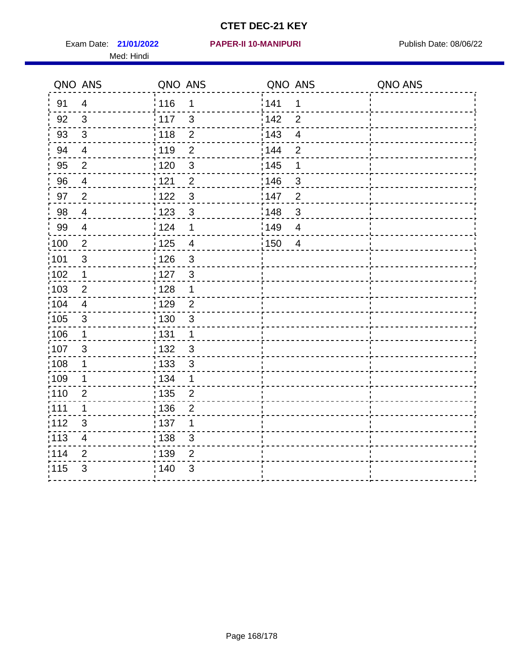Exam Date: 21/01/2022 PAPER-II 10-MANIPURI<br>
Publish Date: 08/06/22 Med: Hindi

#### **21/01/2022 PAPER-II 10-MANIPURI**

|       | QNO ANS                  | QNO ANS           |                | QNO ANS           |                | QNO ANS |
|-------|--------------------------|-------------------|----------------|-------------------|----------------|---------|
| 91    | $\overline{4}$           | : 116             | 1              | 141               | 1              |         |
| 92    | 3                        | $\frac{1}{117}$   | $\mathbf{3}$   | 142               | $\overline{2}$ |         |
| 93    | $\mathfrak{Z}$           | 118               | $\overline{2}$ | $\frac{1}{2}$ 143 | $\overline{4}$ |         |
| 94    | $\overline{4}$           | : 119             | $\overline{2}$ | 144               | $\overline{2}$ |         |
| 95    | $\overline{2}$           | :120              | $\mathbf{3}$   | : 145             | 1              |         |
| 96    | $\overline{4}$           | 121               | $\overline{2}$ | :146              | 3              |         |
| 97    | $\overline{2}$           | 122               | $\mathbf{3}$   | 147               | $\overline{2}$ |         |
| 98    | $\overline{4}$           | 123               | $\mathfrak{S}$ | 148               | $\mathbf{3}$   |         |
| 99    | $\overline{4}$           | 124               | 1              | 149               | $\overline{4}$ |         |
| 100   | $\overline{2}$           | $\frac{1}{1}$ 125 | $\overline{4}$ | 150               | $\overline{4}$ |         |
| :101  | $\mathsf 3$              | : 126             | $\mathfrak{S}$ |                   |                |         |
| 102   | $\mathbf 1$              | : 127             | $\mathbf{3}$   |                   |                |         |
| 103   | 2                        | :128              | $\mathbf 1$    |                   |                |         |
| 104   | $\overline{4}$           | : 129             | $\overline{2}$ |                   |                |         |
| 105   | $\sqrt{3}$               | : 130             | $\mathbf{3}$   |                   |                |         |
| ;106  | $\mathbf 1$              | : 131             | $\mathbf 1$    |                   |                |         |
| :107  | 3                        | 132               | 3              |                   |                |         |
| 108   | $\mathbf 1$              | $\frac{1}{1}$ 133 | $\mathfrak{S}$ |                   |                |         |
| :109  | 1                        | : 134             | 1              |                   |                |         |
| :110  | $\overline{2}$           | 135               | $\overline{2}$ |                   |                |         |
| :111  | $\mathbf 1$              | : 136             | $\overline{2}$ |                   |                |         |
| 112   | $\mathfrak{S}$           | 137               | 1              |                   |                |         |
| : 113 | $\overline{\mathcal{A}}$ | : 138             | 3              |                   |                |         |
| :114  | 2                        | : 139             | 2              |                   |                |         |
| 115   | 3                        | 140               | 3              |                   |                |         |
|       |                          |                   |                |                   |                |         |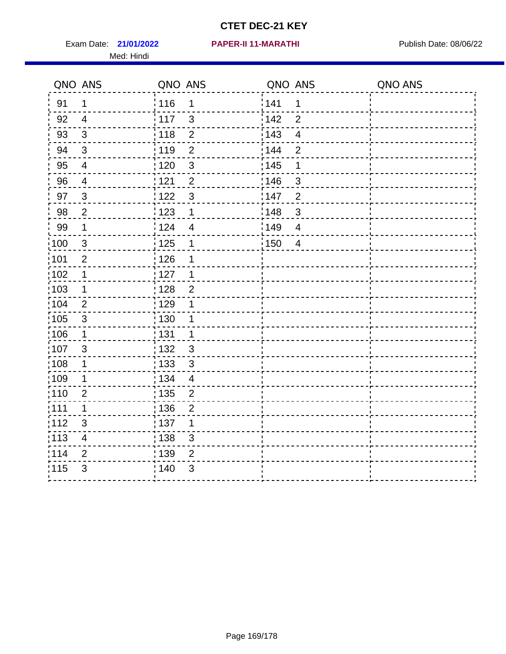Exam Date: 21/01/2022 PAPER-II 11-MARATHI Publish Date: 08/06/22 Med: Hindi

**21/01/2022 PAPER-II 11-MARATHI**

|      | QNO ANS                  | QNO ANS |                         | QNO ANS |                         | QNO ANS |
|------|--------------------------|---------|-------------------------|---------|-------------------------|---------|
| 91   | $\mathbf 1$              | 116     | $\mathbf{1}$            | 1141    | 1                       |         |
| 92   | $\overline{4}$           | 117     | $\mathfrak{S}$          | 142     | $\overline{2}$          |         |
| 93   | $\mathfrak{S}$           | 118     | $\overline{2}$          | 143     | $\overline{\mathbf{4}}$ |         |
| 94   | 3                        | : 119   | $\overline{2}$          | : 144   | $\overline{2}$          |         |
| 95   | $\overline{4}$           | : 120   | $\mathbf{3}$            | : 145   | 1                       |         |
| 96   | 4                        | 121     | $\overline{2}$          | :146    | $\mathfrak{S}$          |         |
| 97   | $\mathbf{3}$             | 122     | $\mathbf{3}$            | 147     | $\overline{c}$          |         |
| 98   | $\overline{2}$           | 123     | $\mathbf{1}$            | 148     | $\sqrt{3}$              |         |
| 99   | $\mathbf 1$              | 124     | $\overline{\mathbf{4}}$ | :149    | $\overline{\mathbf{4}}$ |         |
| :100 | $\mathbf{3}$             | 125     | $\mathbf 1$             | 150     | $\overline{4}$          |         |
| :101 | $\mathbf 2$              | : 126   | 1                       |         |                         |         |
| 102  | $\mathbf 1$              | : 127   | 1                       |         |                         |         |
| ;103 | $\mathbf 1$              | :128    | $\overline{2}$          |         |                         |         |
| 104  | 2                        | : 129   | 1                       |         |                         |         |
| 105  | $\sqrt{3}$               | 130     | $\mathbf 1$             |         |                         |         |
| :106 | $\mathbf 1$              | : 131   | $\mathbf 1$             |         |                         |         |
| 107  | 3                        | :132    | $\mathbf{3}$            |         |                         |         |
| 108  | $\mathbf 1$              | : 133   | $\mathbf{3}$            |         |                         |         |
| :109 | $\mathbf 1$              | : 134   | $\overline{4}$          |         |                         |         |
| :110 | 2                        | : 135   | $\overline{2}$          |         |                         |         |
| 111  | $\mathbf 1$              | : 136   | $\overline{c}$          |         |                         |         |
| 112  | $\sqrt{3}$               | : 137   | 1                       |         |                         |         |
| 113  | $\overline{\mathcal{A}}$ | : 138   | 3                       |         |                         |         |
| 114  | 2                        | : 139   | 2                       |         |                         |         |
| 115  | 3                        | 140     | $\mathfrak{B}$          |         |                         |         |
|      |                          |         |                         |         |                         |         |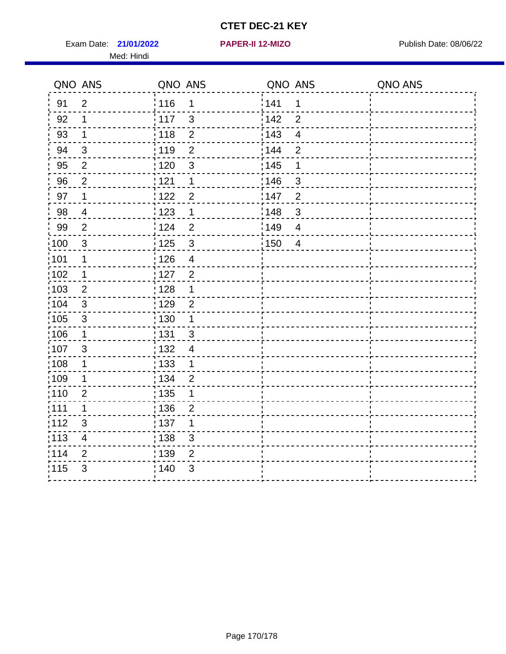Exam Date: 21/01/2022 **PAPER-II 12-MIZO** PUBLISH Date: 08/06/22 Med: Hindi

**21/01/2022 PAPER-II 12-MIZO**

|                   | QNO ANS                 | QNO ANS           |                          | QNO ANS |                          | QNO ANS |
|-------------------|-------------------------|-------------------|--------------------------|---------|--------------------------|---------|
| 91                | $\overline{2}$          | 116               | 1                        | 141     | 1                        |         |
| 92                | 1                       | 117               | $\mathfrak{S}$           | 142     | $\overline{2}$           |         |
| 93                | 1                       | 118               | $\overline{2}$           | 143     | $\overline{\mathbf{4}}$  |         |
| 94                | 3                       | : 119             | $\overline{2}$           | 144     | $\overline{2}$           |         |
| 95                | $\overline{2}$          | :120              | 3                        | : 145   | 1                        |         |
| 96                | $\overline{2}$          | 121               | $\mathbf 1$              | :146    | $\mathfrak{B}$           |         |
| 97                | $\mathbf 1$             | 122               | $\overline{2}$           | 147     | $\overline{2}$           |         |
| 98                | $\overline{\mathbf{4}}$ | 123               | $\mathbf 1$              | 148     | $\sqrt{3}$               |         |
| 99                | $\overline{2}$          | 124               | $\overline{2}$           | 149     | $\overline{\mathcal{A}}$ |         |
| 100               | $\mathbf{3}$            | 125               | $\mathbf{3}$             | 150     | $\overline{4}$           |         |
| 101               | 1                       | 126               | $\overline{\mathcal{A}}$ |         |                          |         |
| 102               | 1                       | : 127             | $\overline{2}$           |         |                          |         |
| 103               | $\overline{2}$          | 128               | $\mathbf 1$              |         |                          |         |
| 104               | $\sqrt{3}$              | : 129             | $\overline{2}$           |         |                          |         |
| $\frac{1}{1}$ 105 | $\sqrt{3}$              | $\frac{1}{1}$ 130 | $\mathbf 1$              |         |                          |         |
| ;106              | $\mathbf 1$             | : 131             | $\mathbf{3}$             |         |                          |         |
| ;107              | 3                       | : 132             | $\overline{4}$           |         |                          |         |
| 108               | $\mathbf 1$             | $\frac{1}{1}$ 133 | $\mathbf{1}$             |         |                          |         |
| ;109              | $\mathbf 1$             | : 134             | $\overline{2}$           |         |                          |         |
| :110              | $\overline{2}$          | : 135             | 1                        |         |                          |         |
| :111              | $\mathbf 1$             | : 136             | $\overline{c}$           |         |                          |         |
| 112               | $\sqrt{3}$              | 137               | 1                        |         |                          |         |
| 113               | $\overline{\mathbf{4}}$ | : 138             | 3                        |         |                          |         |
| 114               | 2                       | : 139             | 2                        |         |                          |         |
| 115               | 3                       | 140               | $\sqrt{3}$               |         |                          |         |
|                   |                         |                   |                          |         |                          |         |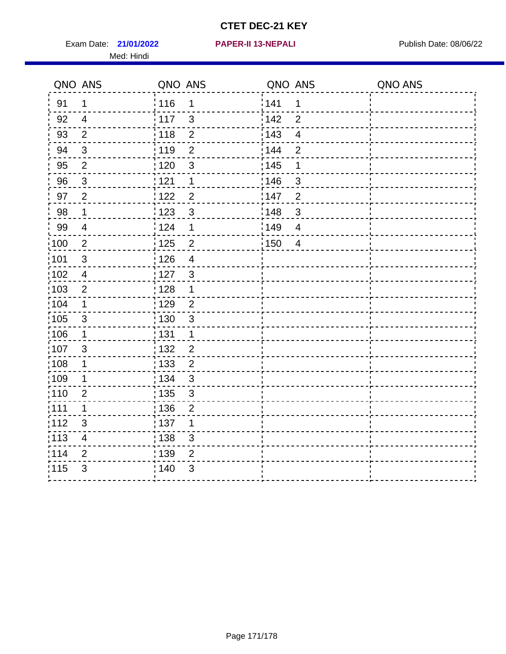Exam Date: 21/01/2022 **PAPER-II 13-NEPALI Exam Date: 08/06/22** Med: Hindi

**21/01/2022 PAPER-II 13-NEPALI**

|                   | QNO ANS                   | QNO ANS           |                | QNO ANS |                         | QNO ANS |
|-------------------|---------------------------|-------------------|----------------|---------|-------------------------|---------|
| 91                | $\mathbf 1$               | : 116             | 1              | 141     | 1                       |         |
| 92                | $\overline{4}$            | $\frac{1}{117}$   | $\mathbf{3}$   | 142     | $\overline{2}$          |         |
| 93                | $\overline{2}$            | : 118             | $\overline{2}$ | 143     | $\overline{\mathbf{4}}$ |         |
| 94                | $\mathbf{3}$              | : 119             | $\overline{2}$ | 144     | $\overline{2}$          |         |
| 95                | $\overline{2}$            | : 120             | $\mathbf{3}$   | : 145   | 1                       |         |
| 96                | 3                         | 121               | 1              | 146     | 3                       |         |
| 97                | $\overline{2}$            | 122               | $\overline{2}$ | 147     | $\overline{2}$          |         |
| 98                | $\mathbf 1$               | $\frac{1}{2}$ 123 | $\mathbf{3}$   | ¦148    | $\mathfrak{S}$          |         |
| 99                | $\overline{4}$            | 124               | 1              | :149    | $\overline{4}$          |         |
| $\frac{1}{1}$ 100 | $\sqrt{2}$                | $\frac{1}{1}$ 125 | $\overline{2}$ | : 150   | $\overline{4}$          |         |
| :101              | $\sqrt{3}$                | : 126             | $\overline{4}$ |         |                         |         |
| 102               | $\overline{4}$            | : 127             | $\mathbf{3}$   |         |                         |         |
| 103               | $\overline{2}$            | : 128             | $\mathbf 1$    |         |                         |         |
| 104               | $\mathbf 1$               | ;129              | $\overline{2}$ |         |                         |         |
| 105               | $\ensuremath{\mathsf{3}}$ | : 130             | $\mathbf{3}$   |         |                         |         |
| 106               | $\mathbf 1$               | : 131             | $\mathbf 1$    |         |                         |         |
| 107               | $\mathfrak{S}$            | : 132             | $\overline{2}$ |         |                         |         |
| $\frac{1}{1}$ 108 | $\mathbf 1$               | : 133             | $\overline{2}$ |         |                         |         |
| 109               | 1                         | : 134             | $\mathfrak{S}$ |         |                         |         |
| :110              | $\overline{2}$            | : 135             | $\mathfrak{S}$ |         |                         |         |
| 111               | 1                         | 136               | $\overline{2}$ |         |                         |         |
| 112               | $\mathfrak{B}$            | : 137             | 1              |         |                         |         |
| : 113             | $\overline{\mathbf{4}}$   | : 138             | 3              |         |                         |         |
| 114               | 2                         | 139               | $\overline{2}$ |         |                         |         |
| 115               | 3                         | 140               | 3              |         |                         |         |
|                   |                           |                   |                |         |                         |         |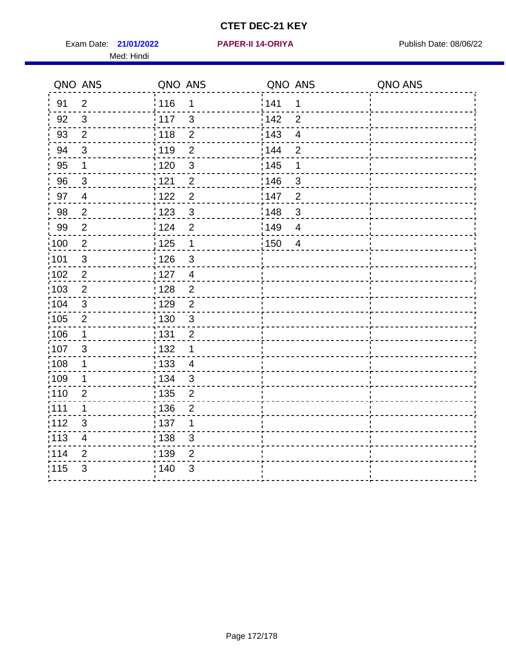Exam Date: 21/01/2022 **PAPER-II 14-ORIYA** Publish Date: 08/06/22 Med: Hindi

**21/01/2022 PAPER-II 14-ORIYA**

|       | QNO ANS                 | QNO ANS           |                | QNO ANS           |                         | QNO ANS |
|-------|-------------------------|-------------------|----------------|-------------------|-------------------------|---------|
| 91    | $\overline{2}$          | 116               | 1              | 141               | $\mathbf 1$             |         |
| 92    | $\mathbf{3}$            | 117               | 3              | 142               | $\overline{2}$          |         |
| 93    | $\overline{2}$          | 118               | $\overline{2}$ | 143               | $\overline{\mathbf{4}}$ |         |
| 94    | 3                       | : 119             | $\overline{2}$ | 144               | $\overline{2}$          |         |
| 95    | 1                       | : 120             | $\mathfrak{B}$ | : 145             | 1                       |         |
| 96    | $\mathbf{3}$            | 121               | $\overline{2}$ | 146               | 3                       |         |
| 97    | $\overline{4}$          | 122               | $\overline{c}$ | 147               | $\overline{2}$          |         |
| 98    | $\overline{2}$          | 123               | $\mathbf{3}$   | ¦148              | $\mathbf{3}$            |         |
| 99    | $\mathbf{2}$            | 124               | $\overline{2}$ | $\frac{1}{2}$ 149 | $\overline{4}$          |         |
| 100   | $\overline{2}$          | 125               | $\mathbf{1}$   | 150               | $\overline{4}$          |         |
| :101  | $\sqrt{3}$              | : 126             | $\mathfrak{S}$ |                   |                         |         |
| 102   | $\overline{2}$          | : 127             | $\overline{4}$ |                   |                         |         |
| ;103  | 2                       | :128              | $\overline{2}$ |                   |                         |         |
| 104   | $\mathbf{3}$            | : 129             | $\overline{2}$ |                   |                         |         |
| 105   | $\sqrt{2}$              | $\frac{1}{1}$ 130 | $\mathbf{3}$   |                   |                         |         |
| 106   | $\mathbf 1$             | : 131             | $\overline{2}$ |                   |                         |         |
| 107   | 3                       | 132               | $\mathbf 1$    |                   |                         |         |
| 108   | $\mathbf 1$             | : 133             | $\overline{4}$ |                   |                         |         |
| :109  | 1                       | : 134             | 3              |                   |                         |         |
| :110  | $\overline{2}$          | : 135             | $\overline{2}$ |                   |                         |         |
| 111   | 1                       | : 136             | $\overline{c}$ |                   |                         |         |
| 112   | $\sqrt{3}$              | $\frac{1}{1}$ 137 | 1              |                   |                         |         |
| : 113 | $\overline{\mathbf{4}}$ | 138               | 3              |                   |                         |         |
| 114   | 2                       | : 139             | $\overline{2}$ |                   |                         |         |
| 115   | $\mathfrak{S}$          | 140               | $\sqrt{3}$     |                   |                         |         |
|       |                         |                   |                |                   |                         |         |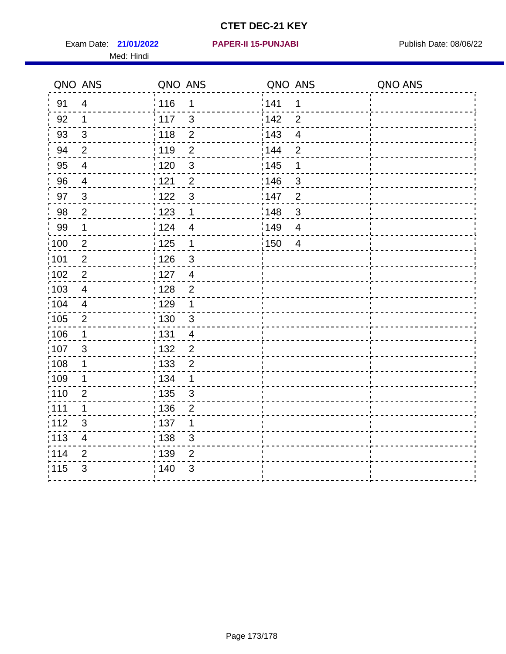Exam Date: 21/01/2022 **PAPER-II 15-PUNJABI** Publish Date: 08/06/22 Med: Hindi

**21/01/2022 PAPER-II 15-PUNJABI**

|                   | QNO ANS                  | QNO ANS           |                | QNO ANS |                          | QNO ANS |
|-------------------|--------------------------|-------------------|----------------|---------|--------------------------|---------|
| 91                | $\overline{4}$           | 116               | $\mathbf 1$    | 141     | 1                        |         |
| 92                | $\mathbf 1$              | 117               | 3              | 142     | $\overline{2}$           |         |
| 93                | $\mathbf{3}$             | 118               | $\overline{2}$ | 143     | $\overline{\mathbf{4}}$  |         |
| 94                | $\overline{2}$           | : 119             | $\overline{2}$ | 144     | $\overline{2}$           |         |
| 95                | $\overline{4}$           | :120              | 3              | : 145   | 1                        |         |
| 96                | 4                        | 121               | $\overline{2}$ | :146    | $\mathfrak{B}$           |         |
| 97                | $\mathfrak{S}$           | 122               | $\mathbf{3}$   | 147     | $\overline{2}$           |         |
| 98                | $\overline{c}$           | $\frac{1}{2}$ 123 | $\mathbf 1$    | 148     | $\sqrt{3}$               |         |
| 99                | $\mathbf{1}$             | : 124             | $\overline{4}$ | 149     | $\overline{\mathcal{A}}$ |         |
| 100               | $\overline{2}$           | 125               | $\mathbf{1}$   | 150     | $\overline{4}$           |         |
| 101               | $\overline{2}$           | : 126             | 3              |         |                          |         |
| 102               | $\overline{2}$           | : 127             | $\overline{4}$ |         |                          |         |
| ;103              | $\overline{4}$           | 128               | $\overline{2}$ |         |                          |         |
| 104               | $\overline{\mathcal{A}}$ | : 129             | $\mathbf 1$    |         |                          |         |
| $\frac{1}{1}$ 105 | $\mathbf 2$              | : 130             | $\mathbf{3}$   |         |                          |         |
| ;106              | $\mathbf 1$              | : 131             | $\overline{4}$ |         |                          |         |
| :107              | 3                        | : 132             | $\overline{2}$ |         |                          |         |
| 108               | $\mathbf 1$              | $\frac{1}{1}$ 133 | $\overline{2}$ |         |                          |         |
| :109              | $\mathbf 1$              | : 134             | $\mathbf 1$    |         |                          |         |
| :110              | $\overline{2}$           | : 135             | 3              |         |                          |         |
| 111               | $\mathbf 1$              | : 136             | $\overline{2}$ |         |                          |         |
| 112               | $\sqrt{3}$               | 137               | 1              |         |                          |         |
| 113               | $\overline{\mathcal{A}}$ | : 138             | 3              |         |                          |         |
| 114               | 2                        | : 139             | 2              |         |                          |         |
| 115               | 3                        | 140               | $\sqrt{3}$     |         |                          |         |
|                   |                          |                   |                |         |                          |         |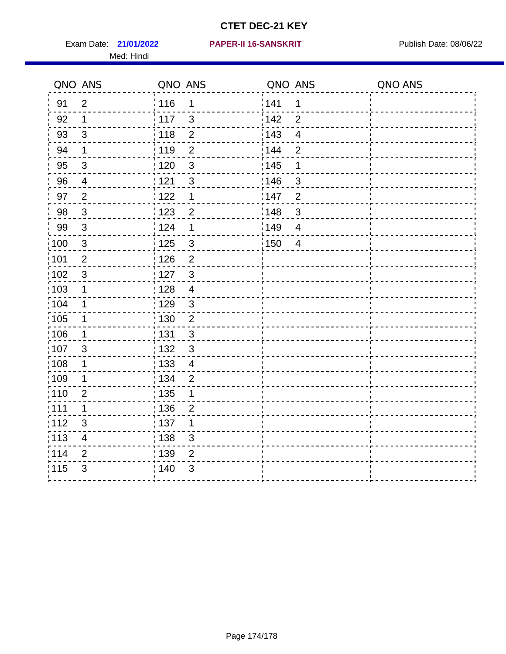Med: Hindi

#### **21/01/2022 PAPER-II 16-SANSKRIT** Exam Date: Publish Date: 08/06/22

|                   | QNO ANS                   | QNO ANS           |                | QNO ANS |                         | QNO ANS |
|-------------------|---------------------------|-------------------|----------------|---------|-------------------------|---------|
| 91                | $\overline{2}$            | 116               | 1              | 141     | $\mathbf 1$             |         |
| 92                | 1                         | 117               | $\mathfrak{S}$ | 142     | $\overline{2}$          |         |
| 93                | $\sqrt{3}$                | 118               | $\overline{2}$ | 143     | $\overline{\mathbf{4}}$ |         |
| 94                | 1                         | : 119             | $\overline{2}$ | : 144   | $\overline{2}$          |         |
| 95                | 3                         | :120              | $\mathbf{3}$   | : 145   | 1                       |         |
| 96                | 4                         | 121               | $\mathfrak{S}$ | 146     | $\mathbf{3}$            |         |
| 97                | $\overline{c}$            | 122               | $\mathbf 1$    | 147     | $\overline{2}$          |         |
| 98                | $\mathbf{3}$              | 123               | $\overline{c}$ | 148     | $\mathbf{3}$            |         |
| 99                | $\sqrt{3}$                | : 124             | 1              | :149    | $\overline{4}$          |         |
| $\frac{1}{1}$ 100 | $\mathbf{3}$              | 125               | $\mathbf{3}$   | 150     | $\overline{4}$          |         |
| $\frac{1}{1}$ 101 | $\overline{2}$            | : 126             | $\overline{2}$ |         |                         |         |
| 102               | 3                         | : 127             | $\mathbf{3}$   |         |                         |         |
| :103              | $\mathbf 1$               | : 128             | $\overline{4}$ |         |                         |         |
| 104               | 1                         | : 129             | $\mathfrak{3}$ |         |                         |         |
| 105               | $\mathbf 1$               | $\frac{1}{1}$ 130 | $\overline{c}$ |         |                         |         |
| 106               | 1                         | : 131             | $\mathbf{3}$   |         |                         |         |
| 107               | $\mathbf{3}$              | : 132             | $\mathfrak{3}$ |         |                         |         |
| $\frac{1}{1}$ 108 | $\mathbf 1$               | $\frac{1}{1}$ 133 | $\overline{4}$ |         |                         |         |
| 109               | 1                         | : 134             | $\overline{2}$ |         |                         |         |
| :110              | $\overline{2}$            | : 135             | 1              |         |                         |         |
| 111               | 1                         | 136               | $\overline{2}$ |         |                         |         |
| 112               | $\ensuremath{\mathsf{3}}$ | : 137             | 1              |         |                         |         |
| $\frac{1}{1}$ 113 | 4                         | : 138             | 3              |         |                         |         |
| 114               | $\overline{2}$            | : 139             | $\overline{2}$ |         |                         |         |
| 115               | $\mathfrak{S}$            | 140               | $\sqrt{3}$     |         |                         |         |
|                   |                           |                   |                |         |                         |         |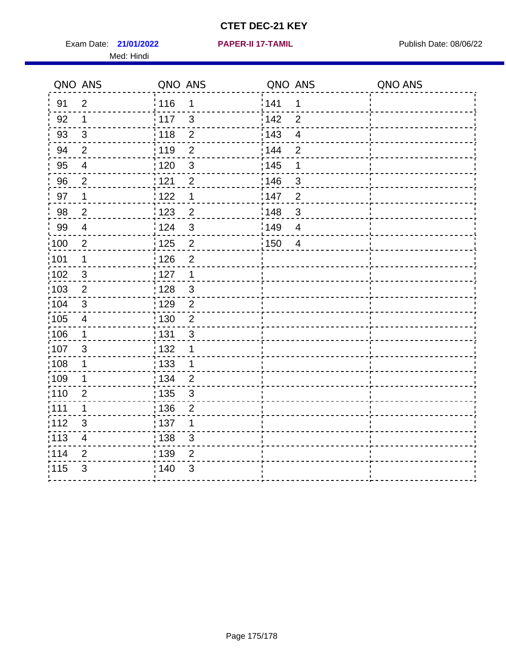Exam Date: 21/01/2022 **PAPER-II 17-TAMIL Exam Date: 08/06/22** Med: Hindi

**21/01/2022 PAPER-II 17-TAMIL**

|      | QNO ANS                  | QNO ANS           |                  | QNO ANS |                          | QNO ANS |
|------|--------------------------|-------------------|------------------|---------|--------------------------|---------|
| 91   | $\overline{2}$           | 116               | $\mathbf 1$      | 141     | 1                        |         |
| 92   | $\mathbf 1$              | 117               | $\mathfrak{S}$   | 142     | $\overline{2}$           |         |
| 93   | $\mathbf{3}$             | 118               | $\overline{2}$   | 143     | $\overline{\mathbf{4}}$  |         |
| 94   | $\overline{2}$           | : 119             | $\overline{2}$   | 144     | $\overline{2}$           |         |
| 95   | 4                        | :120              | 3                | : 145   | 1                        |         |
| 96   | $\overline{2}$           | 121               | $\overline{2}$   | :146    | $\mathfrak{B}$           |         |
| 97   | $\mathbf 1$              | 122               | $\mathbf 1$      | 147     | $\overline{2}$           |         |
| 98   | $\overline{c}$           | 123               | $\overline{c}$   | 148     | $\sqrt{3}$               |         |
| 99   | $\overline{4}$           | : 124             | $\mathfrak{3}$   | 149¦    | $\overline{\mathcal{A}}$ |         |
| 100  | $\overline{2}$           | 125               | $\overline{2}$   | 150     | $\overline{4}$           |         |
| 101  | 1                        | : 126             | $\overline{2}$   |         |                          |         |
| 102  | 3                        | : 127             | $\mathbf 1$      |         |                          |         |
| 103  | $\overline{2}$           | 128               | $\mathbf{3}$     |         |                          |         |
| 104  | $\sqrt{3}$               | : 129             | $\overline{2}$   |         |                          |         |
| 105  | $\overline{4}$           | : 130             | $\overline{2}$   |         |                          |         |
| ;106 | $\mathbf{1}$             | : 131             | 3                |         |                          |         |
| :107 | 3                        | : 132             | 1                |         |                          |         |
| 108  | $\mathbf 1$              | $\frac{1}{1}$ 133 | $\mathbf{1}$     |         |                          |         |
| :109 | $\mathbf 1$              | : 134             | $\overline{2}$   |         |                          |         |
| :110 | $\overline{2}$           | : 135             | 3                |         |                          |         |
| 111  | $\mathbf 1$              | : 136             | $\boldsymbol{2}$ |         |                          |         |
| 112  | $\sqrt{3}$               | 137               | 1                |         |                          |         |
| 113  | $\overline{\mathcal{A}}$ | : 138             | 3                |         |                          |         |
| 114  | 2                        | : 139             | 2                |         |                          |         |
| 115  | 3                        | 140               | $\sqrt{3}$       |         |                          |         |
|      |                          |                   |                  |         |                          |         |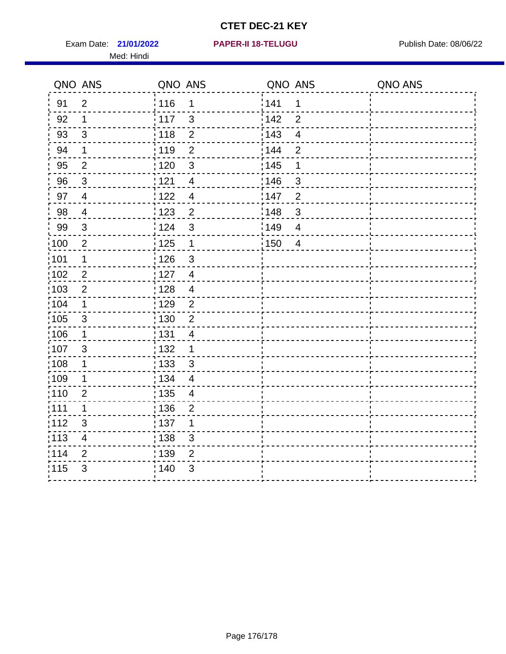Exam Date: 21/01/2022 PAPER-II 18-TELUGU PUBLISH Date: 08/06/22 Med: Hindi

|                   | QNO ANS                  | QNO ANS           |                          | QNO ANS           |                         | QNO ANS |
|-------------------|--------------------------|-------------------|--------------------------|-------------------|-------------------------|---------|
| 91                | $\overline{2}$           | 116               | $\mathbf 1$              | 141               | $\mathbf 1$             |         |
| 92                | $\mathbf{1}$             | 117               | $\mathbf{3}$             | 142               | $\overline{2}$          |         |
| 93                | $\sqrt{3}$               | 118               | $\overline{2}$           | $\frac{1}{2}$ 143 | $\overline{\mathbf{4}}$ |         |
| 94                | $\mathbf 1$              | : 119             | $\overline{2}$           | : 144             | $\overline{2}$          |         |
| 95                | $\overline{2}$           | : 120             | $\mathbf{3}$             | : 145             | 1                       |         |
| 96                | 3                        | 121               | $\overline{\mathcal{A}}$ | 146               | $\mathfrak{S}$          |         |
| 97                | $\overline{\mathcal{A}}$ | 122               | $\overline{4}$           | 147               | $\overline{2}$          |         |
| 98                | $\overline{\mathbf{4}}$  | $\frac{1}{2}$ 123 | $\overline{c}$           | 148               | $\mathbf{3}$            |         |
| 99                | $\sqrt{3}$               | 124               | $\mathfrak{3}$           | ¦149              | $\overline{\mathbf{4}}$ |         |
| $\frac{1}{1}$ 100 | $\overline{2}$           | 125               | $\overline{1}$           | $\frac{1}{2}$ 150 | $\overline{4}$          |         |
| $\frac{1}{1}$ 101 | $\mathbf 1$              | : 126             | $\mathfrak{S}$           |                   |                         |         |
| 102               | $\overline{2}$           | : 127             | $\overline{4}$           |                   |                         |         |
| 103               | 2                        | :128              | $\overline{4}$           |                   |                         |         |
| 104               | $\mathbf 1$              | : 129             | $\overline{2}$           |                   |                         |         |
| 105               | $\sqrt{3}$               | 130               | $\overline{2}$           |                   |                         |         |
| 106               | $\mathbf 1$              | : 131             | $\overline{4}$           |                   |                         |         |
| 107               | 3                        | 132               | $\mathbf 1$              |                   |                         |         |
| $\frac{1}{1}$ 108 | $\mathbf 1$              | 133               | $\mathbf{3}$             |                   |                         |         |
| 109               | $\mathbf 1$              | : 134             | $\overline{4}$           |                   |                         |         |
| : 110             | $\overline{2}$           | : 135             | $\overline{4}$           |                   |                         |         |
| : 111             | $\mathbf 1$              | 136               | $\overline{2}$           |                   |                         |         |
| 112               | 3                        | : 137             | 1                        |                   |                         |         |
| $\frac{1}{1}$ 113 | $\overline{\mathbf{4}}$  | : 138             | $\mathfrak{S}$           |                   |                         |         |
| 114               | $\overline{2}$           | : 139             | $\overline{2}$           |                   |                         |         |
| 115               | 3                        | 140               | $\mathfrak{S}$           |                   |                         |         |
|                   |                          |                   |                          |                   |                         |         |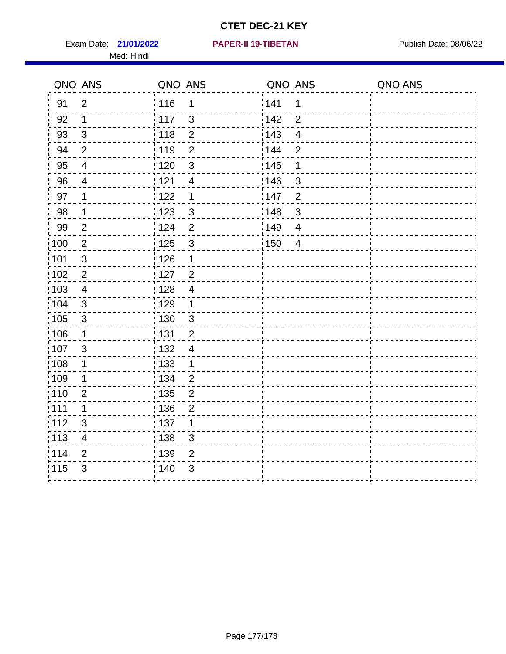Exam Date: 21/01/2022 **PAPER-II 19-TIBETAN** Publish Date: 08/06/22 Med: Hindi

**21/01/2022 PAPER-II 19-TIBETAN**

|                   | QNO ANS                 | QNO ANS           |                | QNO ANS |                | QNO ANS |
|-------------------|-------------------------|-------------------|----------------|---------|----------------|---------|
| 91                | $\overline{2}$          | 116               | 1              | 1141    | 1              |         |
| 92                | 1                       | 117               | 3              | 142     | $\overline{2}$ |         |
| 93                | $\sqrt{3}$              | 118               | $\overline{2}$ | 143     | $\overline{4}$ |         |
| 94                | $\overline{2}$          | : 119             | $\overline{2}$ | 144     | $\overline{2}$ |         |
| 95                | 4                       | :120              | 3              | : 145   | 1              |         |
| 96                | 4                       | : 121             | $\overline{4}$ | 146     | $\mathfrak{B}$ |         |
| 97                | 1                       | : 122             | 1              | 147     | $\overline{2}$ |         |
| 98                | $\mathbf 1$             | 123               | $\mathfrak{S}$ | 148     | $\mathbf{3}$   |         |
| 99                | $\mathbf{2}$            | 124               | $\overline{2}$ | 149     | $\overline{4}$ |         |
| :100              | $\sqrt{2}$              | 125               | $\mathbf{3}$   | 150     | $\overline{4}$ |         |
| :101              | $\mathsf 3$             | : 126             | 1              |         |                |         |
| 102               | $\overline{2}$          | : 127             | $\overline{2}$ |         |                |         |
| 103               | $\overline{4}$          | : 128             | $\overline{4}$ |         |                |         |
| 104               | $\sqrt{3}$              | : 129             | 1              |         |                |         |
| 105               | $\sqrt{3}$              | : 130             | $\mathbf{3}$   |         |                |         |
| :106              | 1                       | : 131             | $\overline{2}$ |         |                |         |
| :107              | 3                       | : 132             | $\overline{4}$ |         |                |         |
| $\frac{1}{1}$ 108 | $\mathbf 1$             | $\frac{1}{1}$ 133 | $\mathbf{1}$   |         |                |         |
| :109              | 1                       | : 134             | $\overline{2}$ |         |                |         |
| :110              | $\overline{2}$          | : 135             | $\overline{2}$ |         |                |         |
| 111               | 1                       | 136               | $\overline{c}$ |         |                |         |
| 112               | $\sqrt{3}$              | 137               | 1              |         |                |         |
| : 113             | $\overline{\mathbf{4}}$ | : 138             | 3              |         |                |         |
| 114               | 2                       | 139               | $\overline{2}$ |         |                |         |
| 115               | 3                       | 140               | 3              |         |                |         |
|                   |                         |                   |                |         |                |         |